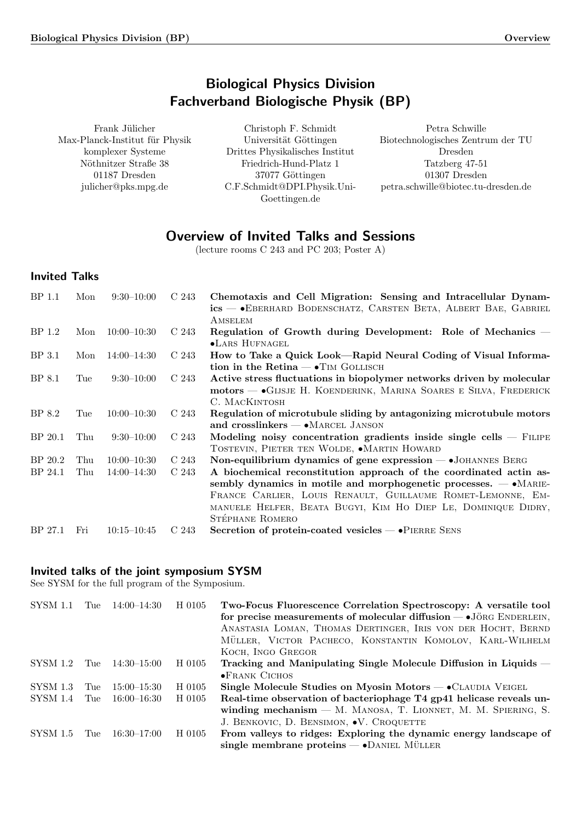# Biological Physics Division Fachverband Biologische Physik (BP)

<span id="page-0-0"></span>Frank Jülicher Max-Planck-Institut für Physik komplexer Systeme Nöthnitzer Straße 38 01187 Dresden julicher@pks.mpg.de

Christoph F. Schmidt Universität Göttingen Drittes Physikalisches Institut Friedrich-Hund-Platz 1 37077 Göttingen C.F.Schmidt@DPI.Physik.Uni-Goettingen.de

Petra Schwille Biotechnologisches Zentrum der TU Dresden Tatzberg 47-51 01307 Dresden petra.schwille@biotec.tu-dresden.de

# Overview of Invited Talks and Sessions

(lecture rooms C 243 and PC 203; Poster A)

# Invited Talks

| <b>BP</b> 1.1      | Mon        | $9:30-10:00$                     | C 243          | Chemotaxis and Cell Migration: Sensing and Intracellular Dynam-<br>ics - • EBERHARD BODENSCHATZ, CARSTEN BETA, ALBERT BAE, GABRIEL<br>AMSELEM                                                                                                                                                                                                                            |
|--------------------|------------|----------------------------------|----------------|--------------------------------------------------------------------------------------------------------------------------------------------------------------------------------------------------------------------------------------------------------------------------------------------------------------------------------------------------------------------------|
| BP 1.2             | Mon        | $10:00 - 10:30$                  | C 243          | Regulation of Growth during Development: Role of Mechanics –<br>•LARS HUFNAGEL                                                                                                                                                                                                                                                                                           |
| BP 3.1             | Mon        | $14:00 - 14:30$                  | C 243          | How to Take a Quick Look—Rapid Neural Coding of Visual Informa-<br>tion in the Retina $- \cdot$ TIM GOLLISCH                                                                                                                                                                                                                                                             |
| BP 8.1             | Tue        | $9:30-10:00$                     | C 243          | Active stress fluctuations in biopolymer networks driven by molecular<br>motors — GIJSJE H. KOENDERINK, MARINA SOARES E SILVA, FREDERICK<br>C. MACKINTOSH                                                                                                                                                                                                                |
| BP 8.2             | Tue        | $10:00-10:30$                    | C 243          | Regulation of microtubule sliding by antagonizing microtubule motors<br>and crosslinkers $\rightarrow$ MARCEL JANSON                                                                                                                                                                                                                                                     |
| BP 20.1            | Thu        | $9:30-10:00$                     | C 243          | Modeling noisy concentration gradients inside single cells $-$ FILIPE<br>TOSTEVIN, PIETER TEN WOLDE, $\bullet$ MARTIN HOWARD                                                                                                                                                                                                                                             |
| BP 20.2<br>BP 24.1 | Thu<br>Thu | $10:00-10:30$<br>$14:00 - 14:30$ | C 243<br>C 243 | Non-equilibrium dynamics of gene expression $ \bullet$ JOHANNES BERG<br>A biochemical reconstitution approach of the coordinated actin as-<br>sembly dynamics in motile and morphogenetic processes. $- \cdot$ MARIE-<br>FRANCE CARLIER, LOUIS RENAULT, GUILLAUME ROMET-LEMONNE, EM-<br>MANUELE HELFER, BEATA BUGYI, KIM HO DIEP LE, DOMINIQUE DIDRY,<br>STÉPHANE ROMERO |
| BP 27.1            | Fri        | $10:15 - 10:45$                  | C 243          | Secretion of protein-coated vesicles $ \bullet$ PIERRE SENS                                                                                                                                                                                                                                                                                                              |

## Invited talks of the joint symposium SYSM

See SYSM for the full program of the Symposium.

| SYSM 1.1        | Tue  | $14:00 - 14:30$ | H 0105 | Two-Focus Fluorescence Correlation Spectroscopy: A versatile tool<br>for precise measurements of molecular diffusion — • JÖRG ENDERLEIN, |
|-----------------|------|-----------------|--------|------------------------------------------------------------------------------------------------------------------------------------------|
|                 |      |                 |        | ANASTASIA LOMAN, THOMAS DERTINGER, IRIS VON DER HOCHT, BERND                                                                             |
|                 |      |                 |        | MÜLLER, VICTOR PACHECO, KONSTANTIN KOMOLOV, KARL-WILHELM                                                                                 |
|                 |      |                 |        | KOCH, INGO GREGOR                                                                                                                        |
| SYSM 1.2        | Tue  | $14:30 - 15:00$ | H 0105 | Tracking and Manipulating Single Molecule Diffusion in Liquids –                                                                         |
|                 |      |                 |        | $\bullet$ FRANK CICHOS                                                                                                                   |
| <b>SYSM 1.3</b> | The  | $15:00 - 15:30$ | H 0105 | Single Molecule Studies on Myosin Motors $ \bullet$ CLAUDIA VEIGEL                                                                       |
| SYSM 1.4        | Tue  | -16:00–16:30 -  | H 0105 | Real-time observation of bacteriophage T4 gp41 helicase reveals un-                                                                      |
|                 |      |                 |        | winding mechanism $-$ M. MANOSA, T. LIONNET, M. M. SPIERING, S.                                                                          |
|                 |      |                 |        | J. BENKOVIC, D. BENSIMON, $\bullet$ V. CROQUETTE                                                                                         |
| <b>SYSM 1.5</b> | Tue- | $16:30 - 17:00$ | H 0105 | From valleys to ridges: Exploring the dynamic energy landscape of                                                                        |
|                 |      |                 |        | single membrane proteins $-\bullet$ DANIEL MÜLLER                                                                                        |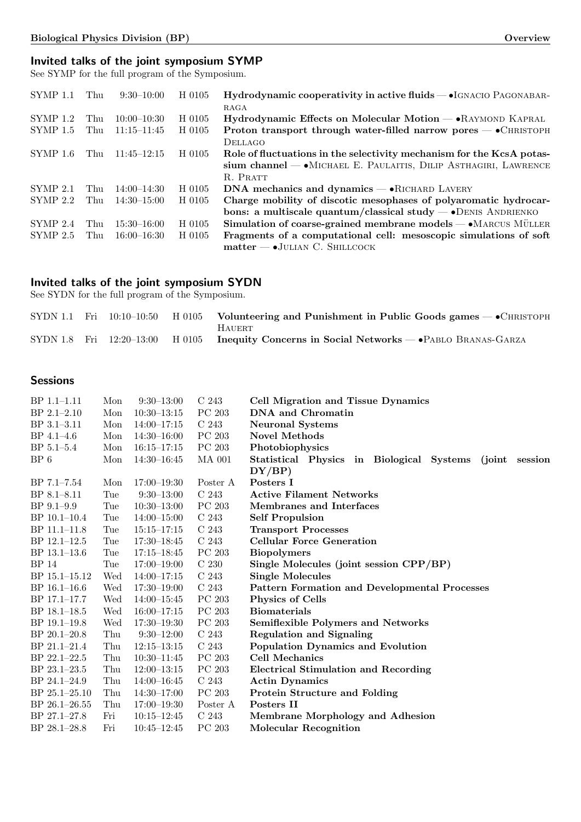# Invited talks of the joint symposium SYMP

See SYMP for the full program of the Symposium.

| <b>SYMP 1.1</b> | Thu | $9:30-10:00$    | H 0105 | Hydrodynamic cooperativity in active fluids - IGNACIO PAGONABAR-         |
|-----------------|-----|-----------------|--------|--------------------------------------------------------------------------|
|                 |     |                 |        | RAGA                                                                     |
| SYMP 1.2        | Thu | $10:00-10:30$   | H 0105 | $Hydrodynamic$ Effects on Molecular Motion $-$ • RAYMOND KAPRAL          |
| <b>SYMP 1.5</b> | Thu | $11:15 - 11:45$ | H 0105 | Proton transport through water-filled narrow pores — • CHRISTOPH         |
|                 |     |                 |        | <b>DELLAGO</b>                                                           |
| SYMP 1.6        | Thu | $11:45 - 12:15$ | H 0105 | Role of fluctuations in the selectivity mechanism for the KcsA potas-    |
|                 |     |                 |        | sium channel - MICHAEL E. PAULAITIS, DILIP ASTHAGIRI, LAWRENCE           |
|                 |     |                 |        | R. PRATT                                                                 |
| $SYMP$ 2.1      | Thu | $14:00 - 14:30$ | H 0105 | DNA mechanics and dynamics $-\bullet$ RICHARD LAVERY                     |
| SYMP 2.2        | Thu | $14:30 - 15:00$ | H 0105 | Charge mobility of discotic mesophases of polyaromatic hydrocar-         |
|                 |     |                 |        | bons: a multiscale quantum/classical study $\rightarrow$ DENIS ANDRIENKO |
| SYMP 2.4        | Thu | $15:30 - 16:00$ | H 0105 | Simulation of coarse-grained membrane models — • MARCUS MÜLLER           |
| $SYMP$ 2.5      | Thu | $16:00 - 16:30$ | H 0105 | Fragments of a computational cell: mesoscopic simulations of soft        |
|                 |     |                 |        | $matter \rightarrow$ JULIAN C. SHILLCOCK                                 |

# Invited talks of the joint symposium SYDN

See SYDN for the full program of the Symposium.

|  |  | SYDN 1.1 Fri $10:10-10:50$ H 0105 Volunteering and Punishment in Public Goods games $\rightarrow$ CHRISTOPH |
|--|--|-------------------------------------------------------------------------------------------------------------|
|  |  | <b>HAUERT</b>                                                                                               |
|  |  | SYDN 1.8 Fri $12:20-13:00$ H 0105 Inequity Concerns in Social Networks — PABLO BRANAS-GARZA                 |

# Sessions

| $BP$ 1.1–1.11     | Mon | $9:30-13:00$    | C <sub>243</sub> | <b>Cell Migration and Tissue Dynamics</b>                    |
|-------------------|-----|-----------------|------------------|--------------------------------------------------------------|
| $BP$ 2.1-2.10     | Mon | $10:30-13:15$   | PC 203           | DNA and Chromatin                                            |
| BP 3.1-3.11       | Mon | $14:00 - 17:15$ | C <sub>243</sub> | <b>Neuronal Systems</b>                                      |
| $BP$ 4.1-4.6      | Mon | $14:30 - 16:00$ | PC 203           | <b>Novel Methods</b>                                         |
| $BP 5.1 - 5.4$    | Mon | $16:15 - 17:15$ | PC 203           | Photobiophysics                                              |
| $BP_6$            | Mon | $14:30 - 16:45$ | <b>MA 001</b>    | Statistical Physics in Biological Systems<br>(joint session) |
|                   |     |                 |                  | DY/BP)                                                       |
| $BP 7.1 - 7.54$   | Mon | $17:00 - 19:30$ | Poster A         | Posters I                                                    |
| $BP 8.1 - 8.11$   | Tue | $9:30-13:00$    | C <sub>243</sub> | <b>Active Filament Networks</b>                              |
| $BP$ 9.1-9.9      | Tue | $10:30 - 13:00$ | PC 203           | Membranes and Interfaces                                     |
| $BP 10.1-10.4$    | Tue | $14:00 - 15:00$ | C <sub>243</sub> | <b>Self Propulsion</b>                                       |
| BP 11.1-11.8      | Tue | $15:15 - 17:15$ | C <sub>243</sub> | <b>Transport Processes</b>                                   |
| BP 12.1-12.5      | Tue | $17:30-18:45$   | C <sub>243</sub> | <b>Cellular Force Generation</b>                             |
| BP 13.1-13.6      | Tue | $17:15 - 18:45$ | PC 203           | <b>Biopolymers</b>                                           |
| <b>BP</b> 14      | Tue | $17:00 - 19:00$ | C <sub>230</sub> | Single Molecules (joint session CPP/BP)                      |
| BP 15.1-15.12     | Wed | $14:00-17:15$   | C <sub>243</sub> | <b>Single Molecules</b>                                      |
| $BP$ 16.1–16.6    | Wed | $17:30 - 19:00$ | C <sub>243</sub> | <b>Pattern Formation and Developmental Processes</b>         |
| BP 17.1-17.7      | Wed | $14:00 - 15:45$ | PC 203           | <b>Physics of Cells</b>                                      |
| $BP$ 18.1–18.5    | Wed | $16:00 - 17:15$ | PC 203           | <b>Biomaterials</b>                                          |
| BP 19.1-19.8      | Wed | $17:30 - 19:30$ | PC 203           | <b>Semiflexible Polymers and Networks</b>                    |
| BP 20.1-20.8      | Thu | $9:30-12:00$    | C <sub>243</sub> | <b>Regulation and Signaling</b>                              |
| BP 21.1-21.4      | Thu | $12:15 - 13:15$ | C <sub>243</sub> | <b>Population Dynamics and Evolution</b>                     |
| BP 22.1-22.5      | Thu | $10:30 - 11:45$ | PC 203           | <b>Cell Mechanics</b>                                        |
| BP 23.1-23.5      | Thu | $12:00-13:15$   | PC 203           | <b>Electrical Stimulation and Recording</b>                  |
| BP 24.1-24.9      | Thu | $14:00 - 16:45$ | C <sub>243</sub> | <b>Actin Dynamics</b>                                        |
| $BP 25.1 - 25.10$ | Thu | $14:30 - 17:00$ | PC 203           | Protein Structure and Folding                                |
| BP 26.1-26.55     | Thu | $17:00 - 19:30$ | Poster A         | Posters II                                                   |
| $BP$ 27.1-27.8    | Fri | $10:15 - 12:45$ | C <sub>243</sub> | Membrane Morphology and Adhesion                             |
| $BP$ 28.1–28.8    | Fri | $10:45 - 12:45$ | PC 203           | <b>Molecular Recognition</b>                                 |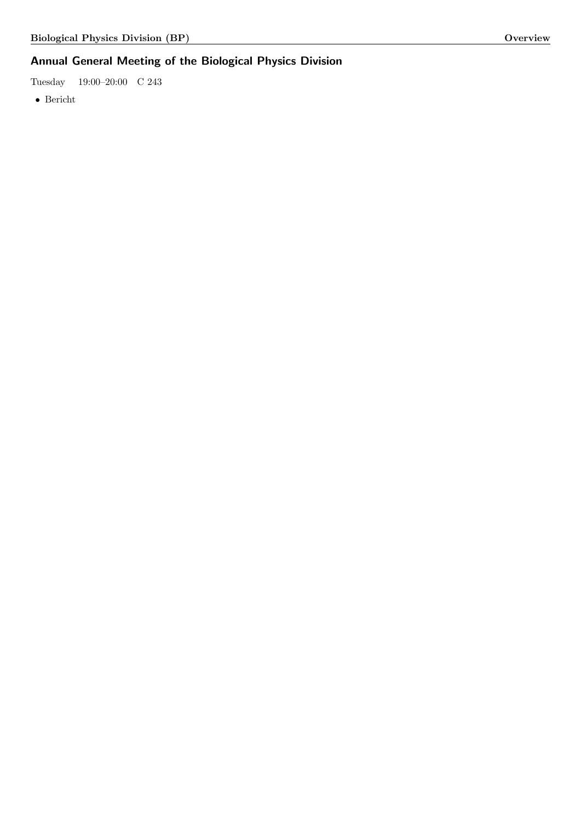# Annual General Meeting of the Biological Physics Division

Tuesday 19:00–20:00 C 243

 $\bullet\,$  Bericht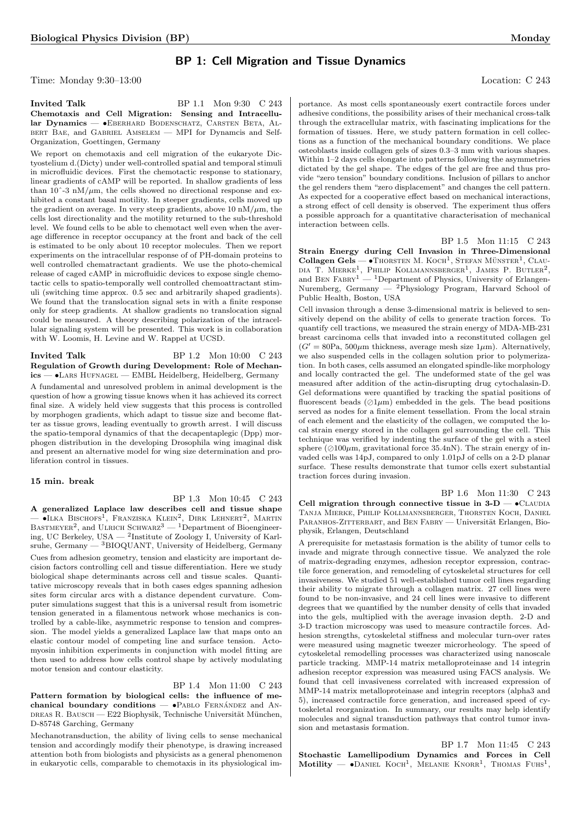## BP 1: Cell Migration and Tissue Dynamics

Time: Monday 9:30–13:00 Location: C 243

**Invited Talk** BP 1.1 Mon 9:30 C 243 Chemotaxis and Cell Migration: Sensing and Intracellular Dynamics — • EBERHARD BODENSCHATZ, CARSTEN BETA, ALbert Bae, and Gabriel Amselem — MPI for Dynamcis and Self-Organization, Goettingen, Germany

We report on chemotaxis and cell migration of the eukaryote Dictyostelium d.(Dicty) under well-controlled spatial and temporal stimuli in microfluidic devices. First the chemotactic response to stationary, linear gradients of cAMP will be reported. In shallow gradients of less than 10 $\degree$ -3 nM/ $\mu$ m, the cells showed no directional response and exhibited a constant basal motility. In steeper gradients, cells moved up the gradient on average. In very steep gradients, above 10  $\text{nM}/\mu\text{m}$ , the cells lost directionality and the motility returned to the sub-threshold level. We found cells to be able to chemotact well even when the average difference in receptor occupancy at the front and back of the cell is estimated to be only about 10 receptor molecules. Then we report experiments on the intracellular response of of PH-domain proteins to well controlled chematractant gradients. We use the photo-chemical release of caged cAMP in microfluidic devices to expose single chemotactic cells to spatio-temporally well controlled chemoattractant stimuli (switching time approx. 0.5 sec and arbitrarily shaped gradients). We found that the translocation signal sets in with a finite response only for steep gradients. At shallow gradients no translocation signal could be measured. A theory describing polarization of the intracellular signaling system will be presented. This work is in collaboration with W. Loomis, H. Levine and W. Rappel at UCSD.

**Invited Talk** BP 1.2 Mon 10:00 C 243 Regulation of Growth during Development: Role of Mechanics — •Lars Hufnagel — EMBL Heidelberg, Heidelberg, Germany A fundamental and unresolved problem in animal development is the question of how a growing tissue knows when it has achieved its correct final size. A widely held view suggests that this process is controlled by morphogen gradients, which adapt to tissue size and become flatter as tissue grows, leading eventually to growth arrest. I will discuss the spatio-temporal dynamics of that the decapentaplegic (Dpp) morphogen distribution in the developing Drosophila wing imaginal disk and present an alternative model for wing size determination and proliferation control in tissues.

#### 15 min. break

BP 1.3 Mon 10:45 C 243 A generalized Laplace law describes cell and tissue shape — •Ilka Bischofs<sup>1</sup> , Franziska Klein<sup>2</sup> , Dirk Lehnert<sup>2</sup> , Martin BASTMEYER<sup>2</sup>, and ULRICH SCHWARZ<sup>3</sup> — <sup>1</sup>Department of Bioengineering, UC Berkeley, USA  $-$  <sup>2</sup>Institute of Zoology I, University of Karlsruhe, Germany — <sup>3</sup>BIOQUANT, University of Heidelberg, Germany

Cues from adhesion geometry, tension and elasticity are important decision factors controlling cell and tissue differentiation. Here we study biological shape determinants across cell and tissue scales. Quantitative microscopy reveals that in both cases edges spanning adhesion sites form circular arcs with a distance dependent curvature. Computer simulations suggest that this is a universal result from isometric tension generated in a filamentous network whose mechanics is controlled by a cable-like, asymmetric response to tension and compression. The model yields a generalized Laplace law that maps onto an elastic contour model of competing line and surface tension. Actomyosin inhibition experiments in conjunction with model fitting are then used to address how cells control shape by actively modulating motor tension and contour elasticity.

BP 1.4 Mon 11:00 C 243

Pattern formation by biological cells: the influence of mechanical boundary conditions  $\bullet$ PABLO FERNÁNDEZ and AN-DREAS R. BAUSCH — E22 Biophysik, Technische Universität München, D-85748 Garching, Germany

Mechanotransduction, the ability of living cells to sense mechanical tension and accordingly modify their phenotype, is drawing increased attention both from biologists and physicists as a general phenomenon in eukaryotic cells, comparable to chemotaxis in its physiological im-

<span id="page-3-0"></span>portance. As most cells spontaneously exert contractile forces under adhesive conditions, the possibility arises of their mechanical cross-talk through the extracellular matrix, with fascinating implications for the formation of tissues. Here, we study pattern formation in cell collections as a function of the mechanical boundary conditions. We place osteoblasts inside collagen gels of sizes 0.3–3 mm with various shapes. Within 1–2 days cells elongate into patterns following the asymmetries dictated by the gel shape. The edges of the gel are free and thus provide "zero tension" boundary conditions. Inclusion of pillars to anchor the gel renders them "zero displacement" and changes the cell pattern. As expected for a cooperative effect based on mechanical interactions, a strong effect of cell density is observed. The experiment thus offers a possible approach for a quantitative characterisation of mechanical interaction between cells.

<span id="page-3-4"></span>BP 1.5 Mon 11:15 C 243 Strain Energy during Cell Invasion in Three-Dimensional  $\text{Collagen Gels} \longrightarrow \text{THEOREM} \text{ M. Kocm}^1, \text{STEFAN} \text{ MUNSTER}^1, \text{CLAU-}$ DIA T. MIERKE<sup>1</sup>, PHILIP KOLLMANNSBERGER<sup>1</sup>, JAMES P. BUTLER<sup>2</sup>, and BEN FABRY<sup>1</sup> — <sup>1</sup>Department of Physics, University of Erlangen-Nuremberg, Germany — <sup>2</sup>Physiology Program, Harvard School of Public Health, Boston, USA

<span id="page-3-1"></span>Cell invasion through a dense 3-dimensional matrix is believed to sensitively depend on the ability of cells to generate traction forces. To quantify cell tractions, we measured the strain energy of MDA-MB-231 breast carcinoma cells that invaded into a reconstituted collagen gel  $(G' = 80Pa, 500 \mu m$  thickness, average mesh size 1 $\mu$ m). Alternatively, we also suspended cells in the collagen solution prior to polymerization. In both cases, cells assumed an elongated spindle-like morphology and locally contracted the gel. The undeformed state of the gel was measured after addition of the actin-disrupting drug cytochalasin-D. Gel deformations were quantified by tracking the spatial positions of fluorescent beads  $(21\mu m)$  embedded in the gels. The bead positions served as nodes for a finite element tessellation. From the local strain of each element and the elasticity of the collagen, we computed the local strain energy stored in the collagen gel surrounding the cell. This technique was verified by indenting the surface of the gel with a steel sphere ( $\oslash 100\mu$ m, gravitational force 35.4nN). The strain energy of invaded cells was 14pJ, compared to only 1.01pJ of cells on a 2-D planar surface. These results demonstrate that tumor cells exert substantial traction forces during invasion.

<span id="page-3-5"></span><span id="page-3-2"></span>BP 1.6 Mon 11:30 C 243 Cell migration through connective tissue in  $3-D \rightarrow CLAUDIA$ Tanja Mierke, Philip Kollmannsberger, Thorsten Koch, Daniel PARANHOS-ZITTERBART, and BEN FABRY — Universität Erlangen, Biophysik, Erlangen, Deutschland

A prerequisite for metastasis formation is the ability of tumor cells to invade and migrate through connective tissue. We analyzed the role of matrix-degrading enzymes, adhesion receptor expression, contractile force generation, and remodeling of cytoskeletal structures for cell invasiveness. We studied 51 well-established tumor cell lines regarding their ability to migrate through a collagen matrix. 27 cell lines were found to be non-invasive, and 24 cell lines were invasive to different degrees that we quantified by the number density of cells that invaded into the gels, multiplied with the average invasion depth. 2-D and 3-D traction microscopy was used to measure contractile forces. Adhesion strengths, cytoskeletal stiffness and molecular turn-over rates were measured using magnetic tweezer microrheology. The speed of cytoskeletal remodelling processes was characterized using nanoscale particle tracking. MMP-14 matrix metalloproteinase and 14 integrin adhesion receptor expression was measured using FACS analysis. We found that cell invasiveness correlated with increased expression of MMP-14 matrix metalloproteinase and integrin receptors (alpha3 and 5), increased contractile force generation, and increased speed of cytoskeletal reorganization. In summary, our results may help identify molecules and signal transduction pathways that control tumor invasion and metastasis formation.

<span id="page-3-3"></span>BP 1.7 Mon 11:45 C 243 Stochastic Lamellipodium Dynamics and Forces in Cell Motility —  $\bullet$ Daniel Koch<sup>1</sup>, Melanie Knorr<sup>1</sup>, Thomas Fuhs<sup>1</sup>,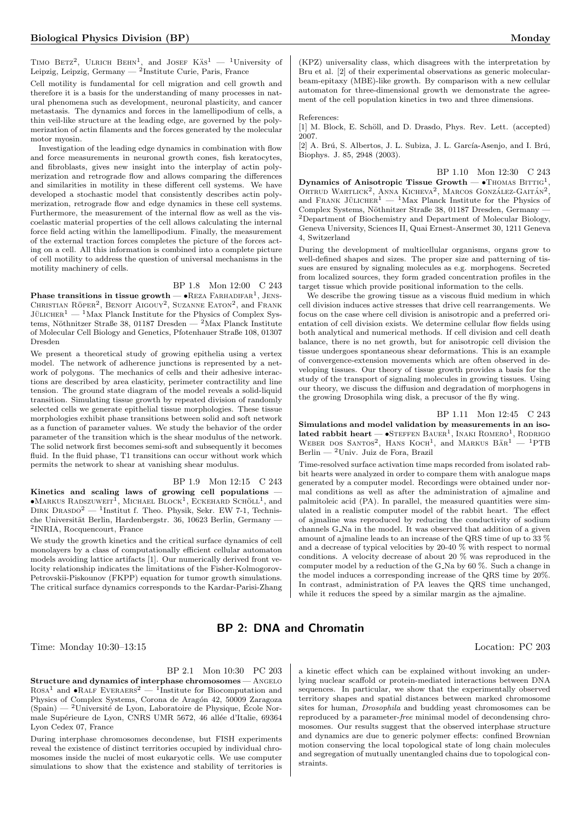TIMO BETZ<sup>2</sup>, ULRICH BEHN<sup>1</sup>, and JOSEF  $K\ddot{A}s^1 - {}^1$ University of Leipzig, Leipzig, Germany — <sup>2</sup>Institute Curie, Paris, France

Cell motility is fundamental for cell migration and cell growth and therefore it is a basis for the understanding of many processes in natural phenomena such as development, neuronal plasticity, and cancer metastasis. The dynamics and forces in the lamellipodium of cells, a thin veil-like structure at the leading edge, are governed by the polymerization of actin filaments and the forces generated by the molecular motor myosin.

Investigation of the leading edge dynamics in combination with flow and force measurements in neuronal growth cones, fish keratocytes, and fibroblasts, gives new insight into the interplay of actin polymerization and retrograde flow and allows comparing the differences and similarities in motility in these different cell systems. We have developed a stochastic model that consistently describes actin polymerization, retrograde flow and edge dynamics in these cell systems. Furthermore, the measurement of the internal flow as well as the viscoelastic material properties of the cell allows calculating the internal force field acting within the lamellipodium. Finally, the measurement of the external traction forces completes the picture of the forces acting on a cell. All this information is combined into a complete picture of cell motility to address the question of universal mechanisms in the motility machinery of cells.

BP 1.8 Mon 12:00 C 243

**Phase transitions in tissue growth** —  $\bullet$  REZA FARHADIFAR<sup>1</sup>, JENS-CHRISTIAN RÖPER<sup>2</sup>, BENOIT AIGOUY<sup>2</sup>, SUZANNE EATON<sup>2</sup>, and FRANK  ${\rm J\ddot{u}LICHER}^1$  —  $^1{\rm Max}$  Planck Institute for the Physics of Complex Systems, Nöthnitzer Straße 38, 01187 Dresden —  $^{2}$ Max Planck Institute of Molecular Cell Biology and Genetics, Pfotenhauer Straße 108, 01307 Dresden

We present a theoretical study of growing epithelia using a vertex model. The network of adherence junctions is represented by a network of polygons. The mechanics of cells and their adhesive interactions are described by area elasticity, perimeter contractility and line tension. The ground state diagram of the model reveals a solid-liquid transition. Simulating tissue growth by repeated division of randomly selected cells we generate epithelial tissue morphologies. These tissue morphologies exhibit phase transitions between solid and soft network as a function of parameter values. We study the behavior of the order parameter of the transition which is the shear modulus of the network. The solid network first becomes semi-soft and subsequently it becomes fluid. In the fluid phase, T1 transitions can occur without work which permits the network to shear at vanishing shear modulus.

#### BP 1.9 Mon 12:15 C 243

Kinetics and scaling laws of growing cell populations —  $\bullet$ Markus Radszuweit<sup>1</sup>, Michael Block<sup>1</sup>, Eckehard Schöll<sup>1</sup>, and DIRK DRASDO<sup>2</sup> — <sup>1</sup>Institut f. Theo. Physik, Sekr. EW 7-1, Technische Universität Berlin, Hardenbergstr. 36, 10623 Berlin, Germany -2 INRIA, Rocquencourt, France

We study the growth kinetics and the critical surface dynamics of cell monolayers by a class of computationally efficient cellular automaton models avoiding lattice artifacts [1]. Our numerically derived front velocity relationship indicates the limitations of the Fisher-Kolmogorov-Petrovskii-Piskounov (FKPP) equation for tumor growth simulations. The critical surface dynamics corresponds to the Kardar-Parisi-Zhang

(KPZ) universality class, which disagrees with the interpretation by Bru et al. [2] of their experimental observations as generic molecularbeam-epitaxy (MBE)-like growth. By comparison with a new cellular automaton for three-dimensional growth we demonstrate the agreement of the cell population kinetics in two and three dimensions.

#### References:

[1] M. Block, E. Schöll, and D. Drasdo, Phys. Rev. Lett. (accepted) 2007.

[2] A. Brú, S. Albertos, J. L. Subiza, J. L. García-Asenjo, and I. Brú, Biophys. J. 85, 2948 (2003).

BP 1.10 Mon 12:30 C 243 Dynamics of Anisotropic Tissue Growth  $\bullet$ Thomas Bittig<sup>1</sup>, ORTRUD WARTLICK<sup>2</sup>, ANNA KICHEVA<sup>2</sup>, MARCOS GONZÁLEZ-GAITÁN<sup>2</sup>, and FRANK JÜLICHER<sup>1</sup> — <sup>1</sup>Max Planck Institute for the Physics of Complex Systems, Nöthnitzer Straße 38, 01187 Dresden, Germany — <sup>2</sup>Department of Biochemistry and Department of Molecular Biology, Geneva University, Sciences II, Quai Ernest-Ansermet 30, 1211 Geneva 4, Switzerland

During the development of multicellular organisms, organs grow to well-defined shapes and sizes. The proper size and patterning of tissues are ensured by signaling molecules as e.g. morphogens. Secreted from localized sources, they form graded concentration profiles in the target tissue which provide positional information to the cells.

<span id="page-4-0"></span>We describe the growing tissue as a viscous fluid medium in which cell division induces active stresses that drive cell rearrangements. We focus on the case where cell division is anisotropic and a preferred orientation of cell division exists. We determine cellular flow fields using both analytical and numerical methods. If cell division and cell death balance, there is no net growth, but for anisotropic cell division the tissue undergoes spontaneous shear deformations. This is an example of convergence-extension movements which are often observed in developing tissues. Our theory of tissue growth provides a basis for the study of the transport of signaling molecules in growing tissues. Using our theory, we discuss the diffusion and degradation of morphogens in the growing Drosophila wing disk, a precusor of the fly wing.

#### BP 1.11 Mon 12:45 C 243

Simulations and model validation by measurements in an isolated rabbit heart  $-$  •Steffen Bauer<sup>1</sup>, Inaki Romero<sup>1</sup>, Rodrigo WEBER DOS SANTOS<sup>2</sup>, HANS KOCH<sup>1</sup>, and MARKUS  $B\ddot{A}R^{1}$  - <sup>1</sup>PTB Berlin — <sup>2</sup>Univ. Juiz de Fora, Brazil

Time-resolved surface activation time maps recorded from isolated rabbit hearts were analyzed in order to compare them with analogue maps generated by a computer model. Recordings were obtained under normal conditions as well as after the administration of ajmaline and palmitoleic acid (PA). In parallel, the measured quantities were simulated in a realistic computer model of the rabbit heart. The effect of ajmaline was reproduced by reducing the conductivity of sodium channels G Na in the model. It was observed that addition of a given amount of ajmaline leads to an increase of the QRS time of up to 33 % and a decrease of typical velocities by 20-40 % with respect to normal conditions. A velocity decrease of about 20 % was reproduced in the computer model by a reduction of the G Na by 60 %. Such a change in the model induces a corresponding increase of the QRS time by 20%. In contrast, administration of PA leaves the QRS time unchanged, while it reduces the speed by a similar margin as the ajmaline.

## BP 2: DNA and Chromatin

Time: Monday 10:30–13:15 Location: PC 203

BP 2.1 Mon 10:30 PC 203

Structure and dynamics of interphase chromosomes - ANGELO  $R$ OSA<sup>1</sup> and  $\bullet$ RALF EVERAERS<sup>2</sup> — <sup>1</sup>Institute for Biocomputation and Physics of Complex Systems, Corona de Aragón 42, 50009 Zaragoza  $(Spain)$  — <sup>2</sup>Université de Lyon, Laboratoire de Physique, École Normale Supérieure de Lyon, CNRS UMR 5672, 46 allée d'Italie, 69364 Lyon Cedex 07, France

During interphase chromosomes decondense, but FISH experiments reveal the existence of distinct territories occupied by individual chromosomes inside the nuclei of most eukaryotic cells. We use computer simulations to show that the existence and stability of territories is

a kinetic effect which can be explained without invoking an underlying nuclear scaffold or protein-mediated interactions between DNA sequences. In particular, we show that the experimentally observed territory shapes and spatial distances between marked chromosome sites for human, Drosophila and budding yeast chromosomes can be reproduced by a parameter-free minimal model of decondensing chromosomes. Our results suggest that the observed interphase structure and dynamics are due to generic polymer effects: confined Brownian motion conserving the local topological state of long chain molecules and segregation of mutually unentangled chains due to topological constraints.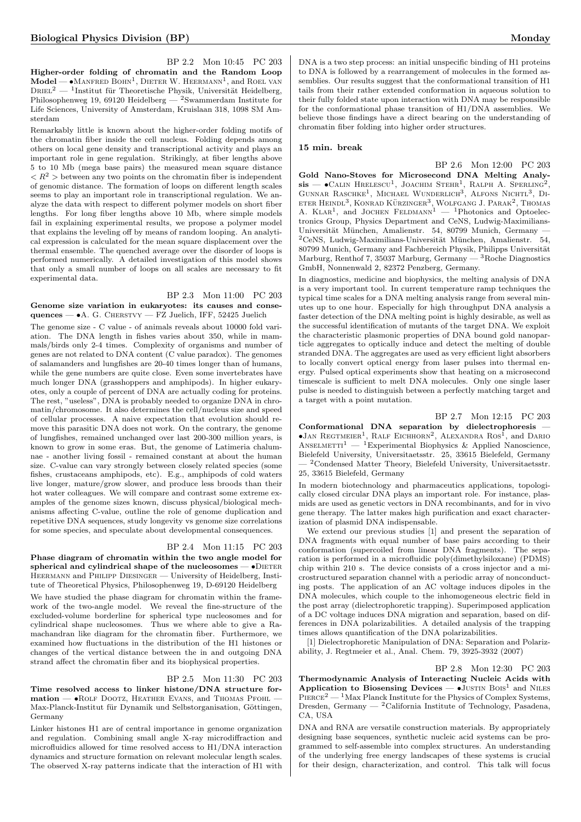BP 2.2 Mon 10:45 PC 203 Higher-order folding of chromatin and the Random Loop  $\mathbf{Model} \longrightarrow \bullet \mathbf{M}$ anfred Bohn<sup>1</sup>, Dieter W. Heermann<sup>1</sup>, and Roel van  $\text{D}\textsc{nel}^2$  — <sup>1</sup>Institut für Theoretische Physik, Universität Heidelberg, Philosophenweg 19, 69120 Heidelberg — <sup>2</sup>Swammerdam Institute for Life Sciences, University of Amsterdam, Kruislaan 318, 1098 SM Amsterdam

Remarkably little is known about the higher-order folding motifs of the chromatin fiber inside the cell nucleus. Folding depends among others on local gene density and transcriptional activity and plays an important role in gene regulation. Strikingly, at fiber lengths above 5 to 10 Mb (mega base pairs) the measured mean square distance  $\langle R^2 \rangle$  between any two points on the chromatin fiber is independent of genomic distance. The formation of loops on different length scales seems to play an important role in transcriptional regulation. We analyze the data with respect to different polymer models on short fiber lengths. For long fiber lengths above 10 Mb, where simple models fail in explaining experimental results, we propose a polymer model that explains the leveling off by means of random looping. An analytical expression is calculated for the mean square displacement over the thermal ensemble. The quenched average over the disorder of loops is performed numerically. A detailed investigation of this model shows that only a small number of loops on all scales are necessary to fit experimental data.

### BP 2.3 Mon 11:00 PC 203 Genome size variation in eukaryotes: its causes and conse-

quences — •A. G. Cherstvy — FZ Juelich, IFF, 52425 Juelich

The genome size - C value - of animals reveals about 10000 fold variation. The DNA length in fishes varies about 350, while in mammals/birds only 2-4 times. Complexity of organisms and number of genes are not related to DNA content (C value paradox). The genomes of salamanders and lungfishes are 20-40 times longer than of humans, while the gene numbers are quite close. Even some invertebrates have much longer DNA (grasshoppers and amphipods). In higher eukaryotes, only a couple of percent of DNA are actually coding for proteins. The rest, "useless", DNA is probably needed to organize DNA in chromatin/chromosome. It also determines the cell/nucleus size and speed of cellular processes. A naive expectation that evolution should remove this parasitic DNA does not work. On the contrary, the genome of lungfishes, remained unchanged over last 200-300 million years, is known to grow in some eras. But, the genome of Latimeria chalumnae - another living fossil - remained constant at about the human size. C-value can vary strongly between closely related species (some fishes, crustaceans amphipods, etc). E.g., amphipods of cold waters live longer, mature/grow slower, and produce less broods than their hot water colleagues. We will compare and contrast some extreme examples of the genome sizes known, discuss physical/biological mechanisms affecting C-value, outline the role of genome duplication and repetitive DNA sequences, study longevity vs genome size correlations for some species, and speculate about developmental consequences.

## BP 2.4 Mon 11:15 PC 203

Phase diagram of chromatin within the two angle model for spherical and cylindrical shape of the nucleosomes  $\bullet$ DIETER Heermann and Philipp Diesinger — University of Heidelberg, Institute of Theoretical Physics, Philosophenweg 19, D-69120 Heidelberg

We have studied the phase diagram for chromatin within the framework of the two-angle model. We reveal the fine-structure of the excluded-volume borderline for spherical type nucleosomes and for cylindrical shape nucleosomes. Thus we where able to give a Ramachandran like diagram for the chromatin fiber. Furthermore, we examined how fluctuations in the distribution of the H1 histones or changes of the vertical distance between the in and outgoing DNA strand affect the chromatin fiber and its biophysical properties.

#### BP 2.5 Mon 11:30 PC 203

Time resolved access to linker histone/DNA structure formation — •Rolf Dootz, Heather Evans, and Thomas Pfohl — Max-Planck-Institut für Dynamik und Selbstorganisation, Göttingen, Germany

Linker histones H1 are of central importance in genome organization and regulation. Combining small angle X-ray microdiffraction and microfluidics allowed for time resolved access to H1/DNA interaction dynamics and structure formation on relevant molecular length scales. The observed X-ray patterns indicate that the interaction of H1 with

DNA is a two step process: an initial unspecific binding of H1 proteins to DNA is followed by a rearrangement of molecules in the formed assemblies. Our results suggest that the conformational transition of H1 tails from their rather extended conformation in aqueous solution to their fully folded state upon interaction with DNA may be responsible for the conformational phase transition of H1/DNA assemblies. We believe those findings have a direct bearing on the understanding of chromatin fiber folding into higher order structures.

#### 15 min. break

BP 2.6 Mon 12:00 PC 203

Gold Nano-Stoves for Microsecond DNA Melting Analysis —  $\bullet$ Calin Hrelescu<sup>1</sup>, Joachim Stehr<sup>1</sup>, Ralph A. Sperling<sup>2</sup>, Gunnar Raschke<sup>1</sup>, Michael Wunderlich<sup>3</sup>, Alfons Nichtl<sup>3</sup>, Di-ETER HEINDL<sup>3</sup>, KONRAD KÜRZINGER<sup>3</sup>, WOLFGANG J. PARAK<sup>2</sup>, THOMAS<br>A. KLAR<sup>1</sup>, and JOCHEN FELDMANN<sup>1</sup> — <sup>1</sup>Photonics and Optoelectronics Group, Physics Department and CeNS, Ludwig-Maximilians-Universität München, Amalienstr. 54, 80799 Munich, Germany - $2$ CeNS, Ludwig-Maximilians-Universität München, Amalienstr. 54, 80799 Munich, Germany and Fachbereich Physik, Philipps Universität Marburg, Renthof 7, 35037 Marburg, Germany  $-3$  Roche Diagnostics GmbH, Nonnenwald 2, 82372 Penzberg, Germany.

In diagnostics, medicine and biophysics, the melting analysis of DNA is a very important tool. In current temperature ramp techniques the typical time scales for a DNA melting analysis range from several minutes up to one hour. Especially for high throughput DNA analysis a faster detection of the DNA melting point is highly desirable, as well as the successful identification of mutants of the target DNA. We exploit the characteristic plasmonic properties of DNA bound gold nanoparticle aggregates to optically induce and detect the melting of double stranded DNA. The aggregates are used as very efficient light absorbers to locally convert optical energy from laser pulses into thermal energy. Pulsed optical experiments show that heating on a microsecond timescale is sufficient to melt DNA molecules. Only one single laser pulse is needed to distinguish between a perfectly matching target and a target with a point mutation.

#### BP 2.7 Mon 12:15 PC 203

Conformational DNA separation by dielectrophoresis —  $\bullet$ Jan Regtmeier<sup>1</sup>, Ralf Eichhorn<sup>2</sup>, Alexandra Ros<sup>1</sup>, and Dario ANSELMETTI<sup>1</sup> — <sup>1</sup>Experimental Biophysics & Applied Nanoscience, Bielefeld University, Universitaetsstr. 25, 33615 Bielefeld, Germany — <sup>2</sup>Condensed Matter Theory, Bielefeld University, Universitaetsstr. 25, 33615 Bielefeld, Germany

In modern biotechnology and pharmaceutics applications, topologically closed circular DNA plays an important role. For instance, plasmids are used as genetic vectors in DNA recombinants, and for in vivo gene therapy. The latter makes high purification and exact characterization of plasmid DNA indispensable.

We extend our previous studies [1] and present the separation of DNA fragments with equal number of base pairs according to their conformation (supercoiled from linear DNA fragments). The separation is performed in a microfluidic poly(dimethylsiloxane) (PDMS) chip within 210 s. The device consists of a cross injector and a microstructured separation channel with a periodic array of nonconducting posts. The application of an AC voltage induces dipoles in the DNA molecules, which couple to the inhomogeneous electric field in the post array (dielectrophoretic trapping). Superimposed application of a DC voltage induces DNA migration and separation, based on differences in DNA polarizabilities. A detailed analysis of the trapping times allows quantification of the DNA polarizabilities.

[1] Dielectrophoretic Manipulation of DNA: Separation and Polarizability, J. Regtmeier et al., Anal. Chem. 79, 3925-3932 (2007)

#### BP 2.8 Mon 12:30 PC 203

Thermodynamic Analysis of Interacting Nucleic Acids with Application to Biosensing Devices  $\bullet$ JUSTIN BOIS<sup>1</sup> and NILES PIERCE<sup>2</sup> — <sup>1</sup>Max Planck Institute for the Physics of Complex Systems, Dresden, Germany —  ${}^{2}$ California Institute of Technology, Pasadena, CA, USA

DNA and RNA are versatile construction materials. By appropriately designing base sequences, synthetic nucleic acid systems can be programmed to self-assemble into complex structures. An understanding of the underlying free energy landscapes of these systems is crucial for their design, characterization, and control. This talk will focus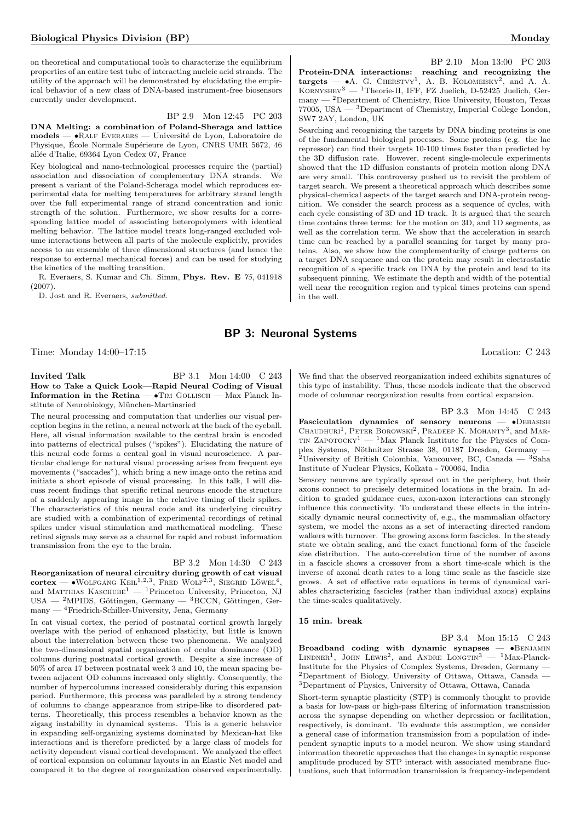on theoretical and computational tools to characterize the equilibrium properties of an entire test tube of interacting nucleic acid strands. The utility of the approach will be demonstrated by elucidating the empirical behavior of a new class of DNA-based instrument-free biosensors currently under development.

BP 2.9 Mon 12:45 PC 203 DNA Melting: a combination of Poland-Sheraga and lattice models — •Ralf Everaers — Universit´e de Lyon, Laboratoire de Physique, École Normale Supérieure de Lyon, CNRS UMR 5672, 46 allée d'Italie, 69364 Lyon Cedex 07, France

Key biological and nano-technological processes require the (partial) association and dissociation of complementary DNA strands. We present a variant of the Poland-Scheraga model which reproduces experimental data for melting temperatures for arbitrary strand length over the full experimental range of strand concentration and ionic strength of the solution. Furthermore, we show results for a corresponding lattice model of associating heteropolymers with identical melting behavior. The lattice model treats long-ranged excluded volume interactions between all parts of the molecule explicitly, provides access to an ensemble of three dimensional structures (and hence the response to external mechanical forces) and can be used for studying the kinetics of the melting transition.

R. Everaers, S. Kumar and Ch. Simm, Phys. Rev. E 75, 041918 (2007).

D. Jost and R. Everaers, submitted.

BP 2.10 Mon 13:00 PC 203 Protein-DNA interactions: reaching and recognizing the targets  $- \bullet A$ . G. CHERSTVY<sup>1</sup>, A. B. KOLOMEISKY<sup>2</sup>, and A. A. KORNYSHEV<sup>3</sup> — <sup>1</sup>Theorie-II, IFF, FZ Juelich, D-52425 Juelich, Ger- $\,$  many  $^2$  Department of Chemistry, Rice University, Houston, Texas 77005, USA  $-$  <sup>3</sup>Department of Chemistry, Imperial College London, SW7 2AY, London, UK

Searching and recognizing the targets by DNA binding proteins is one of the fundamental biological processes. Some proteins (e.g. the lac repressor) can find their targets 10-100 times faster than predicted by the 3D diffusion rate. However, recent single-molecule experiments showed that the 1D diffusion constants of protein motion along DNA are very small. This controversy pushed us to revisit the problem of target search. We present a theoretical approach which describes some physical-chemical aspects of the target search and DNA-protein recognition. We consider the search process as a sequence of cycles, with each cycle consisting of 3D and 1D track. It is argued that the search time contains three terms: for the motion on 3D, and 1D segments, as well as the correlation term. We show that the acceleration in search time can be reached by a parallel scanning for target by many proteins. Also, we show how the complementarity of charge patterns on a target DNA sequence and on the protein may result in electrostatic recognition of a specific track on DNA by the protein and lead to its subsequent pinning. We estimate the depth and width of the potential well near the recognition region and typical times proteins can spend in the well.

## BP 3: Neuronal Systems

Time: Monday 14:00–17:15 Location: C 243

**Invited Talk** BP 3.1 Mon 14:00 C 243 How to Take a Quick Look—Rapid Neural Coding of Visual Information in the Retina  $- \cdot$  TIM GOLLISCH  $-$  Max Planck Institute of Neurobiology, München-Martinsried

The neural processing and computation that underlies our visual perception begins in the retina, a neural network at the back of the eyeball. Here, all visual information available to the central brain is encoded into patterns of electrical pulses ("spikes"). Elucidating the nature of this neural code forms a central goal in visual neuroscience. A particular challenge for natural visual processing arises from frequent eye movements ("saccades"), which bring a new image onto the retina and initiate a short episode of visual processing. In this talk, I will discuss recent findings that specific retinal neurons encode the structure of a suddenly appearing image in the relative timing of their spikes. The characteristics of this neural code and its underlying circuitry are studied with a combination of experimental recordings of retinal spikes under visual stimulation and mathematical modeling. These retinal signals may serve as a channel for rapid and robust information transmission from the eye to the brain.

### BP 3.2 Mon 14:30 C 243

Reorganization of neural circuitry during growth of cat visual  $\text{cortex} \longrightarrow \text{WOLFGANG KELL}^{1,2,3}, \text{ FRED WOLF}^{2,3}, \text{SIEGRID LÖWEL}^{4},$ and MATTHIAS KASCHUBE<sup>1</sup> — <sup>1</sup>Princeton University, Princeton, NJ USA — <sup>2</sup>MPIDS, Göttingen, Germany — <sup>3</sup>BCCN, Göttingen, Germany — <sup>4</sup>Friedrich-Schiller-University, Jena, Germany

In cat visual cortex, the period of postnatal cortical growth largely overlaps with the period of enhanced plasticity, but little is known about the interrelation between these two phenomena. We analyzed the two-dimensional spatial organization of ocular dominance (OD) columns during postnatal cortical growth. Despite a size increase of 50% of area 17 between postnatal week 3 and 10, the mean spacing between adjacent OD columns increased only slightly. Consequently, the number of hypercolumns increased considerably during this expansion period. Furthermore, this process was paralleled by a strong tendency of columns to change appearance from stripe-like to disordered patterns. Theoretically, this process resembles a behavior known as the zigzag instability in dynamical systems. This is a generic behavior in expanding self-organizing systems dominated by Mexican-hat like interactions and is therefore predicted by a large class of models for activity dependent visual cortical development. We analyzed the effect of cortical expansion on columnar layouts in an Elastic Net model and compared it to the degree of reorganization observed experimentally.

We find that the observed reorganization indeed exhibits signatures of this type of instability. Thus, these models indicate that the observed mode of columnar reorganization results from cortical expansion.

BP 3.3 Mon 14:45 C 243 Fasciculation dynamics of sensory neurons -  $\bullet$ DEBASISH CHAUDHURI<sup>1</sup>, PETER BOROWSKI<sup>2</sup>, PRADEEP K. MOHANTY<sup>3</sup>, and MAR-TIN ZAPOTOCKY<sup>1</sup> — <sup>1</sup>Max Planck Institute for the Physics of Complex Systems, Nöthnitzer Strasse 38, 01187 Dresden, Germany — <sup>2</sup>University of British Colombia, Vancouver, BC, Canada — <sup>3</sup>Saha Institute of Nuclear Physics, Kolkata - 700064, India

Sensory neurons are typically spread out in the periphery, but their axons connect to precisely determined locations in the brain. In addition to graded guidance cues, axon-axon interactions can strongly influence this connectivity. To understand these effects in the intrinsically dynamic neural connectivity of, e.g., the mammalian olfactory system, we model the axons as a set of interacting directed random walkers with turnover. The growing axons form fascicles. In the steady state we obtain scaling, and the exact functional form of the fascicle size distribution. The auto-correlation time of the number of axons in a fascicle shows a crossover from a short time-scale which is the inverse of axonal death rates to a long time scale as the fascicle size grows. A set of effective rate equations in terms of dynamical variables characterizing fascicles (rather than individual axons) explains the time-scales qualitatively.

#### 15 min. break

BP 3.4 Mon 15:15 C 243 Broadband coding with dynamic synapses  $\bullet$ BENJAMIN LINDNER<sup>1</sup>, JOHN LEWIS<sup>2</sup>, and ANDRE LONGTIN<sup>3</sup> - <sup>1</sup>Max-Planck-Institute for the Physics of Complex Systems, Dresden, Germany — <sup>2</sup>Department of Biology, University of Ottawa, Ottawa, Canada — <sup>3</sup>Department of Physics, University of Ottawa, Ottawa, Canada

Short-term synaptic plasticity (STP) is commonly thought to provide a basis for low-pass or high-pass filtering of information transmission across the synapse depending on whether depression or facilitation, respectively, is dominant. To evaluate this assumption, we consider a general case of information transmission from a population of independent synaptic inputs to a model neuron. We show using standard information theoretic approaches that the changes in synaptic response amplitude produced by STP interact with associated membrane fluctuations, such that information transmission is frequency-independent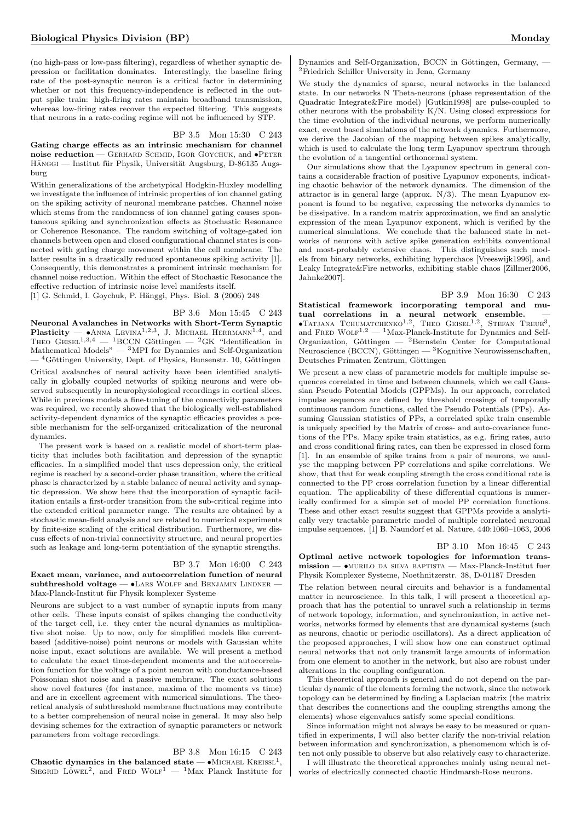(no high-pass or low-pass filtering), regardless of whether synaptic depression or facilitation dominates. Interestingly, the baseline firing rate of the post-synaptic neuron is a critical factor in determining whether or not this frequency-independence is reflected in the output spike train: high-firing rates maintain broadband transmission, whereas low-firing rates recover the expected filtering. This suggests that neurons in a rate-coding regime will not be influenced by STP.

#### BP 3.5 Mon 15:30 C 243

Gating charge effects as an intrinsic mechanism for channel noise reduction — GERHARD SCHMID, IGOR GOYCHUK, and  $\bullet$ PETER HÄNGGI — Institut für Physik, Universität Augsburg, D-86135 Augsburg

Within generalizations of the archetypical Hodgkin-Huxley modelling we investigate the influence of intrinsic properties of ion channel gating on the spiking activity of neuronal membrane patches. Channel noise which stems from the randomness of ion channel gating causes spontaneous spiking and synchronization effects as Stochastic Resonance or Coherence Resonance. The random switching of voltage-gated ion channels between open and closed configurational channel states is connected with gating charge movement within the cell membrane. The latter results in a drastically reduced spontaneous spiking activity [1]. Consequently, this demonstrates a prominent intrinsic mechanism for channel noise reduction. Within the effect of Stochastic Resonance the effective reduction of intrinsic noise level manifests itself.

[1] G. Schmid, I. Goychuk, P. Hänggi, Phys. Biol. 3 (2006) 248

## BP 3.6 Mon 15:45 C 243

Neuronal Avalanches in Networks with Short-Term Synaptic **Plasticity** —  $\bullet$  ANNA LEVINA<sup>1,2,3</sup>, J. MICHAEL HERRMANN<sup>1,4</sup>, and THEO GEISEL<sup>1,3,4</sup> — <sup>1</sup>BCCN Göttingen — <sup>2</sup>GK "Identification in Mathematical Models"  $-$ <sup>3</sup>MPI for Dynamics and Self-Organization  $-$ <sup>4</sup>Göttingen University, Dept. of Physics, Bunsenstr. 10, Göttingen

Critical avalanches of neural activity have been identified analytically in globally coupled networks of spiking neurons and were observed subsequently in neurophysiological recordings in cortical slices. While in previous models a fine-tuning of the connectivity parameters was required, we recently showed that the biologically well-established activity-dependent dynamics of the synaptic efficacies provides a possible mechanism for the self-organized criticalization of the neuronal dynamics.

The present work is based on a realistic model of short-term plasticity that includes both facilitation and depression of the synaptic efficacies. In a simplified model that uses depression only, the critical regime is reached by a second-order phase transition, where the critical phase is characterized by a stable balance of neural activity and synaptic depression. We show here that the incorporation of synaptic facilitation entails a first-order transition from the sub-critical regime into the extended critical parameter range. The results are obtained by a stochastic mean-field analysis and are related to numerical experiments by finite-size scaling of the critical distribution. Furthermore, we discuss effects of non-trivial connectivity structure, and neural properties such as leakage and long-term potentiation of the synaptic strengths.

## BP 3.7 Mon 16:00 C 243

Exact mean, variance, and autocorrelation function of neural subthreshold voltage  $-$  •Lars Wolff and Benjamin Lindner  $-$ Max-Planck-Institut für Physik komplexer Systeme

Neurons are subject to a vast number of synaptic inputs from many other cells. These inputs consist of spikes changing the conductivity of the target cell, i.e. they enter the neural dynamics as multiplicative shot noise. Up to now, only for simplified models like currentbased (additive-noise) point neurons or models with Gaussian white noise input, exact solutions are available. We will present a method to calculate the exact time-dependent moments and the autocorrelation function for the voltage of a point neuron with conductance-based Poissonian shot noise and a passive membrane. The exact solutions show novel features (for instance, maxima of the moments vs time) and are in excellent agreement with numerical simulations. The theoretical analysis of subthreshold membrane fluctuations may contribute to a better comprehension of neural noise in general. It may also help devising schemes for the extraction of synaptic parameters or network parameters from voltage recordings.

BP 3.8 Mon 16:15 C 243 Chaotic dynamics in the balanced state  $- \bullet$  MICHAEL KREISSL<sup>1</sup>, SIEGRID LÖWEL<sup>2</sup>, and FRED WOLF<sup>1</sup> — <sup>1</sup>Max Planck Institute for

Dynamics and Self-Organization, BCCN in Göttingen, Germany, – <sup>2</sup>Friedrich Schiller University in Jena, Germany

We study the dynamics of sparse, neural networks in the balanced state. In our networks N Theta-neurons (phase representation of the Quadratic Integrate&Fire model) [Gutkin1998] are pulse-coupled to other neurons with the probability K/N. Using closed expressions for the time evolution of the individual neurons, we perform numerically exact, event based simulations of the network dynamics. Furthermore, we derive the Jacobian of the mapping between spikes analytically, which is used to calculate the long term Lyapunov spectrum through the evolution of a tangential orthonormal system.

Our simulations show that the Lyapunov spectrum in general contains a considerable fraction of positive Lyapunov exponents, indicating chaotic behavior of the network dynamics. The dimension of the attractor is in general large (approx.  $N/3$ ). The mean Lyapunov exponent is found to be negative, expressing the networks dynamics to be dissipative. In a random matrix approximation, we find an analytic expression of the mean Lyapunov exponent, which is verified by the numerical simulations. We conclude that the balanced state in networks of neurons with active spike generation exhibits conventional and most-probably extensive chaos. This distinguishes such models from binary networks, exhibiting hyperchaos [Vreeswijk1996], and Leaky Integrate&Fire networks, exhibiting stable chaos [Zillmer2006, Jahnke2007].

BP 3.9 Mon 16:30 C 243 Statistical framework incorporating temporal and mutual correlations in a neural network ensemble.  $-$ <br>•TATJANA TCHUMATCHENKO<sup>1,2</sup>, THEO GEISEL<sup>1,2</sup>, STEFAN TREUE<sup>3</sup>, and FRED  $WOLF^{1,2}$  — <sup>1</sup>Max-Planck-Institute for Dynamics and Self-Organization, Göttingen —  ${}^{2}$ Bernstein Center for Computational Neuroscience (BCCN), Göttingen —  ${}^{3}$ Kognitive Neurowissenschaften, Deutsches Primaten Zentrum, Göttingen

We present a new class of parametric models for multiple impulse sequences correlated in time and between channels, which we call Gaussian Pseudo Potential Models (GPPMs). In our approach, correlated impulse sequences are defined by threshold crossings of temporally continuous random functions, called the Pseudo Potentials (PPs). Assuming Gaussian statistics of PPs, a correlated spike train ensemble is uniquely specified by the Matrix of cross- and auto-covariance functions of the PPs. Many spike train statistics, as e.g. firing rates, auto and cross conditional firing rates, can then be expressed in closed form [1]. In an ensemble of spike trains from a pair of neurons, we analyse the mapping between PP correlations and spike correlations. We show, that that for weak coupling strength the cross conditional rate is connected to the PP cross correlation function by a linear differential equation. The applicability of these differential equations is numerically confirmed for a simple set of model PP correlation functions. These and other exact results suggest that GPPMs provide a analytically very tractable parametric model of multiple correlated neuronal impulse sequences. [1] B. Naundorf et al. Nature, 440:1060–1063, 2006

BP 3.10 Mon 16:45 C 243 Optimal active network topologies for information trans $mission$   $\longrightarrow$  MURILO DA SILVA BAPTISTA  $\longrightarrow$  Max-Planck-Institut fuer Physik Komplexer Systeme, Noethnitzerstr. 38, D-01187 Dresden

The relation between neural circuits and behavior is a fundamental matter in neuroscience. In this talk, I will present a theoretical approach that has the potential to unravel such a relationship in terms of network topology, information, and synchronization, in active networks, networks formed by elements that are dynamical systems (such as neurons, chaotic or periodic oscillators). As a direct application of the proposed approaches, I will show how one can construct optimal neural networks that not only transmit large amounts of information from one element to another in the network, but also are robust under alterations in the coupling configuration.

This theoretical approach is general and do not depend on the particular dynamic of the elements forming the network, since the network topology can be determined by finding a Laplacian matrix (the matrix that describes the connections and the coupling strengths among the elements) whose eigenvalues satisfy some special conditions.

Since information might not always be easy to be measured or quantified in experiments, I will also better clarify the non-trivial relation between information and synchronization, a phenomenom which is often not only possible to observe but also relatively easy to characterize.

I will illustrate the theoretical approaches mainly using neural networks of electrically connected chaotic Hindmarsh-Rose neurons.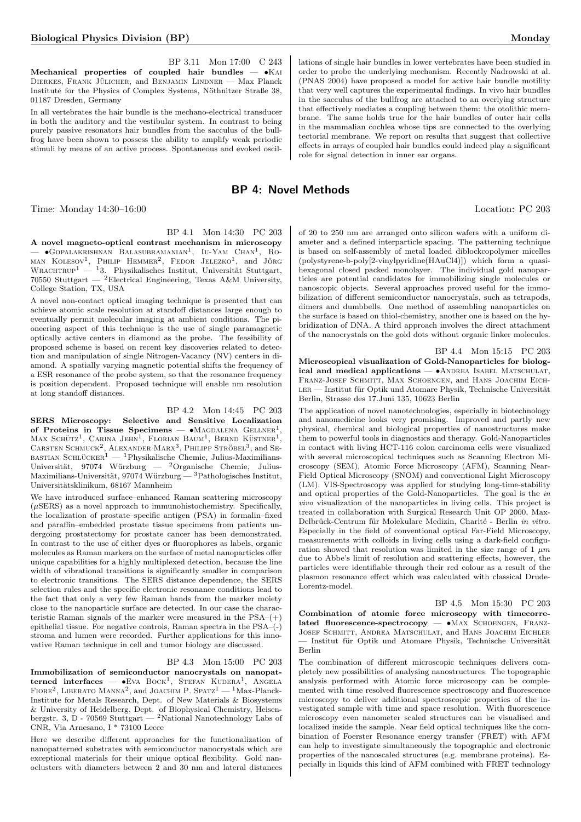BP 3.11 Mon 17:00 C 243 Mechanical properties of coupled hair bundles  $\bullet$ KAI DIERKES, FRANK JÜLICHER, and BENJAMIN LINDNER — Max Planck Institute for the Physics of Complex Systems, Nöthnitzer Straße 38, 01187 Dresden, Germany

In all vertebrates the hair bundle is the mechano-electrical transducer in both the auditory and the vestibular system. In contrast to being purely passive resonators hair bundles from the sacculus of the bullfrog have been shown to possess the ability to amplify weak periodic stimuli by means of an active process. Spontaneous and evoked oscil-

## BP 4: Novel Methods

Time: Monday 14:30–16:00 Location: PC 203

## BP 4.1 Mon 14:30 PC 203

A novel magneto-optical contrast mechanism in microscopy — •GOPALAKRISHNAN BALASUBRAMANIAN<sup>1</sup>, IU-YAM CHAN<sup>1</sup>, RO-MAN KOLESOV<sup>1</sup>, PHILIP HEMMER<sup>2</sup>, FEDOR JELEZKO<sup>1</sup>, and JÖRG WRACHTRUP<sup>1</sup> — <sup>1</sup>3. Physikalisches Institut, Universität Stuttgart, 70550 Stuttgart — <sup>2</sup>Electrical Engineering, Texas A&M University, College Station, TX, USA

A novel non-contact optical imaging technique is presented that can achieve atomic scale resolution at standoff distances large enough to eventually permit molecular imaging at ambient conditions. The pioneering aspect of this technique is the use of single paramagnetic optically active centers in diamond as the probe. The feasibility of proposed scheme is based on recent key discoveries related to detection and manipulation of single Nitrogen-Vacancy (NV) centers in diamond. A spatially varying magnetic potential shifts the frequency of a ESR resonance of the probe system, so that the resonance frequency is position dependent. Proposed technique will enable nm resolution at long standoff distances.

## BP 4.2 Mon 14:45 PC 203

SERS Microscopy: Selective and Sensitive Localization of Proteins in Tissue Specimens —  $\bullet$ Magdalena Gellner<sup>1</sup>, MAX SCHÜTZ<sup>1</sup>, CARINA JEHN<sup>1</sup>, FLORIAN BAUM<sup>1</sup>, BERND KÜSTNER<sup>1</sup>, CARSTEN SCHMUCK<sup>2</sup>, ALEXANDER MARX<sup>3</sup>, PHILIPP STRÖBEL<sup>3</sup>, and SE- $\mu_{\text{BASTIAN} \text{SCHLÜCKER}^1$  — <sup>1</sup>Physikalische Chemie, Julius-Maximilians-Universität, 97074 Würzburg — <sup>2</sup>Organische Chemie, Julius-Maximilians-Universität, 97074 Würzburg —  ${}^{3}$ Pathologisches Institut, Universitätsklinikum, 68167 Mannheim

We have introduced surface–enhanced Raman scattering microscopy  $(\mu$ SERS) as a novel approach to immunohistochemistry. Specifically, the localization of prostate–specific antigen (PSA) in formalin–fixed and paraffin–embedded prostate tissue specimens from patients undergoing prostatectomy for prostate cancer has been demonstrated. In contrast to the use of either dyes or fluorophores as labels, organic molecules as Raman markers on the surface of metal nanoparticles offer unique capabilities for a highly multiplexed detection, because the line width of vibrational transitions is significantly smaller in comparison to electronic transitions. The SERS distance dependence, the SERS selection rules and the specific electronic resonance conditions lead to the fact that only a very few Raman bands from the marker moiety close to the nanoparticle surface are detected. In our case the characteristic Raman signals of the marker were measured in the  $PSA-(+)$ epithelial tissue. For negative controls, Raman spectra in the PSA–(-) stroma and lumen were recorded. Further applications for this innovative Raman technique in cell and tumor biology are discussed.

#### BP 4.3 Mon 15:00 PC 203

Immobilization of semiconductor nanocrystals on nanopatterned interfaces —  $\bullet$ Eva Bock<sup>1</sup>, Stefan Kudera<sup>1</sup>, Angela FIORE<sup>2</sup>, LIBERATO MANNA<sup>2</sup>, and JOACHIM P. SPATZ<sup>1</sup> — <sup>1</sup>Max-Planck-Institute for Metals Research, Dept. of New Materials & Biosystems & University of Heidelberg, Dept. of Biophysical Chemistry, Heisenbergstr. 3, D - 70569 Stuttgart — <sup>2</sup>National Nanotechnology Labs of CNR, Via Arnesano, I \* 73100 Lecce

Here we describe different approaches for the functionalization of nanopatterned substrates with semiconductor nanocrystals which are exceptional materials for their unique optical flexibility. Gold nanoclusters with diameters between 2 and 30 nm and lateral distances

lations of single hair bundles in lower vertebrates have been studied in order to probe the underlying mechanism. Recently Nadrowski at al. (PNAS 2004) have proposed a model for active hair bundle motility that very well captures the experimental findings. In vivo hair bundles in the sacculus of the bullfrog are attached to an overlying structure that effectively mediates a coupling between them: the otolithic membrane. The same holds true for the hair bundles of outer hair cells in the mammalian cochlea whose tips are connected to the overlying tectorial membrane. We report on results that suggest that collective effects in arrays of coupled hair bundles could indeed play a significant role for signal detection in inner ear organs.

of 20 to 250 nm are arranged onto silicon wafers with a uniform diameter and a defined interparticle spacing. The patterning technique is based on self-assembly of metal loaded diblockcopolymer micelles (polystyrene-b-poly[2-vinylpyridine(HAuCl4)]) which form a quasihexagonal closed packed monolayer. The individual gold nanoparticles are potential candidates for immobilizing single molecules or nanoscopic objects. Several approaches proved useful for the immobilization of different semiconductor nanocrystals, such as tetrapods, dimers and dumbbells. One method of assembling nanoparticles on the surface is based on thiol-chemistry, another one is based on the hybridization of DNA. A third approach involves the direct attachment of the nanocrystals on the gold dots without organic linker molecules.

BP 4.4 Mon 15:15 PC 203 Microscopical visualization of Gold-Nanoparticles for biological and medical applications —  $\bullet$ ANDREA ISABEL MATSCHULAT. FRANZ-JOSEF SCHMITT, MAX SCHOENGEN, and HANS JOACHIM EICH- $LER$  — Institut für Optik und Atomare Physik, Technische Universität Berlin, Strasse des 17.Juni 135, 10623 Berlin

The application of novel nanotechnologies, especially in biotechnology and nanomedicine looks very promising. Improved and partly new physical, chemical and biological properties of nanostructures make them to powerful tools in diagnostics and therapy. Gold-Nanoparticles in contact with living HCT-116 colon carcinoma cells were visualized with several microscopical techniques such as Scanning Electron Microscopy (SEM), Atomic Force Microscopy (AFM), Scanning Near-Field Optical Microscopy (SNOM) and conventional Light Microscopy (LM). VIS-Spectroscopy was applied for studying long-time-stability and optical properties of the Gold-Nanoparticles. The goal is the in vivo visualization of the nanoparticles in living cells. This project is treated in collaboration with Surgical Research Unit OP 2000, Max-Delbrück-Centrum für Molekulare Medizin, Charité - Berlin in vitro. Especially in the field of conventional optical Far-Field Microscopy, measurements with colloids in living cells using a dark-field configuration showed that resolution was limited in the size range of  $1 \mu m$ due to Abbe's limit of resolution and scattering effects, however, the particles were identifiable through their red colour as a result of the plasmon resonance effect which was calculated with classical Drude-Lorentz-model.

BP 4.5 Mon 15:30 PC 203 Combination of atomic force microscopy with timecorrelated fluorescence-spectrocopy — •MAX SCHOENGEN, FRANZ-Josef Schmitt, Andrea Matschulat, and Hans Joachim Eichler — Institut für Optik und Atomare Physik, Technische Universität Berlin

The combination of different microscopic techniques delivers completely new possibilities of analysing nanostructures. The topographic analysis performed with Atomic force microscopy can be complemented with time resolved fluorescence spectroscopy and fluorescence microscopy to deliver additional spectroscopic properties of the investigated sample with time and space resolution. With fluorescence microscopy even nanometer scaled structures can be visualised and localized inside the sample. Near field optical techniques like the combination of Foerster Resonance energy transfer (FRET) with AFM can help to investigate simultaneously the topographic and electronic properties of the nanoscaled structures (e.g. membrane proteins). Especially in liquids this kind of AFM combined with FRET technology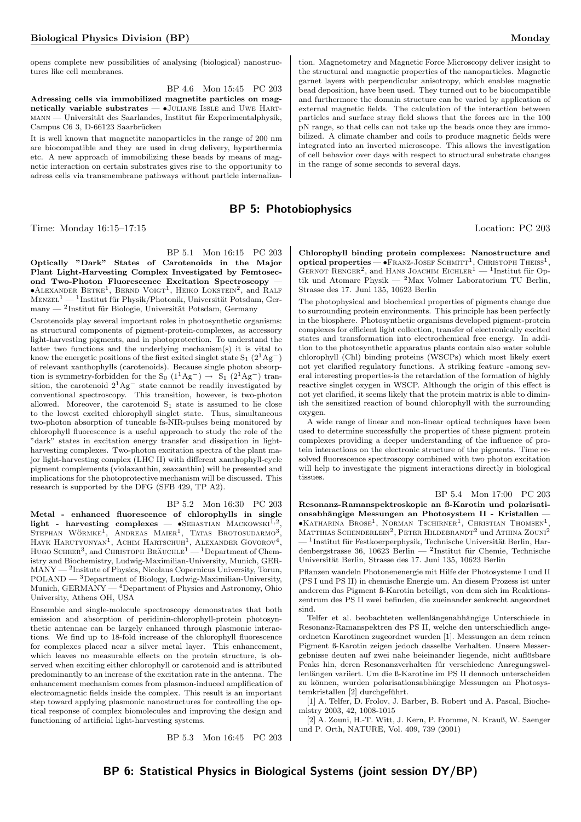opens complete new possibilities of analysing (biological) nanostructures like cell membranes.

BP 4.6 Mon 15:45 PC 203 Adressing cells via immobilized magnetite particles on magnetically variable substrates  $\bullet$ JULIANE ISSLE and UWE HARTmann — Universität des Saarlandes, Institut für Experimentalphysik, Campus C6 3, D-66123 Saarbrücken

It is well known that magnetite nanoparticles in the range of 200 nm are biocompatible and they are used in drug delivery, hyperthermia etc. A new approach of immobilizing these beads by means of magnetic interaction on certain substrates gives rise to the opportunity to adress cells via transmembrane pathways without particle internaliza-

## BP 5: Photobiophysics

Time: Monday 16:15–17:15 Location: PC 203

BP 5.1 Mon 16:15 PC 203

Optically "Dark" States of Carotenoids in the Major Plant Light-Harvesting Complex Investigated by Femtosecond Two-Photon Fluorescence Excitation Spectroscopy —  $\bullet$ ALEXANDER BETKE<sup>1</sup>, BERND VOIGT<sup>1</sup>, HEIKO LOKSTEIN<sup>2</sup>, and RALF  $MENZEL<sup>1</sup> — 1$ Institut für Physik/Photonik, Universität Potsdam, Germany — <sup>2</sup>Institut für Biologie, Universität Potsdam, Germany

Carotenoids play several important roles in photosynthetic organisms: as structural components of pigment-protein-complexes, as accessory light-harvesting pigments, and in photoprotection. To understand the latter two functions and the underlying mechanism(s) it is vital to know the energetic positions of the first exited singlet state  $S_1$  (2<sup>1</sup>Ag<sup>-</sup>) of relevant xanthophylls (carotenoids). Because single photon absorption is symmetry-forbidden for the S<sub>0</sub> (1<sup>1</sup>Ag<sup>-</sup>) → S<sub>1</sub> (2<sup>1</sup>Ag<sup>-</sup>) transition, the carotenoid  $2^1 \text{Ag}^-$  state cannot be readily investigated by conventional spectroscopy. This transition, however, is two-photon allowed. Moreover, the carotenoid  $S_1$  state is assumed to lie close to the lowest excited chlorophyll singlet state. Thus, simultaneous two-photon absorption of tuneable fs-NIR-pulses being monitored by chlorophyll fluorescence is a useful approach to study the role of the "dark" states in excitation energy transfer and dissipation in lightharvesting complexes. Two-photon excitation spectra of the plant major light-harvesting complex (LHC II) with different xanthophyll-cycle pigment complements (violaxanthin, zeaxanthin) will be presented and implications for the photoprotective mechanism will be discussed. This research is supported by the DFG (SFB 429, TP A2).

#### BP 5.2 Mon 16:30 PC 203

Metal - enhanced fluorescence of chlorophylls in single light - harvesting complexes —  $\bullet$ SEBASTIAN MACKOWSKI<sup>1,2</sup> light - harvesting complexes — •SEBASTIAN MACKOWSKI<sup>1,2</sup>,<br>Stephan Wörmke<sup>1</sup>, Andreas Maier<sup>1</sup>, Tatas Brotosudarmo<sup>3</sup>,<br>Hayk Harutyunyan<sup>1</sup>, Achim Hartschuh<sup>1</sup>, Alexander Govorov<sup>4</sup>, HUGO SCHEER<sup>3</sup>, and CHRISTOPH BRAUCHLE<sup>1</sup> — <sup>1</sup>Department of Chemistry and Biochemistry, Ludwig-Maximilian-University, Munich, GER-MANY — <sup>2</sup> Insitute of Physics, Nicolaus Copernicus University, Torun,  $\text{POLAND} \longrightarrow \text{3Department of Biology, Ludwig-Maximilian-University},$ Munich, GERMANY — <sup>4</sup>Department of Physics and Astronomy, Ohio University, Athens OH, USA

Ensemble and single-molecule spectroscopy demonstrates that both emission and absorption of peridinin-chlorophyll-protein photosynthetic antennae can be largely enhanced through plasmonic interactions. We find up to 18-fold increase of the chlorophyll fluorescence for complexes placed near a silver metal layer. This enhancement, which leaves no measurable effects on the protein structure, is observed when exciting either chlorophyll or carotenoid and is attributed predominantly to an increase of the excitation rate in the antenna. The enhancement mechanism comes from plasmon-induced amplification of electromagnetic fields inside the complex. This result is an important step toward applying plasmonic nanostructures for controlling the optical response of complex biomolecules and improving the design and functioning of artificial light-harvesting systems.

BP 5.3 Mon 16:45 PC 203

tion. Magnetometry and Magnetic Force Microscopy deliver insight to the structural and magnetic properties of the nanoparticles. Magnetic garnet layers with perpendicular anisotropy, which enables magnetic bead deposition, have been used. They turned out to be biocompatible and furthermore the domain structure can be varied by application of external magnetic fields. The calculation of the interaction between particles and surface stray field shows that the forces are in the 100 pN range, so that cells can not take up the beads once they are immobilized. A climate chamber and coils to produce magnetic fields were integrated into an inverted microscope. This allows the investigation of cell behavior over days with respect to structural substrate changes in the range of some seconds to several days.

Chlorophyll binding protein complexes: Nanostructure and optical properties  $-$  •Franz-Josef Schmitt<sup>1</sup>, Christoph Theiss<sup>1</sup>, GERNOT RENGER<sup>2</sup>, and HANS JOACHIM EICHLER<sup>1</sup> — <sup>1</sup>Institut für Optik und Atomare Physik — <sup>2</sup>Max Volmer Laboratorium TU Berlin, Strasse des 17. Juni 135, 10623 Berlin

The photophysical and biochemical properties of pigments change due to surrounding protein environments. This principle has been perfectly in the biosphere. Photosynthetic organisms developed pigment-protein complexes for efficient light collection, transfer of electronically excited states and transformation into electrochemical free energy. In addition to the photosynthetic apparatus plants contain also water soluble chlorophyll (Chl) binding proteins (WSCPs) which most likely exert not yet clarified regulatory functions. A striking feature -among several interesting properties-is the retardation of the formation of highly reactive singlet oxygen in WSCP. Although the origin of this effect is not yet clarified, it seems likely that the protein matrix is able to diminish the sensitized reaction of bound chlorophyll with the surrounding oxygen.

A wide range of linear and non-linear optical techniques have been used to determine successfully the properties of these pigment protein complexes providing a deeper understanding of the influence of protein interactions on the electronic structure of the pigments. Time resolved fluorescence spectroscopy combined with two photon excitation will help to investigate the pigment interactions directly in biological tissues.

BP 5.4 Mon 17:00 PC 203 Resonanz-Ramanspektroskopie an ß-Karotin und polarisationsabhängige Messungen an Photosystem II - Kristallen - $\bullet$ Katharina Brose<sup>1</sup>, Norman Tschirner<sup>1</sup>, Christian Thomsen<sup>1</sup>, MATTHIAS SCHENDERLEIN<sup>2</sup>, PETER HILDEBRANDT<sup>2</sup> und Athina Zouni<sup>2</sup>  $-$  <sup>1</sup>Institut für Festkoerperphysik, Technische Universität Berlin, Hardenbergstrasse 36, 10623 Berlin — <sup>2</sup>Institut für Chemie, Technische Universität Berlin, Strasse des 17. Juni 135, 10623 Berlin

Pflanzen wandeln Photonenenergie mit Hilfe der Photosysteme I und II (PS I und PS II) in chemische Energie um. An diesem Prozess ist unter anderem das Pigment ß-Karotin beteiligt, von dem sich im Reaktionszentrum des PS II zwei befinden, die zueinander senkrecht angeordnet sind.

Telfer et al. beobachteten wellenlängenabhängige Unterschiede in Resonanz-Ramanspektren des PS II, welche den unterschiedlich angeordneten Karotinen zugeordnet wurden [1]. Messungen an dem reinen Pigment ß-Karotin zeigen jedoch dasselbe Verhalten. Unsere Messergebnisse deuten auf zwei nahe beieinander liegende, nicht auflösbare Peaks hin, deren Resonanzverhalten für verschiedene Anregungswellenlängen variiert. Um die ß-Karotine im PS II dennoch unterscheiden zu können, wurden polarisationsabhängige Messungen an Photosystemkristallen [2] durchgeführt.

[1] A. Telfer, D. Frolov, J. Barber, B. Robert und A. Pascal, Biochemistry 2003, 42, 1008-1015

[2] A. Zouni, H.-T. Witt, J. Kern, P. Fromme, N. Krauß, W. Saenger und P. Orth, NATURE, Vol. 409, 739 (2001)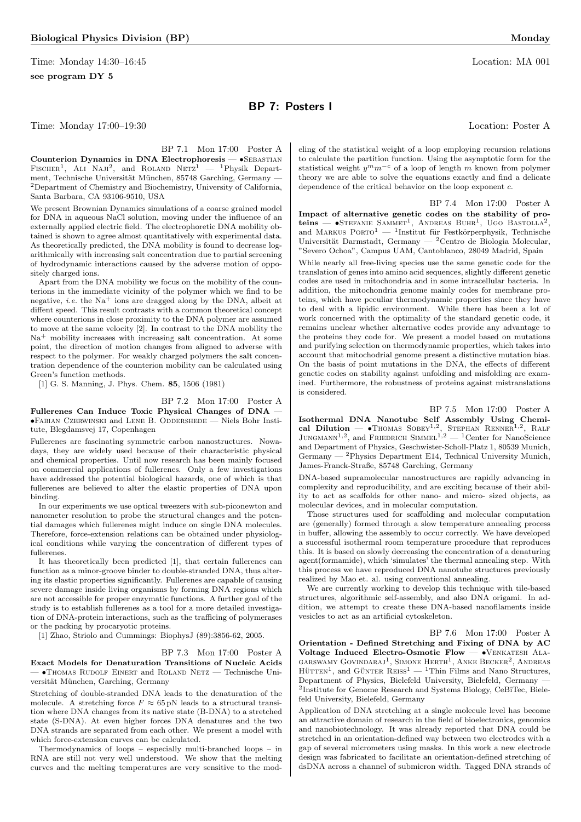Time: Monday 14:30–16:45 Location: MA 001 see program DY 5

## BP 7: Posters I

Time: Monday 17:00–19:30 Location: Poster A

BP 7.1 Mon 17:00 Poster A Counterion Dynamics in DNA Electrophoresis — •SEBASTIAN FISCHER<sup>1</sup>, ALI NAJI<sup>2</sup>, and ROLAND NETZ<sup>1</sup> - <sup>1</sup>Physik Department, Technische Universität München, 85748 Garching, Germany — <sup>2</sup>Department of Chemistry and Biochemistry, University of California, Santa Barbara, CA 93106-9510, USA

We present Brownian Dynamics simulations of a coarse grained model for DNA in aqueous NaCl solution, moving under the influence of an externally applied electric field. The electrophoretic DNA mobility obtained is shown to agree almost quantitatively with experimental data. As theoretically predicted, the DNA mobility is found to decrease logarithmically with increasing salt concentration due to partial screening of hydrodynamic interactions caused by the adverse motion of oppositely charged ions.

Apart from the DNA mobility we focus on the mobility of the counterions in the immediate vicinity of the polymer which we find to be negative, *i.e.* the  $Na<sup>+</sup>$  ions are dragged along by the DNA, albeit at diffent speed. This result contrasts with a common theoretical concept where counterions in close proximity to the DNA polymer are assumed to move at the same velocity [2]. In contrast to the DNA mobility the  $Na<sup>+</sup>$  mobility increases with increasing salt concentration. At some point, the direction of motion changes from aligned to adverse with respect to the polymer. For weakly charged polymers the salt concentration dependence of the counterion mobility can be calculated using Green's function methods.

[1] G. S. Manning, J. Phys. Chem. 85, 1506 (1981)

#### BP 7.2 Mon 17:00 Poster A

Fullerenes Can Induce Toxic Physical Changes of DNA — •Fabian Czerwinski and Lene B. Oddershede — Niels Bohr Institute, Blegdamsvej 17, Copenhagen

Fullerenes are fascinating symmetric carbon nanostructures. Nowadays, they are widely used because of their characteristic physical and chemical properties. Until now research has been mainly focused on commercial applications of fullerenes. Only a few investigations have addressed the potential biological hazards, one of which is that fullerenes are believed to alter the elastic properties of DNA upon binding.

In our experiments we use optical tweezers with sub-piconewton and nanometer resolution to probe the structural changes and the potential damages which fullerenes might induce on single DNA molecules. Therefore, force-extension relations can be obtained under physiological conditions while varying the concentration of different types of fullerenes.

It has theoretically been predicted [1], that certain fullerenes can function as a minor-groove binder to double-stranded DNA, thus altering its elastic properties significantly. Fullerenes are capable of causing severe damage inside living organisms by forming DNA regions which are not accessible for proper enzymatic functions. A further goal of the study is to establish fullerenes as a tool for a more detailed investigation of DNA-protein interactions, such as the trafficing of polymerases or the packing by procaryotic proteins.

[1] Zhao, Striolo and Cummings: BiophysJ (89):3856-62, 2005.

#### BP 7.3 Mon 17:00 Poster A

Exact Models for Denaturation Transitions of Nucleic Acids — •Thomas Rudolf Einert and Roland Netz — Technische Universität München, Garching, Germany

Stretching of double-stranded DNA leads to the denaturation of the molecule. A stretching force  $F \approx 65 \text{ pN}$  leads to a structural transition where DNA changes from its native state (B-DNA) to a stretched state (S-DNA). At even higher forces DNA denatures and the two DNA strands are separated from each other. We present a model with which force-extension curves can be calculated.

Thermodynamics of loops – especially multi-branched loops – in RNA are still not very well understood. We show that the melting curves and the melting temperatures are very sensitive to the mod-

eling of the statistical weight of a loop employing recursion relations to calculate the partition function. Using the asymptotic form for the statistical weight  $y^m m^{-c}$  of a loop of length m known from polymer theory we are able to solve the equations exactly and find a delicate dependence of the critical behavior on the loop exponent c.

BP 7.4 Mon 17:00 Poster A

Impact of alternative genetic codes on the stability of pro- $\text{teins}$  -  $\text{STEFANIE}$  SAMMET<sup>1</sup>, ANDREAS BUHR<sup>1</sup>, UGO BASTOLLA<sup>2</sup>, and MARKUS PORTO<sup>1</sup> — <sup>1</sup>Institut für Festkörperphysik, Technische Universität Darmstadt, Germany — <sup>2</sup>Centro de Biologia Molecular, "Severo Ochoa", Campus UAM, Cantoblanco, 28049 Madrid, Spain

While nearly all free-living species use the same genetic code for the translation of genes into amino acid sequences, slightly different genetic codes are used in mitochondria and in some intracellular bacteria. In addition, the mitochondria genome mainly codes for membrane proteins, which have peculiar thermodynamic properties since they have to deal with a lipidic environment. While there has been a lot of work concerned with the optimality of the standard genetic code, it remains unclear whether alternative codes provide any advantage to the proteins they code for. We present a model based on mutations and purifying selection on thermodynamic properties, which takes into account that mitochodrial genome present a distinctive mutation bias. On the basis of point mutations in the DNA, the effects of different genetic codes on stability against unfolding and misfolding are examined. Furthermore, the robustness of proteins against mistranslations is considered.

BP 7.5 Mon 17:00 Poster A Isothermal DNA Nanotube Self Assembly Using Chemi-<br>cal Dilution —  $\bullet$ Thomas Sobey<sup>1,2</sup>, Stephan Renner<sup>1,2</sup>, RALF , Stephan Renner1,<sup>2</sup> , Ralf JUNGMANN<sup>1,2</sup>, and FRIEDRICH SIMMEL<sup>1,2</sup> — <sup>1</sup>Center for NanoScience and Department of Physics, Geschwister-Scholl-Platz 1, 80539 Munich,  $\rm{Germany} \xrightarrow{} ^2\rm{Physics}$  Department E14, Technical University Munich, James-Franck-Straße, 85748 Garching, Germany

DNA-based supramolecular nanostructures are rapidly advancing in complexity and reproducibility, and are exciting because of their ability to act as scaffolds for other nano- and micro- sized objects, as molecular devices, and in molecular computation.

Those structures used for scaffolding and molecular computation are (generally) formed through a slow temperature annealing process in buffer, allowing the assembly to occur correctly. We have developed a successful isothermal room temperature procedure that reproduces this. It is based on slowly decreasing the concentration of a denaturing agent(formamide), which 'simulates' the thermal annealing step. With this process we have reproduced DNA nanotube structures previously realized by Mao et. al. using conventional annealing.

We are currently working to develop this technique with tile-based structures, algorithmic self-assembly, and also DNA origami. In addition, we attempt to create these DNA-based nanofilaments inside vesicles to act as an artificial cytoskeleton.

BP 7.6 Mon 17:00 Poster A

Orientation - Defined Stretching and Fixing of DNA by AC Voltage Induced Electro-Osmotic Flow — •Venkatesh Ala-GARSWAMY GOVINDARAJ<sup>1</sup>, SIMONE HERTH<sup>1</sup>, ANKE BECKER<sup>2</sup>, ANDREAS  $H\ddot{\text{u}}$ TEN<sup>1</sup>, and GÜNTER REISS<sup>1</sup> — <sup>1</sup>Thin Films and Nano Structures, Department of Physics, Bielefeld University, Bielefeld, Germany — 2 Institute for Genome Research and Systems Biology, CeBiTec, Bielefeld University, Bielefeld, Germany

Application of DNA stretching at a single molecule level has become an attractive domain of research in the field of bioelectronics, genomics and nanobiotechnology. It was already reported that DNA could be stretched in an orientation-defined way between two electrodes with a gap of several micrometers using masks. In this work a new electrode design was fabricated to facilitate an orientation-defined stretching of dsDNA across a channel of submicron width. Tagged DNA strands of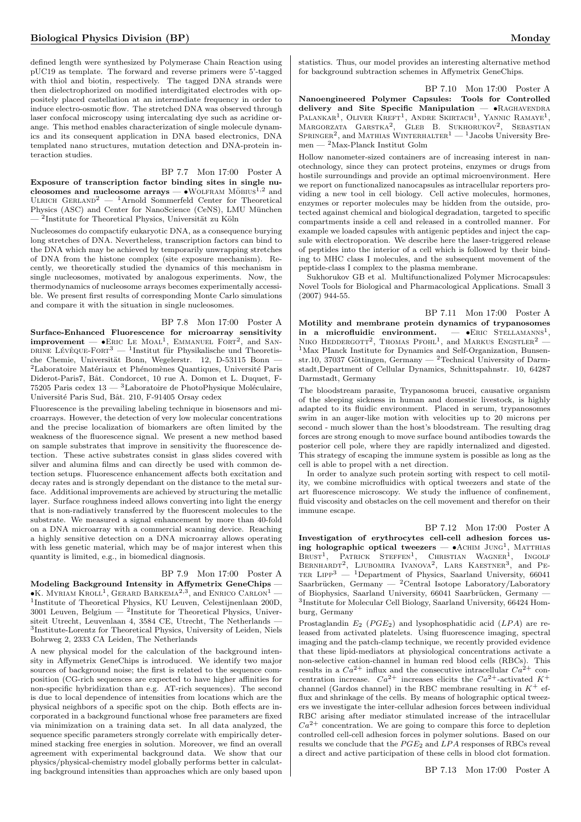defined length were synthesized by Polymerase Chain Reaction using pUC19 as template. The forward and reverse primers were 5'-tagged with thiol and biotin, respectively. The tagged DNA strands were then dielectrophorized on modified interdigitated electrodes with oppositely placed castellation at an intermediate frequency in order to induce electro-osmotic flow. The stretched DNA was observed through laser confocal microscopy using intercalating dye such as acridine orange. This method enables characterization of single molecule dynamics and its consequent application in DNA based electronics, DNA templated nano structures, mutation detection and DNA-protein interaction studies.

#### BP 7.7 Mon 17:00 Poster A

Exposure of transcription factor binding sites in single nucleosomes and nucleosome arrays  $-$  •WOLFRAM MÖBIUS<sup>1,2</sup> and ULRICH  $GERLAND^2$  — <sup>1</sup>Arnold Sommerfeld Center for Theoretical Physics (ASC) and Center for NanoScience (CeNS), LMU München — <sup>2</sup>Institute for Theoretical Physics, Universität zu Köln

Nucleosomes do compactify eukaryotic DNA, as a consequence burying long stretches of DNA. Nevertheless, transcription factors can bind to the DNA which may be achieved by temporarily unwrapping stretches of DNA from the histone complex (site exposure mechanism). Recently, we theoretically studied the dynamics of this mechanism in single nucleosomes, motivated by analogous experiments. Now, the thermodynamics of nucleosome arrays becomes experimentally accessible. We present first results of corresponding Monte Carlo simulations and compare it with the situation in single nucleosomes.

BP 7.8 Mon 17:00 Poster A Surface-Enhanced Fluorescence for microarray sensitivity improvement  $\bullet$  Eric Le Moal<sup>1</sup>, EMMANUEL FORT<sup>2</sup>, and SAN-DRINE LÉVÊQUE-FORT<sup>3</sup> — <sup>1</sup>Institut für Physikalische und Theoretische Chemie, Universität Bonn, Wegelerstr. 12, D-53115 Bonn –  $2$ Laboratoire Matériaux et Phénomènes Quantiques, Université Paris Diderot-Paris7, Bât. Condorcet, 10 rue A. Domon et L. Duquet, F-75205 Paris cedex  $13 - 3$ Laboratoire de PhotoPhysique Moléculaire, Université Paris Sud, Bât. 210, F-91405 Orsay cedex

Fluorescence is the prevailing labeling technique in biosensors and microarrays. However, the detection of very low molecular concentrations and the precise localization of biomarkers are often limited by the weakness of the fluorescence signal. We present a new method based on sample substrates that improve in sensitivity the fluorescence detection. These active substrates consist in glass slides covered with silver and alumina films and can directly be used with common detection setups. Fluorescence enhancement affects both excitation and decay rates and is strongly dependant on the distance to the metal surface. Additional improvements are achieved by structuring the metallic layer. Surface roughness indeed allows converting into light the energy that is non-radiatively transferred by the fluorescent molecules to the substrate. We measured a signal enhancement by more than 40-fold on a DNA microarray with a commercial scanning device. Reaching a highly sensitive detection on a DNA microarray allows operating with less genetic material, which may be of major interest when this quantity is limited, e.g., in biomedical diagnosis.

#### BP 7.9 Mon 17:00 Poster A

Modeling Background Intensity in Affymetrix GeneChips —  $\bullet$ K. Myriam Kroll<sup>1</sup>, Gerard Barkema<sup>2,3</sup>, and Enrico Carlon<sup>1</sup> — 1 Institute of Theoretical Physics, KU Leuven, Celestijnenlaan 200D,  $3001$  Leuven, Belgium  $-$  <sup>2</sup>Institute for Theoretical Physics, Universiteit Utrecht, Leuvenlaan 4, 3584 CE, Utrecht, The Netherlands — 3 Institute-Lorentz for Theoretical Physics, University of Leiden, Niels Bohrweg 2, 2333 CA Leiden, The Netherlands

A new physical model for the calculation of the background intensity in Affymetrix GeneChips is introduced. We identify two major sources of background noise; the first is related to the sequence composition (CG-rich sequences are expected to have higher affinities for non-specific hybridization than e.g. AT-rich sequences). The second is due to local dependence of intensities from locations which are the physical neighbors of a specific spot on the chip. Both effects are incorporated in a background functional whose free parameters are fixed via minimization on a training data set. In all data analyzed, the sequence specific parameters strongly correlate with empirically determined stacking free energies in solution. Moreover, we find an overall agreement with experimental background data. We show that our physics/physical-chemistry model globally performs better in calculating background intensities than approaches which are only based upon statistics. Thus, our model provides an interesting alternative method for background subtraction schemes in Affymetrix GeneChips.

BP 7.10 Mon 17:00 Poster A Nanoengineered Polymer Capsules: Tools for Controlled delivery and Site Specific Manipulation — • RAGHAVENDRA PALANKAR<sup>1</sup>, OLIVER KREFT<sup>1</sup>, ANDRE SKIRTACH<sup>1</sup>, YANNIC RAMAYE<sup>1</sup>, MARGORZATA GARSTKA<sup>2</sup>, GLEB B. SUKHORUKOV<sup>2</sup>, SEBASTIAN<br>SPRINGER<sup>2</sup>, and MATHIAS WINTERHALTER<sup>1</sup> — <sup>1</sup>Jacobs University Bremen —  $^2 \mathrm{Max\text{-}Planck}$ Institut Golm

Hollow nanometer-sized containers are of increasing interest in nanotechnology, since they can protect proteins, enzymes or drugs from hostile surroundings and provide an optimal microenvironment. Here we report on functionalized nanocapsules as intracellular reporters providing a new tool in cell biology. Cell active molecules, hormones, enzymes or reporter molecules may be hidden from the outside, protected against chemical and biological degradation, targeted to specific compartments inside a cell and released in a controlled manner. For example we loaded capsules with antigenic peptides and inject the capsule with electroporation. We describe here the laser-triggered release of peptides into the interior of a cell which is followed by their binding to MHC class I molecules, and the subsequent movement of the peptide-class I complex to the plasma membrane.

Sukhorukov GB et al. Multifunctionalized Polymer Microcapsules: Novel Tools for Biological and Pharmacological Applications. Small 3 (2007) 944-55.

BP 7.11 Mon 17:00 Poster A Motility and membrane protein dynamics of trypanosomes in a microfluidic environment.  $\bullet$ ERIC STELLAMANNS<sup>1</sup>. NIKO HEDDERGOTT<sup>2</sup>, THOMAS PFOHL<sup>1</sup>, and MARKUS ENGSTLER<sup>2</sup> -<sup>1</sup>Max PIanck Institute for Dynamics and Self-Organization, Bunsenstr.10, 37037 Göttingen, Germany —  $^2$ Technical University of Darmstadt,Department of Cellular Dynamics, Schnittspahnstr. 10, 64287 Darmstadt, Germany

The bloodstream parasite, Trypanosoma brucei, causative organism of the sleeping sickness in human and domestic livestock, is highly adapted to its fluidic environment. Placed in serum, trypanosomes swim in an auger-like motion with velocities up to 20 microns per second - much slower than the host's bloodstream. The resulting drag forces are strong enough to move surface bound antibodies towards the posterior cell pole, where they are rapidly internalized and digested. This strategy of escaping the immune system is possible as long as the cell is able to propel with a net direction.

In order to analyze such protein sorting with respect to cell motility, we combine microfluidics with optical tweezers and state of the art fluorescence microscopy. We study the influence of confinement, fluid viscosity and obstacles on the cell movement and therefor on their immune escape.

BP 7.12 Mon 17:00 Poster A Investigation of erythrocytes cell-cell adhesion forces using holographic optical tweezers  $- \bullet$  ACHIM JUNG<sup>1</sup>, MATTHIAS BRUST<sup>1</sup>, PATRICK STEFFEN<sup>1</sup>, CHRISTIAN WAGNER<sup>1</sup>, INGOLF<br>BERNHARDT<sup>2</sup>, LJUBOMIRA IVANOVA<sup>2</sup>, LARS KAESTNER<sup>3</sup>, and PE-TER LIPP<sup>3</sup> — <sup>1</sup>Department of Physics, Saarland University, 66041 Saarbrücken, Germany — <sup>2</sup>Central Isotope Laboratory/Laboratory of Biophysics, Saarland University, 66041 Saarbrücken, Germany -3 Institute for Molecular Cell Biology, Saarland University, 66424 Homburg, Germany

Prostaglandin  $E_2$  ( $PGE_2$ ) and lysophosphatidic acid ( $LPA$ ) are released from activated platelets. Using fluorescence imaging, spectral imaging and the patch-clamp technique, we recently provided evidence that these lipid-mediators at physiological concentrations activate a non-selective cation-channel in human red blood cells (RBCs). This results in a  $Ca^{2+}$  influx and the consecutive intracellular  $Ca^{2+}$  concentration increase.  $Ca^{2+}$  increases elicits the  $Ca^{2+}$ -activated  $K^+$ channel (Gardos channel) in the RBC membrane resulting in  $K^+$  efflux and shrinkage of the cells. By means of holographic optical tweezers we investigate the inter-cellular adhesion forces between individual RBC arising after mediator stimulated increase of the intracellular  $Ca^{2+}$  concentration. We are going to compare this force to depletion controlled cell-cell adhesion forces in polymer solutions. Based on our results we conclude that the  $PGE_2$  and  $LPA$  responses of RBCs reveal a direct and active participation of these cells in blood clot formation.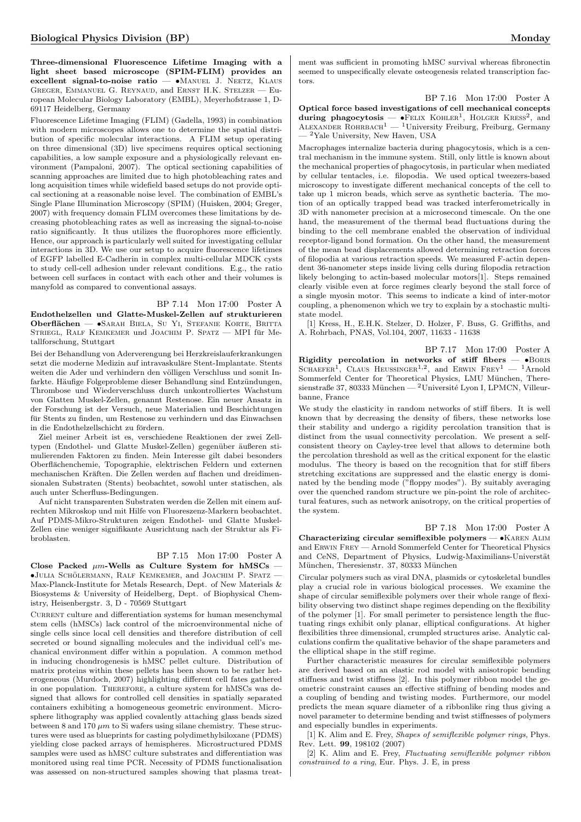Three-dimensional Fluorescence Lifetime Imaging with a light sheet based microscope (SPIM-FLIM) provides an excellent signal-to-noise ratio - •MANUEL J. NEETZ, KLAUS Greger, Emmanuel G. Reynaud, and Ernst H.K. Stelzer — European Molecular Biology Laboratory (EMBL), Meyerhofstrasse 1, D-69117 Heidelberg, Germany

Fluorescence Lifetime Imaging (FLIM) (Gadella, 1993) in combination with modern microscopes allows one to determine the spatial distribution of specific molecular interactions. A FLIM setup operating on three dimensional (3D) live specimens requires optical sectioning capabilities, a low sample exposure and a physiologically relevant environment (Pampaloni, 2007). The optical sectioning capabilities of scanning approaches are limited due to high photobleaching rates and long acquisition times while widefield based setups do not provide optical sectioning at a reasonable noise level. The combination of EMBL's Single Plane Illumination Microscopy (SPIM) (Huisken, 2004; Greger, 2007) with frequency domain FLIM overcomes these limitations by decreasing photobleaching rates as well as increasing the signal-to-noise ratio significantly. It thus utilizes the fluorophores more efficiently. Hence, our approach is particularly well suited for investigating cellular interactions in 3D. We use our setup to acquire fluorescence lifetimes of EGFP labelled E-Cadherin in complex multi-cellular MDCK cysts to study cell-cell adhesion under relevant conditions. E.g., the ratio between cell surfaces in contact with each other and their volumes is manyfold as compared to conventional assays.

## BP 7.14 Mon 17:00 Poster A

Endothelzellen und Glatte-Muskel-Zellen auf strukturieren Oberflächen — •SARAH BIELA, SU YI, STEFANIE KORTE, BRITTA STRIEGL, RALF KEMKEMER und JOACHIM P. SPATZ — MPI für Metallforschung, Stuttgart

Bei der Behandlung von Aderverengung bei Herzkreislauferkrankungen setzt die moderne Medizin auf intravaskuläre Stent-Implantate. Stents weiten die Ader und verhindern den völligen Verschluss und somit Infarkte. Häufige Folgeprobleme dieser Behandlung sind Entzündungen, Thrombose und Wiederverschluss durch unkontrolliertes Wachstum von Glatten Muskel-Zellen, genannt Restenose. Ein neuer Ansatz in der Forschung ist der Versuch, neue Materialien und Beschichtungen für Stents zu finden, um Restenose zu verhindern und das Einwachsen in die Endothelzellschicht zu fördern.

Ziel meiner Arbeit ist es, verschiedene Reaktionen der zwei Zelltypen (Endothel- und Glatte Muskel-Zellen) gegenüber äußeren stimulierenden Faktoren zu finden. Mein Interesse gilt dabei besonders Oberflächenchemie, Topographie, elektrischen Feldern und externen mechanischen Kräften. Die Zellen werden auf flachen und dreidimensionalen Substraten (Stents) beobachtet, sowohl unter statischen, als auch unter Scherfluss-Bedingungen.

Auf nicht transparenten Substraten werden die Zellen mit einem aufrechten Mikroskop und mit Hilfe von Fluoreszenz-Markern beobachtet. Auf PDMS-Mikro-Strukturen zeigen Endothel- und Glatte Muskel-Zellen eine weniger signifikante Ausrichtung nach der Struktur als Fibroblasten.

#### BP 7.15 Mon 17:00 Poster A

Close Packed  $\mu$ m-Wells as Culture System for hMSCs  $=$  $\bullet$ Julia Schölermann, Ralf Kemkemer, and Joachim P. Spatz — Max-Planck-Institute for Metals Research, Dept. of New Materials & Biosystems & University of Heidelberg, Dept. of Biophysical Chemistry, Heisenbergstr. 3, D - 70569 Stuttgart

 $\,$  CURRENT culture and differentiation systems for human mesenchymal stem cells (hMSCs) lack control of the microenvironmental niche of single cells since local cell densities and therefore distribution of cell secreted or bound signalling molecules and the individual cell's mechanical environment differ within a population. A common method in inducing chondrogenesis is hMSC pellet culture. Distribution of matrix proteins within these pellets has been shown to be rather heterogeneous (Murdoch, 2007) highlighting different cell fates gathered in one population. Therefore, a culture system for hMSCs was designed that allows for controlled cell densities in spatially separated containers exhibiting a homogeneous geometric environment. Microsphere lithography was applied covalently attaching glass beads sized between 8 and 170  $\mu$ m to Si wafers using silane chemistry. These structures were used as blueprints for casting polydimethylsiloxane (PDMS) yielding close packed arrays of hemispheres. Microstructured PDMS samples were used as hMSC culture substrates and differentiation was monitored using real time PCR. Necessity of PDMS functionalisation was assessed on non-structured samples showing that plasma treatment was sufficient in promoting hMSC survival whereas fibronectin seemed to unspecifically elevate osteogenesis related transcription factors.

BP 7.16 Mon 17:00 Poster A Optical force based investigations of cell mechanical concepts during phagocytosis —  $\bullet$ FELIX KOHLER<sup>1</sup>, HOLGER KRESS<sup>2</sup>, and<br>ALEXANDER ROHRBACH<sup>1</sup> — <sup>1</sup>University Freiburg, Freiburg, Germany  $\rm ^2Yale$  University, New Haven, USA

Macrophages internalize bacteria during phagocytosis, which is a central mechanism in the immune system. Still, only little is known about the mechanical properties of phagocytosis, in particular when mediated by cellular tentacles, i.e. filopodia. We used optical tweezers-based microscopy to investigate different mechanical concepts of the cell to take up 1 micron beads, which serve as synthetic bacteria. The motion of an optically trapped bead was tracked interferometrically in 3D with nanometer precision at a microsecond timescale. On the one hand, the measurement of the thermal bead fluctuations during the binding to the cell membrane enabled the observation of individual receptor-ligand bond formation. On the other hand, the measurement of the mean bead displacements allowed determining retraction forces of filopodia at various retraction speeds. We measured F-actin dependent 36-nanometer steps inside living cells during filopodia retraction likely belonging to actin-based molecular motors[1]. Steps remained clearly visible even at force regimes clearly beyond the stall force of a single myosin motor. This seems to indicate a kind of inter-motor coupling, a phenomenon which we try to explain by a stochastic multistate model.

[1] Kress, H., E.H.K. Stelzer, D. Holzer, F. Buss, G. Griffiths, and A. Rohrbach, PNAS, Vol.104, 2007, 11633 - 11638

BP 7.17 Mon 17:00 Poster A Rigidity percolation in networks of stiff fibers  $\bullet$ BORIS SCHAEFER<sup>1</sup>, CLAUS HEUSSINGER<sup>1,2</sup>, and ERWIN FREY<sup>1</sup> - <sup>1</sup>Arnold Sommerfeld Center for Theoretical Physics, LMU München, Theresienstraße 37, 80333 München — <sup>2</sup>Université Lyon I, LPMCN, Villeurbanne, France

We study the elasticity in random networks of stiff fibers. It is well known that by decreasing the density of fibers, these networks lose their stability and undergo a rigidity percolation transition that is distinct from the usual connectivity percolation. We present a selfconsistent theory on Cayley-tree level that allows to determine both the percolation threshold as well as the critical exponent for the elastic modulus. The theory is based on the recognition that for stiff fibers stretching excitations are suppressed and the elastic energy is dominated by the bending mode ("floppy modes"). By suitably averaging over the quenched random structure we pin-point the role of architectural features, such as network anisotropy, on the critical properties of the system.

BP 7.18 Mon 17:00 Poster A

Characterizing circular semiflexible polymers — •Karen Alim and Erwin Frey — Arnold Sommerfeld Center for Theoretical Physics and CeNS, Department of Physics, Ludwig-Maximilians-Universtät München, Theresienstr. 37, 80333 München

Circular polymers such as viral DNA, plasmids or cytoskeletal bundles play a crucial role in various biological processes. We examine the shape of circular semiflexible polymers over their whole range of flexibility observing two distinct shape regimes depending on the flexibility of the polymer [1]. For small perimeter to persistence length the fluctuating rings exhibit only planar, elliptical configurations. At higher flexibilities three dimensional, crumpled structures arise. Analytic calculations confirm the qualitative behavior of the shape parameters and the elliptical shape in the stiff regime.

Further characteristic measures for circular semiflexible polymers are derived based on an elastic rod model with anisotropic bending stiffness and twist stiffness [2]. In this polymer ribbon model the geometric constraint causes an effective stiffning of bending modes and a coupling of bending and twisting modes. Furthermore, our model predicts the mean square diameter of a ribbonlike ring thus giving a novel parameter to determine bending and twist stiffnesses of polymers and especially bundles in experiments.

[1] K. Alim and E. Frey, *Shapes of semiflexible polymer rings*, Phys. Rev. Lett. 99, 198102 (2007)

[2] K. Alim and E. Frey, Fluctuating semiflexible polymer ribbon constrained to a ring, Eur. Phys. J. E, in press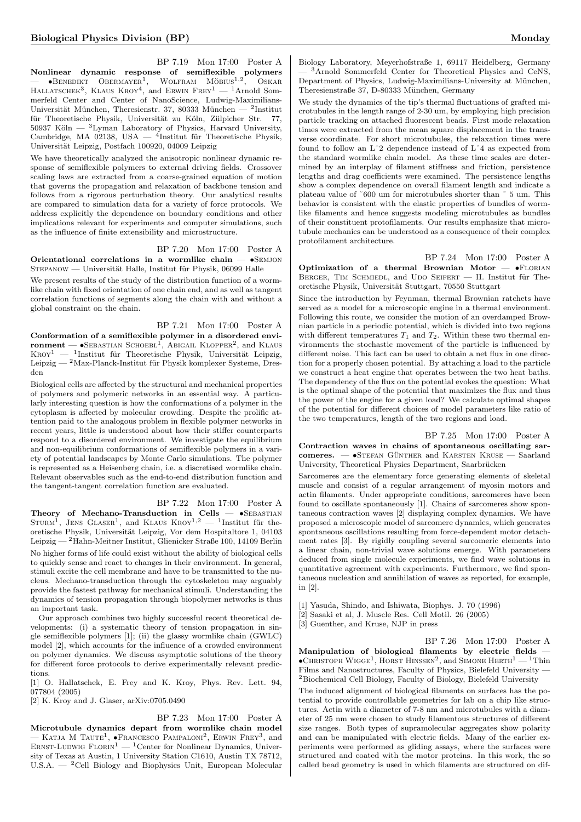BP 7.19 Mon 17:00 Poster A Nonlinear dynamic response of semiflexible polymers<br>— •Венерікт Овекмауек<sup>1</sup>, Wolfram Möbius<sup>1,2</sup>, Oskar HALLATSCHEK<sup>3</sup>, KLAUS KROY<sup>4</sup>, and ERWIN FREY<sup>1</sup> — <sup>1</sup>Arnold Sommerfeld Center and Center of NanoScience, Ludwig-Maximilians-Universität München, Theresienstr. 37, 80333 München — <sup>2</sup>Institut für Theoretische Physik, Universität zu Köln, Zülpicher Str. 77, 50937 Köln —  $^3$ Lyman Laboratory of Physics, Harvard University, Cambridge, MA 02138, USA  $-$  <sup>4</sup>Institut für Theoretische Physik, Universität Leipzig, Postfach 100920, 04009 Leipzig

We have theoretically analyzed the anisotropic nonlinear dynamic response of semiflexible polymers to external driving fields. Crossover scaling laws are extracted from a coarse-grained equation of motion that governs the propagation and relaxation of backbone tension and follows from a rigorous perturbation theory. Our analytical results are compared to simulation data for a variety of force protocols. We address explicitly the dependence on boundary conditions and other implications relevant for experiments and computer simulations, such as the influence of finite extensibility and microstructure.

BP 7.20 Mon 17:00 Poster A

Orientational correlations in a wormlike chain  $\bullet$ SEMJON STEPANOW — Universität Halle, Institut für Physik, 06099 Halle

We present results of the study of the distribution function of a wormlike chain with fixed orientation of one chain end, and as well as tangent correlation functions of segments along the chain with and without a global constraint on the chain.

BP 7.21 Mon 17:00 Poster A Conformation of a semiflexible polymer in a disordered envi- ${\bf moment}\,$   $\bullet$  SEBASTIAN SCHOEBL<sup>1</sup>, ABIGAIL KLOPPER<sup>2</sup>, and KLAUS  $KROY<sup>1</sup>$  — <sup>1</sup>Institut für Theoretische Physik, Universität Leipzig, Leipzig —  $2$ Max-Planck-Institut für Physik komplexer Systeme, Dresden

Biological cells are affected by the structural and mechanical properties of polymers and polymeric networks in an essential way. A particularly interesting question is how the conformations of a polymer in the cytoplasm is affected by molecular crowding. Despite the prolific attention paid to the analogous problem in flexible polymer networks in recent years, little is understood about how their stiffer counterparts respond to a disordered environment. We investigate the equilibrium and non-equilibrium conformations of semiflexible polymers in a variety of potential landscapes by Monte Carlo simulations. The polymer is represented as a Heisenberg chain, i.e. a discretised wormlike chain. Relevant observables such as the end-to-end distribution function and the tangent-tangent correlation function are evaluated.

#### BP 7.22 Mon 17:00 Poster A

Theory of Mechano-Transduction in Cells  $\bullet$ SEBASTIAN STURM<sup>1</sup>, JENS GLASER<sup>1</sup>, and KLAUS KROY<sup>1,2</sup> - <sup>1</sup>Institut für theoretische Physik, Universität Leipzig, Vor dem Hospitaltore 1, 04103  $\rm{Leipzig} - ^2 \rm{Hahn-Meitner Institute},$ Glienicker Straße 100, 14109 Berlin No higher forms of life could exist without the ability of biological cells to quickly sense and react to changes in their environment. In general, stimuli excite the cell membrane and have to be transmitted to the nucleus. Mechano-transduction through the cytoskeleton may arguably provide the fastest pathway for mechanical stimuli. Understanding the dynamics of tension propagation through biopolymer networks is thus an important task.

Our approach combines two highly successful recent theoretical developments: (i) a systematic theory of tension propagation in single semiflexible polymers [1]; (ii) the glassy wormlike chain (GWLC) model [2], which accounts for the influence of a crowded environment on polymer dynamics. We discuss asymptotic solutions of the theory for different force protocols to derive experimentally relevant predictions.

[1] O. Hallatschek, E. Frey and K. Kroy, Phys. Rev. Lett. 94, 077804 (2005)

[2] K. Kroy and J. Glaser, arXiv:0705.0490

#### BP 7.23 Mon 17:00 Poster A

Microtubule dynamics depart from wormlike chain model — KATJA M TAUTE<sup>1</sup>, ●FRANCESCO PAMPALONI<sup>2</sup>, ERWIN FREY<sup>3</sup>, and ERNST-LUDWIG FLORIN<sup>1</sup> — <sup>1</sup>Center for Nonlinear Dynamics, University of Texas at Austin, 1 University Station C1610, Austin TX 78712, U.S.A. — <sup>2</sup>Cell Biology and Biophysics Unit, European Molecular

Biology Laboratory, Meyerhofstraße 1, 69117 Heidelberg, Germany  $-$ <sup>3</sup>Arnold Sommerfeld Center for Theoretical Physics and CeNS. Department of Physics, Ludwig-Maximilians-University at München, Theresienstraße 37, D-80333 München, Germany

We study the dynamics of the tip's thermal fluctuations of grafted microtubules in the length range of 2-30 um, by employing high precision particle tracking on attached fluorescent beads. First mode relaxation times were extracted from the mean square displacement in the transverse coordinate. For short microtubules, the relaxation times were found to follow an Lˆ2 dependence instead of Lˆ4 as expected from the standard wormlike chain model. As these time scales are determined by an interplay of filament stiffness and friction, persistence lengths and drag coefficients were examined. The persistence lengths show a complex dependence on overall filament length and indicate a plateau value of ˜600 um for microtubules shorter than ˜ 5 um. This behavior is consistent with the elastic properties of bundles of wormlike filaments and hence suggests modeling microtubules as bundles of their constituent protofilaments. Our results emphasize that microtubule mechanics can be understood as a consequence of their complex protofilament architecture.

BP 7.24 Mon 17:00 Poster A Optimization of a thermal Brownian Motor  $\bullet$ FLORIAN BERGER, TIM SCHMIEDL, and UDO SEIFERT — II. Institut für Theoretische Physik, Universität Stuttgart, 70550 Stuttgart

Since the introduction by Feynman, thermal Brownian ratchets have served as a model for a microscopic engine in a thermal environment. Following this route, we consider the motion of an overdamped Brownian particle in a periodic potential, which is divided into two regions with different temperatures  $T_1$  and  $T_2$ . Within these two thermal environments the stochastic movement of the particle is influenced by different noise. This fact can be used to obtain a net flux in one direction for a properly chosen potential. By attaching a load to the particle we construct a heat engine that operates between the two heat baths. The dependency of the flux on the potential evokes the question: What is the optimal shape of the potential that maximizes the flux and thus the power of the engine for a given load? We calculate optimal shapes of the potential for different choices of model parameters like ratio of the two temperatures, length of the two regions and load.

BP 7.25 Mon 17:00 Poster A Contraction waves in chains of spontaneous oscillating sar $compress. -$  •Stefan Günther and Karsten Kruse — Saarland University, Theoretical Physics Department, Saarbrücken

Sarcomeres are the elementary force generating elements of skeletal muscle and consist of a regular arrangement of myosin motors and actin filaments. Under appropriate conditions, sarcomeres have been found to oscillate spontaneously [1]. Chains of sarcomeres show spontaneous contraction waves [2] displaying complex dynamics. We have proposed a microscopic model of sarcomere dynamics, which generates spontaneous oscillations resulting from force-dependent motor detachment rates [3]. By rigidly coupling several sarcomeric elements into a linear chain, non-trivial wave solutions emerge. With parameters deduced from single molecule experiments, we find wave solutions in quantitative agreement with experiments. Furthermore, we find spontaneous nucleation and annihilation of waves as reported, for example, in [2].

[1] Yasuda, Shindo, and Ishiwata, Biophys. J. 70 (1996)

- [2] Sasaki et al, J. Muscle Res. Cell Motil. 26 (2005)
- [3] Guenther, and Kruse, NJP in press

BP 7.26 Mon 17:00 Poster A Manipulation of biological filaments by electric fields —  $\bullet$ CHRISTOPH WIGGE<sup>1</sup>, HORST HINSSEN<sup>2</sup>, and SIMONE HERTH<sup>1</sup> - <sup>1</sup>Thin Films and Nanostructures, Faculty of Physics, Bielefeld University — <sup>2</sup>Biochemical Cell Biology, Faculty of Biology, Bielefeld University

The induced alignment of biological filaments on surfaces has the potential to provide controllable geometries for lab on a chip like structures. Actin with a diameter of 7-8 nm and microtubules with a diameter of 25 nm were chosen to study filamentous structures of different size ranges. Both types of supramolecular aggregates show polarity and can be manipulated with electric fields. Many of the earlier experiments were performed as gliding assays, where the surfaces were structured and coated with the motor proteins. In this work, the so called bead geometry is used in which filaments are structured on dif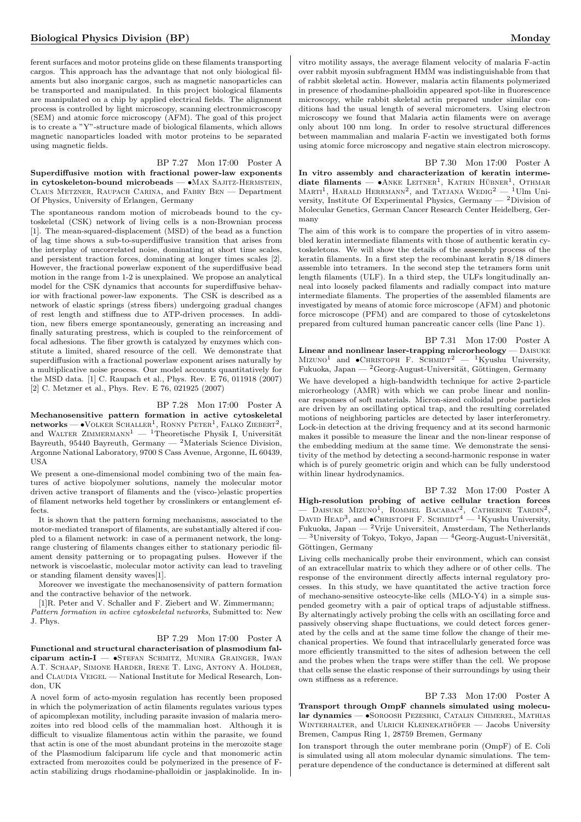ferent surfaces and motor proteins glide on these filaments transporting cargos. This approach has the advantage that not only biological filaments but also inorganic cargos, such as magnetic nanoparticles can be transported and manipulated. In this project biological filaments are manipulated on a chip by applied electrical fields. The alignment process is controlled by light microscopy, scanning electronmicroscopy (SEM) and atomic force microscopy (AFM). The goal of this project is to create a "Y"-structure made of biological filaments, which allows magnetic nanoparticles loaded with motor proteins to be separated using magnetic fields.

## BP 7.27 Mon 17:00 Poster A

Superdiffusive motion with fractional power-law exponents in cytoskeleton-bound microbeads — •MAX SAJITZ-HERMSTEIN, Claus Metzner, Raupach Carina, and Fabry Ben — Department Of Physics, University of Erlangen, Germany

The spontaneous random motion of microbeads bound to the cytoskeletal (CSK) network of living cells is a non-Brownian process [1]. The mean-squared-displacement (MSD) of the bead as a function of lag time shows a sub-to-superdiffusive transition that arises from the interplay of uncorrelated noise, dominating at short time scales, and persistent traction forces, dominating at longer times scales [2]. However, the fractional powerlaw exponent of the superdiffusive bead motion in the range from 1-2 is unexplained. We propose an analytical model for the CSK dynamics that accounts for superdiffusive behavior with fractional power-law exponents. The CSK is described as a network of elastic springs (stress fibers) undergoing gradual changes of rest length and stiffness due to ATP-driven processes. In addition, new fibers emerge spontaneously, generating an increasing and finally saturating prestress, which is coupled to the reinforcement of focal adhesions. The fiber growth is catalyzed by enzymes which constitute a limited, shared resource of the cell. We demonstrate that superdiffusion with a fractional powerlaw exponent arises naturally by a multiplicative noise process. Our model accounts quantitatively for the MSD data. [1] C. Raupach et al., Phys. Rev. E 76, 011918 (2007) [2] C. Metzner et al., Phys. Rev. E 76, 021925 (2007)

#### BP 7.28 Mon 17:00 Poster A

Mechanosensitive pattern formation in active cytoskeletal  ${\bf networks}$  —  $\bullet$  Volker Schaller<sup>1</sup>, Ronny Peter<sup>1</sup>, Falko Ziebert<sup>2</sup>, and WALTER ZIMMERMANN<sup>1</sup> — <sup>1</sup>Theoretische Physik I, Universität Bayreuth, 95440 Bayreuth, Germany — <sup>2</sup>Materials Science Division, Argonne National Laboratory, 9700 S Cass Avenue, Argonne, IL 60439, **IISA** 

We present a one-dimensional model combining two of the main features of active biopolymer solutions, namely the molecular motor driven active transport of filaments and the (visco-)elastic properties of filament networks held together by crosslinkers or entanglement effects.

It is shown that the pattern forming mechanisms, associated to the motor-mediated transport of filaments, are substantially altered if coupled to a filament network: in case of a permanent network, the longrange clustering of filaments changes either to stationary periodic filament density patterning or to propagating pulses. However if the network is viscoelastic, molecular motor activity can lead to traveling or standing filament density waves[1].

Moreover we investigate the mechanosensivity of pattern formation and the contractive behavior of the network.

[1]R. Peter and V. Schaller and F. Ziebert and W. Zimmermann; Pattern formation in active cytoskeletal networks, Submitted to: New J. Phys.

#### BP 7.29 Mon 17:00 Poster A

Functional and structural characterisation of plasmodium falciparum actin-I —  $\bullet$ STEFAN SCHMITZ, MUNIRA GRAINGER, IWAN A.T. Schaap, Simone Harder, Irene T. Ling, Antony A. Holder, and CLAUDIA VEIGEL — National Institute for Medical Research, London, UK

A novel form of acto-myosin regulation has recently been proposed in which the polymerization of actin filaments regulates various types of apicomplexan motility, including parasite invasion of malaria merozoites into red blood cells of the mammalian host. Although it is difficult to visualize filamentous actin within the parasite, we found that actin is one of the most abundant proteins in the merozoite stage of the Plasmodium falciparum life cycle and that monomeric actin extracted from merozoites could be polymerized in the presence of Factin stabilizing drugs rhodamine-phalloidin or jasplakinolide. In in-

vitro motility assays, the average filament velocity of malaria F-actin over rabbit myosin subfragment HMM was indistinguishable from that of rabbit skeletal actin. However, malaria actin filaments polymerized in presence of rhodamine-phalloidin appeared spot-like in fluorescence microscopy, while rabbit skeletal actin prepared under similar conditions had the usual length of several micrometers. Using electron microscopy we found that Malaria actin filaments were on average only about 100 nm long. In order to resolve structural differences between mammalian and malaria F-actin we investigated both forms using atomic force microscopy and negative stain electron microscopy.

BP 7.30 Mon 17:00 Poster A In vitro assembly and characterization of keratin intermediate filaments —  $\bullet$  ANKE LEITNER<sup>1</sup>, KATRIN HÜBNER<sup>1</sup>, OTHMAR MARTI<sup>1</sup>, HARALD HERRMANN<sup>2</sup>, and TATJANA WEDIG<sup>2</sup> - <sup>1</sup>Ulm University, Institute Of Experimental Physics, Germany — <sup>2</sup>Division of Molecular Genetics, German Cancer Research Center Heidelberg, Germany

The aim of this work is to compare the properties of in vitro assembled keratin intermediate filaments with those of authentic keratin cytoskeletons. We will show the details of the assembly process of the keratin filaments. In a first step the recombinant keratin 8/18 dimers assemble into tetramers. In the second step the tetramers form unit length filaments (ULF). In a third step, the ULFs longitudinally anneal into loosely packed filaments and radially compact into mature intermediate filaments. The properties of the assembled filaments are investigated by means of atomic force microscope (AFM) and photonic force microscope (PFM) and are compared to those of cytoskeletons prepared from cultured human pancreatic cancer cells (line Panc 1).

BP 7.31 Mon 17:00 Poster A Linear and nonlinear laser-trapping microrheology —  $\text{DAISURE}$ MIZUNO<sup>1</sup> and  $\bullet$ CHRISTOPH F. SCHMIDT<sup>2</sup> — <sup>1</sup>Kyushu University, Fukuoka, Japan —  $^2\mbox{Georg-August-Universität},$  Göttingen, Germany We have developed a high-bandwidth technique for active 2-particle microrheology (AMR) with which we can probe linear and nonlinear responses of soft materials. Micron-sized colloidal probe particles are driven by an oscillating optical trap, and the resulting correlated motions of neighboring particles are detected by laser interferometry. Lock-in detection at the driving frequency and at its second harmonic makes it possible to measure the linear and the non-linear response of the embedding medium at the same time. We demonstrate the sensitivity of the method by detecting a second-harmonic response in water which is of purely geometric origin and which can be fully understood within linear hydrodynamics.

BP 7.32 Mon 17:00 Poster A High-resolution probing of active cellular traction forces — DAISUKE MIZUNO<sup>1</sup>, ROMMEL BACABAC<sup>2</sup>, CATHERINE TARDIN<sup>2</sup>, DAVID HEAD<sup>3</sup>, and  $\bullet$ CHRISTOPH F. SCHMIDT<sup>4</sup> — <sup>1</sup>Kyushu University, Fukuoka, Japan — <sup>2</sup>Vrije Universiteit, Amsterdam, The Netherlands  $-$ <sup>3</sup>University of Tokyo, Tokyo, Japan — <sup>4</sup>Georg-August-Universität, Göttingen, Germany

Living cells mechanically probe their environment, which can consist of an extracellular matrix to which they adhere or of other cells. The response of the environment directly affects internal regulatory processes. In this study, we have quantitated the active traction force of mechano-sensitive osteocyte-like cells (MLO-Y4) in a simple suspended geometry with a pair of optical traps of adjustable stiffness. By alternatingly actively probing the cells with an oscillating force and passively observing shape fluctuations, we could detect forces generated by the cells and at the same time follow the change of their mechanical properties. We found that intracellularly generated force was more efficiently transmitted to the sites of adhesion between the cell and the probes when the traps were stiffer than the cell. We propose that cells sense the elastic response of their surroundings by using their own stiffness as a reference.

BP 7.33 Mon 17:00 Poster A Transport through OmpF channels simulated using molecular dynamics — •Soroosh Pezeshki, Catalin Chimerel, Mathias WINTERHALTER, and ULRICH KLEINEKATHÖFER - Jacobs University Bremen, Campus Ring 1, 28759 Bremen, Germany

Ion transport through the outer membrane porin (OmpF) of E. Coli is simulated using all atom molecular dynamic simulations. The temperature dependence of the conductance is determined at different salt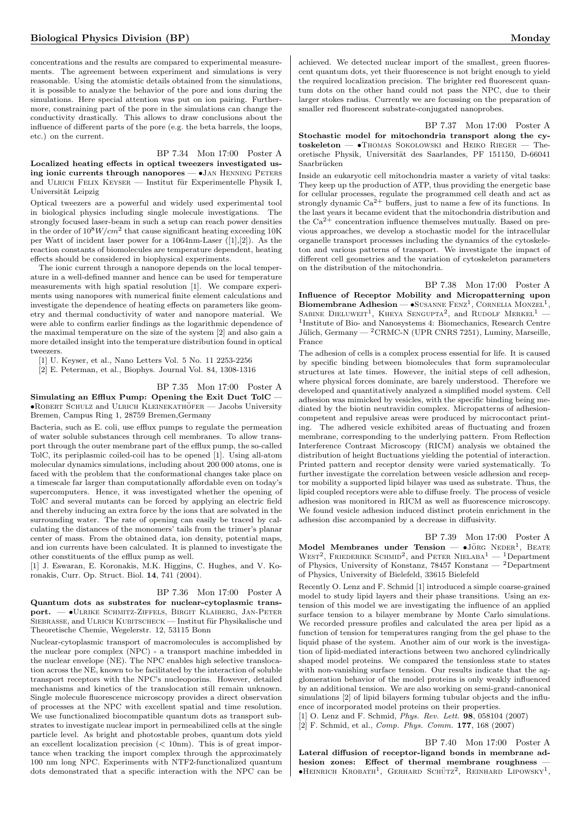concentrations and the results are compared to experimental measurements. The agreement between experiment and simulations is very reasonable. Using the atomistic details obtained from the simulations, it is possible to analyze the behavior of the pore and ions during the simulations. Here special attention was put on ion pairing. Furthermore, constraining part of the pore in the simulations can change the conductivity drastically. This allows to draw conclusions about the influence of different parts of the pore (e.g. the beta barrels, the loops, etc.) on the current.

### BP 7.34 Mon 17:00 Poster A

Localized heating effects in optical tweezers investigated using ionic currents through nanopores  $-\bullet$  JAN HENNING PETERS and ULRICH FELIX KEYSER — Institut für Experimentelle Physik I, Universität Leipzig

Optical tweezers are a powerful and widely used experimental tool in biological physics including single molecule investigations. The strongly focused laser-beam in such a setup can reach power densities in the order of  $10^8 W/cm^2$  that cause significant heating exceeding  $10K$ per Watt of incident laser power for a 1064nm-Laser ([1],[2]). As the reaction constants of biomolecules are temperature dependent, heating effects should be considered in biophysical experiments.

The ionic current through a nanopore depends on the local temperature in a well-defined manner and hence can be used for temperature measurements with high spatial resolution [1]. We compare experiments using nanopores with numerical finite element calculations and investigate the dependence of heating effects on parameters like geometry and thermal conductivity of water and nanopore material. We were able to confirm earlier findings as the logarithmic dependence of the maximal temperature on the size of the system [2] and also gain a more detailed insight into the temperature distribution found in optical tweezers.

[1] U. Keyser, et al., Nano Letters Vol. 5 No. 11 2253-2256

[2] E. Peterman, et al., Biophys. Journal Vol. 84, 1308-1316

#### BP 7.35 Mon 17:00 Poster A

Simulating an Efflux Pump: Opening the Exit Duct TolC —  $\bullet$ ROBERT SCHULZ and ULRICH KLEINEKATHÖFER — Jacobs University Bremen, Campus Ring 1, 28759 Bremen,Germany

Bacteria, such as E. coli, use efflux pumps to regulate the permeation of water soluble substances through cell membranes. To allow transport through the outer membrane part of the efflux pump, the so-called TolC, its periplasmic coiled-coil has to be opened [1]. Using all-atom molecular dynamics simulations, including about 200 000 atoms, one is faced with the problem that the conformational changes take place on a timescale far larger than computationally affordable even on today's supercomputers. Hence, it was investigated whether the opening of TolC and several mutants can be forced by applying an electric field and thereby inducing an extra force by the ions that are solvated in the surrounding water. The rate of opening can easily be traced by calculating the distances of the monomers' tails from the trimer's planar center of mass. From the obtained data, ion density, potential maps, and ion currents have been calculated. It is planned to investigate the other constituents of the efflux pump as well.

[1] J. Eswaran, E. Koronakis, M.K. Higgins, C. Hughes, and V. Koronakis, Curr. Op. Struct. Biol. 14, 741 (2004).

#### BP 7.36 Mon 17:00 Poster A

Quantum dots as substrates for nuclear-cytoplasmic transport. — •Ulrike Schmitz-Ziffels, Birgit Klaiberg, Jan-Peter SIEBRASSE, and ULRICH KUBITSCHECK — Institut für Physikalische und Theoretische Chemie, Wegelerstr. 12, 53115 Bonn

Nuclear-cytoplasmic transport of macromolecules is accomplished by the nuclear pore complex (NPC) - a transport machine imbedded in the nuclear envelope (NE). The NPC enables high selective translocation across the NE, known to be facilitated by the interaction of soluble transport receptors with the NPC's nucleoporins. However, detailed mechanisms and kinetics of the translocation still remain unknown. Single molecule fluorescence microscopy provides a direct observation of processes at the NPC with excellent spatial and time resolution. We use functionalized biocompatible quantum dots as transport substrates to investigate nuclear import in permeabilized cells at the single particle level. As bright and photostable probes, quantum dots yield an excellent localization precision  $( $10 \text{nm}$ ). This is of great impor$ tance when tracking the import complex through the approximately 100 nm long NPC. Experiments with NTF2-functionalized quantum dots demonstrated that a specific interaction with the NPC can be

achieved. We detected nuclear import of the smallest, green fluorescent quantum dots, yet their fluorescence is not bright enough to yield the required localization precision. The brighter red fluorescent quantum dots on the other hand could not pass the NPC, due to their larger stokes radius. Currently we are focussing on the preparation of smaller red fluorescent substrate-conjugated nanoprobes.

BP 7.37 Mon 17:00 Poster A Stochastic model for mitochondria transport along the cytoskeleton — •Thomas Sokolowski and Heiko Rieger — Theoretische Physik, Universität des Saarlandes, PF 151150, D-66041 Saarbrücken

Inside an eukaryotic cell mitochondria master a variety of vital tasks: They keep up the production of ATP, thus providing the energetic base for cellular processes, regulate the programmed cell death and act as strongly dynamic  $Ca^{2+}$  buffers, just to name a few of its functions. In the last years it became evident that the mitochondria distribution and the  $Ca^{2+}$  concentration influence themselves mutually. Based on previous approaches, we develop a stochastic model for the intracellular organelle transport processes including the dynamics of the cytoskeleton and various patterns of transport. We investigate the impact of different cell geometries and the variation of cytoskeleton parameters on the distribution of the mitochondria.

BP 7.38 Mon 17:00 Poster A Influence of Receptor Mobility and Micropatterning upon Biomembrane Adhesion —  $\bullet$ Susanne Fenz<sup>1</sup>, Cornelia Monzel<sup>1</sup>, SABINE DIELUWEIT<sup>1</sup>, KHEYA SENGUPTA<sup>2</sup>, and RUDOLF MERKEL<sup>1</sup> – 1 Institute of Bio- and Nanosystems 4: Biomechanics, Research Centre Jülich, Germany —  $^2\mathrm{CRMC-N}$  (UPR CNRS 7251), Luminy, Marseille, France

The adhesion of cells is a complex process essential for life. It is caused by specific binding between biomolecules that form supramolecular structures at late times. However, the initial steps of cell adhesion, where physical forces dominate, are barely understood. Therefore we developed and quantitatively analyzed a simplified model system. Cell adhesion was mimicked by vesicles, with the specific binding being mediated by the biotin neutravidin complex. Micropatterns of adhesioncompetent and repulsive areas were produced by microcontact printing. The adhered vesicle exhibited areas of fluctuating and frozen membrane, corresponding to the underlying pattern. From Reflection Interference Contrast Microscopy (RICM) analysis we obtained the distribution of height fluctuations yielding the potential of interaction. Printed pattern and receptor density were varied systematically. To further investigate the correlation between vesicle adhesion and receptor mobility a supported lipid bilayer was used as substrate. Thus, the lipid coupled receptors were able to diffuse freely. The process of vesicle adhesion was monitored in RICM as well as fluorescence microscopy. We found vesicle adhesion induced distinct protein enrichment in the adhesion disc accompanied by a decrease in diffusivity.

BP 7.39 Mon 17:00 Poster A Model Membranes under Tension  $\bullet$ JÖRG NEDER<sup>1</sup>, BEATE WEST<sup>2</sup>, FRIEDERIKE SCHMID<sup>2</sup>, and PETER NIELABA<sup>1</sup> — <sup>1</sup>Department of Physics, University of Konstanz, 78457 Konstanz — <sup>2</sup>Department of Physics, University of Bielefeld, 33615 Bielefeld

Recently O. Lenz and F. Schmid [1] introduced a simple coarse-grained model to study lipid layers and their phase transitions. Using an extension of this model we are investigating the influence of an applied surface tension to a bilayer membrane by Monte Carlo simulations. We recorded pressure profiles and calculated the area per lipid as a function of tension for temperatures ranging from the gel phase to the liquid phase of the system. Another aim of our work is the investigation of lipid-mediated interactions between two anchored cylindrically shaped model proteins. We compared the tensionless state to states with non-vanishing surface tension. Our results indicate that the agglomeration behavior of the model proteins is only weakly influenced by an additional tension. We are also working on semi-grand-canonical simulations [2] of lipid bilayers forming tubular objects and the influence of incorporated model proteins on their properties.

[1] O. Lenz and F. Schmid, Phys. Rev. Lett. 98, 058104 (2007)

[2] F. Schmid, et al., Comp. Phys. Comm. 177, 168 (2007)

BP 7.40 Mon 17:00 Poster A Lateral diffusion of receptor-ligand bonds in membrane adhesion zones: Effect of thermal membrane roughness  $\bullet$ Heinrich Krobath<sup>1</sup>, Gerhard Schütz<sup>2</sup>, Reinhard Lipowsky<sup>1</sup>,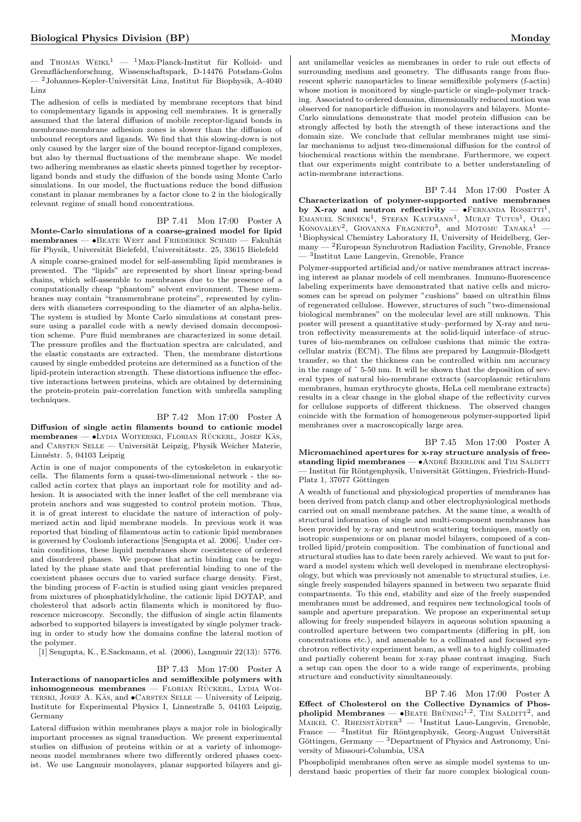and THOMAS  $WE1L^{1} - Max$ -Planck-Institut für Kolloid- und Grenzfl¨achenforschung, Wissenschaftspark, D-14476 Potsdam-Golm  $^2$  Johannes-Kepler-Universität Linz, Institut für Biophysik, A-4040 Linz

The adhesion of cells is mediated by membrane receptors that bind to complementary ligands in apposing cell membranes. It is generally assumed that the lateral diffusion of mobile receptor-ligand bonds in membrane-membrane adhesion zones is slower than the diffusion of unbound receptors and ligands. We find that this slowing-down is not only caused by the larger size of the bound receptor-ligand complexes, but also by thermal fluctuations of the membrane shape. We model two adhering membranes as elastic sheets pinned together by receptorligand bonds and study the diffusion of the bonds using Monte Carlo simulations. In our model, the fluctuations reduce the bond diffusion constant in planar membranes by a factor close to 2 in the biologically relevant regime of small bond concentrations.

BP 7.41 Mon 17:00 Poster A Monte-Carlo simulations of a coarse-grained model for lipid  $membranes —  $\bullet$ BEATE West and Friederiké Schmid — Fakultät$ für Physik, Universität Bielefeld, Universitätsstr. 25, 33615 Bielefeld A simple coarse-grained model for self-assembling lipid membranes is presented. The "lipids" are represented by short linear spring-bead chains, which self-assemble to membranes due to the presence of a computationally cheap "phantom" solvent environment. These membranes may contain "transmembrane proteins", represented by cylinders with diameters corresponding to the diameter of an alpha-helix. The system is studied by Monte Carlo simulations at constant pressure using a parallel code with a newly devised domain decomposition scheme. Pure fluid membranes are characterized in some detail. The pressure profiles and the fluctuation spectra are calculated, and the elastic constants are extracted. Then, the membrane distortions caused by single embedded proteins are determined as a function of the lipid-protein interaction strength. These distortions influence the effective interactions between proteins, which are obtained by determining the protein-protein pair-correlation function with umbrella sampling techniques.

#### BP 7.42 Mon 17:00 Poster A

Diffusion of single actin filaments bound to cationic model membranes — •Lydia Woiterski, Florian Rückerl, Josef Käs, and CARSTEN SELLE — Universität Leipzig, Physik Weicher Materie, Linnéstr. 5, 04103 Leipzig

Actin is one of major components of the cytoskeleton in eukaryotic cells. The filaments form a quasi-two-dimensional network - the socalled actin cortex that plays an important role for motility and adhesion. It is associated with the inner leaflet of the cell membrane via protein anchors and was suggested to control protein motion. Thus, it is of great interest to elucidate the nature of interaction of polymerized actin and lipid membrane models. In previous work it was reported that binding of filamentous actin to cationic lipid membranes is governed by Coulomb interactions [Sengupta et al. 2006]. Under certain conditions, these liquid membranes show coexistence of ordered and disordered phases. We propose that actin binding can be regulated by the phase state and that preferential binding to one of the coexistent phases occurs due to varied surface charge density. First, the binding process of F-actin is studied using giant vesicles prepared from mixtures of phosphatidylcholine, the cationic lipid DOTAP, and cholesterol that adsorb actin filaments which is monitored by fluorescence microscopy. Secondly, the diffusion of single actin filaments adsorbed to supported bilayers is investigated by single polymer tracking in order to study how the domains confine the lateral motion of the polymer.

[1] Sengupta, K., E.Sackmann, et al. (2006), Langmuir 22(13): 5776.

## BP 7.43 Mon 17:00 Poster A

Interactions of nanoparticles and semiflexible polymers with  $inhomogeneous$  membranes — FLORIAN RUCKERL, LYDIA WOI-TERSKI, JOSEF A. KÄS, and ●CARSTEN SELLE — University of Leipzig, Institute for Experimental Physics I, Linnestraße 5, 04103 Leipzig, Germany

Lateral diffusion within membranes plays a major role in biologically important processes as signal transduction. We present experimental studies on diffusion of proteins within or at a variety of inhomogeneous model membranes where two differently ordered phases coexist. We use Langmuir monolayers, planar supported bilayers and gi-

ant unilamellar vesicles as membranes in order to rule out effects of surrounding medium and geometry. The diffusants range from fluorescent spheric nanoparticles to linear semiflexible polymers (f-actin) whose motion is monitored by single-particle or single-polymer tracking. Associated to ordered domains, dimensionally reduced motion was observed for nanoparticle diffusion in monolayers and bilayers. Monte-Carlo simulations demonstrate that model protein diffusion can be strongly affected by both the strength of these interactions and the domain size. We conclude that cellular membranes might use similar mechanisms to adjust two-dimensional diffusion for the control of biochemical reactions within the membrane. Furthermore, we expect that our experiments might contribute to a better understanding of actin-membrane interactions.

BP 7.44 Mon 17:00 Poster A Characterization of polymer-supported native membranes by X-ray and neutron reflectivity —  $\bullet$ FERNANDA ROSSETTI<sup>1</sup>, EMANUEL SCHNECK<sup>1</sup>, STEFAN KAUFMANN<sup>1</sup>, MURAT TUTUS<sup>1</sup>, OLEG KONOVALEV<sup>2</sup>, GIOVANNA FRAGNETO<sup>3</sup>, and MOTOMU TANAKA<sup>1</sup> -<sup>1</sup>Biophysical Chemistry Laboratory II, University of Heidelberg, Ger $m$ many — <sup>2</sup>European Synchrotron Radiation Facility, Grenoble, France — <sup>3</sup> Institut Laue Langevin, Grenoble, France

Polymer-supported artificial and/or native membranes attract increasing interest as planar models of cell membranes. Immuno-fluorescence labeling experiments have demonstrated that native cells and microsomes can be spread on polymer "cushions" based on ultrathin films of regenerated cellulose. However, structures of such "two-dimensional biological membranes" on the molecular level are still unknown. This poster will present a quantitative study–performed by X-ray and neutron reflectivity measurements at the solid-liquid interface–of structures of bio-membranes on cellulose cushions that mimic the extracellular matrix (ECM). The films are prepared by Langmuir-Blodgett transfer, so that the thickness can be controlled within nm accuracy in the range of ˜ 5-50 nm. It will be shown that the deposition of several types of natural bio-membrane extracts (sarcoplasmic reticulum membranes, human erythrocyte ghosts, HeLa cell membrane extracts) results in a clear change in the global shape of the reflectivity curves for cellulose supports of different thickness. The observed changes coincide with the formation of homogeneous polymer-supported lipid membranes over a macroscopically large area.

BP 7.45 Mon 17:00 Poster A Micromachined apertures for x-ray structure analysis of freestanding lipid membranes  $- \bullet$ ANDRÉ BEERLINK and TIM SALDITT - Institut für Röntgenphysik, Universität Göttingen, Friedrich-Hund-Platz 1, 37077 Göttingen

A wealth of functional and physiological properties of membranes has been derived from patch clamp and other electrophysiological methods carried out on small membrane patches. At the same time, a wealth of structural information of single and multi-component membranes has been provided by x-ray and neutron scattering techniques, mostly on isotropic suspensions or on planar model bilayers, composed of a controlled lipid/protein composition. The combination of functional and structural studies has to date been rarely achieved. We want to put forward a model system which well developed in membrane electrophysiology, but which was previously not amenable to structural studies, i.e. single freely suspended bilayers spanned in between two separate fluid compartments. To this end, stability and size of the freely suspended membranes must be addressed, and requires new technological tools of sample and aperture preparation. We propose an experimental setup allowing for freely suspended bilayers in aqueous solution spanning a controlled aperture between two compartments (differing in pH, ion concentrations etc.), and amenable to a collimated and focused synchrotron reflectivity experiment beam, as well as to a highly collimated and partially coherent beam for x-ray phase contrast imaging. Such a setup can open the door to a wide range of experiments, probing structure and conductivity simultaneously.

BP 7.46 Mon 17:00 Poster A Effect of Cholesterol on the Collective Dynamics of Phospholipid Membranes —  $\bullet$ BEATE BRÜNING<sup>1,2</sup>, TIM SALDITT<sup>2</sup>, and MAIKEL C. RHEINSTÄDTER<sup>3</sup> — <sup>1</sup>Institut Laue-Langevin, Grenoble, France — <sup>2</sup>Institut für Röntgenphysik, Georg-August Universität Göttingen, Germany  $-$  <sup>3</sup>Department of Physics and Astronomy, University of Missouri-Columbia, USA

Phospholipid membranes often serve as simple model systems to understand basic properties of their far more complex biological coun-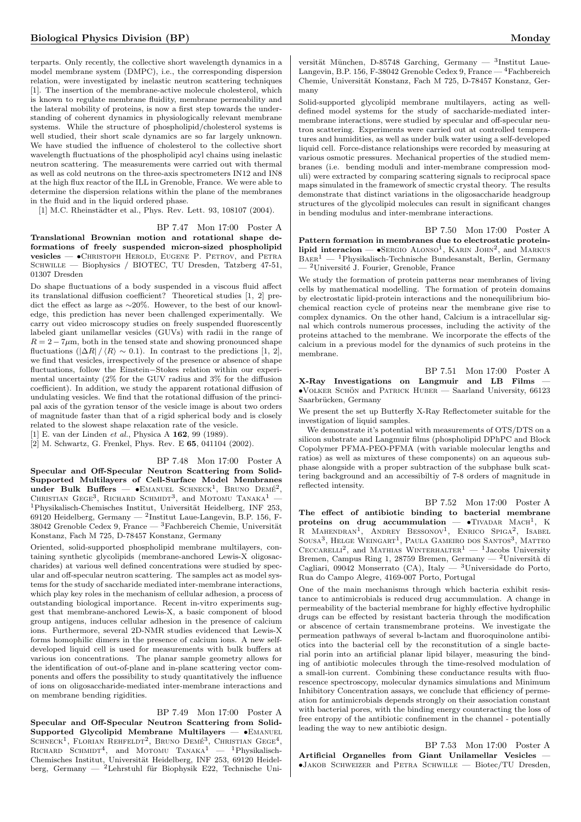terparts. Only recently, the collective short wavelength dynamics in a model membrane system (DMPC), i.e., the corresponding dispersion relation, were investigated by inelastic neutron scattering techniques [1]. The insertion of the membrane-active molecule cholesterol, which is known to regulate membrane fluidity, membrane permeability and the lateral mobility of proteins, is now a first step towards the understanding of coherent dynamics in physiologically relevant membrane systems. While the structure of phospholipid/cholesterol systems is well studied, their short scale dynamics are so far largely unknown. We have studied the influence of cholesterol to the collective short wavelength fluctuations of the phospholipid acyl chains using inelastic neutron scattering. The measurements were carried out with thermal as well as cold neutrons on the three-axis spectrometers IN12 and IN8 at the high flux reactor of the ILL in Grenoble, France. We were able to determine the dispersion relations within the plane of the membranes in the fluid and in the liquid ordered phase.

[1] M.C. Rheinstädter et al., Phys. Rev. Lett. 93, 108107 (2004).

#### BP 7.47 Mon 17:00 Poster A

Translational Brownian motion and rotational shape deformations of freely suspended micron-sized phospholipid vesicles — •Christoph Herold, Eugene P. Petrov, and Petra SCHWILLE — Biophysics / BIOTEC, TU Dresden, Tatzberg 47-51, 01307 Dresden

Do shape fluctuations of a body suspended in a viscous fluid affect its translational diffusion coefficient? Theoretical studies [1, 2] predict the effect as large as ∼20%. However, to the best of our knowledge, this prediction has never been challenged experimentally. We carry out video microscopy studies on freely suspended fluorescently labeled giant unilamellar vesicles (GUVs) with radii in the range of  $R = 2 - 7\mu$ m, both in the tensed state and showing pronounced shape fluctuations  $(|\Delta R| / \langle R \rangle \sim 0.1)$ . In contrast to the predictions [1, 2], we find that vesicles, irrespectively of the presence or absence of shape fluctuations, follow the Einstein−Stokes relation within our experimental uncertainty (2% for the GUV radius and 3% for the diffusion coefficient). In addition, we study the apparent rotational diffusion of undulating vesicles. We find that the rotational diffusion of the principal axis of the gyration tensor of the vesicle image is about two orders of magnitude faster than that of a rigid spherical body and is closely related to the slowest shape relaxation rate of the vesicle.

[1] E. van der Linden et al., Physica A 162, 99 (1989).

[2] M. Schwartz, G. Frenkel, Phys. Rev. E 65, 041104 (2002).

BP 7.48 Mon 17:00 Poster A

Specular and Off-Specular Neutron Scattering from Solid-Supported Multilayers of Cell-Surface Model Membranes under Bulk Buffers -  $\bullet$ EMANUEL SCHNECK<sup>1</sup>, BRUNO DEMÉ<sup>2</sup>, CHRISTIAN GEGE<sup>3</sup>, RICHARD SCHMIDT<sup>3</sup>, and MOTOMU TANAKA<sup>1</sup> - $1$ Physikalisch-Chemisches Institut, Universität Heidelberg, INF 253, 69120 Heidelberg, Germany —  $^2$ Institut Laue-Langevin, B.P. 156, F-38042 Grenoble Cedex 9, France —  ${}^{3}$ Fachbereich Chemie, Universität Konstanz, Fach M 725, D-78457 Konstanz, Germany

Oriented, solid-supported phospholipid membrane multilayers, containing synthetic glycolipids (membrane-anchored Lewis-X oligosaccharides) at various well defined concentrations were studied by specular and off-specular neutron scattering. The samples act as model systems for the study of saccharide mediated inter-membrane interactions, which play key roles in the mechanism of cellular adhesion, a process of outstanding biological importance. Recent in-vitro experiments suggest that membrane-anchored Lewis-X, a basic component of blood group antigens, induces cellular adhesion in the presence of calcium ions. Furthermore, several 2D-NMR studies evidenced that Lewis-X forms homophilic dimers in the presence of calcium ions. A new selfdeveloped liquid cell is used for measurements with bulk buffers at various ion concentrations. The planar sample geometry allows for the identification of out-of-plane and in-plane scattering vector components and offers the possibility to study quantitatively the influence of ions on oligosaccharide-mediated inter-membrane interactions and on membrane bending rigidities.

BP 7.49 Mon 17:00 Poster A

Specular and Off-Specular Neutron Scattering from Solid-Supported Glycolipid Membrane Multilayers — •Emanuel SCHNECK<sup>1</sup>, FLORIAN REHFELDT<sup>2</sup>, BRUNO DEMÉ<sup>3</sup>, CHRISTIAN GEGE<sup>4</sup>, RICHARD SCHMIDT<sup>4</sup>, and MOTOMU TANAKA<sup>1</sup> — <sup>1</sup>Physikalisch-Chemisches Institut, Universität Heidelberg, INF 253, 69120 Heidelberg, Germany — <sup>2</sup>Lehrstuhl für Biophysik E22, Technische Uni-

versität München, D-85748 Garching, Germany —  $3$ Institut Laue-Langevin, B.P. 156, F-38042 Grenoble Cedex 9, France — <sup>4</sup>Fachbereich Chemie, Universität Konstanz, Fach M 725, D-78457 Konstanz, Germany

Solid-supported glycolipid membrane multilayers, acting as welldefined model systems for the study of saccharide-mediated intermembrane interactions, were studied by specular and off-specular neutron scattering. Experiments were carried out at controlled temperatures and humidities, as well as under bulk water using a self-developed liquid cell. Force-distance relationships were recorded by measuring at various osmotic pressures. Mechanical properties of the studied membranes (i.e. bending moduli and inter-membrane compression moduli) were extracted by comparing scattering signals to reciprocal space maps simulated in the framework of smectic crystal theory. The results demonstrate that distinct variations in the oligosaccharide headgroup structures of the glycolipid molecules can result in significant changes in bending modulus and inter-membrane interactions.

BP 7.50 Mon 17:00 Poster A Pattern formation in membranes due to electrostatic proteinlipid interacion — SERGIO ALONSO<sup>1</sup>, KARIN JOHN<sup>2</sup>, and MARKUS  $BAFR<sup>1</sup>$  — <sup>1</sup>Physikalisch-Technische Bundesanstalt, Berlin, Germany <sup>-</sup><sup>2</sup>Université J. Fourier, Grenoble, France

We study the formation of protein patterns near membranes of living cells by mathematical modelling. The formation of protein domains by electrostatic lipid-protein interactions and the nonequilibrium biochemical reaction cycle of proteins near the membrane give rise to complex dynamics. On the other hand, Calcium is a intracellular signal which controls numerous processes, including the activity of the proteins attached to the membrane. We incorporate the effects of the calcium in a previous model for the dynamics of such proteins in the membrane.

BP 7.51 Mon 17:00 Poster A X-Ray Investigations on Langmuir and LB Films —  $\bullet$ VOLKER SCHÖN and PATRICK HUBER — Saarland University, 66123 Saarbrücken, Germany

We present the set up Butterfly X-Ray Reflectometer suitable for the investigation of liquid samples.

We demonstrate it's potential with measurements of OTS/DTS on a silicon substrate and Langmuir films (phospholipid DPhPC and Block Copolymer PFMA-PEO-PFMA (with variable molecular lengths and ratios) as well as mixtures of these components) on an aqueous subphase alongside with a proper subtraction of the subphase bulk scattering background and an accessibiltiy of 7-8 orders of magnitude in reflected intensity.

BP 7.52 Mon 17:00 Poster A The effect of antibiotic binding to bacterial membrane proteins on drug accummulation  $\longrightarrow$  TIVADAR MACH<sup>1</sup>, K<br>R MAHENDRAN<sup>1</sup>, ANDREY BESSONOV<sup>1</sup>, ENRICO SPIGA<sup>2</sup>, ISABEL SOUSA<sup>3</sup>, HELGE WEINGART<sup>1</sup>, PAULA GAMEIRO DOS SANTOS<sup>3</sup>, MATTEO CECCARELLI<sup>2</sup>, and MATHIAS WINTERHALTER<sup>1</sup> - <sup>1</sup>Jacobs University Bremen, Campus Ring 1, 28759 Bremen, Germany — <sup>2</sup>Università di Cagliari, 09042 Monserrato (CA), Italy — <sup>3</sup>Universidade do Porto, Rua do Campo Alegre, 4169-007 Porto, Portugal

One of the main mechanisms through which bacteria exhibit resistance to antimicrobials is reduced drug accummulation. A change in permeability of the bacterial membrane for highly effective hydrophilic drugs can be effected by resistant bacteria through the modification or abscence of certain transmembrane proteins. We investigate the permeation pathways of several b-lactam and fluoroquinolone antibiotics into the bacterial cell by the reconstitution of a single bacterial porin into an artificial planar lipid bilayer, measuring the binding of antibiotic molecules through the time-resolved modulation of a small-ion current. Combining these conductance results with fluorescence spectroscopy, molecular dynamics simulations and Minimum Inhibitory Concentration assays, we conclude that efficiency of permeation for antimicrobials depends strongly on their association constant with bacterial pores, with the binding energy counteracting the loss of free entropy of the antibiotic confinement in the channel - potentially leading the way to new antibiotic design.

BP 7.53 Mon 17:00 Poster A Artificial Organelles from Giant Unilamellar Vesicles — •Jakob Schweizer and Petra Schwille — Biotec/TU Dresden,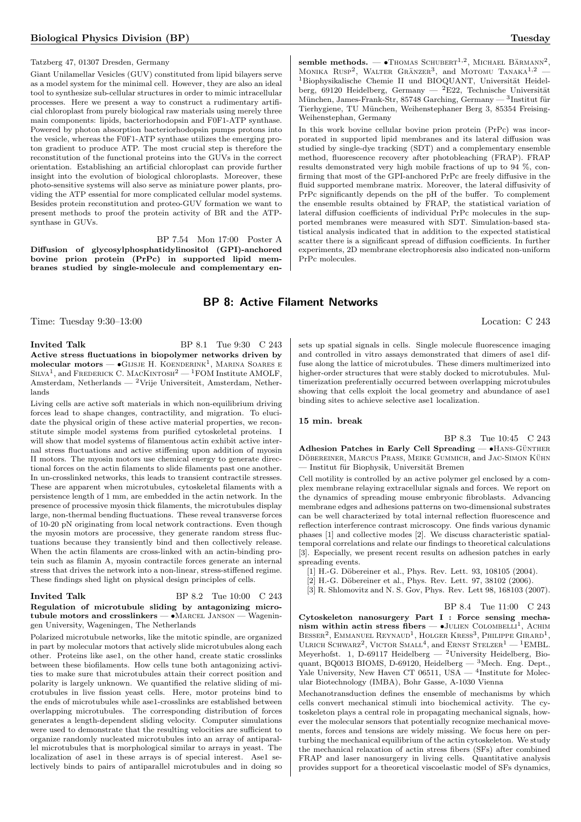#### Tatzberg 47, 01307 Dresden, Germany

Giant Unilamellar Vesicles (GUV) constituted from lipid bilayers serve as a model system for the minimal cell. However, they are also an ideal tool to synthesize sub-cellular structures in order to mimic intracellular processes. Here we present a way to construct a rudimentary artificial chloroplast from purely biological raw materials using merely three main components: lipids, bacteriorhodopsin and F0F1-ATP synthase. Powered by photon absorption bacteriorhodopsin pumps protons into the vesicle, whereas the F0F1-ATP synthase utilizes the emerging proton gradient to produce ATP. The most crucial step is therefore the reconstitution of the functional proteins into the GUVs in the correct orientation. Establishing an artificial chloroplast can provide further insight into the evolution of biological chloroplasts. Moreover, these photo-sensitive systems will also serve as miniature power plants, providing the ATP essential for more complicated cellular model systems. Besides protein reconstitution and proteo-GUV formation we want to present methods to proof the protein activity of BR and the ATPsynthase in GUVs.

BP 7.54 Mon 17:00 Poster A

Diffusion of glycosylphosphatidylinositol (GPI)-anchored bovine prion protein (PrPc) in supported lipid membranes studied by single-molecule and complementary en-

#### semble methods.  $-$  •Thomas Schubert<sup>1,2</sup>, Michael Bärmann<sup>2</sup>, MONIKA  $RUSP<sup>2</sup>$ , WALTER GRÄNZER<sup>3</sup>, and MOTOMU TANAKA<sup>1,2</sup>  $1B$ iophysikalische Chemie II und BIOQUANT, Universität Heidelberg, 69120 Heidelberg, Germany — <sup>2</sup>E22, Technische Universität München, James-Frank-Str, 85748 Garching, Germany —  $3$ Institut für Tierhygiene, TU München, Weihenstephaner Berg 3, 85354 Freising-Weihenstephan, Germany

In this work bovine cellular bovine prion protein (PrPc) was incorporated in supported lipid membranes and its lateral diffusion was studied by single-dye tracking (SDT) and a complementary ensemble method, fluorescence recovery after photobleaching (FRAP). FRAP results demonstrated very high mobile fractions of up to 94 %, confirming that most of the GPI-anchored PrPc are freely diffusive in the fluid supported membrane matrix. Moreover, the lateral diffusivity of PrPc significantly depends on the pH of the buffer. To complement the ensemble results obtained by FRAP, the statistical variation of lateral diffusion coefficients of individual PrPc molecules in the supported membranes were measured with SDT. Simulation-based statistical analysis indicated that in addition to the expected statistical scatter there is a significant spread of diffusion coefficients. In further experiments, 2D membrane electrophoresis also indicated non-uniform PrPc molecules.

## BP 8: Active Filament Networks

Time: Tuesday 9:30–13:00 Location: C 243

Invited Talk BP 8.1 Tue 9:30 C 243 Active stress fluctuations in biopolymer networks driven by  ${\bf molecular\ motors} \bf{-} \bullet$ Gijsje H. Koenderink<sup>1</sup>, Marina Soares e SILVA<sup>1</sup>, and FREDERICK C. MACKINTOSH<sup>2</sup> — <sup>1</sup>FOM Institute AMOLF, Amsterdam, Netherlands — <sup>2</sup>Vrije Universiteit, Amsterdam, Netherlands

Living cells are active soft materials in which non-equilibrium driving forces lead to shape changes, contractility, and migration. To elucidate the physical origin of these active material properties, we reconstitute simple model systems from purified cytoskeletal proteins. I will show that model systems of filamentous actin exhibit active internal stress fluctuations and active stiffening upon addition of myosin II motors. The myosin motors use chemical energy to generate directional forces on the actin filaments to slide filaments past one another. In un-crosslinked networks, this leads to transient contractile stresses. These are apparent when microtubules, cytoskeletal filaments with a persistence length of 1 mm, are embedded in the actin network. In the presence of processive myosin thick filaments, the microtubules display large, non-thermal bending fluctuations. These reveal transverse forces of 10-20 pN originating from local network contractions. Even though the myosin motors are processive, they generate random stress fluctuations because they transiently bind and then collectively release. When the actin filaments are cross-linked with an actin-binding protein such as filamin A, myosin contractile forces generate an internal stress that drives the network into a non-linear, stress-stiffened regime. These findings shed light on physical design principles of cells.

#### **Invited Talk** BP 8.2 Tue 10:00 C 243 Regulation of microtubule sliding by antagonizing microtubule motors and crosslinkers — •Marcel Janson — Wageningen University, Wageningen, The Netherlands

Polarized microtubule networks, like the mitotic spindle, are organized in part by molecular motors that actively slide microtubules along each other. Proteins like ase1, on the other hand, create static crosslinks between these biofilaments. How cells tune both antagonizing activities to make sure that microtubules attain their correct position and polarity is largely unknown. We quantified the relative sliding of microtubules in live fission yeast cells. Here, motor proteins bind to the ends of microtubules while ase1-crosslinks are established between overlapping microtubules. The corresponding distribution of forces generates a length-dependent sliding velocity. Computer simulations were used to demonstrate that the resulting velocities are sufficient to organize randomly nucleated microtubules into an array of antiparallel microtubules that is morphological similar to arrays in yeast. The localization of ase1 in these arrays is of special interest. Ase1 selectively binds to pairs of antiparallel microtubules and in doing so sets up spatial signals in cells. Single molecule fluorescence imaging and controlled in vitro assays demonstrated that dimers of ase1 diffuse along the lattice of microtubules. These dimers multimerized into higher-order structures that were stably docked to microtubules. Multimerization preferentially occurred between overlapping microtubules showing that cells exploit the local geometry and abundance of ase1 binding sites to achieve selective ase1 localization.

#### 15 min. break

BP 8.3 Tue 10:45 C 243

Adhesion Patches in Early Cell Spreading — •HANS-GÜNTHER DÖBEREINER, MARCUS PRASS, MEIKE GUMMICH, and JAC-SIMON KÜHN - Institut für Biophysik, Universität Bremen

Cell motility is controlled by an active polymer gel enclosed by a complex membrane relaying extracellular signals and forces. We report on the dynamics of spreading mouse embryonic fibroblasts. Advancing membrane edges and adhesions patterns on two-dimensional substrates can be well characterized by total internal reflection fluorescence and reflection interference contrast microscopy. One finds various dynamic phases [1] and collective modes [2]. We discuss characteristic spatialtemporal correlations and relate our findings to theoretical calculations [3]. Especially, we present recent results on adhesion patches in early spreading events.

- [1] H.-G. Döbereiner et al., Phys. Rev. Lett. 93, 108105 (2004).
- [2] H.-G. Döbereiner et al., Phys. Rev. Lett. 97, 38102 (2006).
- [3] R. Shlomovitz and N. S. Gov, Phys. Rev. Lett 98, 168103 (2007).

BP 8.4 Tue 11:00 C 243

Cytoskeleton nanosurgery Part I : Force sensing mechanism within actin stress fibers  $\bullet$  JULIEN COLOMBELLI<sup>1</sup>, ACHIM BESSER<sup>2</sup>, EMMANUEL REYNAUD<sup>1</sup>, HOLGER KRESS<sup>3</sup>, PHILIPPE GIRARD<sup>1</sup>, ULRICH SCHWARZ<sup>2</sup>, VICTOR SMALL<sup>4</sup>, and ERNST STELZER<sup>1</sup> - <sup>1</sup>EMBL. Meyerhofst. 1, D-69117 Heidelberg —  $^2$ University Heidelberg, Bioquant, BQ0013 BIOMS, D-69120, Heidelberg —  ${}^{3}$ Mech. Eng. Dept., Yale University, New Haven CT 06511, USA  $-$  <sup>4</sup>Institute for Molecular Biotechnology (IMBA), Bohr Gasse, A-1030 Vienna

Mechanotransduction defines the ensemble of mechanisms by which cells convert mechanical stimuli into biochemical activity. The cytoskeleton plays a central role in propagating mechanical signals, however the molecular sensors that potentially recognize mechanical movements, forces and tensions are widely missing. We focus here on perturbing the mechanical equilibrium of the actin cytoskeleton. We study the mechanical relaxation of actin stress fibers (SFs) after combined FRAP and laser nanosurgery in living cells. Quantitative analysis provides support for a theoretical viscoelastic model of SFs dynamics,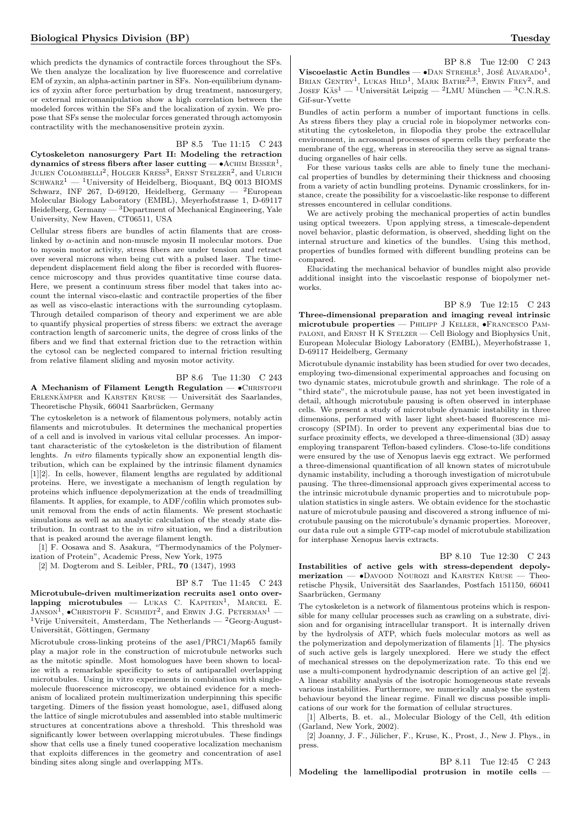which predicts the dynamics of contractile forces throughout the SFs. We then analyze the localization by live fluorescence and correlative EM of zyxin, an alpha-actinin partner in SFs. Non-equilibrium dynamics of zyxin after force perturbation by drug treatment, nanosurgery, or external micromanipulation show a high correlation between the modeled forces within the SFs and the localization of zyxin. We propose that SFs sense the molecular forces generated through actomyosin contractility with the mechanosensitive protein zyxin.

#### BP 8.5 Tue 11:15 C 243

Cytoskeleton nanosurgery Part II: Modeling the retraction  ${\rm dynamics}$  of stress fibers after laser  ${\rm cutting}$  —  $\bullet$  ACHIM  ${\rm Besser} 1,$ JULIEN COLOMBELLI<sup>2</sup>, HOLGER KRESS<sup>3</sup>, ERNST STELZER<sup>2</sup>, and ULRICH  $SCHWARZ<sup>1</sup>$  — <sup>1</sup>University of Heidelberg, Bioquant, BQ 0013 BIOMS Schwarz, INF 267, D-69120, Heidelberg, Germany  $-$  <sup>2</sup>European Molecular Biology Laboratory (EMBL), Meyerhofstrasse 1, D-69117 Heidelberg, Germany  $-3$  Department of Mechanical Engineering, Yale University, New Haven, CT06511, USA

Cellular stress fibers are bundles of actin filaments that are crosslinked by α-actinin and non-muscle myosin II molecular motors. Due to myosin motor activity, stress fibers are under tension and retract over several microns when being cut with a pulsed laser. The timedependent displacement field along the fiber is recorded with fluorescence microscopy and thus provides quantitative time course data. Here, we present a continuum stress fiber model that takes into account the internal visco-elastic and contractile properties of the fiber as well as visco-elastic interactions with the surrounding cytoplasm. Through detailed comparison of theory and experiment we are able to quantify physical properties of stress fibers: we extract the average contraction length of sarcomeric units, the degree of cross links of the fibers and we find that external friction due to the retraction within the cytosol can be neglected compared to internal friction resulting from relative filament sliding and myosin motor activity.

BP 8.6 Tue 11:30 C 243

A Mechanism of Filament Length Regulation —  $\bullet$  CHRISTOPH ERLENKÄMPER and KARSTEN KRUSE — Universität des Saarlandes, Theoretische Physik, 66041 Saarbrücken, Germany

The cytoskeleton is a network of filamentous polymers, notably actin filaments and microtubules. It determines the mechanical properties of a cell and is involved in various vital cellular processes. An important characteristic of the cytoskeleton is the distribution of filament lenghts. In vitro filaments typically show an exponential length distribution, which can be explained by the intrinsic filament dynamics [1][2]. In cells, however, filament lengths are regulated by additional proteins. Here, we investigate a mechanism of length regulation by proteins which influence depolymerization at the ends of treadmilling filaments. It applies, for example, to ADF/cofilin which promotes subunit removal from the ends of actin filaments. We present stochastic simulations as well as an analytic calculation of the steady state distribution. In contrast to the in vitro situation, we find a distribution that is peaked around the average filament length.

[1] F. Oosawa and S. Asakura, "Thermodynamics of the Polymerization of Protein", Academic Press, New York, 1975

[2] M. Dogterom and S. Leibler, PRL, 70 (1347), 1993

BP 8.7 Tue 11:45 C 243 Microtubule-driven multimerization recruits ase1 onto over $lapping$  microtubules  $-$  LUKAS C.  $KAPITEIN<sup>1</sup>$ , MARCEL E. JANSON<sup>1</sup>,  $\bullet$ CHRISTOPH F. SCHMIDT<sup>2</sup>, and ERWIN J.G. PETERMAN<sup>1</sup> —  $^1\rm{Vrije}$ Universiteit, Amsterdam, The Netherlands —  $^2\rm{Georg\text{-}August-}$ Universität, Göttingen, Germany

Microtubule cross-linking proteins of the ase1/PRC1/Map65 family play a major role in the construction of microtubule networks such as the mitotic spindle. Most homologues have been shown to localize with a remarkable specificity to sets of antiparallel overlapping microtubules. Using in vitro experiments in combination with singlemolecule fluorescence microscopy, we obtained evidence for a mechanism of localized protein multimerization underpinning this specific targeting. Dimers of the fission yeast homologue, ase1, diffused along the lattice of single microtubules and assembled into stable multimeric structures at concentrations above a threshold. This threshold was significantly lower between overlapping microtubules. These findings show that cells use a finely tuned cooperative localization mechanism that exploits differences in the geometry and concentration of ase1 binding sites along single and overlapping MTs.

BP 8.8 Tue 12:00 C 243 Viscoelastic Actin Bundles —  $\bullet$ DAN STREHLE<sup>1</sup>, JOSÉ ALVARADO<sup>1</sup>, BRIAN GENTRY<sup>1</sup>, LUKAS HILD<sup>1</sup>, MARK BATHE<sup>2,3</sup>, ERWIN FREY<sup>2</sup>, and JOSEF KÄS<sup>1</sup> — <sup>1</sup>Universität Leipzig — <sup>2</sup>LMU München — <sup>3</sup>C.N.R.S. Gif-sur-Yvette

Bundles of actin perform a number of important functions in cells. As stress fibers they play a crucial role in biopolymer networks constituting the cytoskeleton, in filopodia they probe the extracellular environment, in acrosomal processes of sperm cells they perforate the membrane of the egg, whereas in stereocilia they serve as signal transducing organelles of hair cells.

For these various tasks cells are able to finely tune the mechanical properties of bundles by determining their thickness and choosing from a variety of actin bundling proteins. Dynamic crosslinkers, for instance, create the possibility for a viscoelastic-like response to different stresses encountered in cellular conditions.

We are actively probing the mechanical properties of actin bundles using optical tweezers. Upon applying stress, a timescale-dependent novel behavior, plastic deformation, is observed, shedding light on the internal structure and kinetics of the bundles. Using this method, properties of bundles formed with different bundling proteins can be compared.

Elucidating the mechanical behavior of bundles might also provide additional insight into the viscoelastic response of biopolymer networks.

BP 8.9 Tue 12:15 C 243 Three-dimensional preparation and imaging reveal intrinsic microtubule properties — Philipp J Keller, •Francesco Pampaloni, and Ernst H K Stelzer — Cell Biology and Biophysics Unit, European Molecular Biology Laboratory (EMBL), Meyerhofstrasse 1, D-69117 Heidelberg, Germany

Microtubule dynamic instability has been studied for over two decades, employing two-dimensional experimental approaches and focusing on two dynamic states, microtubule growth and shrinkage. The role of a "third state", the microtubule pause, has not yet been investigated in detail, although microtubule pausing is often observed in interphase cells. We present a study of microtubule dynamic instability in three dimensions, performed with laser light sheet-based fluorescence microscopy (SPIM). In order to prevent any experimental bias due to surface proximity effects, we developed a three-dimensional (3D) assay employing transparent Teflon-based cylinders. Close-to-life conditions were ensured by the use of Xenopus laevis egg extract. We performed a three-dimensional quantification of all known states of microtubule dynamic instability, including a thorough investigation of microtubule pausing. The three-dimensional approach gives experimental access to the intrinsic microtubule dynamic properties and to microtubule population statistics in single asters. We obtain evidence for the stochastic nature of microtubule pausing and discovered a strong influence of microtubule pausing on the microtubule's dynamic properties. Moreover, our data rule out a simple GTP-cap model of microtubule stabilization for interphase Xenopus laevis extracts.

#### BP 8.10 Tue 12:30 C 243

Instabilities of active gels with stress-dependent depoly $merization - \bullet$ Davood Nourozi and KARSTEN KRUSE — Theoretische Physik, Universität des Saarlandes, Postfach 151150, 66041 Saarbrücken, Germany

The cytoskeleton is a network of filamentous proteins which is responsible for many cellular processes such as crawling on a substrate, division and for organising intracellular transport. It is internally driven by the hydrolysis of ATP, which fuels molecular motors as well as the polymerization and depolymerization of filaments [1]. The physics of such active gels is largely unexplored. Here we study the effect of mechanical stresses on the depolymerization rate. To this end we use a multi-component hydrodynamic description of an active gel [2]. A linear stability analysis of the isotropic homogeneous state reveals various instabilities. Furthermore, we numerically analyse the system behaviour beyond the linear regime. Finall we discuss possible implications of our work for the formation of cellular structures.

[1] Alberts, B. et. al., Molecular Biology of the Cell, 4th edition (Garland, New York, 2002).

[2] Joanny, J. F., Jülicher, F., Kruse, K., Prost, J., New J. Phys., in press.

BP 8.11 Tue 12:45 C 243 Modeling the lamellipodial protrusion in motile cells —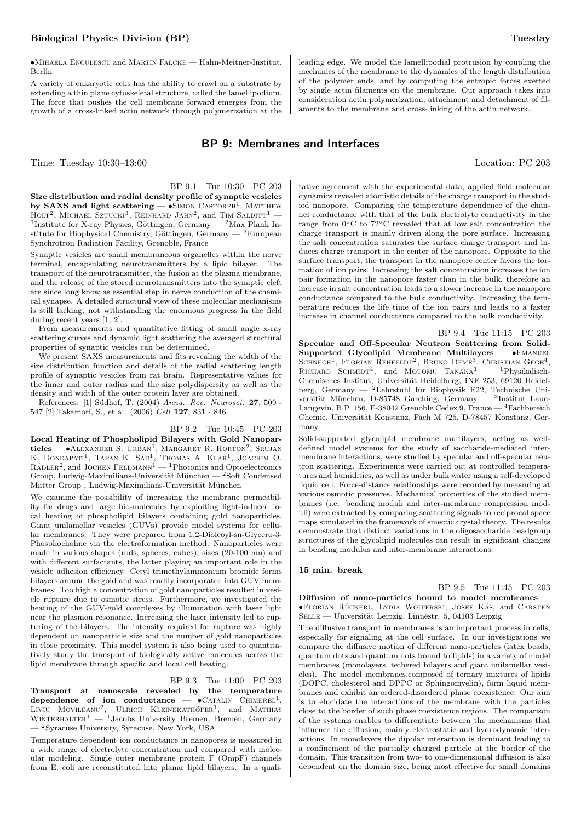•Mihaela Enculescu and Martin Falcke — Hahn-Meitner-Institut, Berlin

A variety of eukaryotic cells has the ability to crawl on a substrate by extending a thin plane cytoskeletal structure, called the lamellipodium. The force that pushes the cell membrane forward emerges from the growth of a cross-linked actin network through polymerization at the

## BP 9: Membranes and Interfaces

Time: Tuesday 10:30–13:00 Location: PC 203

BP 9.1 Tue 10:30 PC 203 Size distribution and radial density profile of synaptic vesicles by SAXS and light scattering —  $\bullet$ SIMON CASTORPH<sup>1</sup>, MATTHEW HOLT<sup>2</sup>, MICHAEL SZTUCKI<sup>3</sup>, REINHARD JAHN<sup>2</sup>, and TIM SALDITT<sup>1</sup> -<sup>1</sup>Institute for X-ray Physics, Göttingen, Germany  $-$  <sup>2</sup>Max Plank Institute for Biophysical Chemistry, Göttingen, Germany —  $^3\rm{European}$ Synchrotron Radiation Facility, Grenoble, France

Synaptic vesicles are small membraneous organelles within the nerve terminal, encapsulating neurotransmitters by a lipid bilayer. The transport of the neurotransmitter, the fusion at the plasma membrane, and the release of the stored neurotransmitters into the synaptic cleft are since long know as essential step in nerve conduction of the chemical synapse. A detailed structural view of these molecular mechanisms is still lacking, not withstanding the enormous progress in the field during recent years [1, 2].

From measurements and quantitative fitting of small angle x-ray scattering curves and dynamic light scattering the averaged structural properties of synaptic vesicles can be determined.

We present SAXS measurements and fits revealing the width of the size distribution function and details of the radial scattering length profile of synaptic vesicles from rat brain. Representative values for the inner and outer radius and the size polydispersity as well as the density and width of the outer protein layer are obtained.

References: [1] Südhof, T. (2004) Annu. Rev. Neurosci. 27, 509 -547 [2] Takamori, S., et al. (2006) Cell 127, 831 - 846

BP 9.2 Tue 10:45 PC 203 Local Heating of Phospholipid Bilayers with Gold Nanoparticles —  $\bullet$ ALEXANDER S. URBAN<sup>1</sup>, MARGARET R. HORTON<sup>2</sup>, SRUJAN K. DONDAPATI<sup>1</sup>, TAPAN K. SAU<sup>1</sup>, THOMAS A. KLAR<sup>1</sup>, JOACHIM O.<br>RÄDLER<sup>2</sup>, and JOCHEN FELDMANN<sup>1</sup> — <sup>1</sup>Photonics and Optoelectronics Group, Ludwig-Maximilians-Universität München  $-$ <sup>2</sup>Soft Condensed Matter Group, Ludwig-Maximilians-Universität München

We examine the possibility of increasing the membrane permeability for drugs and large bio-molecules by exploiting light-induced local heating of phospholipid bilayers containing gold nanoparticles. Giant unilamellar vesicles (GUVs) provide model systems for cellular membranes. They were prepared from 1,2-Dioleoyl-sn-Glycero-3- Phosphocholine via the electroformation method. Nanoparticles were made in various shapes (rods, spheres, cubes), sizes (20-100 nm) and with different surfactants, the latter playing an important role in the vesicle adhesion efficiency. Cetyl trimethylammonium bromide forms bilayers around the gold and was readily incorporated into GUV membranes. Too high a concentration of gold nanoparticles resulted in vesicle rupture due to osmotic stress. Furthermore, we investigated the heating of the GUV-gold complexes by illumination with laser light near the plasmon resonance. Increasing the laser intensity led to rupturing of the bilayers. The intensity required for rupture was highly dependent on nanoparticle size and the number of gold nanoparticles in close proximity. This model system is also being used to quantitatively study the transport of biologically active molecules across the lipid membrane through specific and local cell heating.

#### BP 9.3 Tue 11:00 PC 203

 $\begin{array}{cccc} \text{Transport} & \text{at} & \text{nanoscale} & \text{revealed} & \text{by} & \text{the} & \text{temperature} \\\text{dependence} & \text{of} & \text{ion} & \text{conductance} & \text{O} & \text{CATALIN} & \text{CHIMEREL}^1, \end{array}$ LIVIU MOVILEANU<sup>2</sup>, ULRICH KLEINEKATHÖFER<sup>1</sup>, and MATHIAS WINTERHALTER<sup>1</sup> — <sup>1</sup>Jacobs University Bremen, Bremen, Germany — <sup>2</sup>Syracuse University, Syracuse, New York, USA

Temperature dependent ion conductance in nanopores is measured in a wide range of electrolyte concentration and compared with molecular modeling. Single outer membrane protein F (OmpF) channels from E. coli are reconstituted into planar lipid bilayers. In a qualitative agreement with the experimental data, applied field molecular dynamics revealed atomistic details of the charge transport in the studied nanopore. Comparing the temperature dependence of the channel conductance with that of the bulk electrolyte conductivity in the range from 0◦C to 72◦C revealed that at low salt concentration the charge transport is mainly driven along the pore surface. Increasing the salt concentration saturates the surface charge transport and induces charge transport in the center of the nanopore. Opposite to the surface transport, the transport in the nanopore center favors the formation of ion pairs. Increasing the salt concentration increases the ion pair formation in the nanopore faster than in the bulk, therefore an increase in salt concentration leads to a slower increase in the nanopore conductance compared to the bulk conductivity. Increasing the temperature reduces the life time of the ion pairs and leads to a faster increase in channel conductance compared to the bulk conductivity.

leading edge. We model the lamellipodial protrusion by coupling the mechanics of the membrane to the dynamics of the length distribution of the polymer ends, and by computing the entropic forces exerted by single actin filaments on the membrane. Our approach takes into consideration actin polymerization, attachment and detachment of filaments to the membrane and cross-linking of the actin network.

BP 9.4 Tue 11:15 PC 203 Specular and Off-Specular Neutron Scattering from Solid-Supported Glycolipid Membrane Multilayers — •Emanuel SCHNECK<sup>1</sup>, FLORIAN REHFELDT<sup>2</sup>, BRUNO DEMÉ<sup>3</sup>, CHRISTIAN GEGE<sup>4</sup>, RICHARD SCHMIDT<sup>4</sup>, and MOTOMU TANAKA<sup>1</sup> — <sup>1</sup>Physikalisch-Chemisches Institut, Universität Heidelberg, INF 253, 69120 Heidelberg, Germany — <sup>2</sup>Lehrstuhl für Biophysik E22, Technische Universität München, D-85748 Garching, Germany  $-$  3Institut Laue-Langevin, B.P. 156, F-38042 Grenoble Cedex 9, France — <sup>4</sup>Fachbereich Chemie, Universität Konstanz, Fach M 725, D-78457 Konstanz, Germany

Solid-supported glycolipid membrane multilayers, acting as welldefined model systems for the study of saccharide-mediated intermembrane interactions, were studied by specular and off-specular neutron scattering. Experiments were carried out at controlled temperatures and humidities, as well as under bulk water using a self-developed liquid cell. Force-distance relationships were recorded by measuring at various osmotic pressures. Mechanical properties of the studied membranes (i.e. bending moduli and inter-membrane compression moduli) were extracted by comparing scattering signals to reciprocal space maps simulated in the framework of smectic crystal theory. The results demonstrate that distinct variations in the oligosaccharide headgroup structures of the glycolipid molecules can result in significant changes in bending modulus and inter-membrane interactions.

#### 15 min. break

BP 9.5 Tue 11:45 PC 203 Diffusion of nano-particles bound to model membranes — •Florian Ruckerl ¨ , Lydia Woiterski, Josef Kas¨ , and Carsten SELLE — Universität Leipzig, Linnéstr. 5, 04103 Leipzig

The diffusive transport in membranes is an important process in cells, especially for signaling at the cell surface. In our investigations we compare the diffusive motion of different nano-particles (latex beads, quantum dots and quantum dots bound to lipids) in a variety of model membranes (monolayers, tethered bilayers and giant unilamellar vesicles). The model membranes,composed of ternary mixtures of lipids (DOPC, cholesterol and DPPC or Sphingomyelin), form liquid membranes and exhibit an ordered-disordered phase coexistence. Our aim is to elucidate the interactions of the membrane with the particles close to the border of such phase coexistence regions. The comparison of the systems enables to differentiate between the mechanisms that influence the diffusion, mainly electrostatic and hydrodynamic interactions. In monolayers the dipolar interaction is dominant leading to a confinement of the partially charged particle at the border of the domain. This transition from two- to one-dimensional diffusion is also dependent on the domain size, being most effective for small domains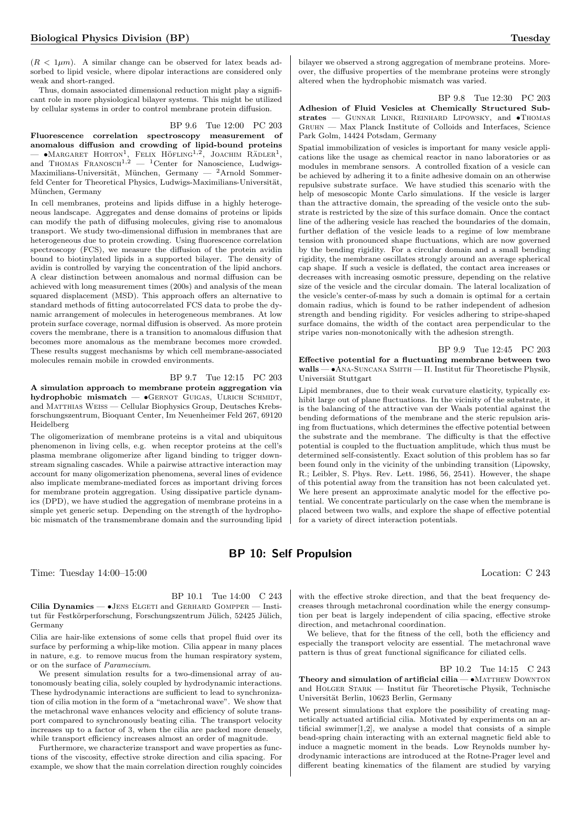$(R < 1 \mu m)$ . A similar change can be observed for latex beads adsorbed to lipid vesicle, where dipolar interactions are considered only weak and short-ranged.

Thus, domain associated dimensional reduction might play a significant role in more physiological bilayer systems. This might be utilized by cellular systems in order to control membrane protein diffusion.

#### BP 9.6 Tue 12:00 PC 203

Fluorescence correlation spectroscopy measurement of anomalous diffusion and crowding of lipid-bound proteins —  $\bullet$ Margaret Horton<sup>1</sup>, Felix Höfling<sup>1,2</sup>, Joachim Rädler<sup>1</sup>, and Thomas Franosch<sup>1,2</sup> — <sup>1</sup>Center for Nanoscience, Ludwigs-Maximilians-Universität, München, Germany —  ${}^{2}$ Arnold Sommerfeld Center for Theoretical Physics, Ludwigs-Maximilians-Universität, München, Germany

In cell membranes, proteins and lipids diffuse in a highly heterogeneous landscape. Aggregates and dense domains of proteins or lipids can modify the path of diffusing molecules, giving rise to anomalous transport. We study two-dimensional diffusion in membranes that are heterogeneous due to protein crowding. Using fluorescence correlation spectroscopy (FCS), we measure the diffusion of the protein avidin bound to biotinylated lipids in a supported bilayer. The density of avidin is controlled by varying the concentration of the lipid anchors. A clear distinction between anomalous and normal diffusion can be achieved with long measurement times (200s) and analysis of the mean squared displacement (MSD). This approach offers an alternative to standard methods of fitting autocorrelated FCS data to probe the dynamic arrangement of molecules in heterogeneous membranes. At low protein surface coverage, normal diffusion is observed. As more protein covers the membrane, there is a transition to anomalous diffusion that becomes more anomalous as the membrane becomes more crowded. These results suggest mechanisms by which cell membrane-associated molecules remain mobile in crowded environments.

## BP 9.7 Tue 12:15 PC 203

A simulation approach to membrane protein aggregation via hydrophobic mismatch —  $\bullet$ GERNOT GUIGAS, ULRICH SCHMIDT, and Matthias Weiss — Cellular Biophysics Group, Deutsches Krebsforschungszentrum, Bioquant Center, Im Neuenheimer Feld 267, 69120 Heidelberg

The oligomerization of membrane proteins is a vital and ubiquitous phenomenon in living cells, e.g. when receptor proteins at the cell's plasma membrane oligomerize after ligand binding to trigger downstream signaling cascades. While a pairwise attractive interaction may account for many oligomerization phenomena, several lines of evidence also implicate membrane-mediated forces as important driving forces for membrane protein aggregation. Using dissipative particle dynamics (DPD), we have studied the aggregation of membrane proteins in a simple yet generic setup. Depending on the strength of the hydrophobic mismatch of the transmembrane domain and the surrounding lipid

bilayer we observed a strong aggregation of membrane proteins. Moreover, the diffusive properties of the membrane proteins were strongly altered when the hydrophobic mismatch was varied.

BP 9.8 Tue 12:30 PC 203 Adhesion of Fluid Vesicles at Chemically Structured Substrates — GUNNAR LINKE, REINHARD LIPOWSKY, and  $\bullet$ Thomas Gruhn — Max Planck Institute of Colloids and Interfaces, Science Park Golm, 14424 Potsdam, Germany

Spatial immobilization of vesicles is important for many vesicle applications like the usage as chemical reactor in nano laboratories or as modules in membrane sensors. A controlled fixation of a vesicle can be achieved by adhering it to a finite adhesive domain on an otherwise repulsive substrate surface. We have studied this scenario with the help of mesoscopic Monte Carlo simulations. If the vesicle is larger than the attractive domain, the spreading of the vesicle onto the substrate is restricted by the size of this surface domain. Once the contact line of the adhering vesicle has reached the boundaries of the domain, further deflation of the vesicle leads to a regime of low membrane tension with pronounced shape fluctuations, which are now governed by the bending rigidity. For a circular domain and a small bending rigidity, the membrane oscillates strongly around an average spherical cap shape. If such a vesicle is deflated, the contact area increases or decreases with increasing osmotic pressure, depending on the relative size of the vesicle and the circular domain. The lateral localization of the vesicle's center-of-mass by such a domain is optimal for a certain domain radius, which is found to be rather independent of adhesion strength and bending rigidity. For vesicles adhering to stripe-shaped surface domains, the width of the contact area perpendicular to the stripe varies non-monotonically with the adhesion strength.

BP 9.9 Tue 12:45 PC 203 Effective potential for a fluctuating membrane between two walls —  $\bullet$ ANA-SUNCANA SMITH — II. Institut für Theoretische Physik, Universiät Stuttgart

Lipid membranes, due to their weak curvature elasticity, typically exhibit large out of plane fluctuations. In the vicinity of the substrate, it is the balancing of the attractive van der Waals potential against the bending deformations of the membrane and the steric repulsion arising from fluctuations, which determines the effective potential between the substrate and the membrane. The difficulty is that the effective potential is coupled to the fluctuation amplitude, which thus must be determined self-consistently. Exact solution of this problem has so far been found only in the vicinity of the unbinding transition (Lipowsky, R.; Leibler, S. Phys. Rev. Lett. 1986, 56, 2541). However, the shape of this potential away from the transition has not been calculated yet. We here present an approximate analytic model for the effective potential. We concentrate particularly on the case when the membrane is placed between two walls, and explore the shape of effective potential for a variety of direct interaction potentials.

## BP 10: Self Propulsion

Time: Tuesday 14:00–15:00 Location: C 243

BP 10.1 Tue 14:00 C 243

Cilia Dynamics — •Jens Elgeti and Gerhard Gompper — Institut für Festkörperforschung, Forschungszentrum Jülich, 52425 Jülich, Germany

Cilia are hair-like extensions of some cells that propel fluid over its surface by performing a whip-like motion. Cilia appear in many places in nature, e.g. to remove mucus from the human respiratory system, or on the surface of Paramecium.

We present simulation results for a two-dimensional array of autonomously beating cilia, solely coupled by hydrodynamic interactions. These hydrodynamic interactions are sufficient to lead to synchronization of cilia motion in the form of a "metachronal wave". We show that the metachronal wave enhances velocity and efficiency of solute transport compared to synchronously beating cilia. The transport velocity increases up to a factor of 3, when the cilia are packed more densely, while transport efficiency increases almost an order of magnitude.

Furthermore, we characterize transport and wave properties as functions of the viscosity, effective stroke direction and cilia spacing. For example, we show that the main correlation direction roughly coincides

with the effective stroke direction, and that the beat frequency decreases through metachronal coordination while the energy consumption per beat is largely independent of cilia spacing, effective stroke direction, and metachronal coordination.

We believe, that for the fitness of the cell, both the efficiency and especially the transport velocity are essential. The metachronal wave pattern is thus of great functional significance for ciliated cells.

BP 10.2 Tue 14:15 C 243

Theory and simulation of artificial cilia — •MATTHEW DOWNTON and HOLGER STARK — Institut für Theoretische Physik, Technische Universität Berlin, 10623 Berlin, Germany

We present simulations that explore the possibility of creating magnetically actuated artificial cilia. Motivated by experiments on an artificial swimmer $[1,2]$ , we analyse a model that consists of a simple bead-spring chain interacting with an external magnetic field able to induce a magnetic moment in the beads. Low Reynolds number hydrodynamic interactions are introduced at the Rotne-Prager level and different beating kinematics of the filament are studied by varying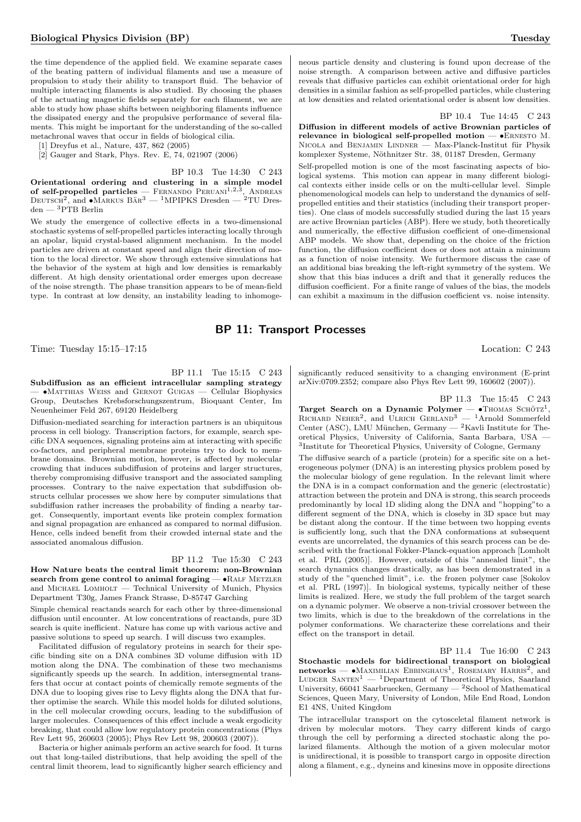the time dependence of the applied field. We examine separate cases of the beating pattern of individual filaments and use a measure of propulsion to study their ability to transport fluid. The behavior of multiple interacting filaments is also studied. By choosing the phases of the actuating magnetic fields separately for each filament, we are able to study how phase shifts between neighboring filaments influence the dissipated energy and the propulsive performance of several filaments. This might be important for the understanding of the so-called metachronal waves that occur in fields of biological cilia.

[1] Dreyfus et al., Nature, 437, 862 (2005)

[2] Gauger and Stark, Phys. Rev. E, 74, 021907 (2006)

BP 10.3 Tue 14:30 C 243 Orientational ordering and clustering in a simple model of self-propelled particles — FERNANDO PERUANI<sup>1,2,3</sup>, ANDREAS<br>DEUTSCH<sup>2</sup>, and  $\bullet$ MARKUS BÄR<sup>3</sup> — <sup>1</sup>MPIPKS Dresden — <sup>2</sup>TU Dres- ${\rm den} - {^3{\rm PTB}}$  Berlin

We study the emergence of collective effects in a two-dimensional stochastic systems of self-propelled particles interacting locally through an apolar, liquid crystal-based alignment mechanism. In the model particles are driven at constant speed and align their direction of motion to the local director. We show through extensive simulations hat the behavior of the system at high and low densities is remarkably different. At high density orientational order emerges upon decrease of the noise strength. The phase transition appears to be of mean-field type. In contrast at low density, an instability leading to inhomogeneous particle density and clustering is found upon decrease of the noise strength. A comparison between active and diffusive particles reveals that diffusive particles can exhibit orientational order for high densities in a similar fashion as self-propelled particles, while clustering at low densities and related orientational order is absent low densities.

BP 10.4 Tue 14:45 C 243

Diffusion in different models of active Brownian particles of relevance in biological self-propelled motion — •Ernesto M. NICOLA and BENJAMIN LINDNER — Max-Planck-Institut für Physik komplexer Systeme, Nöthnitzer Str. 38, 01187 Dresden, Germany

Self-propelled motion is one of the most fascinating aspects of biological systems. This motion can appear in many different biological contexts either inside cells or on the multi-cellular level. Simple phenomenological models can help to understand the dynamics of selfpropelled entities and their statistics (including their transport properties). One class of models successfully studied during the last 15 years are active Brownian particles (ABP). Here we study, both theoretically and numerically, the effective diffusion coefficient of one-dimensional ABP models. We show that, depending on the choice of the friction function, the diffusion coefficient does or does not attain a minimum as a function of noise intensity. We furthermore discuss the case of an additional bias breaking the left-right symmetry of the system. We show that this bias induces a drift and that it generally reduces the diffusion coefficient. For a finite range of values of the bias, the models can exhibit a maximum in the diffusion coefficient vs. noise intensity.

## BP 11: Transport Processes

Time: Tuesday 15:15–17:15 Location: C 243

BP 11.1 Tue 15:15 C 243 Subdiffusion as an efficient intracellular sampling strategy — •Matthias Weiss and Gernot Guigas — Cellular Biophysics Group, Deutsches Krebsforschungszentrum, Bioquant Center, Im Neuenheimer Feld 267, 69120 Heidelberg

Diffusion-mediated searching for interaction partners is an ubiquitous process in cell biology. Transcription factors, for example, search specific DNA sequences, signaling proteins aim at interacting with specific co-factors, and peripheral membrane proteins try to dock to membrane domains. Brownian motion, however, is affected by molecular crowding that induces subdiffusion of proteins and larger structures, thereby compromising diffusive transport and the associated sampling processes. Contrary to the naive expectation that subdiffusion obstructs cellular processes we show here by computer simulations that subdiffusion rather increases the probability of finding a nearby target. Consequently, important events like protein complex formation and signal propagation are enhanced as compared to normal diffusion. Hence, cells indeed benefit from their crowded internal state and the associated anomalous diffusion.

BP 11.2 Tue 15:30 C 243

How Nature beats the central limit theorem: non-Brownian search from gene control to animal foraging -  $\bullet$ RALF METZLER and Michael Lomholt — Technical University of Munich, Physics Department T30g, James Franck Strasse, D-85747 Garching

Simple chemical reactands search for each other by three-dimensional diffusion until encounter. At low concentrations of reactands, pure 3D search is quite inefficient. Nature has come up with various active and passive solutions to speed up search. I will discuss two examples.

Facilitated diffusion of regulatory proteins in search for their specific binding site on a DNA combines 3D volume diffusion with 1D motion along the DNA. The combination of these two mechanisms significantly speeds up the search. In addition, intersegmental transfers that occur at contact points of chemically remote segments of the DNA due to looping gives rise to Levy flights along the DNA that further optimise the search. While this model holds for diluted solutions, in the cell molecular crowding occurs, leading to the subdiffusion of larger molecules. Consequences of this effect include a weak ergodicity breaking, that could allow low regulatory protein concentrations (Phys Rev Lett 95, 260603 (2005); Phys Rev Lett 98, 200603 (2007)).

Bacteria or higher animals perform an active search for food. It turns out that long-tailed distributions, that help avoiding the spell of the central limit theorem, lead to significantly higher search efficiency and

significantly reduced sensitivity to a changing environment (E-print arXiv:0709.2352; compare also Phys Rev Lett 99, 160602 (2007)).

BP 11.3 Tue 15:45 C 243 Target Search on a Dynamic Polymer —  $\bullet$ Thomas Schötz<sup>1</sup>, RICHARD NEHER<sup>2</sup>, and ULRICH GERLAND<sup>3</sup>  $-$ <sup>1</sup>Arnold Sommerfeld Center (ASC), LMU München, Germany —  ${}^{2}$ Kavli Institute for Theoretical Physics, University of California, Santa Barbara, USA — 3 Institute for Theoretical Physics, University of Cologne, Germany

The diffusive search of a particle (protein) for a specific site on a heterogeneous polymer (DNA) is an interesting physics problem posed by the molecular biology of gene regulation. In the relevant limit where the DNA is in a compact conformation and the generic (electrostatic) attraction between the protein and DNA is strong, this search proceeds predominantly by local 1D sliding along the DNA and "hopping"to a different segment of the DNA, which is closeby in 3D space but may be distant along the contour. If the time between two hopping events is sufficiently long, such that the DNA conformations at subsequent events are uncorrelated, the dynamics of this search process can be described with the fractional Fokker-Planck-equation approach [Lomholt et al. PRL (2005)]. However, outside of this "annealed limit", the search dynamics changes drastically, as has been demonstrated in a study of the "quenched limit", i.e. the frozen polymer case [Sokolov et al. PRL (1997)]. In biological systems, typically neither of these limits is realized. Here, we study the full problem of the target search on a dynamic polymer. We observe a non-trivial crossover between the two limits, which is due to the breakdown of the correlations in the polymer conformations. We characterize these correlations and their effect on the transport in detail.

BP 11.4 Tue 16:00 C 243 Stochastic models for bidirectional transport on biological  $networks$   $\longrightarrow$  MAXIMILIAN EBBINGHAUS<sup>1</sup>, ROSEMARY HARRIS<sup>2</sup>, and LUDGER SANTEN<sup>1</sup> — <sup>1</sup>Department of Theoretical Physics, Saarland University, 66041 Saarbruecken, Germany  $-$  <sup>2</sup>School of Mathematical Sciences, Queen Mary, University of London, Mile End Road, London E1 4NS, United Kingdom

The intracellular transport on the cytosceletal filament network is driven by molecular motors. They carry different kinds of cargo through the cell by performing a directed stochastic along the polarized filaments. Although the motion of a given molecular motor is unidirectional, it is possible to transport cargo in opposite direction along a filament, e.g., dyneins and kinesins move in opposite directions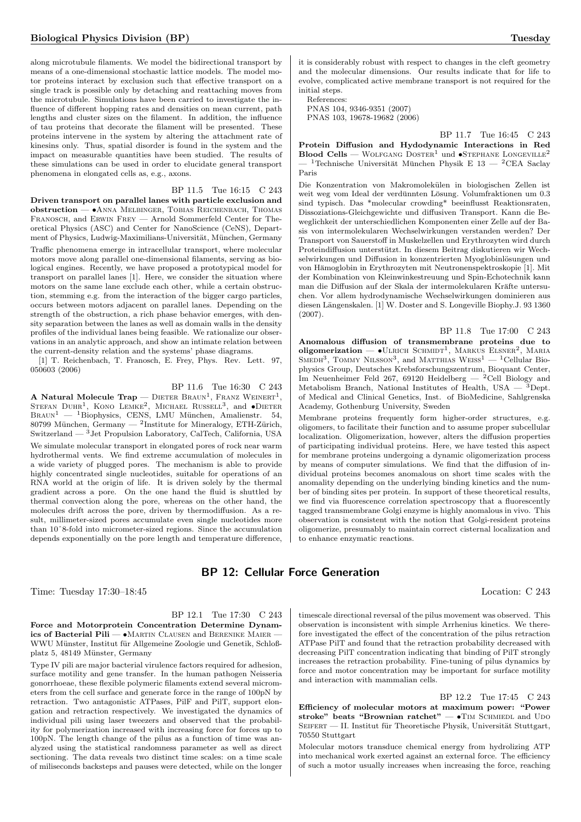along microtubule filaments. We model the bidirectional transport by means of a one-dimensional stochastic lattice models. The model motor proteins interact by exclusion such that effective transport on a single track is possible only by detaching and reattaching moves from the microtubule. Simulations have been carried to investigate the influence of different hopping rates and densities on mean current, path lengths and cluster sizes on the filament. In addition, the influence of tau proteins that decorate the filament will be presented. These proteins intervene in the system by altering the attachment rate of kinesins only. Thus, spatial disorder is found in the system and the impact on measurable quantities have been studied. The results of these simulations can be used in order to elucidate general transport phenomena in elongated cells as, e.g., axons.

#### BP 11.5 Tue 16:15 C 243

Driven transport on parallel lanes with particle exclusion and obstruction — •Anna Melbinger, Tobias Reichenbach, Thomas Franosch, and Erwin Frey — Arnold Sommerfeld Center for Theoretical Physics (ASC) and Center for NanoScience (CeNS), Department of Physics, Ludwig-Maximilians-Universität, München, Germany

Traffic phenomena emerge in intracellular transport, where molecular motors move along parallel one-dimensional filaments, serving as biological engines. Recently, we have proposed a prototypical model for transport on parallel lanes [1]. Here, we consider the situation where motors on the same lane exclude each other, while a certain obstruction, stemming e.g. from the interaction of the bigger cargo particles, occurs between motors adjacent on parallel lanes. Depending on the strength of the obstruction, a rich phase behavior emerges, with density separation between the lanes as well as domain walls in the density profiles of the individual lanes being feasible. We rationalize our observations in an analytic approach, and show an intimate relation between the current-density relation and the systems' phase diagrams.

[1] T. Reichenbach, T. Franosch, E. Frey, Phys. Rev. Lett. 97, 050603 (2006)

#### BP 11.6 Tue 16:30 C 243

A Natural Molecule Trap — Dieter Braun<sup>1</sup>, Franz Weinert<sup>1</sup>, STEFAN DUHR<sup>1</sup>, KONO LEMKE<sup>2</sup>, MICHAEL RUSSELL<sup>3</sup>, and  $\bullet$ DIETER  $B$ RAUN<sup>1</sup> — <sup>1</sup>Biophysics, CENS, LMU München, Amalienstr. 54, 80799 München, Germany — <sup>2</sup>Institute for Mineralogy, ETH-Zürich, Switzerland —  $^3$  Jet Propulsion Laboratory, CalTech, California, USA We simulate molecular transport in elongated pores of rock near warm hydrothermal vents. We find extreme accumulation of molecules in a wide variety of plugged pores. The mechanism is able to provide highly concentrated single nucleotides, suitable for operations of an RNA world at the origin of life. It is driven solely by the thermal gradient across a pore. On the one hand the fluid is shuttled by thermal convection along the pore, whereas on the other hand, the molecules drift across the pore, driven by thermodiffusion. As a result, millimeter-sized pores accumulate even single nucleotides more than 10ˆ8-fold into micrometer-sized regions. Since the accumulation depends exponentially on the pore length and temperature difference,

## BP 12: Cellular Force Generation

Time: Tuesday 17:30–18:45 Location: C 243

BP 12.1 Tue 17:30 C 243

Force and Motorprotein Concentration Determine Dynamics of Bacterial Pili —  $\bullet$ Martin Clausen and Berenike Maier WWU Münster, Institut für Allgemeine Zoologie und Genetik, Schloßplatz 5, 48149 Münster, Germany

Type IV pili are major bacterial virulence factors required for adhesion, surface motility and gene transfer. In the human pathogen Neisseria gonorrhoeae, these flexible polymeric filaments extend several micrometers from the cell surface and generate force in the range of 100pN by retraction. Two antagonistic ATPases, PilF and PilT, support elongation and retraction respectively. We investigated the dynamics of individual pili using laser tweezers and observed that the probability for polymerization increased with increasing force for forces up to 100pN. The length change of the pilus as a function of time was analyzed using the statistical randomness parameter as well as direct sectioning. The data reveals two distinct time scales: on a time scale of miliseconds backsteps and pauses were detected, while on the longer

it is considerably robust with respect to changes in the cleft geometry and the molecular dimensions. Our results indicate that for life to evolve, complicated active membrane transport is not required for the initial steps.

References: PNAS 104, 9346-9351 (2007)

PNAS 103, 19678-19682 (2006)

BP 11.7 Tue 16:45 C 243

Protein Diffusion and Hydodynamic Interactions in Red Blood Cells — WOLFGANG DOSTER<sup>1</sup> und  $\bullet$ STEPHANE LONGEVILLE<sup>2</sup> — <sup>1</sup>Technische Universität München Physik E 13 — <sup>2</sup>CEA Saclay Paris

Die Konzentration von Makromolekulen in biologischen Zellen ist ¨ weit weg vom Ideal der verdünnten Lösung. Volumfraktionen um  $0.3\,$ sind typisch. Das \*molecular crowding\* beeinflusst Reaktionsraten, Dissoziations-Gleichgewichte und diffusiven Transport. Kann die Beweglichkeit der unterschiedlichen Komponenten einer Zelle auf der Basis von intermolekularen Wechselwirkungen verstanden werden? Der Transport von Sauerstoff in Muskelzellen und Erythrozyten wird durch Proteindiffusion unterstützt. In diesem Beitrag diskutieren wir Wechselwirkungen und Diffusion in konzentrierten Myoglobinlösungen und von Hämoglobin in Erythrozyten mit Neutronenspektroskopie [1]. Mit der Kombination von Kleinwinkestreuung und Spin-Echotechnik kann man die Diffusion auf der Skala der intermolekularen Kräfte untersuchen. Vor allem hydrodynamische Wechselwirkungen dominieren aus diesen Längenskalen. [1] W. Doster and S. Longeville Biophy.J. 93 1360 (2007).

BP 11.8 Tue 17:00 C 243 Anomalous diffusion of transmembrane proteins due to oligomerization  $\bullet$  ULRICH SCHMIDT<sup>1</sup>, MARKUS ELSNER<sup>2</sup>, MARIA SMEDH<sup>3</sup>, TOMMY NILSSON<sup>3</sup>, and MATTHIAS WEISS<sup>1</sup> — <sup>1</sup>Cellular Biophysics Group, Deutsches Krebsforschungszentrum, Bioquant Center, Im Neuenheimer Feld 267, 69120 Heidelberg — <sup>2</sup>Cell Biology and Metabolism Branch, National Institutes of Health, USA  $-$  <sup>3</sup>Dept. of Medical and Clinical Genetics, Inst. of BioMedicine, Sahlgrenska Academy, Gothenburg University, Sweden

Membrane proteins frequently form higher-order structures, e.g. oligomers, to facilitate their function and to assume proper subcellular localization. Oligomerization, however, alters the diffusion properties of participating individual proteins. Here, we have tested this aspect for membrane proteins undergoing a dynamic oligomerization process by means of computer simulations. We find that the diffusion of individual proteins becomes anomalous on short time scales with the anomality depending on the underlying binding kinetics and the number of binding sites per protein. In support of these theoretical results, we find via fluorescence correlation spectroscopy that a fluorescently tagged transmembrane Golgi enzyme is highly anomalous in vivo. This observation is consistent with the notion that Golgi-resident proteins oligomerize, presumably to maintain correct cisternal localization and to enhance enzymatic reactions.

timescale directional reversal of the pilus movement was observed. This observation is inconsistent with simple Arrhenius kinetics. We therefore investigated the effect of the concentration of the pilus retraction ATPase PilT and found that the retraction probability decreased with decreasing PilT concentration indicating that binding of PilT strongly increases the retraction probability. Fine-tuning of pilus dynamics by force and motor concentration may be important for surface motility and interaction with mammalian cells.

BP 12.2 Tue 17:45 C 243 Efficiency of molecular motors at maximum power: "Power stroke" beats "Brownian ratchet" — •TIM SCHMIEDL and UDO SEIFERT — II. Institut für Theoretische Physik, Universität Stuttgart, 70550 Stuttgart

Molecular motors transduce chemical energy from hydrolizing ATP into mechanical work exerted against an external force. The efficiency of such a motor usually increases when increasing the force, reaching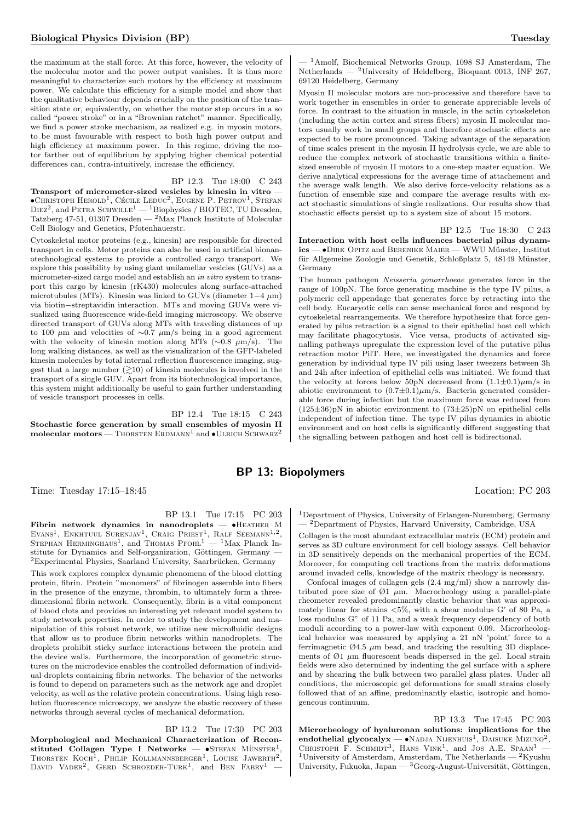the maximum at the stall force. At this force, however, the velocity of the molecular motor and the power output vanishes. It is thus more meaningful to characterize such motors by the efficiency at maximum power. We calculate this efficiency for a simple model and show that the qualitative behaviour depends crucially on the position of the transition state or, equivalently, on whether the motor step occurs in a so called "power stroke" or in a "Brownian ratchet" manner. Specifically, we find a power stroke mechanism, as realized e.g. in myosin motors, to be most favourable with respect to both high power output and high efficiency at maximum power. In this regime, driving the motor farther out of equilibrium by applying higher chemical potential differences can, contra-intuitively, increase the efficiency.

BP 12.3 Tue 18:00 C 243

Transport of micrometer-sized vesicles by kinesin in vitro —  $\bullet$ Christoph Herold<sup>1</sup>, Cécile Leduc<sup>2</sup>, Eugene P. Petrov<sup>1</sup>, Stefan  $\text{DEZ}^2$ , and PETRA SCHWILLE<sup>1</sup> — <sup>1</sup>Biophysics / BIOTEC, TU Dresden, Tatzberg 47-51, 01307 Dresden — <sup>2</sup>Max Planck Institute of Molecular Cell Biology and Genetics, Pfotenhauerstr.

Cytoskeletal motor proteins (e.g., kinesin) are responsible for directed transport in cells. Motor proteins can also be used in artificial bionanotechnological systems to provide a controlled cargo transport. We explore this possibility by using giant unilamellar vesicles (GUVs) as a micrometer-sized cargo model and establish an in vitro system to transport this cargo by kinesin (rK430) molecules along surface-attached microtubules (MTs). Kinesin was linked to GUVs (diameter  $1-4 \mu m$ ) via biotin−streptavidin interaction. MTs and moving GUVs were visualized using fluorescence wide-field imaging microscopy. We observe directed transport of GUVs along MTs with traveling distances of up to 100  $\mu$ m and velocities of ∼0.7  $\mu$ m/s being in a good agreement with the velocity of kinesin motion along MTs ( $\sim$ 0.8  $\mu$ m/s). The long walking distances, as well as the visualization of the GFP-labeled kinesin molecules by total internal reflection fluorescence imaging, suggest that a large number  $(\gtrsim 10)$  of kinesin molecules is involved in the transport of a single GUV. Apart from its biotechnological importance, this system might additionally be useful to gain further understanding of vesicle transport processes in cells.

BP 12.4 Tue 18:15 C 243 Stochastic force generation by small ensembles of myosin II  $molecular motors - ThORSTEN ERDMANN<sup>1</sup> and  $\bullet$  ULRICH SCHWARZ<sup>2</sup>$ 

 $-$ <sup>1</sup>Amolf, Biochemical Networks Group, 1098 SJ Amsterdam, The Netherlands — <sup>2</sup>University of Heidelberg, Bioquant 0013, INF 267, 69120 Heidelberg, Germany

Myosin II molecular motors are non-processive and therefore have to work together in ensembles in order to generate appreciable levels of force. In contrast to the situation in muscle, in the actin cytoskeleton (including the actin cortex and stress fibers) myosin II molecular motors usually work in small groups and therefore stochastic effects are expected to be more pronounced. Taking advantage of the separation of time scales present in the myosin II hydrolysis cycle, we are able to reduce the complex network of stochastic transitions within a finitesized ensemble of myosin II motors to a one-step master equation. We derive analytical expressions for the average time of attachement and the average walk length. We also derive force-velocity relations as a function of ensemble size and compare the average results with exact stochastic simulations of single realizations. Our results show that stochastic effects persist up to a system size of about 15 motors.

BP 12.5 Tue 18:30 C 243

Interaction with host cells influences bacterial pilus dynam $ics - \bullet$ DIRK OPITZ and BERENIKE MAIER — WWU Münster, Institut für Allgemeine Zoologie und Genetik, Schloßplatz 5, 48149 Münster, Germany

The human pathogen Neisseria gonorrhoeae generates force in the range of 100pN. The force generating machine is the type IV pilus, a polymeric cell appendage that generates force by retracting into the cell body. Eucaryotic cells can sense mechanical force and respond by cytoskeletal rearrangements. We therefore hypothesize that force generated by pilus retraction is a signal to their epithelial host cell which may facilitate phagocytosis. Vice versa, products of activated signalling pathways upregulate the expression level of the putative pilus retraction motor PilT. Here, we investigated the dynamics and force generation by individual type IV pili using laser tweezers between 3h and 24h after infection of epithelial cells was initiated. We found that the velocity at forces below 50pN decreased from  $(1.1\pm0.1)\mu$ m/s in abiotic environment to  $(0.7\pm0.1)\mu$ m/s. Bacteria generated considerable force during infection but the maximum force was reduced from (125±36)pN in abiotic environment to  $(73\pm25)$ pN on epithelial cells independent of infection time. The type IV pilus dynamics in abiotic environment and on host cells is significantly different suggesting that the signalling between pathogen and host cell is bidirectional.

## BP 13: Biopolymers

Time: Tuesday 17:15–18:45 Location: PC 203

BP 13.1 Tue 17:15 PC 203

Fibrin network dynamics in nanodroplets — •Heather M EVANS<sup>1</sup>, ENKHTUUL SURENJAV<sup>1</sup>, CRAIG PRIEST<sup>1</sup>, RALF SEEMANN<sup>1,2</sup>, STEPHAN HERMINGHAUS<sup>1</sup>, and THOMAS PFOHL<sup>1</sup> — <sup>1</sup>Max Planck Institute for Dynamics and Self-organization, Göttingen, Germany –  ${}^{2}$ Experimental Physics, Saarland University, Saarbrücken, Germany

This work explores complex dynamic phenomena of the blood clotting protein, fibrin. Protein "monomers" of fibrinogen assemble into fibers in the presence of the enzyme, thrombin, to ultimately form a threedimensional fibrin network. Consequently, fibrin is a vital component of blood clots and provides an interesting yet relevant model system to study network properties. In order to study the development and manipulation of this robust network, we utilize new microfluidic designs that allow us to produce fibrin networks within nanodroplets. The droplets prohibit sticky surface interactions between the protein and the device walls. Furthermore, the incorporation of geometric structures on the microdevice enables the controlled deformation of individual droplets containing fibrin networks. The behavior of the networks is found to depend on parameters such as the network age and droplet velocity, as well as the relative protein concentrations. Using high resolution fluorescence microscopy, we analyze the elastic recovery of these networks through several cycles of mechanical deformation.

BP 13.2 Tue 17:30 PC 203

Morphological and Mechanical Characterization of Reconstituted Collagen Type I Networks -  $\bullet$ STEFAN MÜNSTER<sup>1</sup>, THORSTEN  $KocH<sup>1</sup>$ , PHILIP KOLLMANNSBERGER<sup>1</sup>, LOUISE JAWERTH<sup>2</sup>, DAVID VADER<sup>2</sup>, GERD SCHROEDER-TURK<sup>1</sup>, and BEN FABRY<sup>1</sup> –

<sup>1</sup>Department of Physics, University of Erlangen-Nuremberg, Germany — <sup>2</sup>Department of Physics, Harvard University, Cambridge, USA

Collagen is the most abundant extracellular matrix (ECM) protein and serves as 3D culture environment for cell biology assays. Cell behavior in 3D sensitively depends on the mechanical properties of the ECM. Moreover, for computing cell tractions from the matrix deformations around invaded cells, knowledge of the matrix rheology is necessary.

Confocal images of collagen gels (2.4 mg/ml) show a narrowly distributed pore size of  $\varnothing$ 1  $\mu$ m. Macrorheology using a parallel-plate rheometer revealed predominantly elastic behavior that was approximately linear for strains <5%, with a shear modulus G' of 80 Pa, a loss modulus G" of 11 Pa, and a weak frequency dependency of both moduli according to a power-law with exponent 0.09. Microrheological behavior was measured by applying a 21 nN 'point' force to a ferrimagnetic  $\varnothing$ 4.5  $\mu$ m bead, and tracking the resulting 3D displacements of  $\emptyset$ 1  $\mu$ m fluorescent beads dispersed in the gel. Local strain fields were also determined by indenting the gel surface with a sphere and by shearing the bulk between two parallel glass plates. Under all conditions, the microscopic gel deformations for small strains closely followed that of an affine, predominantly elastic, isotropic and homogeneous continuum.

BP 13.3 Tue 17:45 PC 203 Microrheology of hyaluronan solutions: implications for the endothelial glycocalyx —  $\bullet$ NADJA NIJENHUIS<sup>1</sup>, DAISUKE MIZUNO<sup>2</sup>, CHRISTOPH F. SCHMIDT<sup>3</sup>, HANS VINK<sup>1</sup>, and JOS A.E. SPAAN<sup>1</sup> -<sup>1</sup>University of Amsterdam, Amsterdam, The Netherlands — <sup>2</sup>Kyushu University, Fukuoka, Japan —  ${}^{3}$ Georg-August-Universität, Göttingen,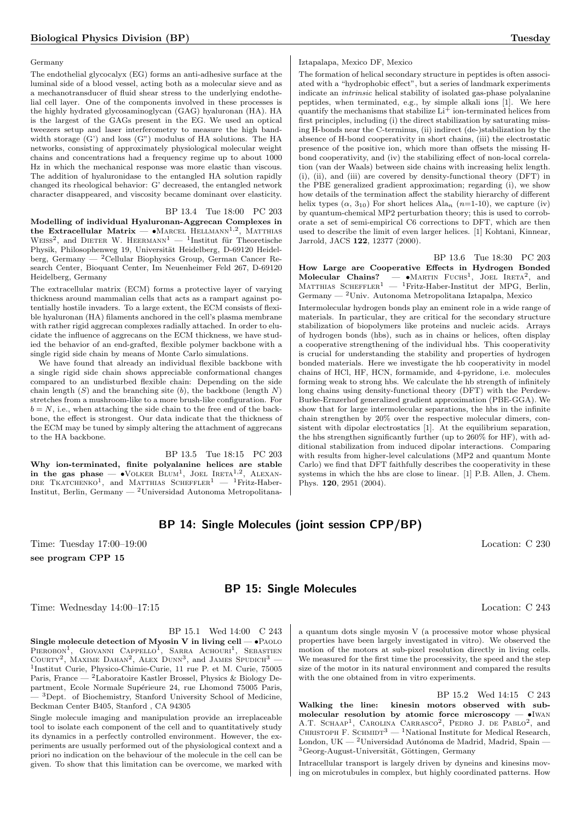#### Germany

The endothelial glycocalyx (EG) forms an anti-adhesive surface at the luminal side of a blood vessel, acting both as a molecular sieve and as a mechanotransducer of fluid shear stress to the underlying endothelial cell layer. One of the components involved in these processes is the highly hydrated glycosaminoglycan (GAG) hyaluronan (HA). HA is the largest of the GAGs present in the EG. We used an optical tweezers setup and laser interferometry to measure the high bandwidth storage (G') and loss (G") modulus of HA solutions. The HA networks, consisting of approximately physiological molecular weight chains and concentrations had a frequency regime up to about 1000 Hz in which the mechanical response was more elastic than viscous. The addition of hyaluronidase to the entangled HA solution rapidly changed its rheological behavior: G' decreased, the entangled network character disappeared, and viscosity became dominant over elasticity.

## BP 13.4 Tue 18:00 PC 203

Modelling of individual Hyaluronan-Aggrecan Complexes in the Extracellular Matrix —  $\bullet$ Marcel Hellmann<sup>1,2</sup>, Matthias WEISS<sup>2</sup>, and DIETER W. HEERMANN<sup>1</sup> — <sup>1</sup>Institut für Theoretische Physik, Philosophenweg 19, Universität Heidelberg, D-69120 Heidelberg, Germany — <sup>2</sup>Cellular Biophysics Group, German Cancer Research Center, Bioquant Center, Im Neuenheimer Feld 267, D-69120 Heidelberg, Germany

The extracellular matrix (ECM) forms a protective layer of varying thickness around mammalian cells that acts as a rampart against potentially hostile invaders. To a large extent, the ECM consists of flexible hyaluronan (HA) filaments anchored in the cell's plasma membrane with rather rigid aggrecan complexes radially attached. In order to elucidate the influence of aggrecans on the ECM thickness, we have studied the behavior of an end-grafted, flexible polymer backbone with a single rigid side chain by means of Monte Carlo simulations.

We have found that already an individual flexible backbone with a single rigid side chain shows appreciable conformational changes compared to an undisturbed flexible chain: Depending on the side chain length  $(S)$  and the branching site  $(b)$ , the backbone (length  $N$ ) stretches from a mushroom-like to a more brush-like configuration. For  $b = N$ , i.e., when attaching the side chain to the free end of the backbone, the effect is strongest. Our data indicate that the thickness of the ECM may be tuned by simply altering the attachment of aggrecans to the HA backbone.

BP 13.5 Tue 18:15 PC 203 Why ion-terminated, finite polyalanine helices are stable in the gas phase  $-$  •Volker Blum<sup>1</sup>, Joel Ireta<sup>1,2</sup>, Alexan-DRE TKATCHENKO<sup>1</sup>, and MATTHIAS SCHEFFLER<sup>1</sup>  $-$  <sup>1</sup>Fritz-Haber-Institut, Berlin, Germany — <sup>2</sup>Universidad Autonoma Metropolitana-

#### Iztapalapa, Mexico DF, Mexico

The formation of helical secondary structure in peptides is often associated with a "hydrophobic effect", but a series of landmark experiments indicate an intrinsic helical stability of isolated gas-phase polyalanine peptides, when terminated, e.g., by simple alkali ions [1]. We here quantify the mechanisms that stabilize  $Li<sup>+</sup>$  ion-terminated helices from first principles, including (i) the direct stabilization by saturating missing H-bonds near the C-terminus, (ii) indirect (de-)stabilization by the absence of H-bond cooperativity in short chains, (iii) the electrostatic presence of the positive ion, which more than offsets the missing Hbond cooperativity, and (iv) the stabilizing effect of non-local correlation (van der Waals) between side chains with increasing helix length. (i), (ii), and (iii) are covered by density-functional theory  $(DFT)$  in the PBE generalized gradient approximation; regarding (i), we show how details of the termination affect the stability hierarchy of different helix types  $(\alpha, 3_{10})$  For short helices Ala<sub>n</sub> (n=1-10), we capture (iv) by quantum-chemical MP2 perturbation theory; this is used to corroborate a set of semi-empirical C6 corrections to DFT, which are then used to describe the limit of even larger helices. [1] Kohtani, Kinnear, Jarrold, JACS 122, 12377 (2000).

BP 13.6 Tue 18:30 PC 203 How Large are Cooperative Effects in Hydrogen Bonded Molecular Chains?  $-\bullet$ Martin Fuchs<sup>1</sup>, Joel Ireta<sup>2</sup>, and Matthias Scheffler<sup>1</sup> — <sup>1</sup>Fritz-Haber-Institut der MPG, Berlin, Germany — <sup>2</sup>Univ. Autonoma Metropolitana Iztapalpa, Mexico

Intermolecular hydrogen bonds play an eminent role in a wide range of materials. In particular, they are critical for the secondary structure stabilization of biopolymers like proteins and nucleic acids. Arrays of hydrogen bonds (hbs), such as in chains or helices, often display a cooperative strengthening of the individual hbs. This cooperativity is crucial for understanding the stability and properties of hydrogen bonded materials. Here we investigate the hb cooperativity in model chains of HCl, HF, HCN, formamide, and 4-pyridone, i.e. molecules forming weak to strong hbs. We calculate the hb strength of infinitely long chains using density-functional theory (DFT) with the Perdew-Burke-Ernzerhof generalized gradient approximation (PBE-GGA). We show that for large intermolecular separations, the hbs in the infinite chain strengthen by 20% over the respective molecular dimers, consistent with dipolar electrostatics [1]. At the equilibrium separation, the hbs strengthen significantly further (up to 260% for HF), with additional stabilization from induced dipolar interactions. Comparing with results from higher-level calculations (MP2 and quantum Monte Carlo) we find that DFT faithfully describes the cooperativity in these systems in which the hbs are close to linear. [1] P.B. Allen, J. Chem. Phys. 120, 2951 (2004).

## BP 14: Single Molecules (joint session CPP/BP)

Time: Tuesday 17:00–19:00 Location: C 230 see program CPP 15

## BP 15: Single Molecules

Time: Wednesday 14:00–17:15 Location: C 243

BP 15.1 Wed 14:00 C 243

Single molecule detection of Myosin V in living cell  $-\bullet$  PAOLO PIEROBON<sup>1</sup>, GIOVANNI CAPPELLO<sup>I</sup>, SARRA ACHOURI<sup>1</sup>, SEBASTIEN COURTY<sup>2</sup>, MAXIME DAHAN<sup>2</sup>, ALEX DUNN<sup>3</sup>, and JAMES SPUDICH<sup>3</sup> – 1 Institut Curie, Physico-Chimie-Curie, 11 rue P. et M. Curie, 75005 Paris, France — <sup>2</sup>Laboratoire Kastler Brossel, Physics & Biology Department, Ecole Normale Supérieure 24, rue Lhomond 75005 Paris, <sup>3</sup>Dept. of Biochemistry, Stanford University School of Medicine, Beckman Center B405, Stanford , CA 94305

Single molecule imaging and manipulation provide an irreplaceable tool to isolate each component of the cell and to quantitatively study its dynamics in a perfectly controlled environment. However, the experiments are usually performed out of the physiological context and a priori no indication on the behaviour of the molecule in the cell can be given. To show that this limitation can be overcome, we marked with

a quantum dots single myosin V (a processive motor whose physical properties have been largely investigated in vitro). We observed the motion of the motors at sub-pixel resolution directly in living cells. We measured for the first time the processivity, the speed and the step size of the motor in its natural environment and compared the results with the one obtained from in vitro experiments.

BP 15.2 Wed 14:15 C 243 Walking the line: kinesin motors observed with submolecular resolution by atomic force microscopy  $-$  •IWAN A.T. SCHAAP<sup>1</sup>, CAROLINA CARRASCO<sup>2</sup>, PEDRO J. DE PABLO<sup>2</sup>, and CHRISTOPH F. SCHMIDT<sup>3</sup> — <sup>1</sup>National Institute for Medical Research, London, UK —  $^{2}$ Universidad Autónoma de Madrid, Madrid, Spain -<sup>3</sup>Georg-August-Universität, Göttingen, Germany

Intracellular transport is largely driven by dyneins and kinesins moving on microtubules in complex, but highly coordinated patterns. How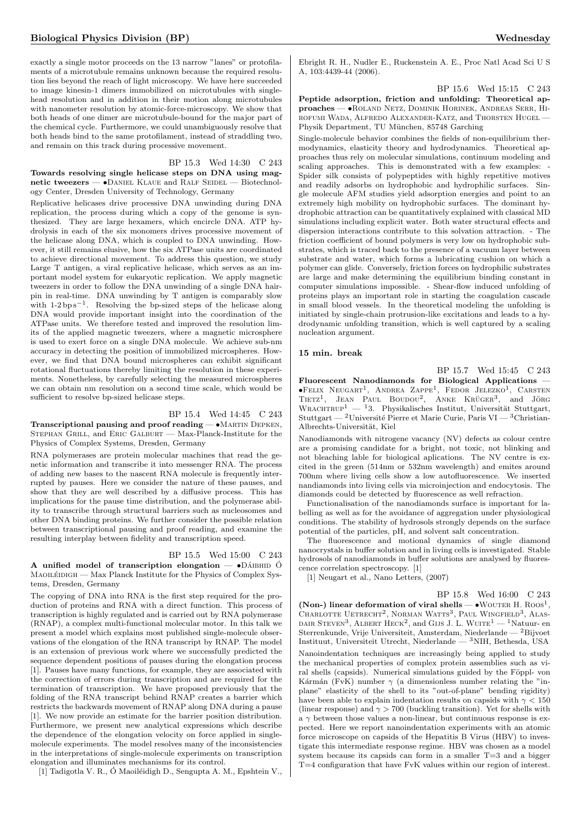exactly a single motor proceeds on the 13 narrow "lanes" or protofilaments of a microtubule remains unknown because the required resolution lies beyond the reach of light microscopy. We have here succeeded to image kinesin-1 dimers immobilized on microtubules with singlehead resolution and in addition in their motion along microtubules with nanometer resolution by atomic-force-microscopy. We show that both heads of one dimer are microtubule-bound for the major part of the chemical cycle. Furthermore, we could unambiguously resolve that both heads bind to the same protofilament, instead of straddling two, and remain on this track during processive movement.

## BP 15.3 Wed 14:30 C 243

Towards resolving single helicase steps on DNA using magnetic tweezers  $-$  •Daniel Klaue and RALF Seinel  $-$  Biotechnology Center, Dresden University of Technology, Germany

Replicative helicases drive processive DNA unwinding during DNA replication, the process during which a copy of the genome is synthesized. They are large hexamers, which encircle DNA. ATP hydrolysis in each of the six monomers drives processive movement of the helicase along DNA, which is coupled to DNA unwinding. However, it still remains elusive, how the six ATPase units are coordinated to achieve directional movement. To address this question, we study Large T antigen, a viral replicative helicase, which serves as an important model system for eukaryotic replication. We apply magnetic tweezers in order to follow the DNA unwinding of a single DNA hairpin in real-time. DNA unwinding by T antigen is comparably slow with  $1-2bp s^{-1}$ . Resolving the bp-sized steps of the helicase along DNA would provide important insight into the coordination of the ATPase units. We therefore tested and improved the resolution limits of the applied magnetic tweezers, where a magnetic microsphere is used to exert force on a single DNA molecule. We achieve sub-nm accuracy in detecting the position of immobilized microspheres. However, we find that DNA bound microspheres can exhibit significant rotational fluctuations thereby limiting the resolution in these experiments. Nonetheless, by carefully selecting the measured microspheres we can obtain nm resolution on a second time scale, which would be sufficient to resolve bp-sized helicase steps.

BP 15.4 Wed 14:45 C 243 Transcriptional pausing and proof reading — •Martin Depken, STEPHAN GRILL, and ERIC GALBURT — Max-Planck-Institute for the Physics of Complex Systems, Dresden, Germany

RNA polymerases are protein molecular machines that read the genetic information and transcribe it into messenger RNA. The process of adding new bases to the nascent RNA molecule is frequently interrupted by pauses. Here we consider the nature of these pauses, and show that they are well described by a diffusive process. This has implications for the pause time distribution, and the polymerase ability to transcribe through structural barriers such as nucleosomes and other DNA binding proteins. We further consider the possible relation between transcriptional pausing and proof reading, and examine the resulting interplay between fidelity and transcription speed.

#### BP 15.5 Wed 15:00 C 243

A unified model of transcription elongation  $-\bullet$  DAIBHID  $\acute{0}$ MAOILÉIDIGH — Max Planck Institute for the Physics of Complex Systems, Dresden, Germany

The copying of DNA into RNA is the first step required for the production of proteins and RNA with a direct function. This process of transcription is highly regulated and is carried out by RNA polymerase (RNAP), a complex multi-functional molecular motor. In this talk we present a model which explains most published single-molecule observations of the elongation of the RNA transcript by RNAP. The model is an extension of previous work where we successfully predicted the sequence dependent positions of pauses during the elongation process [1]. Pauses have many functions, for example, they are associated with the correction of errors during transcription and are required for the termination of transcription. We have proposed previously that the folding of the RNA transcript behind RNAP creates a barrier which restricts the backwards movement of RNAP along DNA during a pause [1]. We now provide an estimate for the barrier position distribution. Furthermore, we present new analytical expressions which describe the dependence of the elongation velocity on force applied in singlemolecule experiments. The model resolves many of the inconsistencies in the interpretations of single-molecule experiments on transcription elongation and illuminates mechanisms for its control.

[1] Tadigotla V. R., Ó Maoiléidigh D., Sengupta A. M., Epshtein V.,

Ebright R. H., Nudler E., Ruckenstein A. E., Proc Natl Acad Sci U S A, 103:4439-44 (2006).

#### BP 15.6 Wed 15:15 C 243

Peptide adsorption, friction and unfolding: Theoretical approaches — •Roland Netz, Dominik Horinek, Andreas Serr, Hirofumi Wada, Alfredo Alexander-Katz, and Thorsten Hugel — Physik Department, TU München, 85748 Garching

Single-molecule behavior combines the fields of non-equilibrium thermodynamics, elasticity theory and hydrodynamics. Theoretical approaches thus rely on molecular simulations, continuum modeling and scaling approaches. This is demonstrated with a few examples: - Spider silk consists of polypeptides with highly repetitive motives and readily adsorbs on hydrophobic and hydrophilic surfaces. Single molecule AFM studies yield adsorption energies and point to an extremely high mobility on hydrophobic surfaces. The dominant hydrophobic attraction can be quantitatively explained with classical MD simulations including explicit water. Both water structural effects and dispersion interactions contribute to this solvation attraction. - The friction coefficient of bound polymers is very low on hydrophobic substrates, which is traced back to the presence of a vacuum layer between substrate and water, which forms a lubricating cushion on which a polymer can glide. Conversely, friction forces on hydrophilic substrates are large and make determining the equilibrium binding constant in computer simulations impossible. - Shear-flow induced unfolding of proteins plays an important role in starting the coagulation cascade in small blood vessels. In the theoretical modeling the unfolding is initiated by single-chain protrusion-like excitations and leads to a hydrodynamic unfolding transition, which is well captured by a scaling nucleation argument.

#### 15 min. break

BP 15.7 Wed 15:45 C 243

Fluorescent Nanodiamonds for Biological Applications —  $\bullet$ Felix Neugart<sup>1</sup>, Andrea Zappe<sup>1</sup>, Fedor Jelezko<sup>1</sup>, Carsten TIETZ<sup>1</sup>, JEAN PAUL BOUDOU<sup>2</sup>, ANKE KRÜGER<sup>3</sup>, and JÖRG WRACHTRUP<sup>1</sup> — <sup>1</sup>3. Physikalisches Institut, Universität Stuttgart, Stuttgart — <sup>2</sup>Université Pierre et Marie Curie, Paris VI — <sup>3</sup>Christian-Albrechts-Universität, Kiel

Nanodiamonds with nitrogene vacancy (NV) defects as colour centre are a promising candidate for a bright, not toxic, not blinking and not bleaching lable for biological aplications. The NV centre is excited in the green (514nm or 532nm wavelength) and emites around 700nm where living cells show a low autofluorescence. We inserted nandiamonds into living cells via microinjection and endocytosis. The diamonds could be detected by fluorescence as well refraction.

Functionalisation of the nanodiamonds surface is important for labelling as well as for the avoidance of aggregation under physiological conditions. The stability of hydrosols strongly depends on the surface potential of the particles, pH, and solvent salt concentration.

The fluorescence and motional dynamics of single diamond nanocrystals in buffer solution and in living cells is investigated. Stable hydrosols of nanodiamonds in buffer solutions are analysed by fluorescence correlation spectroscopy. [1]

[1] Neugart et al., Nano Letters, (2007)

#### BP 15.8 Wed 16:00 C 243

(Non-) linear deformation of viral shells  $- \cdot$  WOUTER H. Roos<sup>1</sup>, CHARLOTTE UETRECHT<sup>2</sup>, NORMAN WATTS<sup>3</sup>, PAUL WINGFIELD<sup>3</sup>, ALAS-DAIR STEVEN<sup>3</sup>, ALBERT HECK<sup>2</sup>, and GIJS J. L. WUITE<sup>1</sup> — <sup>1</sup>Natuur- en Sterrenkunde, Vrije Universiteit, Amsterdam, Niederlande — <sup>2</sup>Bijvoet Instituut, Universiteit Utrecht, Niederlande — <sup>3</sup>NIH, Bethesda, USA Nanoindentation techniques are increasingly being applied to study the mechanical properties of complex protein assemblies such as viral shells (capsids). Numerical simulations guided by the Föppl- von Kármán (FvK) number  $\gamma$  (a dimensionless number relating the "inplane" elasticity of the shell to its "out-of-plane" bending rigidity) have been able to explain indentation results on capsids with  $\gamma < 150$ (linear response) and  $\gamma > 700$  (buckling transition). Yet for shells with  $a \gamma$  between those values a non-linear, but continuous response is expected. Here we report nanoindentation experiments with an atomic force microscope on capsids of the Hepatitis B Virus (HBV) to investigate this intermediate response regime. HBV was chosen as a model system because its capsids can form in a smaller T=3 and a bigger T=4 configuration that have FvK values within our region of interest.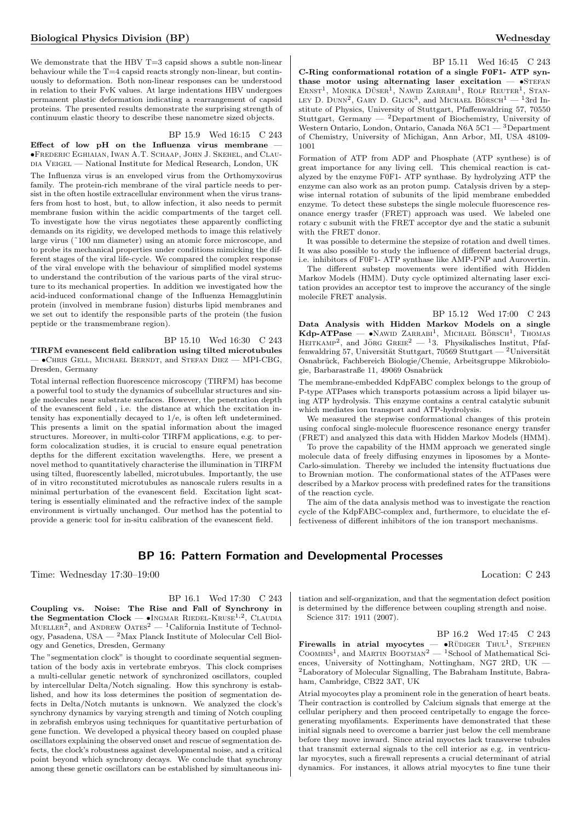We demonstrate that the HBV  $T=3$  capsid shows a subtle non-linear behaviour while the  $T=4$  capsid reacts strongly non-linear, but continuously to deformation. Both non-linear responses can be understood in relation to their FvK values. At large indentations HBV undergoes permanent plastic deformation indicating a rearrangement of capsid proteins. The presented results demonstrate the surprising strength of continuum elastic theory to describe these nanometre sized objects.

#### BP 15.9 Wed 16:15 C 243

Effect of low  $pH$  on the Influenza virus membrane •Frederic Eghiaian, Iwan A.T. Schaap, John J. Skehel, and Clau-DIA VEIGEL — National Institute for Medical Research, London, UK

The Influenza virus is an enveloped virus from the Orthomyxovirus family. The protein-rich membrane of the viral particle needs to persist in the often hostile extracellular environment when the virus transfers from host to host, but, to allow infection, it also needs to permit membrane fusion within the acidic compartments of the target cell. To investigate how the virus negotiates these apparently conflicting demands on its rigidity, we developed methods to image this relatively large virus (˜100 nm diameter) using an atomic force microscope, and to probe its mechanical properties under conditions mimicking the different stages of the viral life-cycle. We compared the complex response of the viral envelope with the behaviour of simplified model systems to understand the contribution of the various parts of the viral structure to its mechanical properties. In addition we investigated how the acid-induced conformational change of the Influenza Hemagglutinin protein (involved in membrane fusion) disturbs lipid membranes and we set out to identify the responsible parts of the protein (the fusion peptide or the transmembrane region).

BP 15.10 Wed 16:30 C 243 TIRFM evanescent field calibration using tilted microtubules — •Chris Gell, Michael Berndt, and Stefan Diez — MPI-CBG, Dresden, Germany

Total internal reflection fluorescence microscopy (TIRFM) has become a powerful tool to study the dynamics of subcellular structures and single molecules near substrate surfaces. However, the penetration depth of the evanescent field , i.e. the distance at which the excitation intensity has exponentially decayed to 1/e, is often left undetermined. This presents a limit on the spatial information about the imaged structures. Moreover, in multi-color TIRFM applications, e.g. to perform colocalization studies, it is crucial to ensure equal penetration depths for the different excitation wavelengths. Here, we present a novel method to quantitatively characterise the illumination in TIRFM using tilted, fluorescently labelled, microtubules. Importantly, the use of in vitro reconstituted microtubules as nanoscale rulers results in a minimal perturbation of the evanescent field. Excitation light scattering is essentially eliminated and the refractive index of the sample environment is virtually unchanged. Our method has the potential to provide a generic tool for in-situ calibration of the evanescent field.

BP 15.11 Wed 16:45 C 243 C-Ring conformational rotation of a single F0F1- ATP synthase motor using alternating laser excitation  $-$  •STEFAN ERNST<sup>1</sup>, MONIKA DÜSER<sup>1</sup>, NAWID ZARRABI<sup>1</sup>, ROLF REUTER<sup>1</sup>, STAN-LEY D. DUNN<sup>2</sup>, GARY D. GLICK<sup>3</sup>, and MICHAEL BÖRSCH<sup>1</sup> — <sup>1</sup>3rd Institute of Physics, University of Stuttgart, Pfaffenwaldring 57, 70550 Stuttgart, Germany  $-$  <sup>2</sup>Department of Biochemistry, University of Western Ontario, London, Ontario, Canada N6A 5C1 — <sup>3</sup>Department of Chemistry, University of Michigan, Ann Arbor, MI, USA 48109- 1001

Formation of ATP from ADP and Phosphate (ATP synthese) is of great importance for any living cell. This chemical reaction is catalyzed by the enzyme F0F1- ATP synthase. By hydrolyzing ATP the enzyme can also work as an proton pump. Catalysis driven by a stepwise internal rotation of subunits of the lipid membrane embedded enzyme. To detect these substeps the single molecule fluorescence resonance energy trasfer (FRET) approach was used. We labeled one rotary c subunit with the FRET acceptor dye and the static a subunit with the FRET donor.

It was possible to determine the stepsize of rotation and dwell times. It was also possible to study the influence of different bacterial drugs, i.e. inhibitors of F0F1- ATP synthase like AMP-PNP and Aurovertin.

The different substep movements were identified with Hidden Markov Models (HMM). Duty cycle optimized alternating laser excitation provides an acceptor test to improve the accurancy of the single molecile FRET analysis.

BP 15.12 Wed 17:00 C 243 Data Analysis with Hidden Markov Models on a single  $\text{Kdp-ATPase}$   $\longrightarrow$  NAWID ZARRABI<sup>1</sup>, MICHAEL BÖRSCH<sup>1</sup>, THOMAS HEITKAMP<sup>2</sup>, and JÖRG GREIE<sup>2</sup> - <sup>1</sup>3. Physikalisches Institut, Pfaffenwaldring 57, Universität Stuttgart, 70569 Stuttgart — <sup>2</sup>Universität Osnabrück, Fachbereich Biologie/Chemie, Arbeitsgruppe Mikrobiologie, Barbarastraße 11, 49069 Osnabrück

The membrane-embedded KdpFABC complex belongs to the group of P-type ATPases which transports potassium across a lipid bilayer using ATP hydrolysis. This enzyme contains a central catalytic subunit which mediates ion transport and ATP-hydrolysis.

We measured the stepwise conformational changes of this protein using confocal single-molecule fluorescence resonance energy transfer (FRET) and analyzed this data with Hidden Markov Models (HMM).

To prove the capability of the HMM approach we generated single molecule data of freely diffusing enzymes in liposomes by a Monte-Carlo-simulation. Thereby we included the intensity fluctuations due to Brownian motion. The conformational states of the ATPases were described by a Markov process with predefined rates for the transitions of the reaction cycle.

The aim of the data analysis method was to investigate the reaction cycle of the KdpFABC-complex and, furthermore, to elucidate the effectiveness of different inhibitors of the ion transport mechanisms.

## BP 16: Pattern Formation and Developmental Processes

BP 16.1 Wed 17:30 C 243

Coupling vs. Noise: The Rise and Fall of Synchrony in the Segmentation Clock —  $\bullet$ INGMAR RIEDEL-KRUSE<sup>1,2</sup>, CLAUDIA MUELLER<sup>2</sup>, and ANDREW OATES<sup>2</sup> — <sup>1</sup>California Institute of Technology, Pasadena, USA — <sup>2</sup>Max Planck Institute of Molecular Cell Biology and Genetics, Dresden, Germany

The "segmentation clock" is thought to coordinate sequential segmentation of the body axis in vertebrate embryos. This clock comprises a multi-cellular genetic network of synchronized oscillators, coupled by intercellular Delta/Notch signaling. How this synchrony is established, and how its loss determines the position of segmentation defects in Delta/Notch mutants is unknown. We analyzed the clock's synchrony dynamics by varying strength and timing of Notch coupling in zebrafish embryos using techniques for quantitative perturbation of gene function. We developed a physical theory based on coupled phase oscillators explaining the observed onset and rescue of segmentation defects, the clock's robustness against developmental noise, and a critical point beyond which synchrony decays. We conclude that synchrony among these genetic oscillators can be established by simultaneous initiation and self-organization, and that the segmentation defect position is determined by the difference between coupling strength and noise. Science 317: 1911 (2007).

BP 16.2 Wed 17:45 C 243 Firewalls in atrial myocytes  $\bullet$ RÜDIGER THUL<sup>1</sup>, STEPHEN COOMBES<sup>1</sup>, and MARTIN BOOTMAN<sup>2</sup> — <sup>1</sup>School of Mathematical Sciences, University of Nottingham, Nottingham, NG7 2RD, UK —  $^2$ Laboratory of Molecular Signalling, The Babraham Institute, Babraham, Cambridge, CB22 3AT, UK

Atrial myocoytes play a prominent role in the generation of heart beats. Their contraction is controlled by Calcium signals that emerge at the cellular periphery and then proceed centripetally to engage the forcegenerating myofilaments. Experiments have demonstrated that these initial signals need to overcome a barrier just below the cell membrane before they move inward. Since atrial myoctes lack transverse tubules that transmit external signals to the cell interior as e.g. in ventricular myocytes, such a firewall represents a crucial determinant of atrial dynamics. For instances, it allows atrial myocytes to fine tune their

Time: Wednesday 17:30–19:00 Location: C 243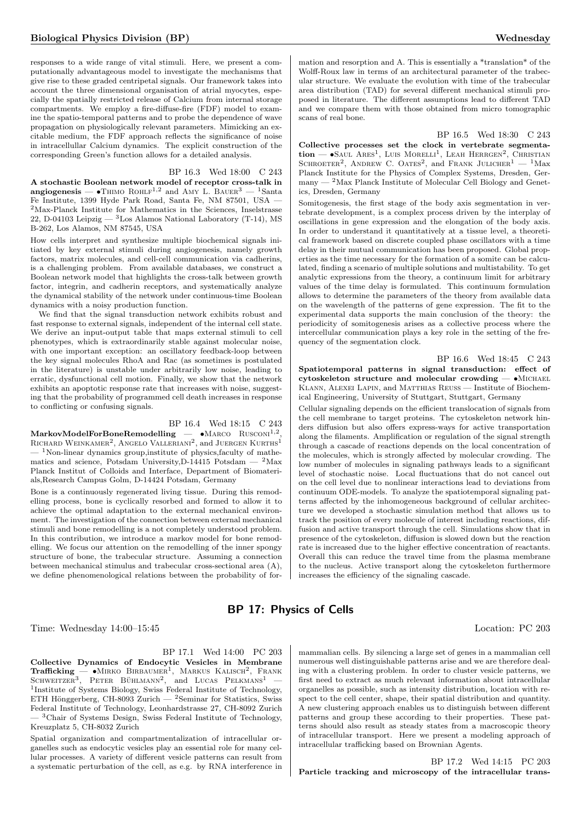responses to a wide range of vital stimuli. Here, we present a computationally advantageous model to investigate the mechanisms that give rise to these graded centripetal signals. Our framework takes into account the three dimensional organisation of atrial myocytes, especially the spatially restricted release of Calcium from internal storage compartments. We employ a fire-diffuse-fire (FDF) model to examine the spatio-temporal patterns and to probe the dependence of wave propagation on physiologically relevant parameters. Mimicking an excitable medium, the FDF approach reflects the significance of noise in intracellullar Calcium dynamics. The explicit construction of the corresponding Green's function allows for a detailed analysis.

BP 16.3 Wed 18:00 C 243 A stochastic Boolean network model of receptor cross-talk in angiogenesis  $\bullet$  Thimo Rohlf<sup>1,2</sup> and Amy L. BAUER<sup>3</sup>  $-$  <sup>1</sup>Santa Fe Institute, 1399 Hyde Park Road, Santa Fe, NM 87501, USA — <sup>2</sup>Max-Planck Institute for Mathematics in the Sciences, Inselstrasse 22, D-04103 Leipzig  $-$  <sup>3</sup>Los Alamos National Laboratory (T-14), MS B-262, Los Alamos, NM 87545, USA

How cells interpret and synthesize multiple biochemical signals initiated by key external stimuli during angiogenesis, namely growth factors, matrix molecules, and cell-cell communication via cadherins, is a challenging problem. From available databases, we construct a Boolean network model that highlights the cross-talk between growth factor, integrin, and cadherin receptors, and systematically analyze the dynamical stability of the network under continuous-time Boolean dynamics with a noisy production function.

We find that the signal transduction network exhibits robust and fast response to external signals, independent of the internal cell state. We derive an input-output table that maps external stimuli to cell phenotypes, which is extraordinarily stable against molecular noise, with one important exception: an oscillatory feedback-loop between the key signal molecules RhoA and Rac (as sometimes is postulated in the literature) is unstable under arbitrarily low noise, leading to erratic, dysfunctional cell motion. Finally, we show that the network exhibits an apoptotic response rate that increases with noise, suggesting that the probability of programmed cell death increases in response to conflicting or confusing signals.

BP 16.4 Wed 18:15 C 243

MarkovModelForBoneRemodelling —  $\bullet$ Marco Rusconi<sup>1,2</sup>,<br>Richard Weinkamer<sup>2</sup>, Angelo Valleriani<sup>2</sup>, and Juergen Kurths<sup>1</sup>  $-$ <sup>1</sup>Non-linear dynamics group, institute of physics, faculty of mathematics and science, Potsdam University, D-14415 Potsdam  $-$  <sup>2</sup>Max Planck Institut of Colloids and Interface, Department of Biomaterials,Research Campus Golm, D-14424 Potsdam, Germany

Bone is a continuously regenerated living tissue. During this remodelling process, bone is cyclically resorbed and formed to allow it to achieve the optimal adaptation to the external mechanical environment. The investigation of the connection between external mechanical stimuli and bone remodelling is a not completely understood problem. In this contribution, we introduce a markov model for bone remodelling. We focus our attention on the remodelling of the inner spongy structure of bone, the trabecular structure. Assuming a connection between mechanical stimulus and trabecular cross-sectional area (A), we define phenomenological relations between the probability of formation and resorption and A. This is essentially a \*translation\* of the Wolff-Roux law in terms of an architectural parameter of the trabecular structure. We evaluate the evolution with time of the trabecular area distribution (TAD) for several different mechanical stimuli proposed in literature. The different assumptions lead to different TAD and we compare them with those obtained from micro tomographic scans of real bone.

## BP 16.5 Wed 18:30 C 243

Collective processes set the clock in vertebrate segmenta- $\text{tion}$   $\text{-}$   $\bullet$ Saul Ares<sup>1</sup>, Luis Morelli<sup>1</sup>, Leah Herrgen<sup>2</sup>, Christian SCHROETER<sup>2</sup>, ANDREW C. OATES<sup>2</sup>, and FRANK JULICHER<sup>1</sup> - <sup>1</sup>Max Planck Institute for the Physics of Complex Systems, Dresden, Germany — <sup>2</sup>Max Planck Institute of Molecular Cell Biology and Genetics, Dresden, Germany

Somitogenesis, the first stage of the body axis segmentation in vertebrate development, is a complex process driven by the interplay of oscillations in gene expression and the elongation of the body axis. In order to understand it quantitatively at a tissue level, a theoretical framework based on discrete coupled phase oscillators with a time delay in their mutual communication has been proposed. Global properties as the time necessary for the formation of a somite can be calculated, finding a scenario of multiple solutions and multistability. To get analytic expressions from the theory, a continuum limit for arbitrary values of the time delay is formulated. This continuum formulation allows to determine the parameters of the theory from available data on the wavelength of the patterns of gene expression. The fit to the experimental data supports the main conclusion of the theory: the periodicity of somitogenesis arises as a collective process where the intercellular communication plays a key role in the setting of the frequency of the segmentation clock.

BP 16.6 Wed 18:45 C 243 Spatiotemporal patterns in signal transduction: effect of cytoskeleton structure and molecular crowding — •Michael Klann, Alexei Lapin, and Matthias Reuss — Institute of Biochemical Engineering, University of Stuttgart, Stuttgart, Germany

Cellular signaling depends on the efficient translocation of signals from the cell membrane to target proteins. The cytoskeleton network hinders diffusion but also offers express-ways for active transportation along the filaments. Amplification or regulation of the signal strength through a cascade of reactions depends on the local concentration of the molecules, which is strongly affected by molecular crowding. The low number of molecules in signaling pathways leads to a significant level of stochastic noise. Local fluctuations that do not cancel out on the cell level due to nonlinear interactions lead to deviations from continuum ODE-models. To analyze the spatiotemporal signaling patterns affected by the inhomogeneous background of cellular architecture we developed a stochastic simulation method that allows us to track the position of every molecule of interest including reactions, diffusion and active transport through the cell. Simulations show that in presence of the cytoskeleton, diffusion is slowed down but the reaction rate is increased due to the higher effective concentration of reactants. Overall this can reduce the travel time from the plasma membrane to the nucleus. Active transport along the cytoskeleton furthermore increases the efficiency of the signaling cascade.

## BP 17: Physics of Cells

Time: Wednesday 14:00–15:45 Location: PC 203

BP 17.1 Wed 14:00 PC 203 Collective Dynamics of Endocytic Vesicles in Membrane  $\mathrm{Trafficking}$   $\bullet$ Mirko Birbaumer<sup>1</sup>, Markus Kalisch<sup>2</sup>, Frank SCHWEITZER<sup>3</sup>, PETER BÜHLMANN<sup>2</sup>, and LUCAS PELKMANS<sup>1</sup> -1 Institute of Systems Biology, Swiss Federal Institute of Technology, ETH Hönggerberg, CH-8093 Zurich —  ${}^{2}$ Seminar for Statistics, Swiss Federal Institute of Technology, Leonhardstrasse 27, CH-8092 Zurich  $-$ <sup>3</sup>Chair of Systems Design, Swiss Federal Institute of Technology, Kreuzplatz 5, CH-8032 Zurich

Spatial organization and compartmentalization of intracellular organelles such as endocytic vesicles play an essential role for many cellular processes. A variety of different vesicle patterns can result from a systematic perturbation of the cell, as e.g. by RNA interference in

mammalian cells. By silencing a large set of genes in a mammalian cell numerous well distinguishable patterns arise and we are therefore dealing with a clustering problem. In order to cluster vesicle patterns, we first need to extract as much relevant information about intracellular organelles as possible, such as intensity distribution, location with respect to the cell center, shape, their spatial distribution and quantity. A new clustering approach enables us to distinguish between different patterns and group these according to their properties. These patterns should also result as steady states from a macroscopic theory of intracellular transport. Here we present a modeling approach of intracellular trafficking based on Brownian Agents.

BP 17.2 Wed 14:15 PC 203 Particle tracking and microscopy of the intracellular trans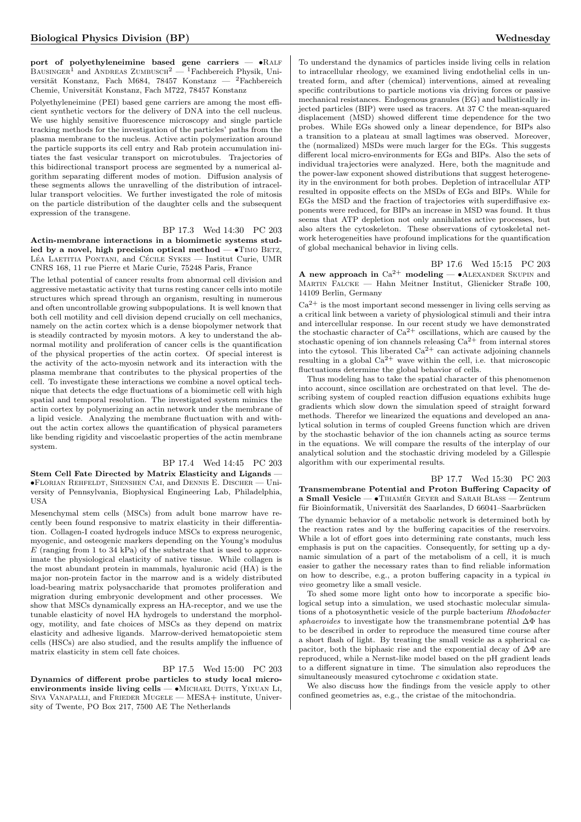port of polyethyleneimine based gene carriers -  $\bullet$ RALF BAUSINGER<sup>1</sup> and ANDREAS ZUMBUSCH<sup>2</sup> — <sup>1</sup>Fachbereich Physik, Universität Konstanz, Fach M684, 78457 Konstanz —  ${}^{2}$ Fachbereich Chemie, Universität Konstanz, Fach M722, 78457 Konstanz

Polyethyleneimine (PEI) based gene carriers are among the most efficient synthetic vectors for the delivery of DNA into the cell nucleus. We use highly sensitive fluorescence microscopy and single particle tracking methods for the investigation of the particles' paths from the plasma membrane to the nucleus. Active actin polymerization around the particle supports its cell entry and Rab protein accumulation initiates the fast vesicular transport on microtubules. Trajectories of this bidirectional transport process are segmented by a numerical algorithm separating different modes of motion. Diffusion analysis of these segments allows the unravelling of the distribution of intracellular transport velocities. We further investigated the role of mitosis on the particle distribution of the daughter cells and the subsequent expression of the transgene.

BP 17.3 Wed 14:30 PC 203

Actin-membrane interactions in a biomimetic systems studied by a novel, high precision optical method  $\bullet$ TIMO BETZ, LÉA LAETITIA PONTANI, and CÉCILE SYKES — Institut Curie, UMR CNRS 168, 11 rue Pierre et Marie Curie, 75248 Paris, France

The lethal potential of cancer results from abnormal cell division and aggressive metastatic activity that turns resting cancer cells into motile structures which spread through an organism, resulting in numerous and often uncontrollable growing subpopulations. It is well known that both cell motility and cell division depend crucially on cell mechanics, namely on the actin cortex which is a dense biopolymer network that is steadily contracted by myosin motors. A key to understand the abnormal motility and proliferation of cancer cells is the quantification of the physical properties of the actin cortex. Of special interest is the activity of the acto-myosin network and its interaction with the plasma membrane that contributes to the physical properties of the cell. To investigate these interactions we combine a novel optical technique that detects the edge fluctuations of a biomimetic cell with high spatial and temporal resolution. The investigated system mimics the actin cortex by polymerizing an actin network under the membrane of a lipid vesicle. Analyzing the membrane fluctuation with and without the actin cortex allows the quantification of physical parameters like bending rigidity and viscoelastic properties of the actin membrane system.

## BP 17.4 Wed 14:45 PC 203 Stem Cell Fate Directed by Matrix Elasticity and Ligands — •Florian Rehfeldt, Shenshen Cai, and Dennis E. Discher — University of Pennsylvania, Biophysical Engineering Lab, Philadelphia,

Mesenchymal stem cells (MSCs) from adult bone marrow have recently been found responsive to matrix elasticity in their differentiation. Collagen-I coated hydrogels induce MSCs to express neurogenic, myogenic, and osteogenic markers depending on the Young's modulus  $E$  (ranging from 1 to 34 kPa) of the substrate that is used to approximate the physiological elasticity of native tissue. While collagen is the most abundant protein in mammals, hyaluronic acid (HA) is the major non-protein factor in the marrow and is a widely distributed load-bearing matrix polysaccharide that promotes proliferation and migration during embryonic development and other processes. We show that MSCs dynamically express an HA-receptor, and we use the tunable elasticity of novel HA hydrogels to understand the morphology, motility, and fate choices of MSCs as they depend on matrix elasticity and adhesive ligands. Marrow-derived hematopoietic stem cells (HSCs) are also studied, and the results amplify the influence of matrix elasticity in stem cell fate choices.

USA

BP 17.5 Wed 15:00 PC 203 Dynamics of different probe particles to study local microenvironments inside living cells - • MICHAEL DUITS, YIXUAN LI, Siva Vanapalli, and Frieder Mugele — MESA+ institute, University of Twente, PO Box 217, 7500 AE The Netherlands

To understand the dynamics of particles inside living cells in relation to intracellular rheology, we examined living endothelial cells in untreated form, and after (chemical) interventions, aimed at revealing specific contributions to particle motions via driving forces or passive mechanical resistances. Endogenous granules (EG) and ballistically injected particles (BIP) were used as tracers. At 37 C the mean-squared displacement (MSD) showed different time dependence for the two probes. While EGs showed only a linear dependence, for BIPs also a transition to a plateau at small lagtimes was observed. Moreover, the (normalized) MSDs were much larger for the EGs. This suggests different local micro-environments for EGs and BIPs. Also the sets of individual trajectories were analyzed. Here, both the magnitude and the power-law exponent showed distributions that suggest heterogeneity in the environment for both probes. Depletion of intracellular ATP resulted in opposite effects on the MSDs of EGs and BIPs. While for EGs the MSD and the fraction of trajectories with superdiffusive exponents were reduced, for BIPs an increase in MSD was found. It thus seems that ATP depletion not only annihilates active processes, but also alters the cytoskeleton. These observations of cytoskeletal network heterogeneities have profound implications for the quantification of global mechanical behavior in living cells.

BP 17.6 Wed 15:15 PC 203 A new approach in  $Ca^{2+}$  modeling — •ALEXANDER SKUPIN and Martin Falcke — Hahn Meitner Institut, Glienicker Straße 100, 14109 Berlin, Germany

 $Ca<sup>2+</sup>$  is the most important second messenger in living cells serving as a critical link between a variety of physiological stimuli and their intra and intercellular response. In our recent study we have demonstrated the stochastic character of  $Ca^{2+}$  oscillations, which are caused by the stochastic opening of ion channels releasing  $Ca^{2+}$  from internal stores into the cytosol. This liberated  $Ca^{2+}$  can activate adjoining channels resulting in a global  $Ca^{2+}$  wave within the cell, i.e. that microscopic fluctuations determine the global behavior of cells.

Thus modeling has to take the spatial character of this phenomenon into account, since oscillation are orchestrated on that level. The describing system of coupled reaction diffusion equations exhibits huge gradients which slow down the simulation speed of straight forward methods. Therefor we linearized the equations and developed an analytical solution in terms of coupled Greens function which are driven by the stochastic behavior of the ion channels acting as source terms in the equations. We will compare the results of the interplay of our analytical solution and the stochastic driving modeled by a Gillespie algorithm with our experimental results.

#### BP 17.7 Wed 15:30 PC 203 Transmembrane Potential and Proton Buffering Capacity of a Small Vesicle —  $\bullet$ TIHAMÉR GEYER and SARAH BLASS — Zentrum

für Bioinformatik, Universität des Saarlandes, D $66041$ –Saarbrücken

The dynamic behavior of a metabolic network is determined both by the reaction rates and by the buffering capacities of the reservoirs. While a lot of effort goes into determining rate constants, much less emphasis is put on the capacities. Consequently, for setting up a dynamic simulation of a part of the metabolism of a cell, it is much easier to gather the necessary rates than to find reliable information on how to describe, e.g., a proton buffering capacity in a typical in vivo geometry like a small vesicle.

To shed some more light onto how to incorporate a specific biological setup into a simulation, we used stochastic molecular simulations of a photosynthetic vesicle of the purple bacterium Rhodobacter sphaeroides to investigate how the transmembrane potential  $\Delta\Phi$  has to be described in order to reproduce the measured time course after a short flash of light. By treating the small vesicle as a spherical capacitor, both the biphasic rise and the exponential decay of  $\Delta\Phi$  are reproduced, while a Nernst-like model based on the pH gradient leads to a different signature in time. The simulation also reproduces the simultaneously measured cytochrome c oxidation state.

We also discuss how the findings from the vesicle apply to other confined geometries as, e.g., the cristae of the mitochondria.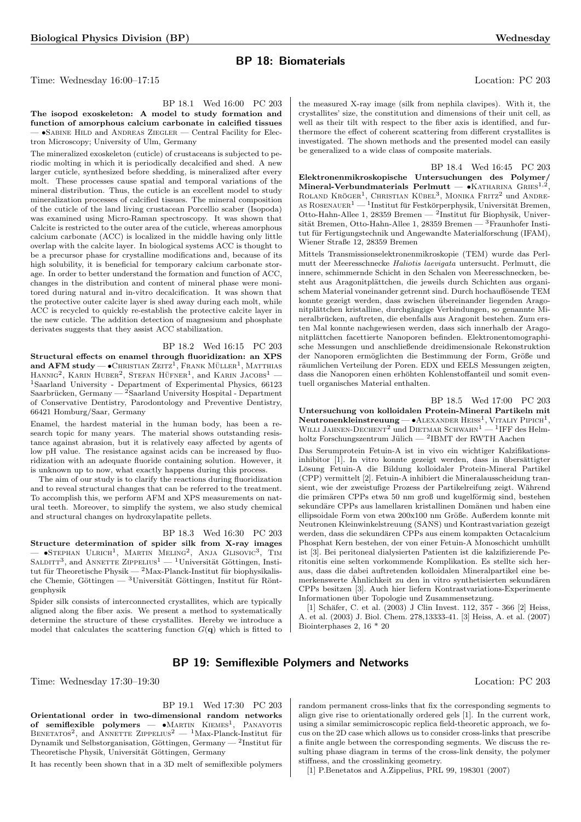## BP 18: Biomaterials

Time: Wednesday 16:00–17:15 Location: PC 203

BP 18.1 Wed 16:00 PC 203 The isopod exoskeleton: A model to study formation and function of amorphous calcium carbonate in calcified tissues — •Sabine Hild and Andreas Ziegler — Central Facility for Electron Microscopy; University of Ulm, Germany

The mineralized exoskeleton (cuticle) of crustaceans is subjected to periodic molting in which it is periodically decalcified and shed. A new larger cuticle, synthesized before shedding, is mineralized after every molt. These processes cause spatial and temporal variations of the mineral distribution. Thus, the cuticle is an excellent model to study mineralization processes of calcified tissues. The mineral composition of the cuticle of the land living crustacean Porcellio scaber (Isopoda) was examined using Micro-Raman spectroscopy. It was shown that Calcite is restricted to the outer area of the cuticle, whereas amorphous calcium carbonate (ACC) is localized in the middle having only little overlap with the calcite layer. In biological systems ACC is thought to be a precursor phase for crystalline modifications and, because of its high solubility, it is beneficial for temporary calcium carbonate storage. In order to better understand the formation and function of ACC, changes in the distribution and content of mineral phase were monitored during natural and in-vitro decalcification. It was shown that the protective outer calcite layer is shed away during each molt, while ACC is recycled to quickly re-establish the protective calcite layer in the new cuticle. The addition detection of magnesium and phosphate derivates suggests that they assist ACC stabilization.

#### BP 18.2 Wed 16:15 PC 203

Structural effects on enamel through fluoridization: an XPS and  ${\bf AFM}$  study —  $\bullet$  Christian Zeitz<sup>1</sup>, Frank Müller<sup>1</sup>, Matthias  $H$ ANNIG<sup>2</sup>, KARIN HUBER<sup>2</sup>, STEFAN HÜFNER<sup>1</sup>, and KARIN JACOBS<sup>1</sup> – <sup>1</sup>Saarland University - Department of Experimental Physics, 66123 Saarbrücken, Germany — <sup>2</sup>Saarland University Hospital - Department of Conservative Dentistry, Parodontology and Preventive Dentistry, 66421 Homburg/Saar, Germany

Enamel, the hardest material in the human body, has been a research topic for many years. The material shows outstanding resistance against abrasion, but it is relatively easy affected by agents of low pH value. The resistance against acids can be increased by fluoridization with an adequate fluoride containing solution. However, it is unknown up to now, what exactly happens during this process.

The aim of our study is to clarify the reactions during fluoridization and to reveal structural changes that can be referred to the treatment. To accomplish this, we perform AFM and XPS measurements on natural teeth. Moreover, to simplify the system, we also study chemical and structural changes on hydroxylapatite pellets.

BP 18.3 Wed 16:30 PC 203 Structure determination of spider silk from X-ray images  $-$  •Stephan Ulrich<sup>1</sup>, Martin Meling<sup>2</sup>, Anja Glisovic<sup>3</sup>, Tim SALDITT<sup>3</sup>, and ANNETTE ZIPPELIUS<sup>1</sup> — <sup>1</sup>Universität Göttingen, Institut für Theoretische Physik —  $^{2}$ Max-Planck-Institut für biophysikalische Chemie, Göttingen — <sup>3</sup>Universität Göttingen, Institut für Röntgenphysik

Spider silk consists of interconnected crystallites, which are typically aligned along the fiber axis. We present a method to systematically determine the structure of these crystallites. Hereby we introduce a model that calculates the scattering function  $G(\mathbf{q})$  which is fitted to

the measured X-ray image (silk from nephila clavipes). With it, the crystallites' size, the constitution and dimensions of their unit cell, as well as their tilt with respect to the fiber axis is identified, and furthermore the effect of coherent scattering from different crystallites is investigated. The shown methods and the presented model can easily be generalized to a wide class of composite materials.

BP 18.4 Wed 16:45 PC 203 Elektronenmikroskopische Untersuchungen des Polymer/ Mineral-Verbundmaterials Perlmutt —  $\epsilon$ KATHARINA GRIES<sup>1,2</sup>, ROLAND KRÖGER<sup>1</sup>, CHRISTIAN KÜBEL<sup>3</sup>, MONIKA FRITZ<sup>2</sup> und ANDRE-AS ROSENAUER<sup>1</sup> — <sup>1</sup> Institut für Festkörperphysik, Universität Bremen, Otto-Hahn-Allee 1, 28359 Bremen — <sup>2</sup>Institut für Biophysik, Universität Bremen, Otto-Hahn-Allee 1, 28359 Bremen —  $^3$ Fraunhofer Institut für Fertigungstechnik und Angewandte Materialforschung (IFAM), Wiener Straße 12, 28359 Bremen

Mittels Transmissionselektronenmikroskopie (TEM) wurde das Perlmutt der Meeresschnecke Haliotis laevigata untersucht. Perlmutt, die innere, schimmernde Schicht in den Schalen von Meeresschnecken, besteht aus Aragonitplättchen, die jeweils durch Schichten aus organischem Material voneinander getrennt sind. Durch hochauflösende TEM konnte gezeigt werden, dass zwischen übereinander liegenden Aragonitplättchen kristalline, durchgängige Verbindungen, so genannte Mineralbrücken, auftreten, die ebenfalls aus Aragonit bestehen. Zum ersten Mal konnte nachgewiesen werden, dass sich innerhalb der Aragonitplättchen facettierte Nanoporen befinden. Elektronentomographische Messungen und anschließende dreidimensionale Rekonstruktion der Nanoporen ermöglichten die Bestimmung der Form, Größe und räumlichen Verteilung der Poren. EDX und EELS Messungen zeigten, dass die Nanoporen einen erhöhten Kohlenstoffanteil und somit eventuell organisches Material enthalten.

BP 18.5 Wed 17:00 PC 203 Untersuchung von kolloidalen Protein-Mineral Partikeln mit **Neutronenkleinstreuung — •**ALEXANDER HEISS<sup>1</sup>, VITALIY PIPICH<sup>1</sup>, WILLI JAHNEN-DECHENT<sup>2</sup> und DIETMAR SCHWAHN<sup>1</sup> — <sup>1</sup>IFF des Helmholtz Forschungszentrum Jülich —  $^{2}$ IBMT der RWTH Aachen

Das Serumprotein Fetuin-A ist in vivo ein wichtiger Kalzifikationsinhibitor [1]. In vitro konnte gezeigt werden, dass in übersättigter Lösung Fetuin-A die Bildung kolloidaler Protein-Mineral Partikel (CPP) vermittelt [2]. Fetuin-A inhibiert die Mineralausscheidung transient, wie der zweistufige Prozess der Partikelreifung zeigt. Während die primären CPPs etwa 50 nm groß und kugelförmig sind, bestehen sekundäre CPPs aus lamellaren kristallinen Domänen und haben eine ellipsoidale Form von etwa 200x100 nm Größe. Außerdem konnte mit Neutronen Kleinwinkelstreuung (SANS) und Kontrastvariation gezeigt werden, dass die sekundären CPPs aus einem kompakten Octacalcium Phosphat Kern bestehen, der von einer Fetuin-A Monoschicht umhüllt ist [3]. Bei peritoneal dialysierten Patienten ist die kalzifizierende Peritonitis eine selten vorkommende Komplikation. Es stellte sich heraus, dass die dabei auftretenden kolloidalen Mineralpartikel eine bemerkenswerte Ähnlichkeit zu den in vitro synthetisierten sekundären CPPs besitzen [3]. Auch hier liefern Kontrastvariations-Experimente Informationen über Topologie und Zusammensetzung.

[1] Schäfer, C. et al. (2003) J Clin Invest. 112, 357 - 366 [2] Heiss, A. et al. (2003) J. Biol. Chem. 278,13333-41. [3] Heiss, A. et al. (2007) Biointerphases 2, 16 \* 20

## BP 19: Semiflexible Polymers and Networks

Time: Wednesday 17:30–19:30 Location: PC 203

BP 19.1 Wed 17:30 PC 203 Orientational order in two-dimensional random networks of semiflexible polymers —  $\bullet$ Martin Kiemes<sup>1</sup>, Panayotis BENETATOS<sup>2</sup>, and ANNETTE ZIPPELIUS<sup>2</sup> — <sup>1</sup>Max-Planck-Institut für Dynamik und Selbstorganisation, Göttingen, Germany — <sup>2</sup>Institut für Theoretische Physik, Universität Göttingen, Germany

It has recently been shown that in a 3D melt of semiflexible polymers

random permanent cross-links that fix the corresponding segments to align give rise to orientationally ordered gels [1]. In the current work, using a similar semimicroscopic replica field-theoretic approach, we focus on the 2D case which allows us to consider cross-links that prescribe a finite angle between the corresponding segments. We discuss the resulting phase diagram in terms of the cross-link density, the polymer stiffness, and the crosslinking geometry.

[1] P.Benetatos and A.Zippelius, PRL 99, 198301 (2007)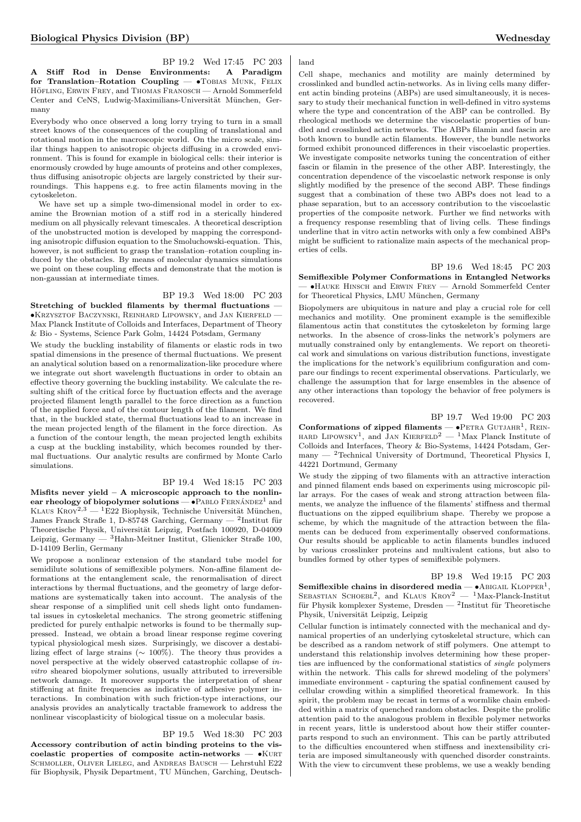BP 19.2 Wed 17:45 PC 203 A Stiff Rod in Dense Environments: A Paradigm for Translation–Rotation Coupling — •TOBIAS MUNK, FELIX HÖFLING, ERWIN FREY, and THOMAS FRANOSCH — Arnold Sommerfeld Center and CeNS, Ludwig-Maximilians-Universität München, Germany

Everybody who once observed a long lorry trying to turn in a small street knows of the consequences of the coupling of translational and rotational motion in the macroscopic world. On the micro scale, similar things happen to anisotropic objects diffusing in a crowded environment. This is found for example in biological cells: their interior is enormously crowded by huge amounts of proteins and other complexes, thus diffusing anisotropic objects are largely constricted by their surroundings. This happens e.g. to free actin filaments moving in the cytoskeleton.

We have set up a simple two-dimensional model in order to examine the Brownian motion of a stiff rod in a sterically hindered medium on all physically relevant timescales. A theoretical description of the unobstructed motion is developed by mapping the corresponding anisotropic diffusion equation to the Smoluchowski-equation. This, however, is not sufficient to grasp the translation–rotation coupling induced by the obstacles. By means of molecular dynamics simulations we point on these coupling effects and demonstrate that the motion is non-gaussian at intermediate times.

## BP 19.3 Wed 18:00 PC 203

Stretching of buckled filaments by thermal fluctuations — •Krzysztof Baczynski, Reinhard Lipowsky, and Jan Kierfeld — Max Planck Institute of Colloids and Interfaces, Department of Theory & Bio - Systems, Science Park Golm, 14424 Potsdam, Germany

We study the buckling instability of filaments or elastic rods in two spatial dimensions in the presence of thermal fluctuations. We present an analytical solution based on a renormalization-like procedure where we integrate out short wavelength fluctuations in order to obtain an effective theory governing the buckling instability. We calculate the resulting shift of the critical force by fluctuation effects and the average projected filament length parallel to the force direction as a function of the applied force and of the contour length of the filament. We find that, in the buckled state, thermal fluctuations lead to an increase in the mean projected length of the filament in the force direction. As a function of the contour length, the mean projected length exhibits a cusp at the buckling instability, which becomes rounded by thermal fluctuations. Our analytic results are confirmed by Monte Carlo simulations.

#### BP 19.4 Wed 18:15 PC 203

Misfits never yield  $-$  A microscopic approach to the nonlinear rheology of biopolymer solutions  $-\bullet$  PABLO FERNÁNDEZ<sup>1</sup> and KLAUS  $K$ ROY<sup>2,3</sup> — <sup>1</sup>E22 Biophysik, Technische Universität München, James Franck Straße 1, D-85748 Garching, Germany — <sup>2</sup>Institut für Theoretische Physik, Universität Leipzig, Postfach 100920, D-04009 Leipzig, Germany — <sup>3</sup>Hahn-Meitner Institut, Glienicker Straße 100, D-14109 Berlin, Germany

We propose a nonlinear extension of the standard tube model for semidilute solutions of semiflexible polymers. Non-affine filament deformations at the entanglement scale, the renormalisation of direct interactions by thermal fluctuations, and the geometry of large deformations are systematically taken into account. The analysis of the shear response of a simplified unit cell sheds light onto fundamental issues in cytoskeletal mechanics. The strong geometric stiffening predicted for purely enthalpic networks is found to be thermally suppressed. Instead, we obtain a broad linear response regime covering typical physiological mesh sizes. Surprisingly, we discover a destabilizing effect of large strains ( $\sim 100\%$ ). The theory thus provides a novel perspective at the widely observed catastrophic collapse of invitro sheared biopolymer solutions, usually attributed to irreversible network damage. It moreover supports the interpretation of shear stiffening at finite frequencies as indicative of adhesive polymer interactions. In combination with such friction-type interactions, our analysis provides an analytically tractable framework to address the nonlinear viscoplasticity of biological tissue on a molecular basis.

#### BP 19.5 Wed 18:30 PC 203

Accessory contribution of actin binding proteins to the viscoelastic properties of composite actin-networks  $\bullet$ KURT SCHMOLLER, OLIVER LIELEG, and ANDREAS BAUSCH - Lehrstuhl E22 für Biophysik, Physik Department, TU München, Garching, Deutsch-

Cell shape, mechanics and motility are mainly determined by crosslinked and bundled actin-networks. As in living cells many different actin binding proteins (ABPs) are used simultaneously, it is necessary to study their mechanical function in well-defined in vitro systems where the type and concentration of the ABP can be controlled. By rheological methods we determine the viscoelastic properties of bundled and crosslinked actin networks. The ABPs filamin and fascin are both known to bundle actin filaments. However, the bundle networks formed exhibit pronounced differences in their viscoelastic properties. We investigate composite networks tuning the concentration of either fascin or filamin in the presence of the other ABP. Interestingly, the concentration dependence of the viscoelastic network response is only slightly modified by the presence of the second ABP. These findings suggest that a combination of these two ABPs does not lead to a phase separation, but to an accessory contribution to the viscoelastic properties of the composite network. Further we find networks with a frequency response resembling that of living cells. These findings underline that in vitro actin networks with only a few combined ABPs might be sufficient to rationalize main aspects of the mechanical properties of cells.

BP 19.6 Wed 18:45 PC 203 Semiflexible Polymer Conformations in Entangled Networks — •Hauke Hinsch and Erwin Frey — Arnold Sommerfeld Center for Theoretical Physics, LMU München, Germany

Biopolymers are ubiquitous in nature and play a crucial role for cell mechanics and motility. One prominent example is the semiflexible filamentous actin that constitutes the cytoskeleton by forming large networks. In the absence of cross-links the network's polymers are mutually constrained only by entanglements. We report on theoretical work and simulations on various distribution functions, investigate the implications for the network's equilibrium configuration and compare our findings to recent experimental observations. Particularly, we challenge the assumption that for large ensembles in the absence of any other interactions than topology the behavior of free polymers is recovered.

BP 19.7 Wed 19:00 PC 203 Conformations of zipped filaments  $\bullet$ PETRA GUTJAHR<sup>1</sup>, REIN-HARD LIPOWSKY<sup>1</sup>, and JAN KIERFELD<sup>2</sup> — <sup>1</sup>Max Planck Institute of Colloids and Interfaces, Theory & Bio-Systems, 14424 Potsdam, Germany  $-$  <sup>2</sup>Technical University of Dortmund, Theoretical Physics I, 44221 Dortmund, Germany

We study the zipping of two filaments with an attractive interaction and pinned filament ends based on experiments using microscopic pillar arrays. For the cases of weak and strong attraction between filaments, we analyze the influence of the filaments' stiffness and thermal fluctuations on the zipped equilibrium shape. Thereby we propose a scheme, by which the magnitude of the attraction between the filaments can be deduced from experimentally observed conformations. Our results should be applicable to actin filaments bundles induced by various crosslinker proteins and multivalent cations, but also to bundles formed by other types of semiflexible polymers.

BP 19.8 Wed 19:15 PC 203 **Semiflexible chains in disordered media** — •ABIGAIL KLOPPER<sup>1</sup>, SEBASTIAN SCHOEBL<sup>2</sup>, and KLAUS KROY<sup>2</sup> — <sup>1</sup>Max-Planck-Institut für Physik komplexer Systeme, Dresden — <sup>2</sup>Institut für Theoretische Physik, Universität Leipzig, Leipzig

Cellular function is intimately connected with the mechanical and dynamical properties of an underlying cytoskeletal structure, which can be described as a random network of stiff polymers. One attempt to understand this relationship involves determining how these properties are influenced by the conformational statistics of single polymers within the network. This calls for shrewd modeling of the polymers' immediate environment - capturing the spatial confinement caused by cellular crowding within a simplified theoretical framework. In this spirit, the problem may be recast in terms of a wormlike chain embedded within a matrix of quenched random obstacles. Despite the prolific attention paid to the analogous problem in flexible polymer networks in recent years, little is understood about how their stiffer counterparts respond to such an environment. This can be partly attributed to the difficulties encountered when stiffness and inextensibility criteria are imposed simultaneously with quenched disorder constraints. With the view to circumvent these problems, we use a weakly bending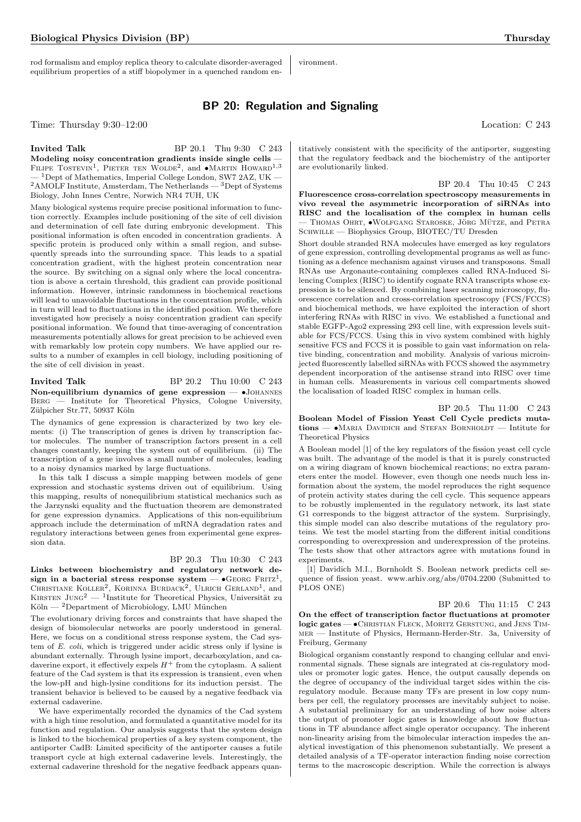rod formalism and employ replica theory to calculate disorder-averaged equilibrium properties of a stiff biopolymer in a quenched random en-

vironment.

are evolutionarily linked.

## BP 20: Regulation and Signaling

Time: Thursday  $9:30-12:00$  Location: C 243

#### **Invited Talk** BP 20.1 Thu 9:30 C 243

Modeling noisy concentration gradients inside single cells — FILIPE TOSTEVIN<sup>1</sup>, PIETER TEN WOLDE<sup>2</sup>, and  $\bullet$ MARTIN HOWARD<sup>1,3</sup> <sup>1</sup>Dept of Mathematics, Imperial College London, SW7 2AZ, UK  $\,{}^{2}\text{AMOLF}$  Institute, Amsterdam, The Netherlands —  $\,{}^{3}\text{Depth}$  of Systems Biology, John Innes Centre, Norwich NR4 7UH, UK

Many biological systems require precise positional information to function correctly. Examples include positioning of the site of cell division and determination of cell fate during embryonic development. This positional information is often encoded in concentration gradients. A specific protein is produced only within a small region, and subsequently spreads into the surrounding space. This leads to a spatial concentration gradient, with the highest protein concentration near the source. By switching on a signal only where the local concentration is above a certain threshold, this gradient can provide positional information. However, intrinsic randomness in biochemical reactions will lead to unavoidable fluctuations in the concentration profile, which in turn will lead to fluctuations in the identified position. We therefore investigated how precisely a noisy concentration gradient can specify positional information. We found that time-averaging of concentration measurements potentially allows for great precision to be achieved even with remarkably low protein copy numbers. We have applied our results to a number of examples in cell biology, including positioning of the site of cell division in yeast.

#### **Invited Talk** BP 20.2 Thu 10:00 C 243 Non-equilibrium dynamics of gene expression  $\bullet$ JOHANNES Berg — Institute for Theoretical Physics, Cologne University, Zülpicher Str.77, 50937 Köln

The dynamics of gene expression is characterized by two key elements: (i) The transcription of genes is driven by transcription factor molecules. The number of transcription factors present in a cell changes constantly, keeping the system out of equilibrium. (ii) The transcription of a gene involves a small number of molecules, leading to a noisy dynamics marked by large fluctuations.

In this talk I discuss a simple mapping between models of gene expression and stochastic systems driven out of equilibrium. Using this mapping, results of nonequilibrium statistical mechanics such as the Jarzynski equality and the fluctuation theorem are demonstrated for gene expression dynamics. Applications of this non-equilibrium approach include the determination of mRNA degradation rates and regulatory interactions between genes from experimental gene expression data.

## BP 20.3 Thu 10:30 C 243

Links between biochemistry and regulatory network de- ${\rm sign}$  in a bacterial stress response system  $\bullet$  GEORG FRITZ<sup>1</sup>, CHRISTIANE KOLLER<sup>2</sup>, KORINNA BURDACK<sup>2</sup>, ULRICH GERLAND<sup>1</sup>, and KIRSTEN  $\text{JUNG}^2 - \text{I}$ Institute for Theoretical Physics, Universität zu  $K$ öln — <sup>2</sup>Department of Microbiology, LMU München

The evolutionary driving forces and constraints that have shaped the design of biomolecular networks are poorly understood in general. Here, we focus on a conditional stress response system, the Cad system of E. coli, which is triggered under acidic stress only if lysine is abundant externally. Through lysine import, decarboxylation, and cadaverine export, it effectively expels  $H^+$  from the cytoplasm. A salient feature of the Cad system is that its expression is transient, even when the low-pH and high-lysine conditions for its induction persist. The transient behavior is believed to be caused by a negative feedback via external cadaverine.

We have experimentally recorded the dynamics of the Cad system with a high time resolution, and formulated a quantitative model for its function and regulation. Our analysis suggests that the system design is linked to the biochemical properties of a key system component, the antiporter CadB: Limited specificity of the antiporter causes a futile transport cycle at high external cadaverine levels. Interestingly, the external cadaverine threshold for the negative feedback appears quan-

titatively consistent with the specificity of the antiporter, suggesting that the regulatory feedback and the biochemistry of the antiporter

BP 20.4 Thu 10:45 C 243 Fluorescence cross-correlation spectroscopy measurements in vivo reveal the asymmetric incorporation of siRNAs into RISC and the localisation of the complex in human cells  $-$  Thomas Ohrt,  $\bullet$ Wolfgang Staroske, Jörg Mütze, and Petra SCHWILLE — Biophysics Group, BIOTEC/TU Dresden

Short double stranded RNA molecules have emerged as key regulators of gene expression, controlling developmental programs as well as functioning as a defence mechanism against viruses and transposons. Small RNAs use Argonaute-containing complexes called RNA-Induced Silencing Complex (RISC) to identify cognate RNA transcripts whose expression is to be silenced. By combining laser scanning microscopy, fluorescence correlation and cross-correlation spectroscopy (FCS/FCCS) and biochemical methods, we have exploited the interaction of short interfering RNAs with RISC in vivo. We established a functional and stable EGFP-Ago2 expressing 293 cell line, with expression levels suitable for FCS/FCCS. Using this in vivo system combined with highly sensitive FCS and FCCS it is possible to gain vast information on relative binding, concentration and mobility. Analysis of various microinjected fluorescently labelled siRNAs with FCCS showed the asymmetry dependent incorporation of the antisense strand into RISC over time in human cells. Measurements in various cell compartments showed the localisation of loaded RISC complex in human cells.

#### BP 20.5 Thu 11:00 C 243

Boolean Model of Fission Yeast Cell Cycle predicts mutations —  $\bullet$ Maria Davidich and Stefan Bornholdt — Intitute for Theoretical Physics

A Boolean model [1] of the key regulators of the fission yeast cell cycle was built. The advantage of the model is that it is purely constructed on a wiring diagram of known biochemical reactions; no extra parameters enter the model. However, even though one needs much less information about the system, the model reproduces the right sequence of protein activity states during the cell cycle. This sequence appears to be robustly implemented in the regulatory network, its last state G1 corresponds to the biggest attractor of the system. Surprisingly, this simple model can also describe mutations of the regulatory proteins. We test the model starting from the different initial conditions corresponding to overexpression and underexpression of the proteins. The tests show that other attractors agree with mutations found in experiments.

[1] Davidich M.I., Bornholdt S. Boolean network predicts cell sequence of fission yeast. www.arhiv.org/abs/0704.2200 (Submitted to PLOS ONE)

#### BP 20.6 Thu 11:15 C 243

On the effect of transcription factor fluctuations at promoter logic gates — •Christian Fleck, Moritz Gerstung, and Jens Timmer — Institute of Physics, Hermann-Herder-Str. 3a, University of Freiburg, Germany

Biological organism constantly respond to changing cellular and environmental signals. These signals are integrated at cis-regulatory modules or promoter logic gates. Hence, the output causally depends on the degree of occupancy of the individual target sides within the cisregulatory module. Because many TFs are present in low copy numbers per cell, the regulatory processes are inevitably subject to noise. A substantial preliminary for an understanding of how noise alters the output of promoter logic gates is knowledge about how fluctuations in TF abundance affect single operator occupancy. The inherent non-linearity arising from the bimolecular interaction impedes the analytical investigation of this phenomenon substantially. We present a detailed analysis of a TF-operator interaction finding noise correction terms to the macroscopic description. While the correction is always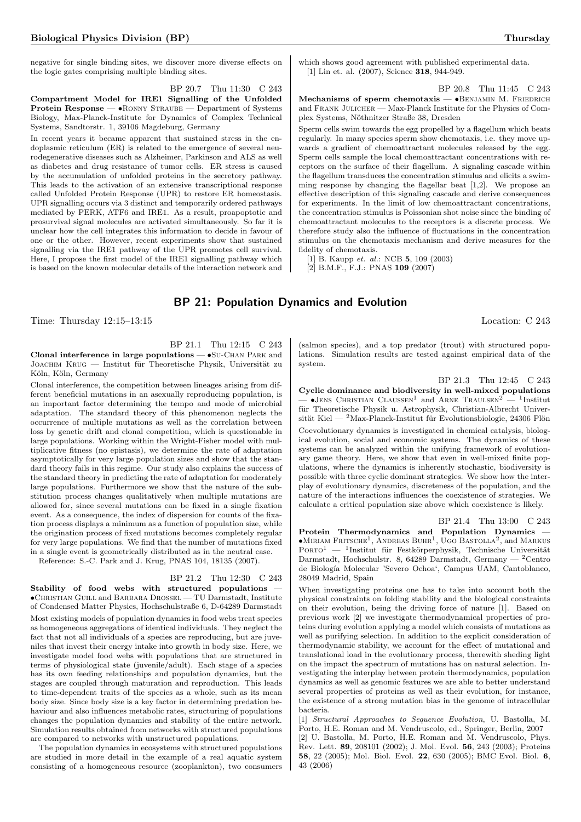negative for single binding sites, we discover more diverse effects on the logic gates comprising multiple binding sites.

BP 20.7 Thu 11:30 C 243 Compartment Model for IRE1 Signalling of the Unfolded Protein Response — •Ronny Straube — Department of Systems Biology, Max-Planck-Institute for Dynamics of Complex Technical Systems, Sandtorstr. 1, 39106 Magdeburg, Germany

In recent years it became apparent that sustained stress in the endoplasmic reticulum (ER) is related to the emergence of several neurodegenerative diseases such as Alzheimer, Parkinson and ALS as well as diabetes and drug resistance of tumor cells. ER stress is caused by the accumulation of unfolded proteins in the secretory pathway. This leads to the activation of an extensive transcriptional response called Unfolded Protein Response (UPR) to restore ER homeostasis. UPR signalling occurs via 3 distinct and temporarily ordered pathways mediated by PERK, ATF6 and IRE1. As a result, proapoptotic and prosurvival signal molecules are activated simultaneously. So far it is unclear how the cell integrates this information to decide in favour of one or the other. However, recent experiments show that sustained signalling via the IRE1 pathway of the UPR promotes cell survival. Here, I propose the first model of the IRE1 signalling pathway which is based on the known molecular details of the interaction network and which shows good agreement with published experimental data. [1] Lin et. al. (2007), Science 318, 944-949.

BP 20.8 Thu 11:45 C 243

Mechanisms of sperm chemotaxis - •BENJAMIN M. FRIEDRICH and FRANK JULICHER — Max-Planck Institute for the Physics of Complex Systems, Nöthnitzer Straße 38, Dresden

Sperm cells swim towards the egg propelled by a flagellum which beats regularly. In many species sperm show chemotaxis, i.e. they move upwards a gradient of chemoattractant molecules released by the egg. Sperm cells sample the local chemoattractant concentrations with receptors on the surface of their flagellum. A signaling cascade within the flagellum transduces the concentration stimulus and elicits a swimming response by changing the flagellar beat [1,2]. We propose an effective description of this signaling cascade and derive consequences for experiments. In the limit of low chemoattractant concentrations, the concentration stimulus is Poissonian shot noise since the binding of chemoattractant molecules to the receptors is a discrete process. We therefore study also the influence of fluctuations in the concentration stimulus on the chemotaxis mechanism and derive measures for the fidelity of chemotaxis.

[1] B. Kaupp et. al.: NCB 5, 109 (2003)

[2] B.M.F., F.J.: PNAS 109 (2007)

## BP 21: Population Dynamics and Evolution

Time: Thursday 12:15–13:15 Location: C 243

BP 21.1 Thu 12:15 C 243

Clonal interference in large populations — •Su-Chan Park and JOACHIM KRUG — Institut für Theoretische Physik, Universität zu Köln, Köln, Germany

Clonal interference, the competition between lineages arising from different beneficial mutations in an asexually reproducing population, is an important factor determining the tempo and mode of microbial adaptation. The standard theory of this phenomenon neglects the occurrence of multiple mutations as well as the correlation between loss by genetic drift and clonal competition, which is questionable in large populations. Working within the Wright-Fisher model with multiplicative fitness (no epistasis), we determine the rate of adaptation asymptotically for very large population sizes and show that the standard theory fails in this regime. Our study also explains the success of the standard theory in predicting the rate of adaptation for moderately large populations. Furthermore we show that the nature of the substitution process changes qualitatively when multiple mutations are allowed for, since several mutations can be fixed in a single fixation event. As a consequence, the index of dispersion for counts of the fixation process displays a minimum as a function of population size, while the origination process of fixed mutations becomes completely regular for very large populations. We find that the number of mutations fixed in a single event is geometrically distributed as in the neutral case.

Reference: S.-C. Park and J. Krug, PNAS 104, 18135 (2007).

#### BP 21.2 Thu 12:30 C 243

Stability of food webs with structured populations — •Christian Guill and Barbara Drossel — TU Darmstadt, Institute of Condensed Matter Physics, Hochschulstraße 6, D-64289 Darmstadt Most existing models of population dynamics in food webs treat species as homogeneous aggregations of identical individuals. They neglect the fact that not all individuals of a species are reproducing, but are juveniles that invest their energy intake into growth in body size. Here, we investigate model food webs with populations that are structured in terms of physiological state (juvenile/adult). Each stage of a species has its own feeding relationships and population dynamics, but the stages are coupled through maturation and reproduction. This leads to time-dependent traits of the species as a whole, such as its mean body size. Since body size is a key factor in determining predation behaviour and also influences metabolic rates, structuring of populations changes the population dynamics and stability of the entire network. Simulation results obtained from networks with structured populations are compared to networks with unstructured populations.

The population dynamics in ecosystems with structured populations are studied in more detail in the example of a real aquatic system consisting of a homogeneous resource (zooplankton), two consumers

(salmon species), and a top predator (trout) with structured populations. Simulation results are tested against empirical data of the system.

BP 21.3 Thu 12:45 C 243

Cyclic dominance and biodiversity in well-mixed populations  $\bullet$ JENS CHRISTIAN CLAUSSEN<sup>1</sup> and ARNE TRAULSEN<sup>2</sup>  $-$  <sup>1</sup>Institut für Theoretische Physik u. Astrophysik, Christian-Albrecht Universität Kiel —  $^{2}$ Max-Planck-Institut für Evolutionsbiologie, 24306 Plön

Coevolutionary dynamics is investigated in chemical catalysis, biological evolution, social and economic systems. The dynamics of these systems can be analyzed within the unifying framework of evolutionary game theory. Here, we show that even in well-mixed finite populations, where the dynamics is inherently stochastic, biodiversity is possible with three cyclic dominant strategies. We show how the interplay of evolutionary dynamics, discreteness of the population, and the nature of the interactions influences the coexistence of strategies. We calculate a critical population size above which coexistence is likely.

BP 21.4 Thu 13:00 C 243

Protein Thermodynamics and Population Dynamics —  $\bullet$ Miriam Fritsche<sup>1</sup>, Andreas Buhr<sup>1</sup>, Ugo Bastolla<sup>2</sup>, and Markus  $PORTO<sup>1</sup>$  — <sup>1</sup>Institut für Festkörperphysik, Technische Universität Darmstadt, Hochschulstr. 8, 64289 Darmstadt, Germany — <sup>2</sup>Centro de Biología Molecular 'Severo Ochoa', Campus UAM, Cantoblanco, 28049 Madrid, Spain

When investigating proteins one has to take into account both the physical constraints on folding stability and the biological constraints on their evolution, being the driving force of nature [1]. Based on previous work [2] we investigate thermodynamical properties of proteins during evolution applying a model which consists of mutations as well as purifying selection. In addition to the explicit consideration of thermodynamic stability, we account for the effect of mutational and translational load in the evolutionary process, therewith sheding light on the impact the spectrum of mutations has on natural selection. Investigating the interplay between protein thermodynamics, population dynamics as well as genomic features we are able to better understand several properties of proteins as well as their evolution, for instance, the existence of a strong mutation bias in the genome of intracellular bacteria.

[1] Structural Approaches to Sequence Evolution, U. Bastolla, M. Porto, H.E. Roman and M. Vendruscolo, ed., Springer, Berlin, 2007 [2] U. Bastolla, M. Porto, H.E. Roman and M. Vendruscolo, Phys. Rev. Lett. 89, 208101 (2002); J. Mol. Evol. 56, 243 (2003); Proteins 58, 22 (2005); Mol. Biol. Evol. 22, 630 (2005); BMC Evol. Biol. 6, 43 (2006)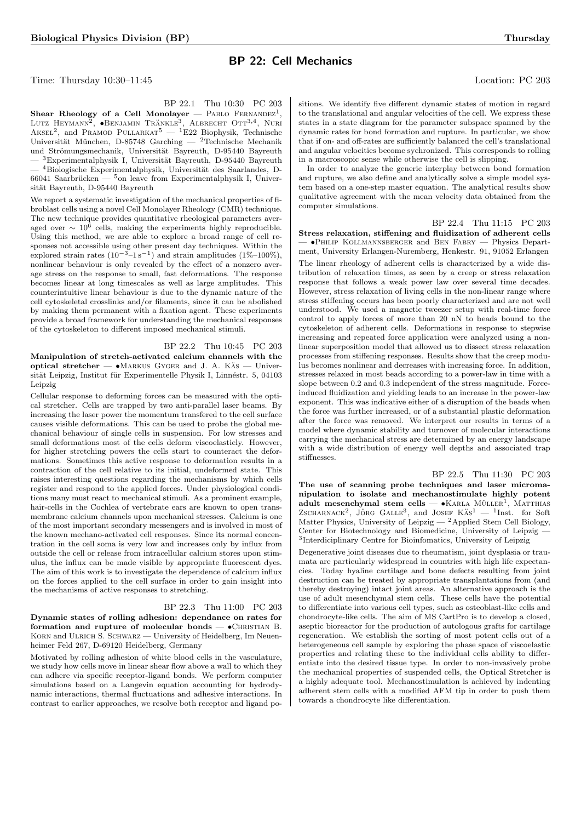## BP 22: Cell Mechanics

Time: Thursday 10:30–11:45 Location: PC 203

BP 22.1 Thu 10:30 PC 203

Shear Rheology of a Cell Monolayer – PABLO FERNANDEZ<sup>1</sup>, LUTZ HEYMANN<sup>2</sup>,  $\bullet$ BENJAMIN TRÄNKLE<sup>3</sup>, ALBRECHT OTT<sup>3,4</sup>, NURI AKSEL<sup>2</sup>, and PRAMOD PULLARKAT<sup>5</sup> — <sup>1</sup>E22 Biophysik, Technische Universität München, D-85748 Garching — <sup>2</sup>Technische Mechanik und Strömungsmechanik, Universität Bayreuth, D-95440 Bayreuth  $-$ <sup>3</sup>Experimentalphysik I, Universität Bayreuth, D-95440 Bayreuth — <sup>4</sup>Biologische Experimentalphysik, Universität des Saarlandes, D-66041 Saarbrücken —  $5$ on leave from Experimentalphysik I, Universität Bayreuth, D-95440 Bayreuth

We report a systematic investigation of the mechanical properties of fibroblast cells using a novel Cell Monolayer Rheology (CMR) technique. The new technique provides quantitative rheological parameters averaged over  $\sim 10^6$  cells, making the experiments highly reproducible. Using this method, we are able to explore a broad range of cell responses not accessible using other present day techniques. Within the explored strain rates  $(10^{-3}-1 \text{ s}^{-1})$  and strain amplitudes  $(1\% -100\%)$ , nonlinear behaviour is only revealed by the effect of a nonzero average stress on the response to small, fast deformations. The response becomes linear at long timescales as well as large amplitudes. This counterintuitive linear behaviour is due to the dynamic nature of the cell cytoskeletal crosslinks and/or filaments, since it can be abolished by making them permanent with a fixation agent. These experiments provide a broad framework for understanding the mechanical responses of the cytoskeleton to different imposed mechanical stimuli.

## BP 22.2 Thu 10:45 PC 203

Manipulation of stretch-activated calcium channels with the optical stretcher —  $\bullet$ MARKUS GYGER and J. A. KÄS — Universität Leipzig, Institut für Experimentelle Physik I, Linnéstr. 5, 04103 Leipzig

Cellular response to deforming forces can be measured with the optical stretcher. Cells are trapped by two anti-parallel laser beams. By increasing the laser power the momentum transfered to the cell surface causes visible deformations. This can be used to probe the global mechanical behaviour of single cells in suspension. For low stresses and small deformations most of the cells deform viscoelasticly. However, for higher stretching powers the cells start to counteract the deformations. Sometimes this active response to deformation results in a contraction of the cell relative to its initial, undeformed state. This raises interesting questions regarding the mechanisms by which cells register and respond to the applied forces. Under physiological conditions many must react to mechanical stimuli. As a prominent example, hair-cells in the Cochlea of vertebrate ears are known to open transmembrane calcium channels upon mechanical stresses. Calcium is one of the most important secondary messengers and is involved in most of the known mechano-activated cell responses. Since its normal concentration in the cell soma is very low and increases only by influx from outside the cell or release from intracellular calcium stores upon stimulus, the influx can be made visible by appropriate fluorescent dyes. The aim of this work is to investigate the dependence of calcium influx on the forces applied to the cell surface in order to gain insight into the mechanisms of active responses to stretching.

## BP 22.3 Thu 11:00 PC 203

Dynamic states of rolling adhesion: dependance on rates for formation and rupture of molecular bonds  $\bullet$ CHRISTIAN B. KORN and ULRICH S. SCHWARZ - University of Heidelberg, Im Neuenheimer Feld 267, D-69120 Heidelberg, Germany

Motivated by rolling adhesion of white blood cells in the vasculature, we study how cells move in linear shear flow above a wall to which they can adhere via specific receptor-ligand bonds. We perform computer simulations based on a Langevin equation accounting for hydrodynamic interactions, thermal fluctuations and adhesive interactions. In contrast to earlier approaches, we resolve both receptor and ligand positions. We identify five different dynamic states of motion in regard to the translational and angular velocities of the cell. We express these states in a state diagram for the parameter subspace spanned by the dynamic rates for bond formation and rupture. In particular, we show that if on- and off-rates are sufficiently balanced the cell's translational and angular velocities become sychronized. This corresponds to rolling in a macroscopic sense while otherwise the cell is slipping.

In order to analyze the generic interplay between bond formation and rupture, we also define and analytically solve a simple model system based on a one-step master equation. The analytical results show qualitative agreement with the mean velocity data obtained from the computer simulations.

BP 22.4 Thu 11:15 PC 203

Stress relaxation, stiffening and fluidization of adherent cells — •Philip Kollmannsberger and Ben Fabry — Physics Department, University Erlangen-Nuremberg, Henkestr. 91, 91052 Erlangen

The linear rheology of adherent cells is characterized by a wide distribution of relaxation times, as seen by a creep or stress relaxation response that follows a weak power law over several time decades. However, stress relaxation of living cells in the non-linear range where stress stiffening occurs has been poorly characterized and are not well understood. We used a magnetic tweezer setup with real-time force control to apply forces of more than 20 nN to beads bound to the cytoskeleton of adherent cells. Deformations in response to stepwise increasing and repeated force application were analyzed using a nonlinear superposition model that allowed us to dissect stress relaxation processes from stiffening responses. Results show that the creep modulus becomes nonlinear and decreases with increasing force. In addition, stresses relaxed in most beads according to a power-law in time with a slope between 0.2 and 0.3 independent of the stress magnitude. Forceinduced fluidization and yielding leads to an increase in the power-law exponent. This was indicative either of a disruption of the beads when the force was further increased, or of a substantial plastic deformation after the force was removed. We interpret our results in terms of a model where dynamic stability and turnover of molecular interactions carrying the mechanical stress are determined by an energy landscape with a wide distribution of energy well depths and associated trap stiffnesses.

BP 22.5 Thu 11:30 PC 203 The use of scanning probe techniques and laser micromanipulation to isolate and mechanostimulate highly potent  $adult$  mesenchymal stem cells —  $\bullet$ KARLA MÜLLER<sup>1</sup>, MATTHIAS ZSCHARNACK<sup>2</sup>, JÖRG GALLE<sup>3</sup>, and JOSEF KÄS<sup>1</sup> - <sup>1</sup>Inst. for Soft Matter Physics, University of Leipzig  $-$  2 Applied Stem Cell Biology, Center for Biotechnology and Biomedicine, University of Leipzig — 3 Interdiciplinary Centre for Bioinfomatics, University of Leipzig

Degenerative joint diseases due to rheumatism, joint dysplasia or traumata are particularly widespread in countries with high life expectancies. Today hyaline cartilage and bone defects resulting from joint destruction can be treated by appropriate transplantations from (and thereby destroying) intact joint areas. An alternative approach is the use of adult mesenchymal stem cells. These cells have the potential to differentiate into various cell types, such as osteoblast-like cells and chondrocyte-like cells. The aim of MS CartPro is to develop a closed, aseptic bioreactor for the production of autologous grafts for cartilage regeneration. We establish the sorting of most potent cells out of a heterogeneous cell sample by exploring the phase space of viscoelastic properties and relating these to the individual cells ability to differentiate into the desired tissue type. In order to non-invasively probe the mechanical properties of suspended cells, the Optical Stretcher is a highly adequate tool. Mechanostimulation is achieved by indenting adherent stem cells with a modified AFM tip in order to push them towards a chondrocyte like differentiation.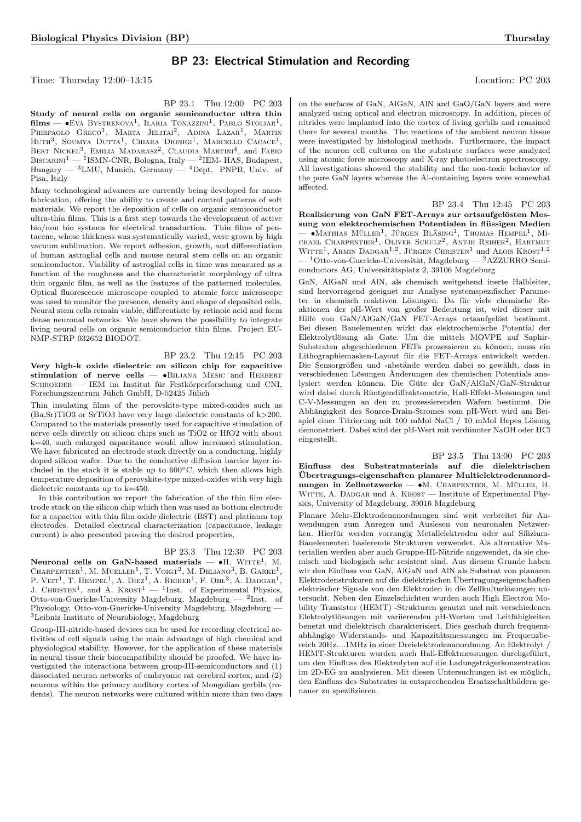## BP 23: Electrical Stimulation and Recording

BP 23.1 Thu 12:00 PC 203

Time: Thursday 12:00–13:15 Location: PC 203

on the surfaces of GaN, AlGaN, AlN and GaO/GaN layers and were analyzed using optical and electron microscopy. In addition, pieces of nitrides were implanted into the cortex of living gerbils and remained there for several months. The reactions of the ambient neuron tissue were investigated by histological methods. Furthermore, the impact of the neuron cell cultures on the substrate surfaces were analyzed using atomic force microscopy and X-ray photoelectron spectroscopy. All investigations showed the stability and the non-toxic behavior of the pure GaN layers whereas the Al-containing layers were somewhat affected.

Pisa, Italy Many technological advances are currently being developed for nanofabrication, offering the ability to create and control patterns of soft materials. We report the deposition of cells on organic semiconductor ultra-thin films. This is a first step towards the development of active bio/non bio systems for electrical transduction. Thin films of pentacene, whose thickness was systematically varied, were grown by high vacuum sublimation. We report adhesion, growth, and differentiation of human astroglial cells and mouse neural stem cells on an organic semiconductor. Viability of astroglial cells in time was measured as a function of the roughness and the characteristic morphology of ultra thin organic film, as well as the features of the patterned molecules. Optical fluorescence microscope coupled to atomic force microscope was used to monitor the presence, density and shape of deposited cells. Neural stem cells remain viable, differentiate by retinoic acid and form dense neuronal networks. We have shown the possibility to integrate living neural cells on organic semiconductor thin films. Project EU-NMP-STRP 032652 BIODOT.

Study of neural cells on organic semiconductor ultra thin  $\text{films} \longrightarrow \text{EVA}$  Bystrenova<sup>1</sup>, Ilaria Tonazzini<sup>1</sup>, Pablo Stoliar<sup>1</sup>, Pierpaolo Greco<sup>1</sup>, Marta Jelitai<sup>2</sup>, Adina Lazar<sup>1</sup>, Martin Huth<sup>3</sup>, Soumya Dutta<sup>1</sup>, Chiara Dionigi<sup>1</sup>, Marcello Cacace<sup>1</sup>, BERT NICKEL<sup>3</sup>, EMILIA MADARASZ<sup>2</sup>, CLAUDIA MARTINI<sup>4</sup>, and FABIO  ${\rm BisCARINI}^1$  —  $^1$ ISMN-CNR, Bologna, Italy —  $^2$ IEM- HAS, Budapest, Hungary — <sup>3</sup>LMU, Munich, Germany — <sup>4</sup>Dept. PNPB, Univ. of

BP 23.2 Thu 12:15 PC 203 Very high-k oxide dielectric on silicon chip for capacitive stimulation of nerve cells -  $\bullet$ BILJANA MESIC and HERBERT SCHROEDER — IEM im Institut für Festkörperforschung und CNI, Forschungszentrum Jülich GmbH, D-52425 Jülich

Thin insulating films of the perovskite-type mixed-oxides such as (Ba,Sr)TiO3 or SrTiO3 have very large dielectric constants of k>200. Compared to the materials presently used for capacitive stimulation of nerve cells directly on silicon chips such as TiO2 or HfO2 with about k=40, such enlarged capacitance would allow increased stimulation. We have fabricated an electrode stack directly on a conducting, highly doped silicon wafer. Due to the conductive diffusion barrier layer included in the stack it is stable up to 600◦C, which then allows high temperature deposition of perovskite-type mixed-oxides with very high dielectric constants up to k=450.

In this contribution we report the fabrication of the thin film electrode stack on the silicon chip which then was used as bottom electrode for a capacitor with thin film oxide dielectric (BST) and platinum top electrodes. Detailed electrical characterization (capacitance, leakage current) is also presented proving the desired properties.

## BP 23.3 Thu 12:30 PC 203

Neuronal cells on GaN-based materials  $\bullet$ H. WITTE<sup>1</sup>, M. CHARPENTIER<sup>1</sup>, M. MUELLER<sup>1</sup>, T. VOIGT<sup>2</sup>, M. DELIANO<sup>3</sup>, B. GARKE<sup>1</sup>, P. VEIT<sup>1</sup>, T. HEMPEL<sup>1</sup>, A. DIEZ<sup>1</sup>, A. REIHER<sup>1</sup>, F. OHL<sup>3</sup>, A. DADGAR<sup>1</sup>, J. CHRISTEN<sup>1</sup>, and A. KROST<sup>1</sup> — <sup>1</sup>Inst. of Experimental Physics, Otto-von-Guericke-University Magdeburg, Magdeburg — <sup>2</sup>Inst. of Physiology, Otto-von-Guericke-University Magdeburg, Magdeburg — <sup>3</sup>Leibniz Institute of Neurobiology, Magdeburg

Group-III-nitride-based devices can be used for recording electrical activities of cell signals using the main advantage of high chemical and physiological stability. However, for the application of these materials in neural tissue their biocompatibility should be proofed. We have investigated the interactions between group-III-semiconductors and (1) dissociated neuron networks of embryonic rat cerebral cortex, and (2) neurons within the primary auditory cortex of Mongolian gerbils (rodents). The neuron networks were cultured within more than two days BP 23.4 Thu 12:45 PC 203

Realisierung von GaN FET-Arrays zur ortsaufgelösten Messung von elektrochemischen Potentialen in flüssigen Medien  $-$  •Mathias Müller<sup>1</sup>, Jürgen Bläsing<sup>1</sup>, Thomas Hempel<sup>1</sup>, Mi-CHAEL CHARPENTIER<sup>1</sup>, OLIVER SCHULZ<sup>2</sup>, ANTJE REIHER<sup>2</sup>, HARTMUT WITTE<sup>1</sup>, ARMIN DADGAR<sup>1,2</sup>, JÜRGEN CHRISTEN<sup>1</sup> und ALOIS KROST<sup>1,2</sup>  $-$ <sup>1</sup>Otto-von-Guericke-Universität, Magdeburg — <sup>2</sup>AZZURRO Semiconductors AG, Universitätsplatz 2, 39106 Magdeburg

GaN, AlGaN und AlN, als chemisch weitgehend inerte Halbleiter, sind hervorragend geeignet zur Analyse systemspezifischer Parameter in chemisch reaktiven Lösungen. Da für viele chemische Reaktionen der pH-Wert von großer Bedeutung ist, wird dieser mit Hilfe von GaN/AlGaN/GaN FET-Arrays ortsaufgelöst bestimmt. Bei diesen Bauelementen wirkt das elektrochemische Potential der Elektrolytlösung als Gate. Um die mittels MOVPE auf Saphir-Substraten abgeschiedenen FETs prozessieren zu können, muss ein Lithographiemasken-Layout für die FET-Arrays entwickelt werden. Die Sensorgrößen und -abstände werden dabei so gewählt, dass in verschiedenen Lösungen Änderungen des chemischen Potentials analysiert werden können. Die Güte der GaN/AlGaN/GaN-Struktur wird dabei durch Röntgendiffraktometrie, Hall-Effekt-Messungen und C-V-Messungen an den zu prozessierenden Wafern bestimmt. Die Abhängigkeit des Source-Drain-Stromes vom pH-Wert wird am Beispiel einer Titrierung mit 100 mMol NaCl  $/$  10 mMol Hepes Lösung demonstriert. Dabei wird der pH-Wert mit verdunnter NaOH oder HCl ¨ eingestellt.

BP 23.5 Thu 13:00 PC 203 Einfluss des Substratmaterials auf die dielektrischen Ubertragungs-eigenschaften planarer Multielektrodenanord- ¨ nungen in Zellnetzwerke —  $\bullet$ M. CHARPENTIER, M. MÜLLER, H. WITTE, A. DADGAR und A. KROST - Institute of Experimental Physics, University of Magdeburg, 39016 Magdeburg

Planare Mehr-Elektrodenanordnungen sind weit verbreitet für Anwendungen zum Anregen und Auslesen von neuronalen Netzwerken. Hierfür werden vorrangig Metallelektroden oder auf Silizium-Bauelementen basierende Strukturen verwendet. Als alternative Materialien werden aber auch Gruppe-III-Nitride angewendet, da sie chemisch und biologisch sehr resistent sind. Aus diesem Grunde haben wir den Einfluss von GaN, AlGaN und AlN als Substrat von planaren Elektrodenstrukuren auf die dielektrischen Ubertragungseigenschaften ¨ elektrischer Signale von den Elektroden in die Zellkulturlösungen untersucht. Neben den Einzelschichten wurden auch High Electron Mobility Transistor (HEMT) -Strukturen genutzt und mit verschiedenen Elektrolytlösungen mit variierenden pH-Werten und Leitfähigkeiten benetzt und dielektrisch charakterisiert. Dies geschah durch frequenzabhängige Widerstands- und Kapazitätsmessungen im Frequenzbereich 20Hz....1MHz in einer Dreielektrodenanordnung. An Elektrolyt / HEMT-Strukturen wurden auch Hall-Effektmessungen durchgeführt, um den Einfluss des Elektrolyten auf die Ladungsträgerkonzentration im 2D-EG zu analysieren. Mit diesen Untersuchungen ist es möglich, den Einfluss des Substrates in entsprechenden Ersatzschaltbildern genauer zu spezifizieren.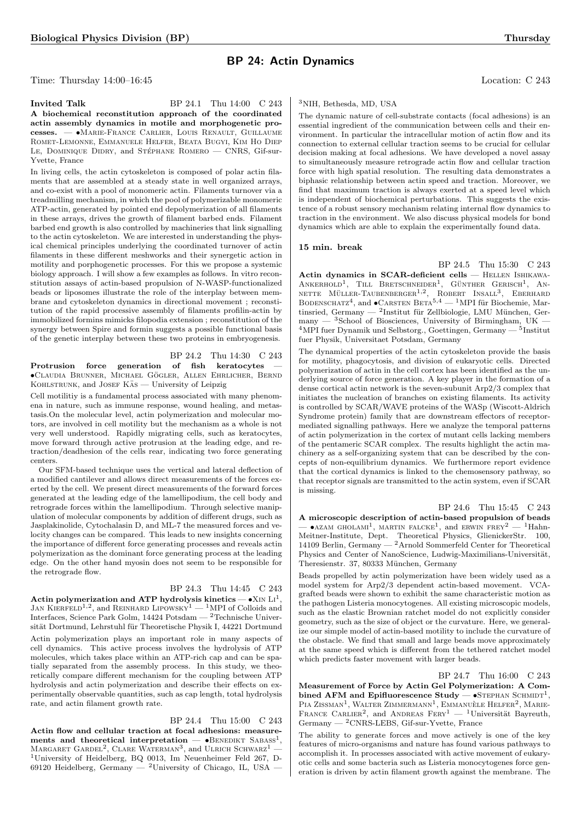## BP 24: Actin Dynamics

Time: Thursday 14:00–16:45 Location: C 243

**Invited Talk** BP 24.1 Thu 14:00 C 243 A biochemical reconstitution approach of the coordinated actin assembly dynamics in motile and morphogenetic processes. — •Marie-France Carlier, Louis Renault, Guillaume Romet-Lemonne, Emmanuele Helfer, Beata Bugyi, Kim Ho Diep LE, DOMINIQUE DIDRY, and STÉPHANE ROMERO – CNRS, Gif-sur-Yvette, France

In living cells, the actin cytoskeleton is composed of polar actin filaments that are assembled at a steady state in well organized arrays, and co-exist with a pool of monomeric actin. Filaments turnover via a treadmilling mechanism, in which the pool of polymerizable monomeric ATP-actin, generated by pointed end depolymerization of all filaments in these arrays, drives the growth of filament barbed ends. Filament barbed end growth is also controlled by machineries that link signalling to the actin cytoskeleton. We are interested in understanding the physical chemical principles underlying the coordinated turnover of actin filaments in these different meshworks and their synergetic action in motility and porphogenetic processes. For this we propose a systemic biology approach. I will show a few examples as follows. In vitro reconstitution assays of actin-based propulsion of N-WASP-functionalized beads or liposomes illustrate the role of the interplay between membrane and cytoskeleton dynamics in directional movement ; reconstitution of the rapid processive assembly of filaments profilin-actin by immobilized formins mimicks filopodia extension ; reconstitution of the synergy between Spire and formin suggests a possible functional basis of the genetic interplay between these two proteins in embryogenesis.

BP 24.2 Thu 14:30 C 243 Protrusion force generation of fish keratocytes •Claudia Brunner, Michael Gogler ¨ , Allen Ehrlicher, Bernd KOHLSTRUNK, and JOSEF KAS — University of Leipzig

Cell motilitiy is a fundamental process associated with many phenomena in nature, such as immune response, wound healing, and metastasis.On the molecular level, actin polymerization and molecular motors, are involved in cell motility but the mechanism as a whole is not very well understood. Rapidly migrating cells, such as keratocytes, move forward through active protrusion at the leading edge, and retraction/deadhesion of the cells rear, indicating two force generating centers.

Our SFM-based technique uses the vertical and lateral deflection of a modified cantilever and allows direct measurements of the forces exerted by the cell. We present direct measurements of the forward forces generated at the leading edge of the lamellipodium, the cell body and retrograde forces within the lamellipodium. Through selective manipulation of molecular components by addition of different drugs, such as Jasplakinolide, Cytochalasin D, and ML-7 the measured forces and velocity changes can be compared. This leads to new insights concerning the importance of different force generating processes and reveals actin polymerization as the dominant force generating process at the leading edge. On the other hand myosin does not seem to be responsible for the retrograde flow.

#### BP 24.3 Thu 14:45 C 243

Actin polymerization and ATP hydrolysis kinetics  $- \bullet$  X<sub>IN</sub> L<sub>I</sub><sup>1</sup>, JAN KIERFELD<sup>1,2</sup>, and REINHARD LIPOWSKY<sup>1</sup> — <sup>1</sup>MPI of Colloids and Interfaces, Science Park Golm, 14424 Potsdam — <sup>2</sup>Technische Universität Dortmund, Lehrstuhl für Theoretische Physik I, 44221 Dortmund Actin polymerization plays an important role in many aspects of cell dynamics. This active process involves the hydrolysis of ATP molecules, which takes place within an ATP-rich cap and can be spatially separated from the assembly process. In this study, we theoretically compare different mechanism for the coupling between ATP hydrolysis and actin polymerization and describe their effects on experimentally observable quantities, such as cap length, total hydrolysis rate, and actin filament growth rate.

BP 24.4 Thu 15:00 C 243

Actin flow and cellular traction at focal adhesions: measurements and theoretical interpretation  $\bullet$ BENEDIKT SABASS<sup>1</sup>, MARGARET GARDEL<sup>2</sup>, CLARE WATERMAN<sup>3</sup>, and ULRICH SCHWARZ<sup>1</sup> — <sup>1</sup>University of Heidelberg, BQ 0013, Im Neuenheimer Feld 267, D-69120 Heidelberg, Germany — <sup>2</sup>University of Chicago, IL, USA –

#### <sup>3</sup>NIH, Bethesda, MD, USA

The dynamic nature of cell-substrate contacts (focal adhesions) is an essential ingredient of the communication between cells and their environment. In particular the intracellular motion of actin flow and its connection to external cellular traction seems to be crucial for cellular decision making at focal adhesions. We have developed a novel assay to simultaneously measure retrograde actin flow and cellular traction force with high spatial resolution. The resulting data demonstrates a biphasic relationship between actin speed and traction. Moreover, we find that maximum traction is always exerted at a speed level which is independent of biochemical perturbations. This suggests the existence of a robust sensory mechanism relating internal flow dynamics to traction in the environment. We also discuss physical models for bond dynamics which are able to explain the experimentally found data.

#### 15 min. break

BP 24.5 Thu 15:30 C 243 Actin dynamics in SCAR-deficient cells — HELLEN ISHIKAWA-ANKERHOLD<sup>1</sup>, TILL BRETSCHNEIDER<sup>1</sup>, GÜNTHER GERISCH<sup>1</sup>, AN-NETTE MÜLLER-TAUBENBERGER<sup>1,2</sup>, ROBERT INSALL<sup>3</sup>, EBERHARD BODENSCHATZ<sup>4</sup>, and  $\bullet$ CARSTEN BETA<sup>5,4</sup> — <sup>1</sup>MPI für Biochemie, Martinsried, Germany — <sup>2</sup>Institut für Zellbiologie, LMU München, Germany  $-$  <sup>3</sup>School of Biosciences, University of Birmingham, UK  $4$ MPI fuer Dynamik und Selbstorg., Goettingen, Germany —  $5$ Institut fuer Physik, Universitaet Potsdam, Germany

The dynamical properties of the actin cytoskeleton provide the basis for motility, phagocytosis, and division of eukaryotic cells. Directed polymerization of actin in the cell cortex has been identified as the underlying source of force generation. A key player in the formation of a dense cortical actin network is the seven-subunit Arp2/3 complex that initiates the nucleation of branches on existing filaments. Its activity is controlled by SCAR/WAVE proteins of the WASp (Wiscott-Aldrich Syndrome protein) family that are downstream effectors of receptormediated signalling pathways. Here we analyze the temporal patterns of actin polymerization in the cortex of mutant cells lacking members of the pentameric SCAR complex. The results highlight the actin machinery as a self-organizing system that can be described by the concepts of non-equilibrium dynamics. We furthermore report evidence that the cortical dynamics is linked to the chemosensory pathway, so that receptor signals are transmitted to the actin system, even if SCAR is missing.

BP 24.6 Thu 15:45 C 243 A microscopic description of actin-based propulsion of beads  $\bullet$ AZAM GHOLAMI<sup>1</sup>, MARTIN FALCKE<sup>1</sup>, and ERWIN FREY<sup>2</sup>  $-$  <sup>1</sup>Hahn-Meitner-Institute, Dept. Theoretical Physics, GlienickerStr. 100, 14109 Berlin, Germany  $^{2}$ Arnold Sommerfeld Center for Theoretical Physics and Center of NanoScience, Ludwig-Maximilians-Universität, Theresienstr. 37, 80333 München, Germany

Beads propelled by actin polymerization have been widely used as a model system for Arp2/3 dependent actin-based movement. VCAgrafted beads were shown to exhibit the same characteristic motion as the pathogen Listeria monocytogenes. All existing microscopic models, such as the elastic Brownian ratchet model do not explicitly consider geometry, such as the size of object or the curvature. Here, we generalize our simple model of actin-based motility to include the curvature of the obstacle. We find that small and large beads move approximately at the same speed which is different from the tethered ratchet model which predicts faster movement with larger beads.

BP 24.7 Thu 16:00 C 243 Measurement of Force by Actin Gel Polymerization: A Combined AFM and Epifluorescence Study  $-$  •STEPHAN SCHMIDT<sup>1</sup>, PIA ZISSMAN<sup>1</sup>, WALTER ZIMMERMANN<sup>1</sup>, EMMANUÈLE HELFER<sup>2</sup>, MARIE-FRANCE CARLIER<sup>2</sup>, and ANDREAS FERY<sup>1</sup> - <sup>1</sup>Universität Bayreuth, Germany — <sup>2</sup>CNRS-LEBS, Gif-sur-Yvette, France

The ability to generate forces and move actively is one of the key features of micro-organisms and nature has found various pathways to accomplish it. In processes associated with active movement of eukaryotic cells and some bacteria such as Listeria monocytogenes force generation is driven by actin filament growth against the membrane. The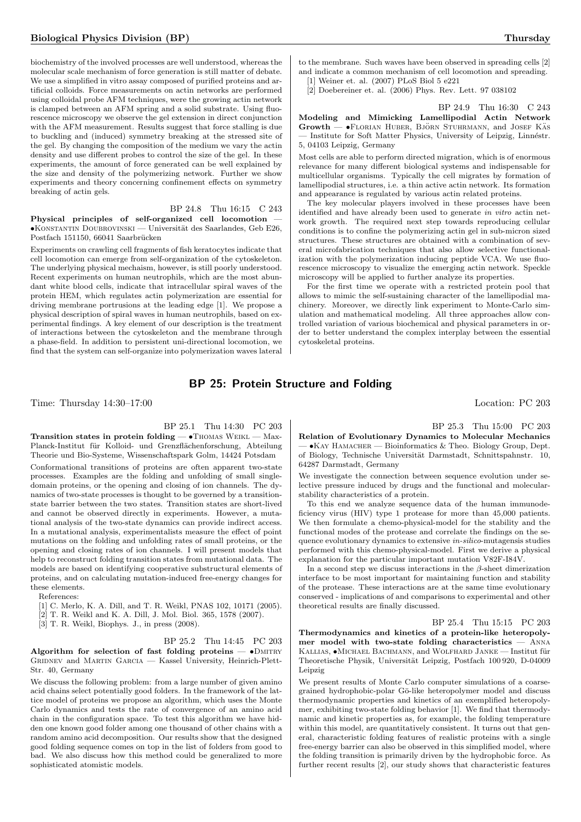biochemistry of the involved processes are well understood, whereas the molecular scale mechanism of force generation is still matter of debate. We use a simplified in vitro assay composed of purified proteins and artificial colloids. Force measurements on actin networks are performed using colloidal probe AFM techniques, were the growing actin network is clamped between an AFM spring and a solid substrate. Using fluorescence microscopy we observe the gel extension in direct conjunction with the AFM measurement. Results suggest that force stalling is due to buckling and (induced) symmetry breaking at the stressed site of the gel. By changing the composition of the medium we vary the actin density and use different probes to control the size of the gel. In these experiments, the amount of force generated can be well explained by the size and density of the polymerizing network. Further we show experiments and theory concerning confinement effects on symmetry breaking of actin gels.

## BP 24.8 Thu 16:15 C 243

Physical principles of self-organized cell locomotion  $\bullet$ KONSTANTIN DOUBROVINSKI — Universität des Saarlandes, Geb E26, Postfach 151150, 66041 Saarbrücken

Experiments on crawling cell fragments of fish keratocytes indicate that cell locomotion can emerge from self-organization of the cytoskeleton. The underlying physical mechaism, however, is still poorly understood. Recent experiments on human neutrophils, which are the most abundant white blood cells, indicate that intracellular spiral waves of the protein HEM, which regulates actin polymerization are essential for driving membrane portrusions at the leading edge [1]. We propose a physical description of spiral waves in human neutrophils, based on experimental findings. A key element of our description is the treatment of interactions between the cytoskeleton and the membrane through a phase-field. In addition to persistent uni-directional locomotion, we find that the system can self-organize into polymerization waves lateral

to the membrane. Such waves have been observed in spreading cells [2] and indicate a common mechanism of cell locomotion and spreading. [1] Weiner et. al. (2007) PLoS Biol 5 e221

[2] Doebereiner et. al. (2006) Phys. Rev. Lett. 97 038102

5, 04103 Leipzig, Germany

BP 24.9 Thu 16:30 C 243 Modeling and Mimicking Lamellipodial Actin Network  $Growth$   $\rightarrow$   $F$ LORIAN HUBER, BJÖRN STUHRMANN, and JOSEF KAS Institute for Soft Matter Physics, University of Leipzig, Linnéstr.

Most cells are able to perform directed migration, which is of enormous relevance for many different biological systems and indispensable for multicellular organisms. Typically the cell migrates by formation of lamellipodial structures, i.e. a thin active actin network. Its formation and appearance is regulated by various actin related proteins.

The key molecular players involved in these processes have been identified and have already been used to generate in vitro actin network growth. The required next step towards reproducing cellular conditions is to confine the polymerizing actin gel in sub-micron sized structures. These structures are obtained with a combination of several microfabrication techniques that also allow selective functionalization with the polymerization inducing peptide VCA. We use fluorescence microscopy to visualize the emerging actin network. Speckle microscopy will be applied to further analyze its properties.

For the first time we operate with a restricted protein pool that allows to mimic the self-sustaining character of the lamellipodial machinery. Moreover, we directly link experiment to Monte-Carlo simulation and mathematical modeling. All three approaches allow controlled variation of various biochemical and physical parameters in order to better understand the complex interplay between the essential cytoskeletal proteins.

## BP 25: Protein Structure and Folding

Time: Thursday 14:30–17:00 Location: PC 203

BP 25.1 Thu 14:30 PC 203

Transition states in protein folding — •Thomas Weikl — Max-Planck-Institut für Kolloid- und Grenzflächenforschung, Abteilung Theorie und Bio-Systeme, Wissenschaftspark Golm, 14424 Potsdam

Conformational transitions of proteins are often apparent two-state processes. Examples are the folding and unfolding of small singledomain proteins, or the opening and closing of ion channels. The dynamics of two-state processes is thought to be governed by a transitionstate barrier between the two states. Transition states are short-lived and cannot be observed directly in experiments. However, a mutational analysis of the two-state dynamics can provide indirect access. In a mutational analysis, experimentalists measure the effect of point mutations on the folding and unfolding rates of small proteins, or the opening and closing rates of ion channels. I will present models that help to reconstruct folding transition states from mutational data. The models are based on identifying cooperative substructural elements of proteins, and on calculating mutation-induced free-energy changes for these elements.

References:

[1] C. Merlo, K. A. Dill, and T. R. Weikl, PNAS 102, 10171 (2005).

[2] T. R. Weikl and K. A. Dill, J. Mol. Biol. 365, 1578 (2007).

[3] T. R. Weikl, Biophys. J., in press (2008).

BP 25.2 Thu 14:45 PC 203 Algorithm for selection of fast folding proteins  $\bullet$ DMITRY Gridnev and Martin Garcia — Kassel University, Heinrich-Plett-Str. 40, Germany

We discuss the following problem: from a large number of given amino acid chains select potentially good folders. In the framework of the lattice model of proteins we propose an algorithm, which uses the Monte Carlo dynamics and tests the rate of convergence of an amino acid chain in the configuration space. To test this algorithm we have hidden one known good folder among one thousand of other chains with a random amino acid decomposition. Our results show that the designed good folding sequence comes on top in the list of folders from good to bad. We also discuss how this method could be generalized to more sophisticated atomistic models.

BP 25.3 Thu 15:00 PC 203 Relation of Evolutionary Dynamics to Molecular Mechanics  $\bullet$ KAY HAMACHER — Bioinformatics & Theo. Biology Group, Dept. of Biology, Technische Universität Darmstadt, Schnittspahnstr. 10, 64287 Darmstadt, Germany

We investigate the connection between sequence evolution under selective pressure induced by drugs and the functional and molecularstability characteristics of a protein.

To this end we analyze sequence data of the human immunodeficiency virus (HIV) type 1 protease for more than 45,000 patients. We then formulate a chemo-physical-model for the stability and the functional modes of the protease and correlate the findings on the sequence evolutionary dynamics to extensive in-silico-mutagensis studies performed with this chemo-physical-model. First we derive a physical explanation for the particular important mutation V82F-I84V.

In a second step we discuss interactions in the  $\beta$ -sheet dimerization interface to be most important for maintaining function and stability of the protease. These interactions are at the same time evolutionary conserved - implications of and comparisons to experimental and other theoretical results are finally discussed.

BP 25.4 Thu 15:15 PC 203 Thermodynamics and kinetics of a protein-like heteropolymer model with two-state folding characteristics — Anna KALLIAS,  $\bullet$ MICHAEL BACHMANN, and WOLFHARD JANKE — Institut für Theoretische Physik, Universität Leipzig, Postfach 100 920, D-04009 Leipzig

We present results of Monte Carlo computer simulations of a coarsegrained hydrophobic-polar G¯o-like heteropolymer model and discuss thermodynamic properties and kinetics of an exemplified heteropolymer, exhibiting two-state folding behavior [1]. We find that thermodynamic and kinetic properties as, for example, the folding temperature within this model, are quantitatively consistent. It turns out that general, characteristic folding features of realistic proteins with a single free-energy barrier can also be observed in this simplified model, where the folding transition is primarily driven by the hydrophobic force. As further recent results [2], our study shows that characteristic features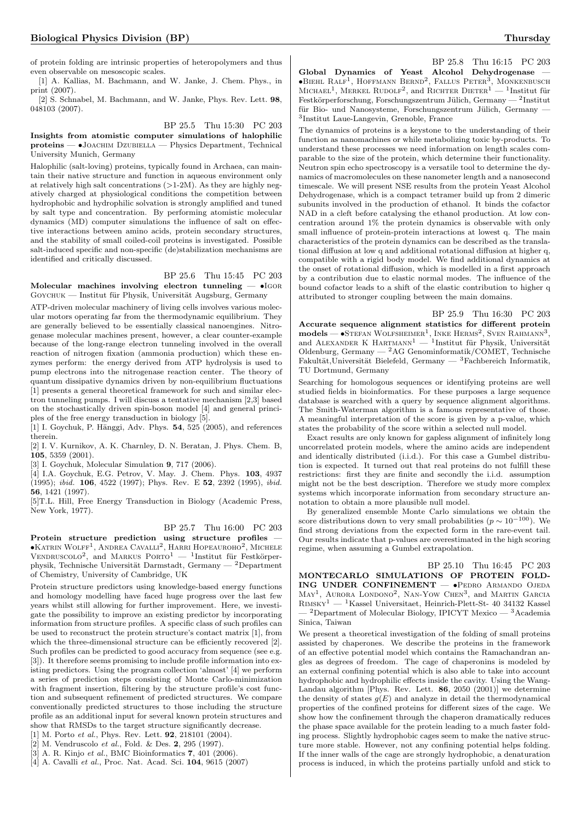of protein folding are intrinsic properties of heteropolymers and thus even observable on mesoscopic scales.

[1] A. Kallias, M. Bachmann, and W. Janke, J. Chem. Phys., in print (2007).

[2] S. Schnabel, M. Bachmann, and W. Janke, Phys. Rev. Lett. 98. 048103 (2007).

#### BP 25.5 Thu 15:30 PC 203

Insights from atomistic computer simulations of halophilic proteins — •Joachim Dzubiella — Physics Department, Technical University Munich, Germany

Halophilic (salt-loving) proteins, typically found in Archaea, can maintain their native structure and function in aqueous environment only at relatively high salt concentrations  $(>1-2M)$ . As they are highly negatively charged at physiological conditions the competition between hydrophobic and hydrophilic solvation is strongly amplified and tuned by salt type and concentration. By performing atomistic molecular dynamics (MD) computer simulations the influence of salt on effective interactions between amino acids, protein secondary structures, and the stability of small coiled-coil proteins is investigated. Possible salt-induced specific and non-specific (de)stabilization mechanisms are identified and critically discussed.

#### BP 25.6 Thu 15:45 PC 203 Molecular machines involving electron tunneling  $-$  •Igore

GOYCHUK — Institut für Physik, Universität Augsburg, Germany

ATP-driven molecular machinery of living cells involves various molecular motors operating far from the thermodynamic equilibrium. They are generally believed to be essentially classical nanoengines. Nitrogenase molecular machines present, however, a clear counter-example because of the long-range electron tunneling involved in the overall reaction of nitrogen fixation (ammonia production) which these enzymes perform: the energy derived from ATP hydrolysis is used to pump electrons into the nitrogenase reaction center. The theory of quantum dissipative dynamics driven by non-equilibrium fluctuations [1] presents a general theoretical framework for such and similar electron tunneling pumps. I will discuss a tentative mechanism [2,3] based on the stochastically driven spin-boson model [4] and general principles of the free energy transduction in biology [5].

[1] I. Goychuk, P. Hänggi, Adv. Phys.  $54, 525$  (2005), and references therein.

[2] I. V. Kurnikov, A. K. Charnley, D. N. Beratan, J. Phys. Chem. B,  $105, 5359$  (2001).

[3] I. Goychuk, Molecular Simulation 9, 717 (2006).

[4] I.A. Goychuk, E.G. Petrov, V. May. J. Chem. Phys. 103, 4937 (1995); ibid. 106, 4522 (1997); Phys. Rev. E 52, 2392 (1995), ibid. 56, 1421 (1997).

[5]T.L. Hill, Free Energy Transduction in Biology (Academic Press, New York, 1977).

BP 25.7 Thu 16:00 PC 203

Protein structure prediction using structure profiles —  $\bullet$ Katrin Wolff<sup>1</sup>, Andrea Cavalli<sup>2</sup>, Harri Hopeauroho<sup>2</sup>, Michele  $V$ ENDRUSCOLO<sup>2</sup>, and MARKUS PORTO<sup>1</sup> — <sup>1</sup>Institut für Festkörperphysik, Technische Universität Darmstadt, Germany — <sup>2</sup>Department of Chemistry, University of Cambridge, UK

Protein structure predictors using knowledge-based energy functions and homology modelling have faced huge progress over the last few years whilst still allowing for further improvement. Here, we investigate the possibility to improve an existing predictor by incorporating information from structure profiles. A specific class of such profiles can be used to reconstruct the protein structure's contact matrix [1], from which the three-dimensional structure can be efficiently recovered [2]. Such profiles can be predicted to good accuracy from sequence (see e.g. [3]). It therefore seems promising to include profile information into existing predictors. Using the program collection 'almost' [4] we perform a series of prediction steps consisting of Monte Carlo-minimization with fragment insertion, filtering by the structure profile's cost function and subsequent refinement of predicted structures. We compare conventionally predicted structures to those including the structure profile as an additional input for several known protein structures and show that RMSDs to the target structure significantly decrease.

[1] M. Porto *et al.*, Phys. Rev. Lett. **92**, 218101 (2004).

[2] M. Vendruscolo et al., Fold. & Des. 2, 295 (1997).

[3] A. R. Kinjo et al., BMC Bioinformatics **7**, 401 (2006).

[4] A. Cavalli et al., Proc. Nat. Acad. Sci. 104, 9615 (2007)

BP 25.8 Thu 16:15 PC 203 Global Dynamics of Yeast Alcohol Dehydrogenase —<br>•BIEHL RALF<sup>1</sup>, HOFFMANN BERND<sup>2</sup>, FALLUS PETER<sup>3</sup>, MONKENBUSCH MICHAEL<sup>1</sup>, MERKEL RUDOLF<sup>2</sup>, and RICHTER DIETER<sup>1</sup> — <sup>1</sup>Institut für Festkörperforschung, Forschungszentrum Jülich, Germany — <sup>2</sup>Institut für Bio- und Nanosysteme, Forschungszentrum Jülich, Germany -3 Institut Laue-Langevin, Grenoble, France

The dynamics of proteins is a keystone to the understanding of their function as nanomachines or while metabolizing toxic by-products. To understand these processes we need information on length scales comparable to the size of the protein, which determine their functionality. Neutron spin echo spectroscopy is a versatile tool to determine the dynamics of macromolecules on these nanometer length and a nanosecond timescale. We will present NSE results from the protein Yeast Alcohol Dehydrogenase, which is a compact tetramer build up from 2 dimeric subunits involved in the production of ethanol. It binds the cofactor NAD in a cleft before catalysing the ethanol production. At low concentration around 1% the protein dynamics is observable with only small influence of protein-protein interactions at lowest q. The main characteristics of the protein dynamics can be described as the translational diffusion at low q and additional rotational diffusion at higher q, compatible with a rigid body model. We find additional dynamics at the onset of rotational diffusion, which is modelled in a first approach by a contribution due to elastic normal modes. The influence of the bound cofactor leads to a shift of the elastic contribution to higher q attributed to stronger coupling between the main domains.

BP 25.9 Thu 16:30 PC 203 Accurate sequence alignment statistics for different protein  $\text{models} \longrightarrow \text{Steran Woltsheimer}^1$ , Inke Herms<sup>2</sup>, Sven Rahmann<sup>3</sup>, and ALEXANDER K HARTMANN<sup>1</sup> — <sup>1</sup>Institut für Physik, Universität Oldenburg, Germany — <sup>2</sup>AG Genominformatik/COMET, Technische Fakultät,Universität Bielefeld, Germany —  ${}^{3}$ Fachbereich Informatik, TU Dortmund, Germany

Searching for homologous sequences or identifying proteins are well studied fields in bioinformatics. For these purposes a large sequence database is searched with a query by sequence alignment algorithms. The Smith-Waterman algorithm is a famous representative of those. A meaningful interpretation of the score is given by a p-value, which states the probability of the score within a selected null model.

Exact results are only known for gapless alignment of infinitely long uncorrelated protein models, where the amino acids are independent and identically distributed (i.i.d.). For this case a Gumbel distribution is expected. It turned out that real proteins do not fulfill these restrictions: first they are finite and secondly the i.i.d. assumption might not be the best description. Therefore we study more complex systems which incorporate information from secondary structure annotation to obtain a more plausible null model.

By generalized ensemble Monte Carlo simulations we obtain the score distributions down to very small probabilities ( $p \sim 10^{-100}$ ). We find strong deviations from the expected form in the rare-event tail. Our results indicate that p-values are overestimated in the high scoring regime, when assuming a Gumbel extrapolation.

BP 25.10 Thu 16:45 PC 203 MONTECARLO SIMULATIONS OF PROTEIN FOLD-ING UNDER CONFINEMENT — •Pedro Armando Ojeda MAY<sup>1</sup>, AURORA LONDONO<sup>2</sup>, NAN-YOW CHEN<sup>3</sup>, and MARTIN GARCIA  $\mathrm{Rimsky^1} = \mathrm{^{1}K}$ assel Universitaet, Heinrich-Plett-St- 40 34132 Kassel  $^{-2}$ Department of Molecular Biology, IPICYT Mexico —  $^{3}$ Academia Sinica, Taiwan

We present a theoretical investigation of the folding of small proteins assisted by chaperones. We describe the proteins in the framework of an effective potential model which contains the Ramachandran angles as degrees of freedom. The cage of chaperonins is modeled by an external confining potential which is also able to take into account hydrophobic and hydrophilic effects inside the cavity. Using the Wang-Landau algorithm [Phys. Rev. Lett. 86, 2050 (2001)] we determine the density of states  $g(E)$  and analyze in detail the thermodynamical properties of the confined proteins for different sizes of the cage. We show how the confinement through the chaperon dramatically reduces the phase space available for the protein leading to a much faster folding process. Slightly hydrophobic cages seem to make the native structure more stable. However, not any confining potential helps folding. If the inner walls of the cage are strongly hydrophobic, a denaturation process is induced, in which the proteins partially unfold and stick to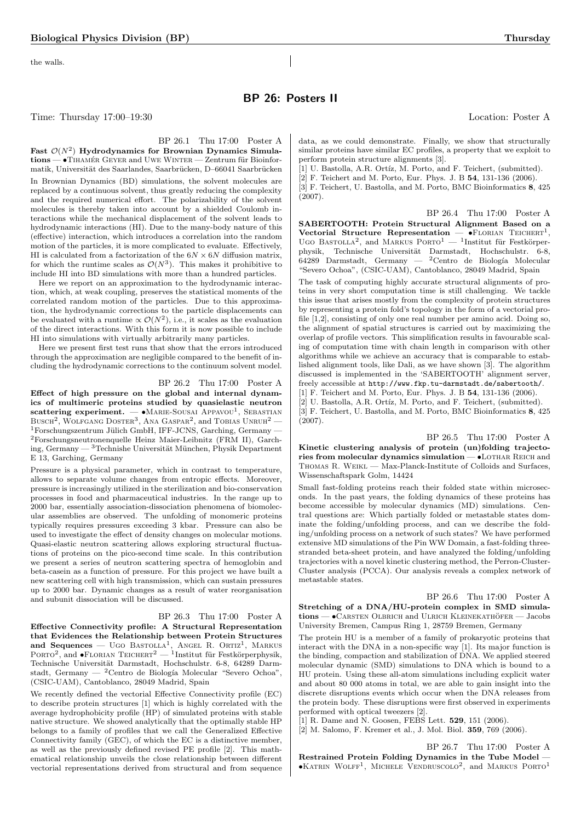the walls.

## BP 26: Posters II

Time: Thursday 17:00–19:30 Location: Poster A

#### BP 26.1 Thu 17:00 Poster A

Fast  $\mathcal{O}(N^2)$  Hydrodynamics for Brownian Dynamics Simula $tions - \bullet$ TIHAMÉR GEYER and UWE WINTER — Zentrum für Bioinformatik, Universität des Saarlandes, Saarbrücken, D–66041 Saarbrücken In Brownian Dynamics (BD) simulations, the solvent molecules are replaced by a continuous solvent, thus greatly reducing the complexity and the required numerical effort. The polarizability of the solvent molecules is thereby taken into account by a shielded Coulomb interactions while the mechanical displacement of the solvent leads to hydrodynamic interactions (HI). Due to the many-body nature of this (effective) interaction, which introduces a correlation into the random motion of the particles, it is more complicated to evaluate. Effectively, HI is calculated from a factorization of the  $6N \times 6N$  diffusion matrix, for which the runtime scales as  $\mathcal{O}(N^3)$ . This makes it prohibitive to include HI into BD simulations with more than a hundred particles.

Here we report on an approximation to the hydrodynamic interaction, which, at weak coupling, preserves the statistical moments of the correlated random motion of the particles. Due to this approximation, the hydrodynamic corrections to the particle displacements can be evaluated with a runtime  $\propto \mathcal{O}(N^2)$ , i.e., it scales as the evaluation of the direct interactions. With this form it is now possible to include HI into simulations with virtually arbitrarily many particles.

Here we present first test runs that show that the errors introduced through the approximation are negligible compared to the benefit of including the hydrodynamic corrections to the continuum solvent model.

#### BP 26.2 Thu 17:00 Poster A

Effect of high pressure on the global and internal dynamics of multimeric proteins studied by quasielastic neutron  $\textbf{scattering experiment.} \boldsymbol{\mathrm{ }\boldsymbol{-}}$   $\bullet$  Marie-Sousai Appavou<sup>1</sup>, Sebastian Busch<sup>2</sup>, Wolfgang Doster<sup>3</sup>, Ana Gaspar<sup>2</sup>, and Tobias Unruh<sup>2</sup> —  $1$ Forschungszentrum Jülich GmbH, IFF-JCNS, Garching, Germany — <sup>2</sup>Forschungsneutronenquelle Heinz Maier-Leibnitz (FRM II), Garching, Germany —  ${}^{3}$ Technishe Universität München, Physik Department E 13, Garching, Germany

Pressure is a physical parameter, which in contrast to temperature, allows to separate volume changes from entropic effects. Moreover, pressure is increasingly utilized in the sterilization and bio-conservation processes in food and pharmaceutical industries. In the range up to 2000 bar, essentially association-dissociation phenomena of biomolecular assemblies are observed. The unfolding of monomeric proteins typically requires pressures exceeding 3 kbar. Pressure can also be used to investigate the effect of density changes on molecular motions. Quasi-elastic neutron scattering allows exploring structural fluctuations of proteins on the pico-second time scale. In this contribution we present a series of neutron scattering spectra of hemoglobin and beta-casein as a function of pressure. For this project we have built a new scattering cell with high transmission, which can sustain pressures up to 2000 bar. Dynamic changes as a result of water reorganisation and subunit dissociation will be discussed.

#### BP 26.3 Thu 17:00 Poster A

Effective Connectivity profile: A Structural Representation that Evidences the Relationship between Protein Structures and Sequences — UGO BASTOLLA<sup>1</sup>, ANGEL R. ORTIZ<sup>1</sup>, MARKUS<br>PORTO<sup>2</sup>, and •FLORIAN TEICHERT<sup>2</sup> — <sup>1</sup>Institut für Festkörperphysik, Technische Universität Darmstadt, Hochschulstr. 6-8, 64289 Darmstadt, Germany — <sup>2</sup>Centro de Biología Molecular "Severo Ochoa", (CSIC-UAM), Cantoblanco, 28049 Madrid, Spain

We recently defined the vectorial Effective Connectivity profile (EC) to describe protein structures [1] which is highly correlated with the average hydrophobicity profile (HP) of simulated proteins with stable native structure. We showed analytically that the optimally stable HP belongs to a family of profiles that we call the Generalized Effective Connectivity family (GEC), of which the EC is a distinctive member, as well as the previously defined revised PE profile [2]. This mathematical relationship unveils the close relationship between different vectorial representations derived from structural and from sequence

data, as we could demonstrate. Finally, we show that structurally similar proteins have similar EC profiles, a property that we exploit to perform protein structure alignments [3].

[1] U. Bastolla, A.R. Ortíz, M. Porto, and F. Teichert, (submitted).

[2] F. Teichert and M. Porto, Eur. Phys. J. B 54, 131-136 (2006). [3] F. Teichert, U. Bastolla, and M. Porto, BMC Bioinformatics 8, 425 (2007).

BP 26.4 Thu 17:00 Poster A SABERTOOTH: Protein Structural Alignment Based on a Vectorial Structure Representation  $\bullet$ FLORIAN TEICHERT<sup>1</sup>, UGO BASTOLLA<sup>2</sup>, and MARKUS PORTO<sup>1</sup> - <sup>1</sup>Institut für Festkörperphysik, Technische Universität Darmstadt, Hochschulstr. 6-8, 64289 Darmstadt, Germany — <sup>2</sup>Centro de Biología Molecular "Severo Ochoa", (CSIC-UAM), Cantoblanco, 28049 Madrid, Spain

The task of computing highly accurate structural alignments of proteins in very short computation time is still challenging. We tackle this issue that arises mostly from the complexity of protein structures by representing a protein fold's topology in the form of a vectorial profile [1,2], consisting of only one real number per amino acid. Doing so, the alignment of spatial structures is carried out by maximizing the overlap of profile vectors. This simplification results in favourable scaling of computation time with chain length in comparison with other algorithms while we achieve an accuracy that is comparable to established alignment tools, like Dali, as we have shown [3]. The algorithm discussed is implemented in the 'SABERTOOTH' alignment server, freely accessible at http://www.fkp.tu-darmstadt.de/sabertooth/. [1] F. Teichert and M. Porto, Eur. Phys. J. B **54**, 131-136 (2006).

[2] U. Bastolla, A.R. Ortíz, M. Porto, and F. Teichert, (submitted). [3] F. Teichert, U. Bastolla, and M. Porto, BMC Bioinformatics 8, 425 (2007).

BP 26.5 Thu 17:00 Poster A Kinetic clustering analysis of protein (un)folding trajectories from molecular dynamics simulation —  $\bullet$ LOTHAR REICH and Thomas R. Weikl — Max-Planck-Institute of Colloids and Surfaces, Wissenschaftspark Golm, 14424

Small fast-folding proteins reach their folded state within microseconds. In the past years, the folding dynamics of these proteins has become accessible by molecular dynamics (MD) simulations. Central questions are: Which partially folded or metastable states dominate the folding/unfolding process, and can we describe the folding/unfolding process on a network of such states? We have performed extensive MD simulations of the Pin WW Domain, a fast-folding threestranded beta-sheet protein, and have analyzed the folding/unfolding trajectories with a novel kinetic clustering method, the Perron-Cluster-Cluster analysis (PCCA). Our analysis reveals a complex network of metastable states.

BP 26.6 Thu 17:00 Poster A Stretching of a DNA/HU-protein complex in SMD simula $tions - \bullet$ Carsten Olbrich and Ulrich Kleinekathöfer — Jacobs University Bremen, Campus Ring 1, 28759 Bremen, Germany

The protein HU is a member of a family of prokaryotic proteins that interact with the DNA in a non-specific way [1]. Its major function is the binding, compaction and stabilization of DNA. We applied steered molecular dynamic (SMD) simulations to DNA which is bound to a HU protein. Using these all-atom simulations including explicit water and about 80 000 atoms in total, we are able to gain insight into the discrete disruptions events which occur when the DNA releases from the protein body. These disruptions were first observed in experiments performed with optical tweezers [2].

[1] R. Dame and N. Goosen, FEBS Lett. 529, 151 (2006).

[2] M. Salomo, F. Kremer et al., J. Mol. Biol. 359, 769 (2006).

BP 26.7 Thu 17:00 Poster A Restrained Protein Folding Dynamics in the Tube Model —  $\bullet$ KATRIN WOLFF<sup>1</sup>, MICHELE VENDRUSCOLO<sup>2</sup>, and MARKUS PORTO<sup>1</sup>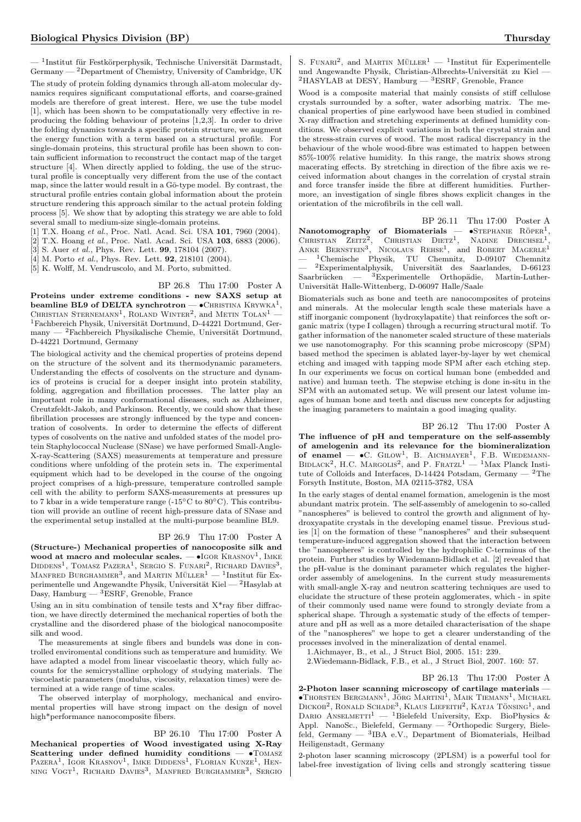$-$  <sup>1</sup>Institut für Festkörperphysik, Technische Universität Darmstadt, Germany — <sup>2</sup>Department of Chemistry, University of Cambridge, UK The study of protein folding dynamics through all-atom molecular dynamics requires significant computational efforts, and coarse-grained models are therefore of great interest. Here, we use the tube model [1], which has been shown to be computationally very effective in reproducing the folding behaviour of proteins [1,2,3]. In order to drive the folding dynamics towards a specific protein structure, we augment the energy function with a term based on a structural profile. For single-domain proteins, this structural profile has been shown to contain sufficient information to reconstruct the contact map of the target structure [4]. When directly applied to folding, the use of the structural profile is conceptually very different from the use of the contact map, since the latter would result in a Gō-type model. By contrast, the structural profile entries contain global information about the protein structure rendering this approach similar to the actual protein folding process [5]. We show that by adopting this strategy we are able to fold several small to medium-size single-domain proteins.

[1] T.X. Hoang et al., Proc. Natl. Acad. Sci. USA 101, 7960 (2004).

[2] T.X. Hoang et al., Proc. Natl. Acad. Sci. USA 103, 6883 (2006).

[3] S. Auer et al., Phys. Rev. Lett. **99**, 178104 (2007).

[4] M. Porto et al., Phys. Rev. Lett. **92**, 218101 (2004).

[5] K. Wolff, M. Vendruscolo, and M. Porto, submitted.

BP 26.8 Thu 17:00 Poster A Proteins under extreme conditions - new SAXS setup at beamline BL9 of DELTA synchrotron —  $\bullet$  CHRISTINA  $\text{K}\text{RYWKA}^1,$ CHRISTIAN STERNEMANN<sup>1</sup>, ROLAND WINTER<sup>2</sup>, and METIN TOLAN<sup>1</sup> — <sup>1</sup>Fachbereich Physik, Universität Dortmund, D-44221 Dortmund, Germany —  $^2\mbox{Fachbereich Physikalische Chemie, Universität Dortmund,}$ D-44221 Dortmund, Germany

The biological activity and the chemical properties of proteins depend on the structure of the solvent and its thermodynamic parameters. Understanding the effects of cosolvents on the structure and dynamics of proteins is crucial for a deeper insight into protein stability, folding, aggregation and fibrillation processes. The latter play an important role in many conformational diseases, such as Alzheimer, Creutzfeldt-Jakob, and Parkinson. Recently, we could show that these fibrillation processes are strongly influenced by the type and concentration of cosolvents. In order to determine the effects of different types of cosolvents on the native and unfolded states of the model protein Staphylococcal Nuclease (SNase) we have performed Small-Angle-X-ray-Scattering (SAXS) measurements at temperature and pressure conditions where unfolding of the protein sets in. The experimental equipment which had to be developed in the course of the ongoing project comprises of a high-pressure, temperature controlled sample cell with the ability to perform SAXS-measurements at pressures up to 7 kbar in a wide temperature range (-15◦C to 80◦C). This contribution will provide an outline of recent high-pressure data of SNase and the experimental setup installed at the multi-purpose beamline BL9.

### BP 26.9 Thu 17:00 Poster A

(Structure-) Mechanical properties of nanocoposite silk and wood at macro and molecular scales.  $-$  •IGOR KRASNOV<sup>1</sup>, IMKE DIDDENS<sup>1</sup>, TOMASZ PAZERA<sup>1</sup>, SERGIO S. FUNARI<sup>2</sup>, RICHARD DAVIES<sup>3</sup>, MANFRED BURGHAMMER<sup>3</sup>, and MARTIN MÜLLER<sup>1</sup> — <sup>1</sup>Institut für Experimentelle und Angewandte Physik, Universität Kiel —  $^2{\rm Hasylab}$ at Dasy, Hamburg  $-$  <sup>3</sup>ESRF, Grenoble, France

Using an in situ combination of tensile tests and  $X^*$ ray fiber diffraction, we have directly determined the mechanical roperties of both the crystalline and the disordered phase of the biological nanocomposite silk and wood.

The measurements at single fibers and bundels was done in controlled enviromental conditions such as temperature and humidity. We have adapted a model from linear viscoelastic theory, which fully accounts for the semicrystalline orphology of studying materials. The viscoelastic parameters (modulus, viscosity, relaxation times) were determined at a wide range of time scales.

The observed interplay of morphology, mechanical and enviromental properties will have strong impact on the design of novel high\*performance nanocomposite fibers.

#### BP 26.10 Thu 17:00 Poster A

Mechanical properties of Wood investigated using X-Ray Scattering under defined humidity conditions -  $\bullet$ TOMASZ PAZERA<sup>1</sup>, IGOR KRASNOV<sup>1</sup>, IMKE DIDDENS<sup>1</sup>, FLORIAN KUNZE<sup>1</sup>, HENning Vogt<sup>1</sup>, Richard Davies<sup>3</sup>, Manfred Burghammer<sup>3</sup>, Sergio

S. FUNARI<sup>2</sup>, and MARTIN MÜLLER<sup>1</sup> - <sup>1</sup>Institut für Experimentelle und Angewandte Physik, Christian-Albrechts-Universität zu Kiel - ${}^{2}$ HASYLAB at DESY, Hamburg  ${}^{3}$ ESRF, Grenoble, France

Wood is a composite material that mainly consists of stiff cellulose crystals surrounded by a softer, water adsorbing matrix. The mechanical properties of pine earlywood have been studied in combined X-ray diffraction and stretching experiments at defined humidity conditions. We observed explicit variations in both the crystal strain and the stress-strain curves of wood. The most radical discrepancy in the behaviour of the whole wood-fibre was estimated to happen between 85%-100% relative humidity. In this range, the matrix shows strong macerating effects. By stretching in direction of the fibre axis we received information about changes in the correlation of crystal strain and force transfer inside the fibre at different humidities. Furthermore, an investigation of single fibres shows explicit changes in the orientation of the microfibrils in the cell wall.

BP 26.11 Thu 17:00 Poster A Nanotomography of Biomaterials —  $\bullet$ STEPHANIE RÖPER<sup>1</sup> CHRISTIAN ZEITZ<sup>2</sup>, CHRISTIAN DIETZ<sup>1</sup>, NADINE DRECHSEL<sup>1</sup>,<br>ANKE BERNSTEIN<sup>3</sup>, NICOLAUS REHSE<sup>1</sup>, and ROBERT MAGERLE<sup>1</sup> — <sup>1</sup>Chemische Physik, TU Chemnitz, D-09107 Chemnitz  $-$  <sup>2</sup>Experimentalphysik, Universität des Saarlandes, D-66123 Saarbrücken —  ${}^{3}$ Experimentelle Orthopädie, Martin-Luther-Universität Halle-Wittenberg, D-06097 Halle/Saale

Biomaterials such as bone and teeth are nanocomposites of proteins and minerals. At the molecular length scale these materials have a stiff inorganic component (hydroxylapatite) that reinforces the soft organic matrix (type I collagen) through a recurring structural motif. To gather information of the nanometer scaled structure of these materials we use nanotomography. For this scanning probe microscopy (SPM) based method the specimen is ablated layer-by-layer by wet chemical etching and imaged with tapping mode SPM after each etching step. In our experiments we focus on cortical human bone (embedded and native) and human teeth. The stepwise etching is done in-situ in the SPM with an automated setup. We will present our latest volume images of human bone and teeth and discuss new concepts for adjusting the imaging parameters to maintain a good imaging quality.

BP 26.12 Thu 17:00 Poster A

The influence of pH and temperature on the self-assembly of amelogenin and its relevance for the biomineralization of enamel —  $\bullet$ C. GILOW<sup>1</sup>, B. AICHMAYER<sup>1</sup>, F.B. WIEDEMANN-BIDLACK<sup>2</sup>, H.C. MARGOLIS<sup>2</sup>, and P. FRATZL<sup>1</sup> — <sup>1</sup>Max Planck Institute of Colloids and Interfaces, D-14424 Potsdam, Germany — <sup>2</sup>The Forsyth Institute, Boston, MA 02115-3782, USA

In the early stages of dental enamel formation, amelogenin is the most abundant matrix protein. The self-assembly of amelogenin to so-called "nanospheres" is believed to control the growth and alignment of hydroxyapatite crystals in the developing enamel tissue. Previous studies [1] on the formation of these "nanospheres" and their subsequent temperature-induced aggregation showed that the interaction between the "nanospheres" is controlled by the hydrophilic C-terminus of the protein. Further studies by Wiedemann-Bidlack et al. [2] revealed that the pH-value is the dominant parameter which regulates the higherorder assembly of amelogenins. In the current study measurements with small-angle X-ray and neutron scattering techniques are used to elucidate the structure of these protein agglomerates, which - in spite of their commonly used name were found to strongly deviate from a spherical shape. Through a systematic study of the effects of temperature and pH as well as a more detailed characterisation of the shape of the "nanospheres" we hope to get a clearer understanding of the processes involved in the mineralization of dental enamel.

1.Aichmayer, B., et al., J Struct Biol, 2005. 151: 239.

2.Wiedemann-Bidlack, F.B., et al., J Struct Biol, 2007. 160: 57.

BP 26.13 Thu 17:00 Poster A 2-Photon laser scanning microscopy of cartilage materials —  $\bullet$ Thorsten Bergmann<sup>1</sup>, Jörg Martini<sup>1</sup>, Maik Tiemann<sup>1</sup>, Michael DICKOB<sup>2</sup>, RONALD SCHADE<sup>3</sup>, KLAUS LIEFEITH<sup>2</sup>, KATJA TÖNSING<sup>1</sup>, and DARIO ANSELMETTI<sup>1</sup> — <sup>1</sup>Bielefeld University, Exp. BioPhysics & Appl. NanoSc., Bielefeld, Germany — <sup>2</sup>Orthopedic Surgery, Bielefeld, Germany — <sup>3</sup> IBA e.V., Department of Biomaterials, Heilbad Heiligenstadt, Germany

2-photon laser scanning microscopy (2PLSM) is a powerful tool for label-free investigation of living cells and strongly scattering tissue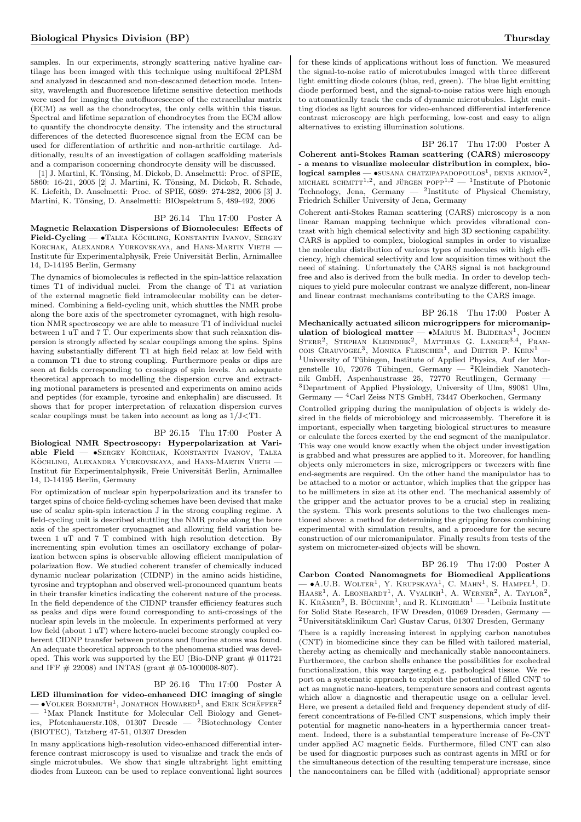samples. In our experiments, strongly scattering native hyaline cartilage has been imaged with this technique using multifocal 2PLSM and analyzed in descanned and non-descanned detection mode. Intensity, wavelength and fluorescence lifetime sensitive detection methods were used for imaging the autofluorescence of the extracellular matrix (ECM) as well as the chondrocytes, the only cells within this tissue. Spectral and lifetime separation of chondrocytes from the ECM allow to quantify the chondrocyte density. The intensity and the structural differences of the detected fluorescence signal from the ECM can be used for differentiation of arthritic and non-arthritic cartilage. Additionally, results of an investigation of collagen scaffolding materials and a comparison concerning chondrocyte density will be discussed.

[1] J. Martini, K. Tönsing, M. Dickob, D. Anselmetti: Proc. of SPIE, 5860: 16-21, 2005 [2] J. Martini, K. Tönsing, M. Dickob, R. Schade, K. Liefeith, D. Anselmetti: Proc. of SPIE, 6089: 274-282, 2006 [3] J. Martini, K. Tönsing, D. Anselmetti: BIOspektrum 5, 489-492, 2006

#### BP 26.14 Thu 17:00 Poster A

Magnetic Relaxation Dispersions of Biomolecules: Effects of Field-Cycling — •TALEA KÖCHLING, KONSTANTIN IVANOV, SERGEY Korchak, Alexandra Yurkovskaya, and Hans-Martin Vieth — Institute für Experimentalphysik, Freie Universität Berlin, Arnimallee 14, D-14195 Berlin, Germany

The dynamics of biomolecules is reflected in the spin-lattice relaxation times T1 of individual nuclei. From the change of T1 at variation of the external magnetic field intramolecular mobility can be determined. Combining a field-cycling unit, which shuttles the NMR probe along the bore axis of the spectrometer cyromagnet, with high resolution NMR spectroscopy we are able to measure T1 of individual nuclei between 1 uT and 7 T. Our experiments show that such relaxation dispersion is strongly affected by scalar couplings among the spins. Spins having substantially different T1 at high field relax at low field with a common T1 due to strong coupling. Furthermore peaks or dips are seen at fields corresponding to crossings of spin levels. An adequate theoretical approach to modelling the dispersion curve and extracting motional parameters is presented and experiments on amino acids and peptides (for example, tyrosine and enkephalin) are discussed. It shows that for proper interpretation of relaxation dispersion curves scalar couplings must be taken into account as long as 1/J<T1.

#### BP 26.15 Thu 17:00 Poster A

Biological NMR Spectroscopy: Hyperpolarization at Variable Field — •Sergey Korchak, Konstantin Ivanov, Talea KÖCHLING, ALEXANDRA YURKOVSKAYA, and HANS-MARTIN VIETH — Institut für Experimentalphysik, Freie Universität Berlin, Arnimallee 14, D-14195 Berlin, Germany

For optimization of nuclear spin hyperpolarization and its transfer to target spins of choice field-cycling schemes have been devised that make use of scalar spin-spin interaction J in the strong coupling regime. A field-cycling unit is described shuttling the NMR probe along the bore axis of the spectrometer cryomagnet and allowing field variation between 1 uT and 7 T combined with high resolution detection. By incrementing spin evolution times an oscillatory exchange of polarization between spins is observable allowing efficient manipulation of polarization flow. We studied coherent transfer of chemically induced dynamic nuclear polarization (CIDNP) in the amino acids histidine, tyrosine and tryptophan and observed well-pronounced quantum beats in their transfer kinetics indicating the coherent nature of the process. In the field dependence of the CIDNP transfer efficiency features such as peaks and dips were found corresponding to anti-crossings of the nuclear spin levels in the molecule. In experiments performed at very low field (about 1 uT) where hetero-nuclei become strongly coupled coherent CIDNP transfer between protons and fluorine atoms was found. An adequate theoretical approach to the phenomena studied was developed. This work was supported by the EU (Bio-DNP grant  $\#$  011721) and IFF  $\#$  22008) and INTAS (grant  $\#$  05-1000008-807).

#### BP 26.16 Thu 17:00 Poster A

LED illumination for video-enhanced DIC imaging of single  $-$  •Volker Bormuth<sup>1</sup>, Jonathon Howared<sup>1</sup>, and Erik Schäffer<sup>2</sup>  $-$  <sup>1</sup>Max Planck Institute for Molecular Cell Biology and Genetics, Pfotenhauerstr.108, 01307 Dresde — <sup>2</sup>Biotechnology Center (BIOTEC), Tatzberg 47-51, 01307 Dresden

In many applications high-resolution video-enhanced differential interference contrast microscopy is used to visualize and track the ends of single microtubules. We show that single ultrabright light emitting diodes from Luxeon can be used to replace conventional light sources

for these kinds of applications without loss of function. We measured the signal-to-noise ratio of microtubules imaged with three different light emitting diode colours (blue, red, green). The blue light emitting diode performed best, and the signal-to-noise ratios were high enough to automatically track the ends of dynamic microtubules. Light emitting diodes as light sources for video-enhanced differential interference contrast microscopy are high performing, low-cost and easy to align alternatives to existing illumination solutions.

BP 26.17 Thu 17:00 Poster A Coherent anti-Stokes Raman scattering (CARS) microscopy - a means to visualize molecular distribution in complex, bio $logical$  samples —  $\bullet$ SUSANA CHATZIPAPADOPOULOS<sup>1</sup>, DENIS AKIMOV<sup>2</sup>, MICHAEL SCHMITT<sup>1,2</sup>, and JÜRGEN POPP<sup>1,2</sup> - <sup>1</sup>Institute of Photonic Technology, Jena, Germany  $-$  <sup>2</sup>Institute of Physical Chemistry, Friedrich Schiller University of Jena, Germany

Coherent anti-Stokes Raman scattering (CARS) microscopy is a non linear Raman mapping technique which provides vibrational contrast with high chemical selectivity and high 3D sectioning capability. CARS is applied to complex, biological samples in order to visualize the molecular distribution of various types of molecules with high efficiency, high chemical selectivity and low acquisition times without the need of staining. Unfortunately the CARS signal is not background free and also is derived from the bulk media. In order to develop techniques to yield pure molecular contrast we analyze different, non-linear and linear contrast mechanisms contributing to the CARS image.

BP 26.18 Thu 17:00 Poster A Mechanically actuated silicon microgrippers for micromanipulation of biological matter — •MARIUS M. BLIDERAN<sup>1</sup>, JOCHEN<br>STERR<sup>2</sup>, STEPHAN KLEINDIEK<sup>2</sup>, MATTHIAS G. LANGER<sup>3,4</sup>, FRAN-COIS GRAUVOGEL<sup>3</sup>, MONIKA FLEISCHER<sup>1</sup>, and DIETER P. KERN<sup>1</sup> –  $1$ University of Tübingen, Institute of Applied Physics, Auf der Morgenstelle 10, 72076 Tübingen, Germany — <sup>2</sup>Kleindiek Nanotechnik GmbH, Aspenhaustrasse 25, 72770 Reutlingen, Germany — <sup>3</sup>Department of Applied Physiology, University of Ulm, 89081 Ulm, Germany — <sup>4</sup>Carl Zeiss NTS GmbH, 73447 Oberkochen, Germany

Controlled gripping during the manipulation of objects is widely desired in the fields of microbiology and microassembly. Therefore it is important, especially when targeting biological structures to measure or calculate the forces exerted by the end segment of the manipulator. This way one would know exactly when the object under investigation is grabbed and what pressures are applied to it. Moreover, for handling objects only micrometers in size, microgrippers or tweezers with fine end-segments are required. On the other hand the manipulator has to be attached to a motor or actuator, which implies that the gripper has to be millimeters in size at its other end. The mechanical assembly of the gripper and the actuator proves to be a crucial step in realizing the system. This work presents solutions to the two challenges mentioned above: a method for determining the gripping forces combining experimental with simulation results, and a procedure for the secure construction of our micromanipulator. Finally results from tests of the system on micrometer-sized objects will be shown.

BP 26.19 Thu 17:00 Poster A Carbon Coated Nanomagnets for Biomedical Applications  $\bullet$ A.U.B. WOLTER<sup>1</sup>, Y. KRUPSKAYA<sup>1</sup>, C. MAHN<sup>1</sup>, S. HAMPEL<sup>1</sup>, D. HAASE<sup>1</sup>, A. LEONHARDT<sup>1</sup>, A. VYALIKH<sup>1</sup>, A. WERNER<sup>2</sup>, A. TAYLOR<sup>2</sup>, K. KRAMER<sup>2</sup>, B. BÜCHNER<sup>1</sup>, and R. KLINGELER<sup>1</sup> — <sup>1</sup>Leibniz Institute for Solid State Research, IFW Dresden, 01069 Dresden, Germany —  $2$ Universitätsklinikum Carl Gustav Carus, 01307 Dresden, Germany

There is a rapidly increasing interest in applying carbon nanotubes (CNT) in biomedicine since they can be filled with tailored material, thereby acting as chemically and mechanically stable nanocontainers. Furthermore, the carbon shells enhance the possibilities for exohedral functionalization, this way targeting e.g. pathological tissue. We report on a systematic approach to exploit the potential of filled CNT to act as magnetic nano-heaters, temperature sensors and contrast agents which allow a diagnostic and therapeutic usage on a cellular level. Here, we present a detailed field and frequency dependent study of different concentrations of Fe-filled CNT suspensions, which imply their potential for magnetic nano-heaters in a hyperthermia cancer treatment. Indeed, there is a substantial temperature increase of Fe-CNT under applied AC magnetic fields. Furthermore, filled CNT can also be used for diagnostic purposes such as contrast agents in MRI or for the simultaneous detection of the resulting temperature increase, since the nanocontainers can be filled with (additional) appropriate sensor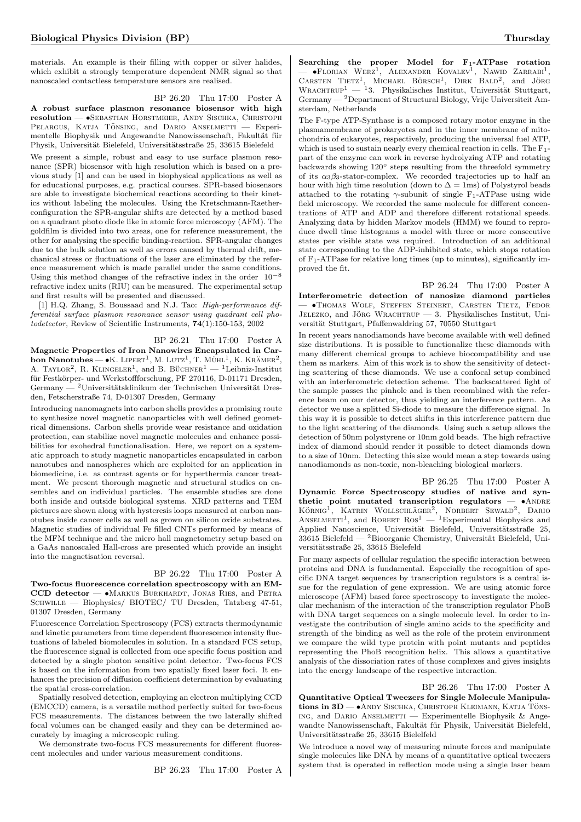materials. An example is their filling with copper or silver halides, which exhibit a strongly temperature dependent NMR signal so that nanoscaled contactless temperature sensors are realised.

## BP 26.20 Thu 17:00 Poster A

A robust surface plasmon resonance biosensor with high resolution — •Sebastian Horstmeier, Andy Sischka, Christoph PELARGUS, KATJA TÖNSING, and DARIO ANSELMETTI - Experimentelle Biophysik und Angewandte Nanowissenschaft, Fakultät für Physik, Universität Bielefeld, Universitätsstraße 25, 33615 Bielefeld

We present a simple, robust and easy to use surface plasmon resonance (SPR) biosensor with high resolution which is based on a previous study [1] and can be used in biophysical applications as well as for educational purposes, e.g. practical courses. SPR-based biosensors are able to investigate biochemical reactions according to their kinetics without labeling the molecules. Using the Kretschmann-Raetherconfiguration the SPR-angular shifts are detected by a method based on a quadrant photo diode like in atomic force microscopy (AFM). The goldfilm is divided into two areas, one for reference measurement, the other for analysing the specific binding-reaction. SPR-angular changes due to the bulk solution as well as errors caused by thermal drift, mechanical stress or fluctuations of the laser are eliminated by the reference measurement which is made parallel under the same conditions. Using this method changes of the refractive index in the order  $10^{-8}$ refractive index units (RIU) can be measured. The experimental setup and first results will be presented and discussed.

[1] H.Q. Zhang, S. Boussaad and N.J. Tao: High-performance differential surface plasmon resonance sensor using quadrant cell photodetector, Review of Scientific Instruments, 74(1):150-153, 2002

BP 26.21 Thu 17:00 Poster A

Magnetic Properties of Iron Nanowires Encapsulated in Carbon Nanotubes —  $\bullet$ K. LIPERT<sup>1</sup>, M. LUTZ<sup>1</sup>, T. MÜHL<sup>1</sup>, K. KRÄMER<sup>2</sup>, A. TAYLOR<sup>2</sup>, R. KLINGELER<sup>1</sup>, and B. BUCHNER<sup>1</sup> — <sup>1</sup>Leibniz-Institut für Festkörper- und Werkstoffforschung, PF 270116, D-01171 Dresden, Germany — <sup>2</sup>Universitätsklinikum der Technischen Universität Dresden, Fetscherstraße 74, D-01307 Dresden, Germany

Introducing nanomagnets into carbon shells provides a promising route to synthesize novel magnetic nanoparticles with well defined geometrical dimensions. Carbon shells provide wear resistance and oxidation protection, can stabilize novel magnetic molecules and enhance possibilities for exohedral functionalisation. Here, we report on a systematic approach to study magnetic nanoparticles encapsulated in carbon nanotubes and nanospheres which are exploited for an application in biomedicine, i.e. as contrast agents or for hyperthermia cancer treatment. We present thorough magnetic and structural studies on ensembles and on individual particles. The ensemble studies are done both inside and outside biological systems. XRD patterns and TEM pictures are shown along with hysteresis loops measured at carbon nanotubes inside cancer cells as well as grown on silicon oxide substrates. Magnetic studies of individual Fe filled CNTs performed by means of the MFM technique and the micro hall magnetometry setup based on a GaAs nanoscaled Hall-cross are presented which provide an insight into the magnetisation reversal.

#### BP 26.22 Thu 17:00 Poster A

Two-focus fluorescence correlation spectroscopy with an EM-CCD detector -  $\bullet$ Markus Burkhardt, Jonas Ries, and Petra SCHWILLE — Biophysics/ BIOTEC/ TU Dresden, Tatzberg 47-51, 01307 Dresden, Germany

Fluorescence Correlation Spectroscopy (FCS) extracts thermodynamic and kinetic parameters from time dependent fluorescence intensity fluctuations of labeled biomolecules in solution. In a standard FCS setup, the fluorescence signal is collected from one specific focus position and detected by a single photon sensitive point detector. Two-focus FCS is based on the information from two spatially fixed laser foci. It enhances the precision of diffusion coefficient determination by evaluating the spatial cross-correlation.

Spatially resolved detection, employing an electron multiplying CCD (EMCCD) camera, is a versatile method perfectly suited for two-focus FCS measurements. The distances between the two laterally shifted focal volumes can be changed easily and they can be determined accurately by imaging a microscopic ruling.

We demonstrate two-focus FCS measurements for different fluorescent molecules and under various measurement conditions.

BP 26.23 Thu 17:00 Poster A

Searching the proper Model for  $F_1$ -ATPase rotation — •FLORIAN WERZ<sup>1</sup>, ALEXANDER KOVALEV<sup>1</sup>, NAWID ZARRABI<sup>1</sup>, CARSTEN TIETZ<sup>1</sup>, MICHAEL BÖRSCH<sup>1</sup>, DIRK BALD<sup>2</sup>, and JÖRG WRACHTRUP<sup>1</sup> — <sup>1</sup>3. Physikalisches Institut, Universität Stuttgart, Germany — <sup>2</sup>Department of Structural Biology, Vrije Universiteit Amsterdam, Netherlands

The F-type ATP-Synthase is a composed rotary motor enzyme in the plasmamembrane of prokaryotes and in the inner membrane of mitochondria of eukaryotes, respectively, producing the universal fuel ATP, which is used to sustain nearly every chemical reaction in cells. The  $F_1$ part of the enzyme can work in reverse hydrolyzing ATP and rotating backwards showing 120◦ steps resulting from the threefold symmetry of its  $\alpha_3\beta_3$ -stator-complex. We recorded trajectories up to half an hour with high time resolution (down to  $\Delta = 1$ ms) of Polystyrol beads attached to the rotating  $\gamma$ -subunit of single F<sub>1</sub>-ATPase using wide field microscopy. We recorded the same molecule for different concentrations of ATP and ADP and therefore different rotational speeds. Analyzing data by hidden Markov models (HMM) we found to reproduce dwell time histograms a model with three or more consecutive states per visible state was required. Introduction of an additional state corresponding to the ADP-inhibited state, which stops rotation of  $F_1$ -ATPase for relative long times (up to minutes), significantly improved the fit.

BP 26.24 Thu 17:00 Poster A Interferometric detection of nanosize diamond particles — •Thomas Wolf, Steffen Steinert, Carsten Tietz, Fedor JELEZKO, and JÖRG WRACHTRUP — 3. Physikalisches Institut, Universität Stuttgart, Pfaffenwaldring 57, 70550 Stuttgart

In recent years nanodiamonds have become available with well defined size distributions. It is possible to functionalize these diamonds with many different chemical groups to achieve biocompatibility and use them as markers. Aim of this work is to show the sensitivity of detecting scattering of these diamonds. We use a confocal setup combined with an interferometric detection scheme. The backscattered light of the sample passes the pinhole and is then recombined with the reference beam on our detector, thus yielding an interference pattern. As detector we use a splitted Si-diode to measure the difference signal. In this way it is possible to detect shifts in this interference pattern due to the light scattering of the diamonds. Using such a setup allows the detection of 50nm polystyrene or 10nm gold beads. The high refractive index of diamond should render it possible to detect diamonds down to a size of 10nm. Detecting this size would mean a step towards using nanodiamonds as non-toxic, non-bleaching biological markers.

BP 26.25 Thu 17:00 Poster A Dynamic Force Spectroscopy studies of native and synthetic point mutated transcription regulators  $\bullet$ ANDRE  $K\ddot{\text{OR}}$  KATRIN WOLLSCHLÄGER<sup>2</sup>, NORBERT SEWALD<sup>2</sup>, DARIO<br>ANSELMETTI<sup>1</sup>, and ROBERT ROS<sup>1</sup> — <sup>1</sup>Experimental Biophysics and Applied Nanoscience, Universität Bielefeld, Universitätsstraße 25,  $33615$  Bielefeld —  $^2$ Bioorganic Chemistry, Universität Bielefeld, Universitätsstraße 25, 33615 Bielefeld

For many aspects of cellular regulation the specific interaction between proteins and DNA is fundamental. Especially the recognition of specific DNA target sequences by transcription regulators is a central issue for the regulation of gene expression. We are using atomic force microscope (AFM) based force spectroscopy to investigate the molecular mechanism of the interaction of the transcription regulator PhoB with DNA target sequences on a single molecule level. In order to investigate the contribution of single amino acids to the specificity and strength of the binding as well as the role of the protein environment we compare the wild type protein with point mutants and peptides representing the PhoB recognition helix. This allows a quantitative analysis of the dissociation rates of those complexes and gives insights into the energy landscape of the respective interaction.

BP 26.26 Thu 17:00 Poster A Quantitative Optical Tweezers for Single Molecule Manipulations in 3D —  $\bullet$  Andy Sischka, Christoph Kleimann, Katja Töns-ING, and DARIO ANSELMETTI — Experimentelle Biophysik & Angewandte Nanowissenschaft, Fakultät für Physik, Universität Bielefeld, Universitätsstraße 25, 33615 Bielelfeld

We introduce a novel way of measuring minute forces and manipulate single molecules like DNA by means of a quantitative optical tweezers system that is operated in reflection mode using a single laser beam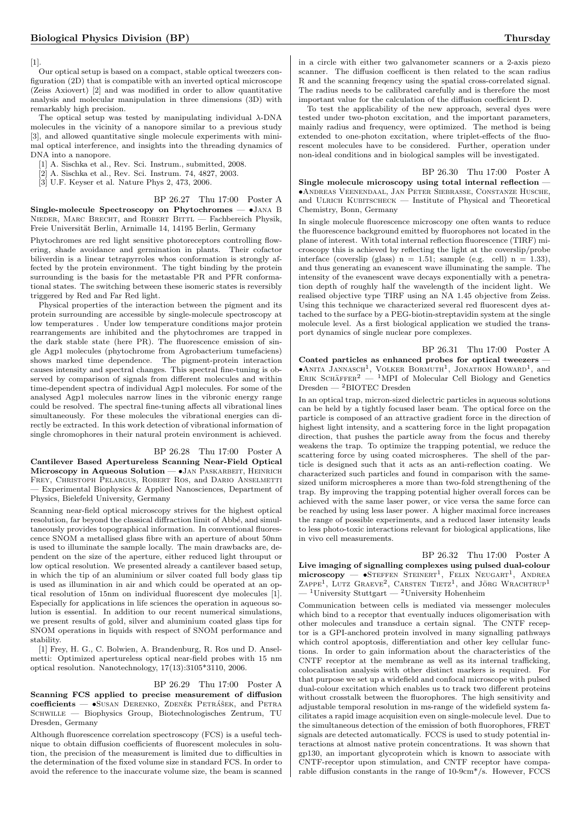[1].

Our optical setup is based on a compact, stable optical tweezers configuration (2D) that is compatible with an inverted optical microscope (Zeiss Axiovert) [2] and was modified in order to allow quantitative analysis and molecular manipulation in three dimensions (3D) with remarkably high precision.

The optical setup was tested by manipulating individual  $\lambda$ -DNA molecules in the vicinity of a nanopore similar to a previous study [3], and allowed quantitative single molecule experiments with minimal optical interference, and insights into the threading dynamics of DNA into a nanopore.

- [1] A. Sischka et al., Rev. Sci. Instrum., submitted, 2008.
- [2] A. Sischka et al., Rev. Sci. Instrum. 74, 4827, 2003.
- [3] U.F. Keyser et al. Nature Phys 2, 473, 2006.

BP 26.27 Thu 17:00 Poster A Single-molecule Spectroscopy on Phytochromes — •Jana B NIEDER, MARC BRECHT, and ROBERT BITTL - Fachbereich Physik, Freie Universität Berlin, Arnimalle 14, 14195 Berlin, Germany

Phytochromes are red light sensitive photoreceptors controlling flowering, shade avoidance and germination in plants. Their cofactor biliverdin is a linear tetrapyrroles whos conformation is strongly affected by the protein environment. The tight binding by the protein surrounding is the basis for the metastable PR and PFR conformational states. The switching between these isomeric states is reversibly triggered by Red and Far Red light.

Physical properties of the interaction between the pigment and its protein surrounding are accessible by single-molecule spectroscopy at low temperatures . Under low temperature conditions major protein rearrangements are inhibited and the phytochromes are trapped in the dark stable state (here PR). The fluorescence emission of single Agp1 molecules (phytochrome from Agrobacterium tumefaciens) shows marked time dependence. The pigment-protein interaction causes intensity and spectral changes. This spectral fine-tuning is observed by comparison of signals from different molecules and within time-dependent spectra of individual Agp1 molecules. For some of the analysed Agp1 molecules narrow lines in the vibronic energy range could be resolved. The spectral fine-tuning affects all vibrational lines simultaneously. For these molecules the vibrational energies can directly be extracted. In this work detection of vibrational information of single chromophores in their natural protein environment is achieved.

#### BP 26.28 Thu 17:00 Poster A

Cantilever Based Apertureless Scanning Near-Field Optical Microscopy in Aqueous Solution - JAN PASKARBEIT, HEINRICH Frey, Christoph Pelargus, Robert Ros, and Dario Anselmetti — Experimental Biophysics & Applied Nanosciences, Department of Physics, Bielefeld University, Germany

Scanning near-field optical microscopy strives for the highest optical resolution, far beyond the classical diffraction limit of Abbé, and simultaneously provides topographical information. In conventional fluorescence SNOM a metallised glass fibre with an aperture of about 50nm is used to illuminate the sample locally. The main drawbacks are, dependent on the size of the aperture, either reduced light throuput or low optical resolution. We presented already a cantilever based setup, in which the tip of an aluminium or silver coated full body glass tip is used as illumination in air and which could be operated at an optical resolution of 15nm on individual fluorescent dye molecules [1]. Especially for applications in life sciences the operation in aqueous solution is essential. In addition to our recent numerical simulations, we present results of gold, silver and aluminium coated glass tips for SNOM operations in liquids with respect of SNOM performance and stability.

[1] Frey, H. G., C. Bolwien, A. Brandenburg, R. Ros und D. Anselmetti: Optimized apertureless optical near-field probes with 15 nm optical resolution. Nanotechnology, 17(13):3105\*3110, 2006.

#### BP 26.29 Thu 17:00 Poster A

Scanning FCS applied to precise measurement of diffusion coefficients —  $\bullet$ Susan Derenko, Zdeněk Petrášek, and Petra Schwille — Biophysics Group, Biotechnologisches Zentrum, TU Dresden, Germany

Although fluorescence correlation spectroscopy (FCS) is a useful technique to obtain diffusion coefficients of fluorescent molecules in solution, the precision of the measurement is limited due to difficulties in the determination of the fixed volume size in standard FCS. In order to avoid the reference to the inaccurate volume size, the beam is scanned in a circle with either two galvanometer scanners or a 2-axis piezo scanner. The diffusion coefficent is then related to the scan radius R and the scanning freqency using the spatial cross-correlated signal. The radius needs to be calibrated carefully and is therefore the most important value for the calculation of the diffusion coefficient D.

To test the applicability of the new approach, several dyes were tested under two-photon excitation, and the important parameters, mainly radius and frequency, were optimized. The method is being extended to one-photon excitation, where triplet-effects of the fluorescent molecules have to be considered. Further, operation under non-ideal conditions and in biological samples will be investigated.

BP 26.30 Thu 17:00 Poster A Single molecule microscopy using total internal reflection — •Andreas Veenendaal, Jan Peter Siebrasse, Constanze Husche, and ULRICH KUBITSCHECK — Institute of Physical and Theoretical Chemistry, Bonn, Germany

In single molecule fluorescence microscopy one often wants to reduce the fluorescence background emitted by fluorophores not located in the plane of interest. With total internal reflection fluorescence (TIRF) microscopy this is achieved by reflecting the light at the coverslip/probe interface (coverslip (glass)  $n = 1.51$ ; sample (e.g. cell)  $n = 1.33$ ), and thus generating an evanescent wave illuminating the sample. The intensity of the evanescent wave decays exponentially with a penetration depth of roughly half the wavelength of the incident light. We realised objective type TIRF using an NA 1.45 objective from Zeiss. Using this technique we characterized several red fluorescent dyes attached to the surface by a PEG-biotin-streptavidin system at the single molecule level. As a first biological application we studied the transport dynamics of single nuclear pore complexes.

BP 26.31 Thu 17:00 Poster A Coated particles as enhanced probes for optical tweezers —  $\bullet$ ANITA JANNASCH<sup>1</sup>, VOLKER BORMUTH<sup>1</sup>, JONATHON HOWARD<sup>1</sup>, and<br>ERIK SCHÄFFER<sup>2</sup> — <sup>1</sup>MPI of Molecular Cell Biology and Genetics Dresden — <sup>2</sup>BIOTEC Dresden

In an optical trap, micron-sized dielectric particles in aqueous solutions can be held by a tightly focused laser beam. The optical force on the particle is composed of an attractive gradient force in the direction of highest light intensity, and a scattering force in the light propagation direction, that pushes the particle away from the focus and thereby weakens the trap. To optimize the trapping potential, we reduce the scattering force by using coated microspheres. The shell of the particle is designed such that it acts as an anti-reflection coating. We characterized such particles and found in comparison with the samesized uniform microspheres a more than two-fold strengthening of the trap. By improving the trapping potential higher overall forces can be achieved with the same laser power, or vice versa the same force can be reached by using less laser power. A higher maximal force increases the range of possible experiments, and a reduced laser intensity leads to less photo-toxic interactions relevant for biological applications, like in vivo cell measurements.

BP 26.32 Thu 17:00 Poster A Live imaging of signalling complexes using pulsed dual-colour microscopy - STEFFEN STEINERT<sup>1</sup>, FELIX NEUGART<sup>1</sup>, ANDREA ZAPPE<sup>1</sup>, LUTZ GRAEVE<sup>2</sup>, CARSTEN TIETZ<sup>1</sup>, and JÖRG WRACHTRUP<sup>1</sup>  $^{-1}$ University Stuttgart — <sup>2</sup>University Hohenheim

Communication between cells is mediated via messenger molecules which bind to a receptor that eventually induces oligomerisation with other molecules and transduce a certain signal. The CNTF receptor is a GPI-anchored protein involved in many signalling pathways which control apoptosis, differentiation and other key cellular functions. In order to gain information about the characteristics of the CNTF receptor at the membrane as well as its internal trafficking, colocalisation analysis with other distinct markers is required. For that purpose we set up a widefield and confocal microscope with pulsed dual-colour excitation which enables us to track two different proteins without crosstalk between the fluorophores. The high sensitivity and adjustable temporal resolution in ms-range of the widefield system facilitates a rapid image acquisition even on single-molecule level. Due to the simultaneous detection of the emission of both fluorophores, FRET signals are detected automatically. FCCS is used to study potential interactions at almost native protein concentrations. It was shown that gp130, an important glycoprotein which is known to associate with CNTF-receptor upon stimulation, and CNTF receptor have comparable diffusion constants in the range of 10-9cm\*/s. However, FCCS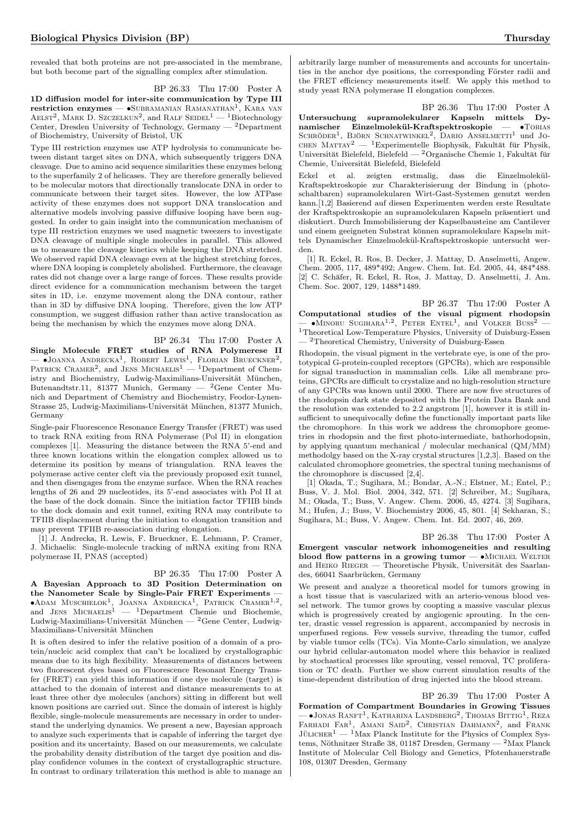revealed that both proteins are not pre-associated in the membrane, but both become part of the signalling complex after stimulation.

BP 26.33 Thu 17:00 Poster A

1D diffusion model for inter-site communication by Type III  $\text{restriction}$  enzymes —  $\bullet$ Subramanian Ramanathan<sup>1</sup>, Kara van AELST<sup>2</sup>, MARK D. SZCZELKUN<sup>2</sup>, and RALF SEIDEL<sup>1</sup> — <sup>1</sup>Biotechnology Center, Dresden University of Technology, Germany — <sup>2</sup>Department of Biochemistry, University of Bristol, UK

Type III restriction enzymes use ATP hydrolysis to communicate between distant target sites on DNA, which subsequently triggers DNA cleavage. Due to amino acid sequence similarities these enzymes belong to the superfamily 2 of helicases. They are therefore generally believed to be molecular motors that directionally translocate DNA in order to communicate between their target sites. However, the low ATPase activity of these enzymes does not support DNA translocation and alternative models involving passive diffusive looping have been suggested. In order to gain insight into the communication mechanism of type III restriction enzymes we used magnetic tweezers to investigate DNA cleavage of multiple single molecules in parallel. This allowed us to measure the cleavage kinetics while keeping the DNA stretched. We observed rapid DNA cleavage even at the highest stretching forces, where DNA looping is completely abolished. Furthermore, the cleavage rates did not change over a large range of forces. These results provide direct evidence for a communication mechanism between the target sites in 1D, i.e. enzyme movement along the DNA contour, rather than in 3D by diffusive DNA looping. Therefore, given the low ATP consumption, we suggest diffusion rather than active translocation as being the mechanism by which the enzymes move along DNA.

## BP 26.34 Thu 17:00 Poster A

Single Molecule FRET studies of RNA Polymerese II  $-$  •Joanna Andrecka<sup>1</sup>, Robert Lewis<sup>1</sup>, Florian Brueckner<sup>2</sup>, PATRICK CRAMER<sup>2</sup>, and JENS MICHAELIS<sup>1</sup> — <sup>1</sup>Department of Chemistry and Biochemistry, Ludwig-Maximilians-Universität München, Butenandtstr.11, 81377 Munich, Germany — <sup>2</sup>Gene Center Munich and Department of Chemistry and Biochemistry, Feodor-Lynen-Strasse 25, Ludwig-Maximilians-Universität München, 81377 Munich, Germany

Single-pair Fluorescence Resonance Energy Transfer (FRET) was used to track RNA exiting from RNA Polymerase (Pol II) in elongation complexes [1]. Measuring the distance between the RNA 5'-end and three known locations within the elongation complex allowed us to determine its position by means of triangulation. RNA leaves the polymerase active center cleft via the previously proposed exit tunnel, and then disengages from the enzyme surface. When the RNA reaches lengths of 26 and 29 nucleotides, its 5'-end associates with Pol II at the base of the dock domain. Since the initiation factor TFIIB binds to the dock domain and exit tunnel, exiting RNA may contribute to TFIIB displacement during the initiation to elongation transition and may prevent TFIIB re-association during elongation.

[1] J. Andrecka, R. Lewis, F. Brueckner, E. Lehmann, P. Cramer, J. Michaelis: Single-molecule tracking of mRNA exiting from RNA polymerase II, PNAS (accepted)

BP 26.35 Thu 17:00 Poster A A Bayesian Approach to 3D Position Determination on the Nanometer Scale by Single-Pair FRET Experiments  $\bullet$ Adam Muschielok<sup>1</sup>, Joanna Andrecka<sup>1</sup>, Patrick Cramer<sup>1,2</sup>, and JENS  $MICHAELIS<sup>1</sup> = <sup>1</sup> Department$  Chemie und Biochemie, Ludwig-Maximilians-Universität München —  ${}^{2}$ Gene Center, Ludwig-Maximilians-Universität München

It is often desired to infer the relative position of a domain of a protein/nucleic acid complex that can't be localized by crystallographic means due to its high flexibility. Measurements of distances between two fluorescent dyes based on Fluorescence Resonant Energy Transfer (FRET) can yield this information if one dye molecule (target) is attached to the domain of interest and distance measurements to at least three other dye molecules (anchors) sitting in different but well known positions are carried out. Since the domain of interest is highly flexible, single-molecule measurements are necessary in order to understand the underlying dynamics. We present a new, Bayesian approach to analyze such experiments that is capable of inferring the target dye position and its uncertainty. Based on our measurements, we calculate the probability density distribution of the target dye position and display confidence volumes in the context of crystallographic structure. In contrast to ordinary trilateration this method is able to manage an

arbitrarily large number of measurements and accounts for uncertainties in the anchor dye positions, the corresponding Förster radii and the FRET efficiency measurements itself. We apply this method to study yeast RNA polymerase II elongation complexes.

BP 26.36 Thu 17:00 Poster A Untersuchung supramolekularer Kapseln mittels Dynamischer Einzelmolekül-Kraftspektroskopie —  $\bullet$ TOBIAS SCHRÖDER<sup>1</sup>, BJÖRN SCHNATWINKEL<sup>2</sup>, DARIO ANSELMETTI<sup>1</sup> und JO-CHEN MATTAY<sup>2</sup> — <sup>1</sup>Experimentelle Biophysik, Fakultät für Physik, Universität Bielefeld, Bielefeld — <sup>2</sup>Organische Chemie 1, Fakultät für Chemie, Universität Bielefeld, Bielefeld

Eckel et al. zeigten erstmalig, dass die Einzelmolekül-Kraftspektroskopie zur Charakterisierung der Bindung in (photoschaltbaren) supramolekularen Wirt-Gast-Systemen genutzt werden kann.[1,2] Basierend auf diesen Experimenten werden erste Resultate der Kraftspektroskopie an supramolekularen Kapseln präsentiert und diskutiert. Durch Immobilisierung der Kapselbausteine am Cantilever und einem geeigneten Substrat können supramolekulare Kapseln mittels Dynamischer Einzelmolekül-Kraftspektroskopie untersucht werden.

[1] R. Eckel, R. Ros, B. Decker, J. Mattay, D. Anselmetti, Angew. Chem. 2005, 117, 489\*492; Angew. Chem. Int. Ed. 2005, 44, 484\*488. [2] C. Schäfer, R. Eckel, R. Ros, J. Mattay, D. Anselmetti, J. Am. Chem. Soc. 2007, 129, 1488\*1489.

BP 26.37 Thu 17:00 Poster A Computational studies of the visual pigment rhodopsin<br>
— •MINORU SUGIHARA<sup>1,2</sup>, PETER ENTEL<sup>1</sup>, and VOLKER BUSS<sup>2</sup>  $^{\rm 1}$  Theoretical Low-Temperature Physics, University of Duisburg-Essen — <sup>2</sup>Theoretical Chemistry, University of Duisburg-Essen

Rhodopsin, the visual pigment in the vertebrate eye, is one of the prototypical G-protein-coupled receptors (GPCRs), which are responsible for signal transduction in mammalian cells. Like all membrane proteins, GPCRs are difficult to crystalize and no high-resolution structure of any GPCRs was known until 2000. There are now five structures of the rhodopsin dark state deposited with the Protein Data Bank and the resolution was extended to 2.2 angstrom [1], however it is still insufficient to unequivocally define the functionally important parts like the chromophore. In this work we address the chromophore geometries in rhodopsin and the first photo-intermediate, bathorhodopsin, by applying quantum mechanical / molecular mechanical (QM/MM) methodolgy based on the X-ray crystal structures [1,2,3]. Based on the calculated chromophore geometries, the spectral tuning mechanisms of the chromophore is discussed [2,4].

[1] Okada, T.; Sugihara, M.; Bondar, A.-N.; Elstner, M.; Entel, P.; Buss, V. J. Mol. Biol. 2004, 342, 571. [2] Schreiber, M.; Sugihara, M.; Okada, T.; Buss, V. Angew. Chem. 2006, 45, 4274. [3] Sugihara, M.; Hufen, J.; Buss, V. Biochemistry 2006, 45, 801. [4] Sekharan, S.; Sugihara, M.; Buss, V. Angew. Chem. Int. Ed. 2007, 46, 269.

BP 26.38 Thu 17:00 Poster A Emergent vascular network inhomogeneities and resulting blood flow patterns in a growing tumor  $-\bullet$  MICHAEL WELTER and HEIKO RIEGER — Theoretische Physik, Universität des Saarlandes, 66041 Saarbrücken, Germany

We present and analyze a theoretical model for tumors growing in a host tissue that is vascularized with an arterio-venous blood vessel network. The tumor grows by coopting a massive vascular plexus which is progressively created by angiogenic sprouting. In the center, drastic vessel regression is apparent, accompanied by necrosis in unperfused regions. Few vessels survive, threading the tumor, cuffed by viable tumor cells (TCs). Via Monte-Carlo simulation, we analyze our hybrid cellular-automaton model where this behavior is realized by stochastical processes like sprouting, vessel removal, TC proliferation or TC death. Further we show current simulation results of the time-dependent distribution of drug injected into the blood stream.

BP 26.39 Thu 17:00 Poster A Formation of Compartment Boundaries in Growing Tissues  $-$  •Jonas Ranft<sup>1</sup>, Katharina Landsberg<sup>2</sup>, Thomas Bittig<sup>1</sup>, Reza FARHADI FAR<sup>1</sup>, AMANI SAID<sup>2</sup>, CHRISTIAN DAHMANN<sup>2</sup>, and FRANK JULICHER<sup>1</sup> — <sup>1</sup>Max Planck Institute for the Physics of Complex Systems, Nöthnitzer Straße 38, 01187 Dresden, Germany —  $^2$ Max Planck Institute of Molecular Cell Biology and Genetics, Pfotenhauerstraße 108, 01307 Dresden, Germany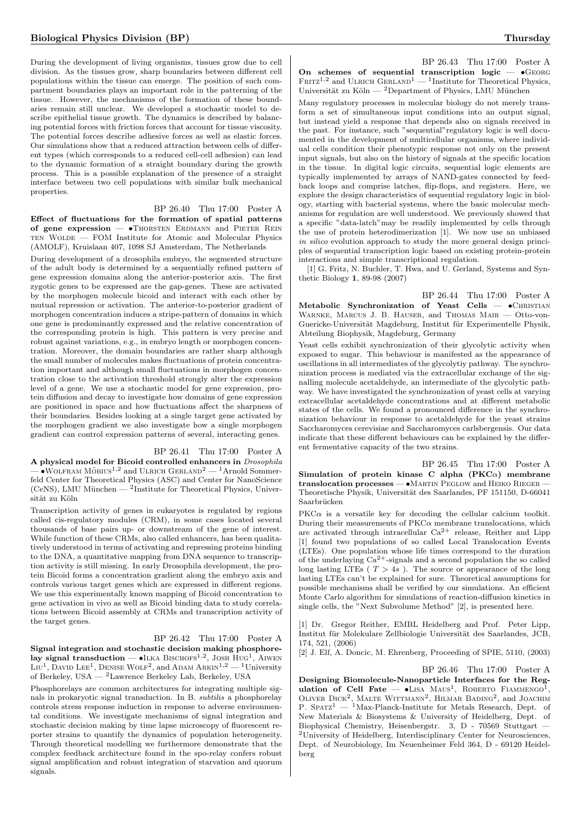During the development of living organisms, tissues grow due to cell division. As the tissues grow, sharp boundaries between different cell populations within the tissue can emerge. The position of such compartment boundaries plays an important role in the patterning of the tissue. However, the mechanisms of the formation of these boundaries remain still unclear. We developed a stochastic model to describe epithelial tissue growth. The dynamics is described by balancing potential forces with friction forces that account for tissue viscosity. The potential forces describe adhesive forces as well as elastic forces. Our simulations show that a reduced attraction between cells of different types (which corresponds to a reduced cell-cell adhesion) can lead to the dynamic formation of a straight boundary during the growth process. This is a possible explanation of the presence of a straight interface between two cell populations with similar bulk mechanical properties.

## BP 26.40 Thu 17:00 Poster A

Effect of fluctuations for the formation of spatial patterns of gene expression -  $\bullet$ Thorsten Erdmann and Pieter Rein TEN WOLDE — FOM Institute for Atomic and Molecular Physics (AMOLF), Kruislaan 407, 1098 SJ Amsterdam, The Netherlands

During development of a drosophila embryo, the segmented structure of the adult body is determined by a sequentially refined pattern of gene expression domains along the anterior-posterior axis. The first zygotic genes to be expressed are the gap-genes. These are activated by the morphogen molecule bicoid and interact with each other by mutual repression or activation. The anterior-to-posterior gradient of morphogen concentration induces a stripe-pattern of domains in which one gene is predominantly expressed and the relative concentration of the corresponding protein is high. This pattern is very precise and robust against variations, e.g., in embryo length or morphogen concentration. Moreover, the domain boundaries are rather sharp although the small number of molecules makes fluctuations of protein concentration important and although small fluctuations in morphogen concentration close to the activation threshold strongly alter the expression level of a gene. We use a stochastic model for gene expression, protein diffusion and decay to investigate how domains of gene expression are positioned in space and how fluctuations affect the sharpness of their boundaries. Besides looking at a single target gene activated by the morphogen gradient we also investigate how a single morphogen gradient can control expression patterns of several, interacting genes.

#### BP 26.41 Thu 17:00 Poster A

A physical model for Bicoid controlled enhancers in Drosophila  $\sim$   $\sim$  WOLFRAM MÖBIUS<sup>1,2</sup> and ULRICH GERLAND<sup>2</sup> — <sup>1</sup>Arnold Sommerfeld Center for Theoretical Physics (ASC) and Center for NanoScience  $(CeNS)$ , LMU München  $-2$ Institute for Theoretical Physics, Universität zu Köln

Transcription activity of genes in eukaryotes is regulated by regions called cis-regulatory modules (CRM), in some cases located several thousands of base pairs up- or downstream of the gene of interest. While function of these CRMs, also called enhancers, has been qualitatively understood in terms of activating and repressing proteins binding to the DNA, a quantitative mapping from DNA sequence to transcription activity is still missing. In early Drosophila development, the protein Bicoid forms a concentration gradient along the embryo axis and controls various target genes which are expressed in different regions. We use this experimentally known mapping of Bicoid concentration to gene activation in vivo as well as Bicoid binding data to study correlations between Bicoid assembly at CRMs and transcription activity of the target genes.

## BP 26.42 Thu 17:00 Poster A

Signal integration and stochastic decision making phosphorelay signal transduction  $-$  •ILKA BISCHOFS<sup>1,2</sup>, JOSH HUG<sup>1</sup>, AIWEN  $\mathrm{Liu^1}, \mathrm{Dav}$ ID  $\mathrm{LEE^1}, \mathrm{DENSE\ WOLF^2},$  and  $\mathrm{ADAM\ ARKIN}^{1,2}$   $^1\mathrm{University}$ of Berkeley, USA — <sup>2</sup>Lawrence Berkeley Lab, Berkeley, USA

Phosphorelays are common architectures for integrating multiple signals in prokaryotic signal transduction. In B. subtilis a phosphorelay controls stress response induction in response to adverse environmental conditions. We investigate mechanisms of signal integration and stochastic decision making by time lapse microscopy of fluorescent reporter strains to quantify the dynamics of population heterogeneity. Through theoretical modelling we furthermore demonstrate that the complex feedback architecture found in the spo-relay confers robust signal amplification and robust integration of starvation and quorum signals.

BP 26.43 Thu 17:00 Poster A On schemes of sequential transcription logic  $\bullet$  GEORG  $F$ RITZ<sup>1,2</sup> and ULRICH GERLAND<sup>1</sup> — <sup>1</sup>Institute for Theoretical Physics, Universität zu Köln —  $^2$ Department of Physics, LMU München

Many regulatory processes in molecular biology do not merely transform a set of simultaneous input conditions into an output signal, but instead yield a response that depends also on signals received in the past. For instance, such "sequential"regulatory logic is well documented in the development of multicellular organisms, where individual cells condition their phenotypic response not only on the present input signals, but also on the history of signals at the specific location in the tissue. In digital logic circuits, sequential logic elements are typically implemented by arrays of NAND-gates connected by feedback loops and comprise latches, flip-flops, and registers. Here, we explore the design characteristics of sequential regulatory logic in biology, starting with bacterial systems, where the basic molecular mechanisms for regulation are well understood. We previously showed that a specific "data-latch"may be readily implemented by cells through the use of protein heterodimerization [1]. We now use an unbiased in silico evolution approach to study the more general design principles of sequential transcription logic based on existing protein-protein interactions and simple transcriptional regulation.

[1] G. Fritz, N. Buchler, T. Hwa, and U. Gerland, Systems and Synthetic Biology 1, 89-98 (2007)

BP 26.44 Thu 17:00 Poster A Metabolic Synchronization of Yeast Cells —  $\bullet$ CHRISTIAN Warnke, Marcus J. B. Hauser, and Thomas Mair — Otto-von-Guericke-Universität Magdeburg, Institut für Experimentelle Physik, Abteilung Biophysik, Magdeburg, Germany

Yeast cells exhibit synchronization of their glycolytic activity when exposed to sugar. This behaviour is manifested as the appearance of oscillations in all intermediates of the glycolytiy pathway. The synchronization process is mediated via the extracellular exchange of the signalling molecule acetaldehyde, an intermediate of the glycolytic pathway. We have investigated the synchronization of yeast cells at varying extracellular acetaldehyde concentrations and at different metabolic states of the cells. We found a pronounced difference in the synchronization behaviour in response to acetaldehyde for the yeast strains Saccharomyces cerevisiae and Saccharomyces carlsbergensis. Our data indicate that these different behaviours can be explained by the different fermentative capacity of the two strains.

BP 26.45 Thu 17:00 Poster A Simulation of protein kinase C alpha  $(PKC<sub>\alpha</sub>)$  membrane translocation processes — •Martin Peglow and Heiko Rieger — Theoretische Physik, Universität des Saarlandes, PF 151150, D-66041 Saarbrücken

 $PKC\alpha$  is a versatile key for decoding the cellular calcium toolkit. During their measurements of  $PKC\alpha$  membrane translocations, which are activated through intracellular  $Ca^{2+}$  release, Reither and Lipp [1] found two populations of so called Local Translocation Events (LTEs). One population whose life times correspond to the duration of the underlaying  $Ca^{2+}$ -signals and a second population the so called long lasting LTEs ( $T > 4s$ ). The source or appearance of the long lasting LTEs can't be explained for sure. Theoretical assumptions for possible mechanisms shall be verified by our simulations. An efficient Monte Carlo algorithm for simulations of reaction-diffusion kinetics in single cells, the "Next Subvolume Method" [2], is presented here.

[1] Dr. Gregor Reither, EMBL Heidelberg and Prof. Peter Lipp, Institut für Molekulare Zellbiologie Universität des Saarlandes, JCB, 174, 521, (2006)

[2] J. Elf, A. Doncic, M. Ehrenberg, Proceeding of SPIE, 5110, (2003)

BP 26.46 Thu 17:00 Poster A Designing Biomolecule-Nanoparticle Interfaces for the Regulation of Cell Fate  $-$  •LISA MAUS<sup>1</sup>, ROBERTO FIAMMENGO<sup>1</sup>, OLIVER DICK<sup>2</sup>, MALTE WITTMANN<sup>2</sup>, HILMAR BADING<sup>2</sup>, and JOACHIM P.  $SPTZ^1$  — <sup>1</sup>Max-Planck-Institute for Metals Research, Dept. of New Materials & Biosystems & University of Heidelberg, Dept. of Biophysical Chemistry, Heisenbergstr. 3, D - 70569 Stuttgart — <sup>2</sup>University of Heidelberg, Interdisciplinary Center for Neurosciences, Dept. of Neurobiology, Im Neuenheimer Feld 364, D - 69120 Heidelberg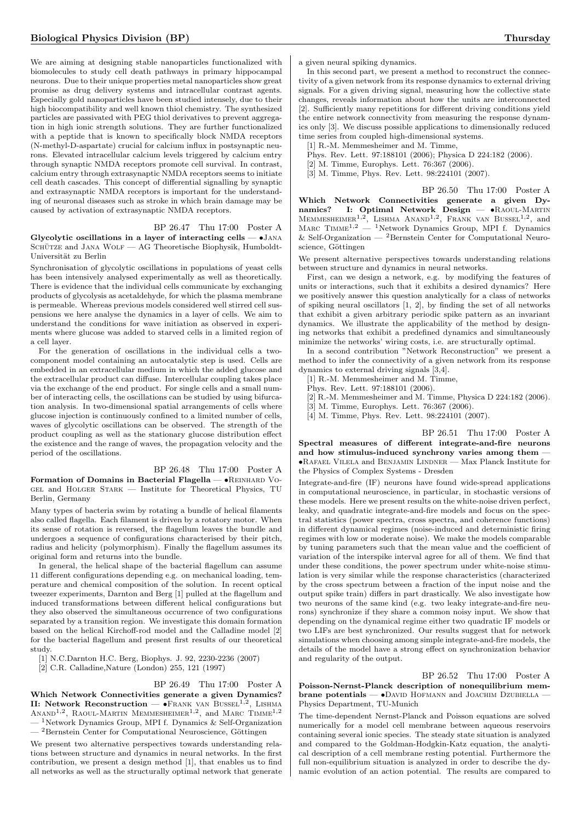We are aiming at designing stable nanoparticles functionalized with biomolecules to study cell death pathways in primary hippocampal neurons. Due to their unique properties metal nanoparticles show great promise as drug delivery systems and intracellular contrast agents. Especially gold nanoparticles have been studied intensely, due to their high biocompatibility and well known thiol chemistry. The synthesized particles are passivated with PEG thiol derivatives to prevent aggregation in high ionic strength solutions. They are further functionalized with a peptide that is known to specifically block NMDA receptors (N-methyl-D-aspartate) crucial for calcium influx in postsynaptic neurons. Elevated intracellular calcium levels triggered by calcium entry through synaptic NMDA receptors promote cell survival. In contrast, calcium entry through extrasynaptic NMDA receptors seems to initiate cell death cascades. This concept of differential signalling by synaptic and extrasynaptic NMDA receptors is important for the understanding of neuronal diseases such as stroke in which brain damage may be caused by activation of extrasynaptic NMDA receptors.

#### BP 26.47 Thu 17:00 Poster A

Glycolytic oscillations in a layer of interacting cells  $\bullet$  JANA SCHÜTZE and JANA WOLF — AG Theoretische Biophysik, Humboldt-Universität zu Berlin

Synchronisation of glycolytic oscillations in populations of yeast cells has been intensively analysed experimentally as well as theoretically. There is evidence that the individual cells communicate by exchanging products of glycolysis as acetaldehyde, for which the plasma membrane is permeable. Whereas previous models considered well stirred cell suspensions we here analyse the dynamics in a layer of cells. We aim to understand the conditions for wave initiation as observed in experiments where glucose was added to starved cells in a limited region of a cell layer.

For the generation of oscillations in the individual cells a twocomponent model containing an autocatalytic step is used. Cells are embedded in an extracellular medium in which the added glucose and the extracellular product can diffuse. Intercellular coupling takes place via the exchange of the end product. For single cells and a small number of interacting cells, the oscillations can be studied by using bifurcation analysis. In two-dimensional spatial arrangements of cells where glucose injection is continuously confined to a limited number of cells, waves of glycolytic oscillations can be observed. The strength of the product coupling as well as the stationary glucose distribution effect the existence and the range of waves, the propagation velocity and the period of the oscillations.

BP 26.48 Thu 17:00 Poster A Formation of Domains in Bacterial Flagella — •Reinhard Vogel and Holger Stark — Institute for Theoretical Physics, TU Berlin, Germany

Many types of bacteria swim by rotating a bundle of helical filaments also called flagella. Each filament is driven by a rotatory motor. When its sense of rotation is reversed, the flagellum leaves the bundle and undergoes a sequence of configurations characterised by their pitch, radius and helicity (polymorphism). Finally the flagellum assumes its original form and returns into the bundle.

In general, the helical shape of the bacterial flagellum can assume 11 different configurations depending e.g. on mechanical loading, temperature and chemical composition of the solution. In recent optical tweezer experiments, Darnton and Berg [1] pulled at the flagellum and induced transformations between different helical configurations but they also observed the simultaneous occurrence of two configurations separated by a transition region. We investigate this domain formation based on the helical Kirchoff-rod model and the Calladine model [2] for the bacterial flagellum and present first results of our theoretical study.

[1] N.C.Darnton H.C. Berg, Biophys. J. 92, 2230-2236 (2007)

[2] C.R. Calladine,Nature (London) 255, 121 (1997)

#### BP 26.49 Thu 17:00 Poster A

Which Network Connectivities generate a given Dynamics? II: Network Reconstruction —  $\bullet$ Frank van Bussel<sup>1,2</sup>, Lishma ANAND<sup>1,2</sup>, RAOUL-MARTIN MEMMESHEIMER<sup>1,2</sup>, and MARC TIMME<sup>1,2</sup>  $-$ <sup>1</sup>Network Dynamics Group, MPI f. Dynamics & Self-Organization  $-$ <sup>2</sup>Bernstein Center for Computational Neuroscience, Göttingen

We present two alternative perspectives towards understanding relations between structure and dynamics in neural networks. In the first contribution, we present a design method [1], that enables us to find all networks as well as the structurally optimal network that generate a given neural spiking dynamics.

In this second part, we present a method to reconstruct the connectivity of a given network from its response dynamics to external driving signals. For a given driving signal, measuring how the collective state changes, reveals information about how the units are interconnected [2]. Sufficiently many repetitions for different driving conditions yield the entire network connectivity from measuring the response dynamics only [3]. We discuss possible applications to dimensionally reduced time series from coupled high-dimensional systems.

[1] R.-M. Memmesheimer and M. Timme,

- Phys. Rev. Lett. 97:188101 (2006); Physica D 224:182 (2006).
- [2] M. Timme, Europhys. Lett. 76:367 (2006).
- [3] M. Timme, Phys. Rev. Lett. 98:224101 (2007).

BP 26.50 Thu 17:00 Poster A

Which Network Connectivities generate a given Dynamics? I: Optimal Network Design — • RAOUL-MARTIN MEMMEENLER<sup>1,2</sup>, LISHMA ANAND<sup>1,2</sup>, FRANK VAN BUSSEL<sup>1,2</sup>, and  $M$ ARC TIMME<sup>1,2</sup> — <sup>1</sup>Network Dynamics Group, MPI f. Dynamics & Self-Organization  $-$  <sup>2</sup>Bernstein Center for Computational Neuroscience, Göttingen

We present alternative perspectives towards understanding relations between structure and dynamics in neural networks.

First, can we design a network, e.g. by modifying the features of units or interactions, such that it exhibits a desired dynamics? Here we positively answer this question analytically for a class of networks of spiking neural oscillators [1, 2], by finding the set of all networks that exhibit a given arbitrary periodic spike pattern as an invariant dynamics. We illustrate the applicability of the method by designing networks that exhibit a predefined dynamics and simultaneously minimize the networks' wiring costs, i.e. are structurally optimal.

In a second contribution "Network Reconstruction" we present a method to infer the connectivity of a given network from its response dynamics to external driving signals [3,4].

[1] R.-M. Memmesheimer and M. Timme,

Phys. Rev. Lett. 97:188101 (2006).

[2] R.-M. Memmesheimer and M. Timme, Physica D 224:182 (2006).

[3] M. Timme, Europhys. Lett. 76:367 (2006).

[4] M. Timme, Phys. Rev. Lett. 98:224101 (2007).

BP 26.51 Thu 17:00 Poster A Spectral measures of different integrate-and-fire neurons and how stimulus-induced synchrony varies among them — •Rafael Vilela and Benjamin Lindner — Max Planck Institute for the Physics of Complex Systems - Dresden

Integrate-and-fire (IF) neurons have found wide-spread applications in computational neuroscience, in particular, in stochastic versions of these models. Here we present results on the white-noise driven perfect, leaky, and quadratic integrate-and-fire models and focus on the spectral statistics (power spectra, cross spectra, and coherence functions) in different dynamical regimes (noise-induced and deterministic firing regimes with low or moderate noise). We make the models comparable by tuning parameters such that the mean value and the coefficient of variation of the interspike interval agree for all of them. We find that under these conditions, the power spectrum under white-noise stimulation is very similar while the response characteristics (characterized by the cross spectrum between a fraction of the input noise and the output spike train) differs in part drastically. We also investigate how two neurons of the same kind (e.g. two leaky integrate-and-fire neurons) synchronize if they share a common noisy input. We show that depending on the dynamical regime either two quadratic IF models or two LIFs are best synchronized. Our results suggest that for network simulations when choosing among simple integrate-and-fire models, the details of the model have a strong effect on synchronization behavior and regularity of the output.

BP 26.52 Thu 17:00 Poster A Poisson-Nernst-Planck description of nonequilibrium membrane potentials — •DAVID HOFMANN and JOACHIM DZUBIELLA — Physics Department, TU-Munich

The time-dependent Nernst-Planck and Poisson equations are solved numerically for a model cell membrane between aqueous reservoirs containing several ionic species. The steady state situation is analyzed and compared to the Goldman-Hodgkin-Katz equation, the analytical description of a cell membrane resting potential. Furthermore the full non-equilibrium situation is analyzed in order to describe the dynamic evolution of an action potential. The results are compared to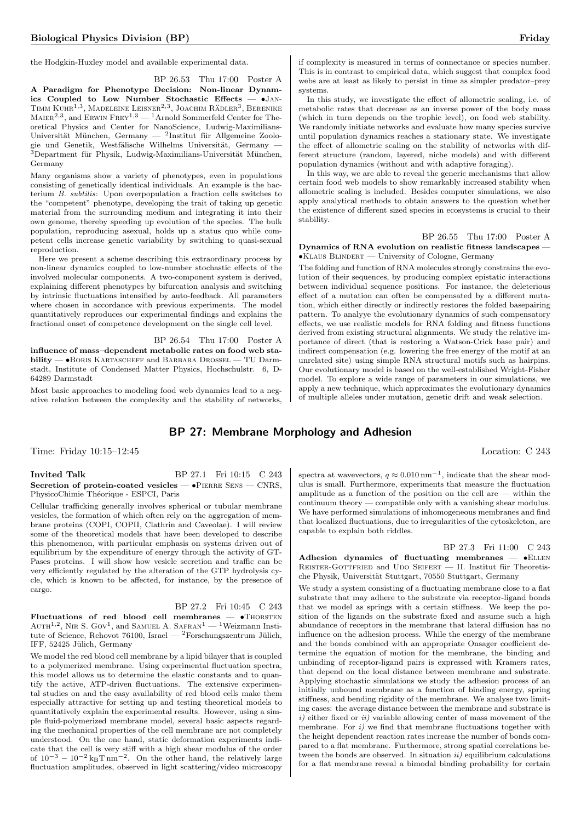the Hodgkin-Huxley model and available experimental data.

BP 26.53 Thu 17:00 Poster A A Paradigm for Phenotype Decision: Non-linear Dynamics Coupled to Low Number Stochastic Effects — •Jan-TIMM KUHR<sup>1,3</sup>, MADELEINE LEISNER<sup>2,3</sup>, JOACHIM RÄDLER<sup>3</sup>, BERENIKE  $\text{MAIER}^{2,3}$ , and ERWIN FREY<sup>1,3</sup> — <sup>1</sup>Arnold Sommerfeld Center for Theoretical Physics and Center for NanoScience, Ludwig-Maximilians-Universität München, Germany — <sup>2</sup>Institut für Allgemeine Zoologie und Genetik, Westfälische Wilhelms Universität, Germany - $\overline{3}$ Department für Physik, Ludwig-Maximilians-Universität München, Germany

Many organisms show a variety of phenotypes, even in populations consisting of genetically identical individuals. An example is the bacterium B. subtilis: Upon overpopulation a fraction cells switches to the "competent" phenotype, developing the trait of taking up genetic material from the surrounding medium and integrating it into their own genome, thereby speeding up evolution of the species. The bulk population, reproducing asexual, holds up a status quo while competent cells increase genetic variability by switching to quasi-sexual reproduction.

Here we present a scheme describing this extraordinary process by non-linear dynamics coupled to low-number stochastic effects of the involved molecular components. A two-component system is derived, explaining different phenotypes by bifurcation analysis and switching by intrinsic fluctuations intensified by auto-feedback. All parameters where chosen in accordance with previous experiments. The model quantitatively reproduces our experimental findings and explains the fractional onset of competence development on the single cell level.

## BP 26.54 Thu 17:00 Poster A

influence of mass–dependent metabolic rates on food web stability — •Boris Kartascheff and Barbara Drossel — TU Darmstadt, Institute of Condensed Matter Physics, Hochschulstr. 6, D-64289 Darmstadt

Most basic approaches to modeling food web dynamics lead to a negative relation between the complexity and the stability of networks,

## BP 27: Membrane Morphology and Adhesion

Time: Friday 10:15–12:45 Location: C 243

#### **Invited Talk** BP 27.1 Fri 10:15 C 243 Secretion of protein-coated vesicles —  $\bullet$ PIERRE SENS — CNRS, PhysicoChimie Théorique - ESPCI, Paris

Cellular trafficking generally involves spherical or tubular membrane vesicles, the formation of which often rely on the aggregation of membrane proteins (COPI, COPII, Clathrin and Caveolae). I will review some of the theoretical models that have been developed to describe this phenomenon, with particular emphasis on systems driven out of equilibrium by the expenditure of energy through the activity of GT-Pases proteins. I will show how vesicle secretion and traffic can be very efficiently regulated by the alteration of the GTP hydrolysis cycle, which is known to be affected, for instance, by the presence of cargo.

BP 27.2 Fri 10:45 C 243 Fluctuations of red blood cell membranes  $\bullet$ Thorsten  $A$ UTH<sup>1,2</sup>, NIR S. GOV<sup>1</sup>, and SAMUEL A. SAFRAN<sup>1</sup> — <sup>1</sup>Weizmann Institute of Science, Rehovot 76100, Israel —  ${}^{2}$ Forschungszentrum Jülich, IFF, 52425 Jülich, Germany

We model the red blood cell membrane by a lipid bilayer that is coupled to a polymerized membrane. Using experimental fluctuation spectra, this model allows us to determine the elastic constants and to quantify the active, ATP-driven fluctuations. The extensive experimental studies on and the easy availability of red blood cells make them especially attractive for setting up and testing theoretical models to quantitatively explain the experimental results. However, using a simple fluid-polymerized membrane model, several basic aspects regarding the mechanical properties of the cell membrane are not completely understood. On the one hand, static deformation experiments indicate that the cell is very stiff with a high shear modulus of the order of  $10^{-3} - 10^{-2}$  k<sub>B</sub>T nm<sup>-2</sup>. On the other hand, the relatively large fluctuation amplitudes, observed in light scattering/video microscopy

if complexity is measured in terms of connectance or species number. This is in contrast to empirical data, which suggest that complex food webs are at least as likely to persist in time as simpler predator–prey systems.

In this study, we investigate the effect of allometric scaling, i.e., of metabolic rates that decrease as an inverse power of the body mass (which in turn depends on the trophic level), on food web stability. We randomly initiate networks and evaluate how many species survive until population dynamics reaches a stationary state. We investigate the effect of allometric scaling on the stability of networks with different structure (random, layered, niche models) and with different population dynamics (without and with adaptive foraging).

In this way, we are able to reveal the generic mechanisms that allow certain food web models to show remarkably increased stability when allometric scaling is included. Besides computer simulations, we also apply analytical methods to obtain answers to the question whether the existence of different sized species in ecosystems is crucial to their stability.

BP 26.55 Thu 17:00 Poster A Dynamics of RNA evolution on realistic fitness landscapes — •Klaus Blindert — University of Cologne, Germany

The folding and function of RNA molecules strongly constrains the evolution of their sequences, by producing complex epistatic interactions between individual sequence positions. For instance, the deleterious effect of a mutation can often be compensated by a different mutation, which either directly or indirectly restores the folded basepairing pattern. To analyye the evolutionary dynamics of such compensatory effects, we use realistic models for RNA folding and fitness functions derived from existing structural alignments. We study the relative importance of direct (that is restoring a Watson-Crick base pair) and indirect compensation (e.g. lowering the free energy of the motif at an unrelated site) using simple RNA structural motifs such as hairpins. Our evolutionary model is based on the well-established Wright-Fisher model. To explore a wide range of parameters in our simulations, we apply a new technique, which approximates the evolutionary dynamics of multiple alleles under mutation, genetic drift and weak selection.

spectra at wavevectors,  $q \approx 0.010 \,\mathrm{nm}^{-1}$ , indicate that the shear modulus is small. Furthermore, experiments that measure the fluctuation amplitude as a function of the position on the cell are — within the continuum theory — compatible only with a vanishing shear modulus. We have performed simulations of inhomogeneous membranes and find that localized fluctuations, due to irregularities of the cytoskeleton, are capable to explain both riddles.

#### BP 27.3 Fri 11:00 C 243

Adhesion dynamics of fluctuating membranes  $\bullet$ ELLEN REISTER-GOTTFRIED and UDO SEIFERT  $-$  II. Institut für Theoretische Physik, Universität Stuttgart, 70550 Stuttgart, Germany

We study a system consisting of a fluctuating membrane close to a flat substrate that may adhere to the substrate via receptor-ligand bonds that we model as springs with a certain stiffness. We keep the position of the ligands on the substrate fixed and assume such a high abundance of receptors in the membrane that lateral diffusion has no influence on the adhesion process. While the energy of the membrane and the bonds combined with an appropriate Onsager coefficient determine the equation of motion for the membrane, the binding and unbinding of receptor-ligand pairs is expressed with Kramers rates, that depend on the local distance between membrane and substrate. Applying stochastic simulations we study the adhesion process of an initially unbound membrane as a function of binding energy, spring stiffness, and bending rigidity of the membrane. We analyse two limiting cases: the average distance between the membrane and substrate is  $i)$  either fixed or  $ii)$  variable allowing center of mass movement of the membrane. For  $i$ ) we find that membrane fluctuations together with the height dependent reaction rates increase the number of bonds compared to a flat membrane. Furthermore, strong spatial correlations between the bonds are observed. In situation  $ii)$  equilibrium calculations for a flat membrane reveal a bimodal binding probability for certain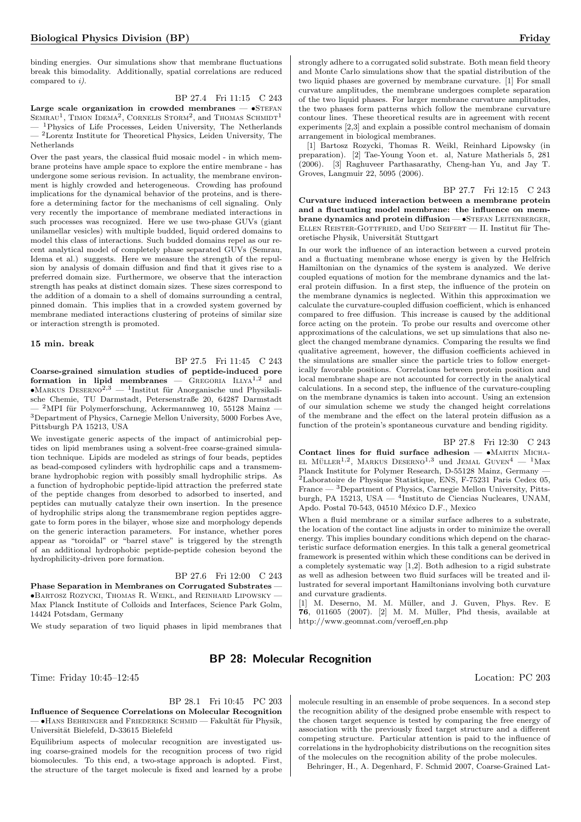binding energies. Our simulations show that membrane fluctuations break this bimodality. Additionally, spatial correlations are reduced compared to i).

BP 27.4 Fri 11:15 C 243 Large scale organization in crowded membranes  $\bullet$ STEFAN

SEMRAU<sup>1</sup>, TIMON IDEMA<sup>2</sup>, CORNELIS STORM<sup>2</sup>, and THOMAS SCHMIDT<sup>1</sup> <sup>1</sup>Physics of Life Processes, Leiden University, The Netherlands  $^2$  Lorentz Institute for Theoretical Physics, Leiden University, The Netherlands

Over the past years, the classical fluid mosaic model - in which membrane proteins have ample space to explore the entire membrane - has undergone some serious revision. In actuality, the membrane environment is highly crowded and heterogeneous. Crowding has profound implications for the dynamical behavior of the proteins, and is therefore a determining factor for the mechanisms of cell signaling. Only very recently the importance of membrane mediated interactions in such processes was recognized. Here we use two-phase GUVs (giant unilamellar vesicles) with multiple budded, liquid ordered domains to model this class of interactions. Such budded domains repel as our recent analytical model of completely phase separated GUVs (Semrau, Idema et al.) suggests. Here we measure the strength of the repulsion by analysis of domain diffusion and find that it gives rise to a preferred domain size. Furthermore, we observe that the interaction strength has peaks at distinct domain sizes. These sizes correspond to the addition of a domain to a shell of domains surrounding a central, pinned domain. This implies that in a crowded system governed by membrane mediated interactions clustering of proteins of similar size or interaction strength is promoted.

#### 15 min. break

BP 27.5 Fri 11:45 C 243 Coarse-grained simulation studies of peptide-induced pore formation in lipid membranes  $-$  GREGORIA  $LLYA^{1,2}$  and •MARKUS DESERNO<sup>2,3</sup> — <sup>1</sup>Institut für Anorganische und Physikalische Chemie, TU Darmstadt, Petersenstraße 20, 64287 Darmstadt  $-$  <sup>2</sup>MPI für Polymerforschung, Ackermannweg 10, 55128 Mainz — <sup>3</sup>Department of Physics, Carnegie Mellon University, 5000 Forbes Ave, Pittsburgh PA 15213, USA

We investigate generic aspects of the impact of antimicrobial peptides on lipid membranes using a solvent-free coarse-grained simulation technique. Lipids are modeled as strings of four beads, peptides as bead-composed cylinders with hydrophilic caps and a transmembrane hydrophobic region with possibly small hydrophilic strips. As a function of hydrophobic peptide-lipid attraction the preferred state of the peptide changes from desorbed to adsorbed to inserted, and peptides can mutually catalyze their own insertion. In the presence of hydrophilic strips along the transmembrane region peptides aggregate to form pores in the bilayer, whose size and morphology depends on the generic interaction parameters. For instance, whether pores appear as "toroidal" or "barrel stave" is triggered by the strength of an additional hydrophobic peptide-peptide cohesion beyond the hydrophilicity-driven pore formation.

BP 27.6 Fri 12:00 C 243

Phase Separation in Membranes on Corrugated Substrates — •Bartosz Rozycki, Thomas R. Weikl, and Reinhard Lipowsky — Max Planck Institute of Colloids and Interfaces, Science Park Golm, 14424 Potsdam, Germany

We study separation of two liquid phases in lipid membranes that

strongly adhere to a corrugated solid substrate. Both mean field theory and Monte Carlo simulations show that the spatial distribution of the two liquid phases are governed by membrane curvature. [1] For small curvature amplitudes, the membrane undergoes complete separation of the two liquid phases. For larger membrane curvature amplitudes, the two phases form patterns which follow the membrane curvature contour lines. These theoretical results are in agreement with recent experiments [2,3] and explain a possible control mechanism of domain arrangement in biological membranes.

[1] Bartosz Rozycki, Thomas R. Weikl, Reinhard Lipowsky (in preparation). [2] Tae-Young Yoon et. al, Nature Matherials 5, 281 (2006). [3] Raghuveer Parthasarathy, Cheng-han Yu, and Jay T. Groves, Langmuir 22, 5095 (2006).

BP 27.7 Fri 12:15 C 243 Curvature induced interaction between a membrane protein and a fluctuating model membrane: the influence on membrane dynamics and protein diffusion - • STEFAN LEITENBERGER, ELLEN REISTER-GOTTFRIED, and UDO SEIFERT  $-$  II. Institut für Theoretische Physik, Universität Stuttgart

In our work the influence of an interaction between a curved protein and a fluctuating membrane whose energy is given by the Helfrich Hamiltonian on the dynamics of the system is analyzed. We derive coupled equations of motion for the membrane dynamics and the lateral protein diffusion. In a first step, the influence of the protein on the membrane dynamics is neglected. Within this approximation we calculate the curvature-coupled diffusion coefficient, which is enhanced compared to free diffusion. This increase is caused by the additional force acting on the protein. To probe our results and overcome other approximations of the calculations, we set up simulations that also neglect the changed membrane dynamics. Comparing the results we find qualitative agreement, however, the diffusion coefficients achieved in the simulations are smaller since the particle tries to follow energetically favorable positions. Correlations between protein position and local membrane shape are not accounted for correctly in the analytical calculations. In a second step, the influence of the curvature-coupling on the membrane dynamics is taken into account. Using an extension of our simulation scheme we study the changed height correlations of the membrane and the effect on the lateral protein diffusion as a function of the protein's spontaneous curvature and bending rigidity.

### BP 27.8 Fri 12:30 C 243

Contact lines for fluid surface adhesion  $- \bullet$  MARTIN MICHA-EL MÜLLER<sup>1,2</sup>, MARKUS DESERNO<sup>1,3</sup> und JEMAL GUVEN<sup>4</sup> — <sup>1</sup>Max Planck Institute for Polymer Research, D-55128 Mainz, Germany — <sup>2</sup>Laboratoire de Physique Statistique, ENS, F-75231 Paris Cedex 05, France — <sup>3</sup>Department of Physics, Carnegie Mellon University, Pittsburgh, PA 15213, USA — <sup>4</sup> Instituto de Ciencias Nucleares, UNAM, Apdo. Postal 70-543, 04510 México D.F., Mexico

When a fluid membrane or a similar surface adheres to a substrate, the location of the contact line adjusts in order to minimize the overall energy. This implies boundary conditions which depend on the characteristic surface deformation energies. In this talk a general geometrical framework is presented within which these conditions can be derived in a completely systematic way [1,2]. Both adhesion to a rigid substrate as well as adhesion between two fluid surfaces will be treated and illustrated for several important Hamiltonians involving both curvature and curvature gradients.

[1] M. Deserno, M. M. Müller, and J. Guven, Phys. Rev. E 76, 011605 (2007). [2] M. M. Muller, Phd thesis, available at ¨ http://www.geomnat.com/veroeff\_en.php

## BP 28: Molecular Recognition

Time: Friday 10:45–12:45 Location: PC 203

BP 28.1 Fri 10:45 PC 203

Influence of Sequence Correlations on Molecular Recognition  $\bullet$ Hans Behringer and Friederike Schmid — Fakultät für Physik, Universität Bielefeld, D-33615 Bielefeld

Equilibrium aspects of molecular recognition are investigated using coarse-grained models for the recognition process of two rigid biomolecules. To this end, a two-stage approach is adopted. First, the structure of the target molecule is fixed and learned by a probe molecule resulting in an ensemble of probe sequences. In a second step the recognition ability of the designed probe ensemble with respect to the chosen target sequence is tested by comparing the free energy of association with the previously fixed target structure and a different competing structure. Particular attention is paid to the influence of correlations in the hydrophobicity distributions on the recognition sites of the molecules on the recognition ability of the probe molecules.

Behringer, H., A. Degenhard, F. Schmid 2007, Coarse-Grained Lat-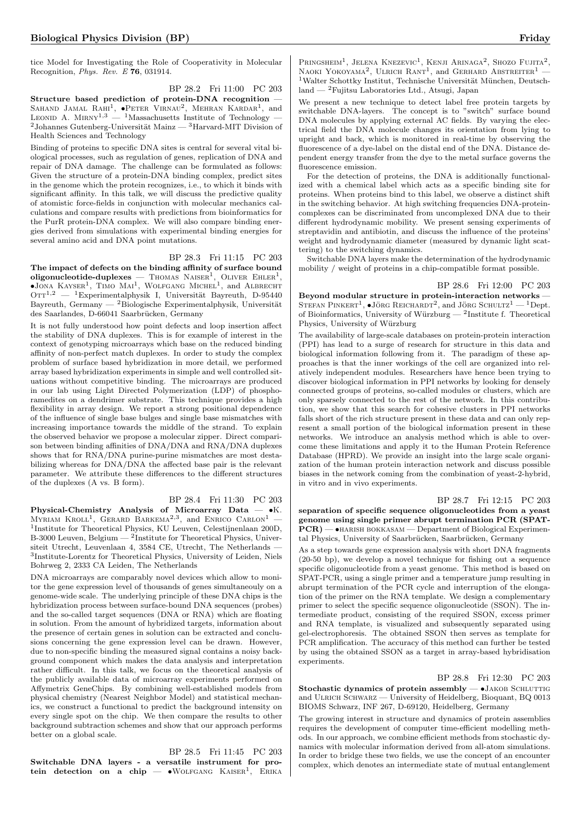tice Model for Investigating the Role of Cooperativity in Molecular Recognition, Phys. Rev. E 76, 031914.

BP 28.2 Fri 11:00 PC 203 Structure based prediction of protein-DNA recognition — SAHAND JAMAL RAHI<sup>1</sup>,  $\bullet$ Peter Virnau<sup>2</sup>, Mehran Kardar<sup>1</sup>, and LEONID A. MIRNY<sup>1,3</sup> — <sup>1</sup>Massachusetts Institute of Technology  $2$ Johannes Gutenberg-Universität Mainz  $-3$ Harvard-MIT Division of Health Sciences and Technology

Binding of proteins to specific DNA sites is central for several vital biological processes, such as regulation of genes, replication of DNA and repair of DNA damage. The challenge can be formulated as follows: Given the structure of a protein-DNA binding complex, predict sites in the genome which the protein recognizes, i.e., to which it binds with significant affinity. In this talk, we will discuss the predictive quality of atomistic force-fields in conjunction with molecular mechanics calculations and compare results with predictions from bioinformatics for the PurR protein-DNA complex. We will also compare binding energies derived from simulations with experimental binding energies for several amino acid and DNA point mutations.

#### BP 28.3 Fri 11:15 PC 203

The impact of defects on the binding affinity of surface bound  $\text{oligonucleotide-duplexes} = \text{Thomas NASER}^1, \text{OLIVER EhLER}^1,$  $\bullet$ JONA KAYSER<sup>1</sup>, TIMO MAI<sup>1</sup>, WOLFGANG MICHEL<sup>1</sup>, and ALBRECHT  $\mathrm{OTT^{1,2}\ }$  —  $\mathrm{~^1Experimentalphysik\ }$  I, Universität Bayreuth, D-95440 Bayreuth, Germany —  $^{2}$ Biologische Experimentalphysik, Universität des Saarlandes, D-66041 Saarbrücken, Germany

It is not fully understood how point defects and loop insertion affect the stability of DNA duplexes. This is for example of interest in the context of genotyping microarrays which base on the reduced binding affinity of non-perfect match duplexes. In order to study the complex problem of surface based hybridization in more detail, we performed array based hybridization experiments in simple and well controlled situations without competitive binding. The microarrays are produced in our lab using Light Directed Polymerization (LDP) of phosphoramedites on a dendrimer substrate. This technique provides a high flexibility in array design. We report a strong positional dependence of the influence of single base bulges and single base mismatches with increasing importance towards the middle of the strand. To explain the observed behavior we propose a molecular zipper. Direct comparison between binding affinities of DNA/DNA and RNA/DNA duplexes shows that for RNA/DNA purine-purine mismatches are most destabilizing whereas for DNA/DNA the affected base pair is the relevant parameter. We attribute these differences to the different structures of the duplexes (A vs. B form).

## BP 28.4 Fri 11:30 PC 203

Physical-Chemistry Analysis of Microarray Data  $\bullet$ K. MYRIAM KROLL<sup>1</sup>, GERARD BARKEMA<sup>2,3</sup>, and ENRICO CARLON<sup>1</sup> – <sup>1</sup>Institute for Theoretical Physics, KU Leuven, Celestijnenlaan 200D, B-3000 Leuven, Belgium — <sup>2</sup>Institute for Theoretical Physics, Universiteit Utrecht, Leuvenlaan 4, 3584 CE, Utrecht, The Netherlands — 3 Institute-Lorentz for Theoretical Physics, University of Leiden, Niels Bohrweg 2, 2333 CA Leiden, The Netherlands

DNA microarrays are comparably novel devices which allow to monitor the gene expression level of thousands of genes simultaneouly on a genome-wide scale. The underlying principle of these DNA chips is the hybridization process between surface-bound DNA sequences (probes) and the so-called target sequences (DNA or RNA) which are floating in solution. From the amount of hybridized targets, information about the presence of certain genes in solution can be extracted and conclusions concerning the gene expression level can be drawn. However, due to non-specific binding the measured signal contains a noisy background component which makes the data analysis and interpretation rather difficult. In this talk, we focus on the theoretical analysis of the publicly available data of microarray experiments performed on Affymetrix GeneChips. By combining well-established models from physical chemistry (Nearest Neighbor Model) and statistical mechanics, we construct a functional to predict the background intensity on every single spot on the chip. We then compare the results to other background subtraction schemes and show that our approach performs better on a global scale.

BP 28.5 Fri 11:45 PC 203 Switchable DNA layers - a versatile instrument for protein detection on a chip  $\bullet$  WOLFGANG KAISER<sup>1</sup>, ERIKA

PRINGSHEIM<sup>1</sup>, JELENA KNEZEVIC<sup>1</sup>, KENJI ARINAGA<sup>2</sup>, SHOZO FUJITA<sup>2</sup>, NAOKI YOKOYAMA<sup>2</sup>, ULRICH RANT<sup>1</sup>, and GERHARD ABSTREITER<sup>1</sup> - $^1\rm{Walter}$ Schottky Institut, Technische Universität München, Deutschland — <sup>2</sup>Fujitsu Laboratories Ltd., Atsugi, Japan

We present a new technique to detect label free protein targets by switchable DNA-layers. The concept is to "switch" surface bound DNA molecules by applying external AC fields. By varying the electrical field the DNA molecule changes its orientation from lying to upright and back, which is monitored in real-time by observing the fluorescence of a dye-label on the distal end of the DNA. Distance dependent energy transfer from the dye to the metal surface governs the fluorescence emission.

For the detection of proteins, the DNA is additionally functionalized with a chemical label which acts as a specific binding site for proteins. When proteins bind to this label, we observe a distinct shift in the switching behavior. At high switching frequencies DNA-proteincomplexes can be discriminated from uncomplexed DNA due to their different hydrodynamic mobility. We present sensing experiments of streptavidin and antibiotin, and discuss the influence of the proteins' weight and hydrodynamic diameter (measured by dynamic light scattering) to the switching dynamics.

Switchable DNA layers make the determination of the hydrodynamic mobility / weight of proteins in a chip-compatible format possible.

#### BP 28.6 Fri 12:00 PC 203

Beyond modular structure in protein-interaction networks — STEFAN PINKERT<sup>1</sup>,  $\bullet$ JÖRG REICHARDT<sup>2</sup>, and JÖRG SCHULTZ<sup>1</sup> — <sup>1</sup>Dept. of Bioinformatics, University of Würzburg  $-$  <sup>2</sup>Institute f. Theoretical Physics, University of Würzburg

The availability of large-scale databases on protein-protein interaction (PPI) has lead to a surge of research for structure in this data and biological information following from it. The paradigm of these approaches is that the inner workings of the cell are organized into relatively independent modules. Researchers have hence been trying to discover biological information in PPI networks by looking for densely connected groups of proteins, so-called modules or clusters, which are only sparsely connected to the rest of the network. In this contribution, we show that this search for cohesive clusters in PPI networks falls short of the rich structure present in these data and can only represent a small portion of the biological information present in these networks. We introduce an analysis method which is able to overcome these limitations and apply it to the Human Protein Reference Database (HPRD). We provide an insight into the large scale organization of the human protein interaction network and discuss possible biases in the network coming from the combination of yeast-2-hybrid, in vitro and in vivo experiments.

BP 28.7 Fri 12:15 PC 203 separation of specific sequence oligonucleotides from a yeast genome using single primer abrupt termination PCR (SPAT- $PCR$ ) —  $\bullet$ HARISH BOKKASAM — Department of Biological Experimental Physics, University of Saarbrücken, Saarbrücken, Germany

As a step towards gene expression analysis with short DNA fragments (20-50 bp), we develop a novel technique for fishing out a sequence specific oligonucleotide from a yeast genome. This method is based on SPAT-PCR, using a single primer and a temperature jump resulting in abrupt termination of the PCR cycle and interruption of the elongation of the primer on the RNA template. We design a complementary primer to select the specific sequence oligonucleotide (SSON). The intermediate product, consisting of the required SSON, excess primer and RNA template, is visualized and subsequently separated using gel-electrophoresis. The obtained SSON then serves as template for PCR amplification. The accuracy of this method can further be tested by using the obtained SSON as a target in array-based hybridisation experiments.

BP 28.8 Fri 12:30 PC 203 Stochastic dynamics of protein assembly  $\bullet$  JAKOB SCHLUTTIG and ULRICH SCHWARZ — University of Heidelberg, Bioquant, BQ 0013 BIOMS Schwarz, INF 267, D-69120, Heidelberg, Germany

The growing interest in structure and dynamics of protein assemblies requires the development of computer time-efficient modelling methods. In our approach, we combine efficient methods from stochastic dynamics with molecular information derived from all-atom simulations. In order to bridge these two fields, we use the concept of an encounter complex, which denotes an intermediate state of mutual entanglement